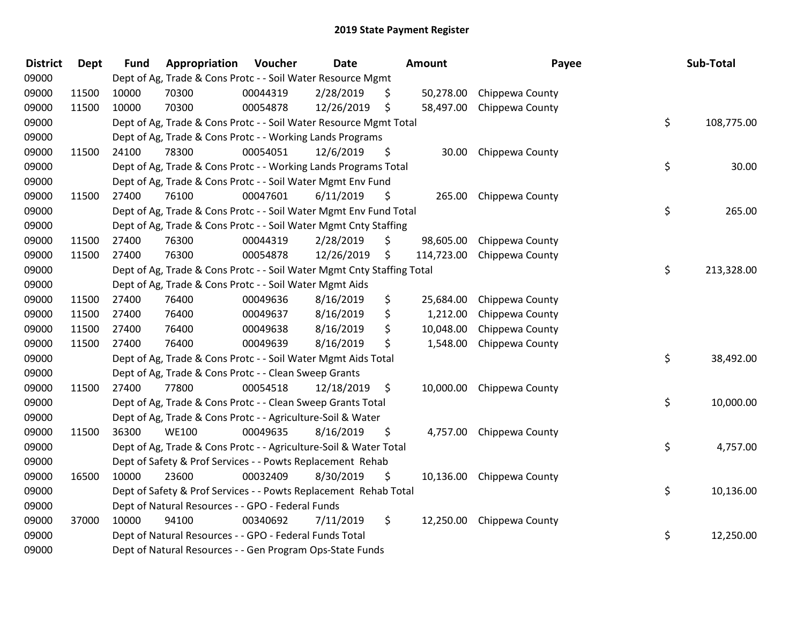| <b>District</b> | Dept  | <b>Fund</b> | Appropriation                                                          | Voucher  | Date       |    | Amount     | Payee           | Sub-Total        |
|-----------------|-------|-------------|------------------------------------------------------------------------|----------|------------|----|------------|-----------------|------------------|
| 09000           |       |             | Dept of Ag, Trade & Cons Protc - - Soil Water Resource Mgmt            |          |            |    |            |                 |                  |
| 09000           | 11500 | 10000       | 70300                                                                  | 00044319 | 2/28/2019  | \$ | 50,278.00  | Chippewa County |                  |
| 09000           | 11500 | 10000       | 70300                                                                  | 00054878 | 12/26/2019 | \$ | 58,497.00  | Chippewa County |                  |
| 09000           |       |             | Dept of Ag, Trade & Cons Protc - - Soil Water Resource Mgmt Total      |          |            |    |            |                 | \$<br>108,775.00 |
| 09000           |       |             | Dept of Ag, Trade & Cons Protc - - Working Lands Programs              |          |            |    |            |                 |                  |
| 09000           | 11500 | 24100       | 78300                                                                  | 00054051 | 12/6/2019  | \$ | 30.00      | Chippewa County |                  |
| 09000           |       |             | Dept of Ag, Trade & Cons Protc - - Working Lands Programs Total        |          |            |    |            |                 | \$<br>30.00      |
| 09000           |       |             | Dept of Ag, Trade & Cons Protc - - Soil Water Mgmt Env Fund            |          |            |    |            |                 |                  |
| 09000           | 11500 | 27400       | 76100                                                                  | 00047601 | 6/11/2019  | S. | 265.00     | Chippewa County |                  |
| 09000           |       |             | Dept of Ag, Trade & Cons Protc - - Soil Water Mgmt Env Fund Total      |          |            |    |            |                 | \$<br>265.00     |
| 09000           |       |             | Dept of Ag, Trade & Cons Protc - - Soil Water Mgmt Cnty Staffing       |          |            |    |            |                 |                  |
| 09000           | 11500 | 27400       | 76300                                                                  | 00044319 | 2/28/2019  | \$ | 98,605.00  | Chippewa County |                  |
| 09000           | 11500 | 27400       | 76300                                                                  | 00054878 | 12/26/2019 | \$ | 114,723.00 | Chippewa County |                  |
| 09000           |       |             | Dept of Ag, Trade & Cons Protc - - Soil Water Mgmt Cnty Staffing Total |          |            |    |            |                 | \$<br>213,328.00 |
| 09000           |       |             | Dept of Ag, Trade & Cons Protc - - Soil Water Mgmt Aids                |          |            |    |            |                 |                  |
| 09000           | 11500 | 27400       | 76400                                                                  | 00049636 | 8/16/2019  | \$ | 25,684.00  | Chippewa County |                  |
| 09000           | 11500 | 27400       | 76400                                                                  | 00049637 | 8/16/2019  | \$ | 1,212.00   | Chippewa County |                  |
| 09000           | 11500 | 27400       | 76400                                                                  | 00049638 | 8/16/2019  | \$ | 10,048.00  | Chippewa County |                  |
| 09000           | 11500 | 27400       | 76400                                                                  | 00049639 | 8/16/2019  | \$ | 1,548.00   | Chippewa County |                  |
| 09000           |       |             | Dept of Ag, Trade & Cons Protc - - Soil Water Mgmt Aids Total          |          |            |    |            |                 | \$<br>38,492.00  |
| 09000           |       |             | Dept of Ag, Trade & Cons Protc - - Clean Sweep Grants                  |          |            |    |            |                 |                  |
| 09000           | 11500 | 27400       | 77800                                                                  | 00054518 | 12/18/2019 | \$ | 10,000.00  | Chippewa County |                  |
| 09000           |       |             | Dept of Ag, Trade & Cons Protc - - Clean Sweep Grants Total            |          |            |    |            |                 | \$<br>10,000.00  |
| 09000           |       |             | Dept of Ag, Trade & Cons Protc - - Agriculture-Soil & Water            |          |            |    |            |                 |                  |
| 09000           | 11500 | 36300       | <b>WE100</b>                                                           | 00049635 | 8/16/2019  | \$ | 4,757.00   | Chippewa County |                  |
| 09000           |       |             | Dept of Ag, Trade & Cons Protc - - Agriculture-Soil & Water Total      |          |            |    |            |                 | \$<br>4,757.00   |
| 09000           |       |             | Dept of Safety & Prof Services - - Powts Replacement Rehab             |          |            |    |            |                 |                  |
| 09000           | 16500 | 10000       | 23600                                                                  | 00032409 | 8/30/2019  | \$ | 10,136.00  | Chippewa County |                  |
| 09000           |       |             | Dept of Safety & Prof Services - - Powts Replacement Rehab Total       |          |            |    |            |                 | \$<br>10,136.00  |
| 09000           |       |             | Dept of Natural Resources - - GPO - Federal Funds                      |          |            |    |            |                 |                  |
| 09000           | 37000 | 10000       | 94100                                                                  | 00340692 | 7/11/2019  | \$ | 12,250.00  | Chippewa County |                  |
| 09000           |       |             | Dept of Natural Resources - - GPO - Federal Funds Total                |          |            |    |            |                 | \$<br>12,250.00  |
| 09000           |       |             | Dept of Natural Resources - - Gen Program Ops-State Funds              |          |            |    |            |                 |                  |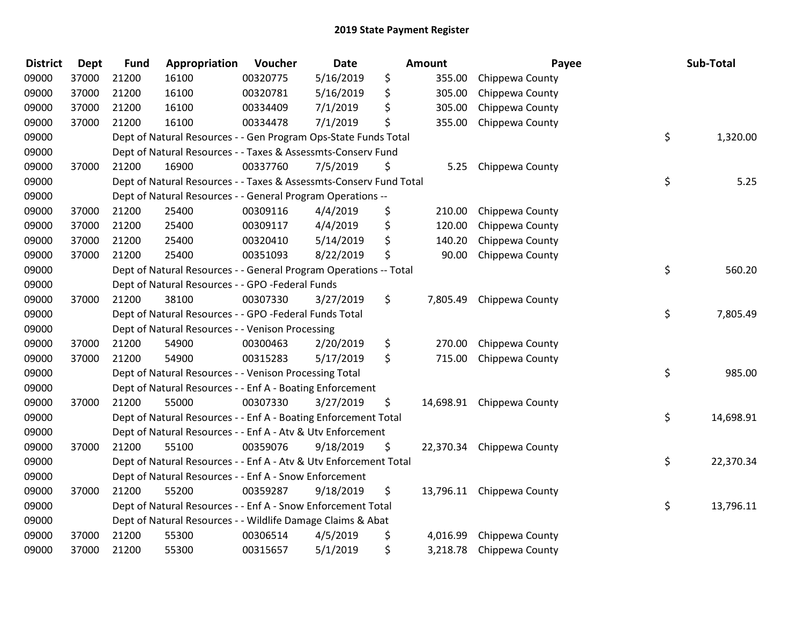| <b>District</b> | Dept  | <b>Fund</b> | Appropriation                                                      | Voucher  | Date      | <b>Amount</b>   | Payee                     | Sub-Total       |
|-----------------|-------|-------------|--------------------------------------------------------------------|----------|-----------|-----------------|---------------------------|-----------------|
| 09000           | 37000 | 21200       | 16100                                                              | 00320775 | 5/16/2019 | \$<br>355.00    | Chippewa County           |                 |
| 09000           | 37000 | 21200       | 16100                                                              | 00320781 | 5/16/2019 | \$<br>305.00    | Chippewa County           |                 |
| 09000           | 37000 | 21200       | 16100                                                              | 00334409 | 7/1/2019  | \$<br>305.00    | Chippewa County           |                 |
| 09000           | 37000 | 21200       | 16100                                                              | 00334478 | 7/1/2019  | \$<br>355.00    | Chippewa County           |                 |
| 09000           |       |             | Dept of Natural Resources - - Gen Program Ops-State Funds Total    |          |           |                 |                           | \$<br>1,320.00  |
| 09000           |       |             | Dept of Natural Resources - - Taxes & Assessmts-Conserv Fund       |          |           |                 |                           |                 |
| 09000           | 37000 | 21200       | 16900                                                              | 00337760 | 7/5/2019  | \$<br>5.25      | Chippewa County           |                 |
| 09000           |       |             | Dept of Natural Resources - - Taxes & Assessmts-Conserv Fund Total |          |           |                 |                           | \$<br>5.25      |
| 09000           |       |             | Dept of Natural Resources - - General Program Operations --        |          |           |                 |                           |                 |
| 09000           | 37000 | 21200       | 25400                                                              | 00309116 | 4/4/2019  | \$<br>210.00    | Chippewa County           |                 |
| 09000           | 37000 | 21200       | 25400                                                              | 00309117 | 4/4/2019  | \$<br>120.00    | Chippewa County           |                 |
| 09000           | 37000 | 21200       | 25400                                                              | 00320410 | 5/14/2019 | \$<br>140.20    | Chippewa County           |                 |
| 09000           | 37000 | 21200       | 25400                                                              | 00351093 | 8/22/2019 | \$<br>90.00     | Chippewa County           |                 |
| 09000           |       |             | Dept of Natural Resources - - General Program Operations -- Total  |          |           |                 |                           | \$<br>560.20    |
| 09000           |       |             | Dept of Natural Resources - - GPO -Federal Funds                   |          |           |                 |                           |                 |
| 09000           | 37000 | 21200       | 38100                                                              | 00307330 | 3/27/2019 | \$<br>7,805.49  | Chippewa County           |                 |
| 09000           |       |             | Dept of Natural Resources - - GPO -Federal Funds Total             |          |           |                 |                           | \$<br>7,805.49  |
| 09000           |       |             | Dept of Natural Resources - - Venison Processing                   |          |           |                 |                           |                 |
| 09000           | 37000 | 21200       | 54900                                                              | 00300463 | 2/20/2019 | \$<br>270.00    | Chippewa County           |                 |
| 09000           | 37000 | 21200       | 54900                                                              | 00315283 | 5/17/2019 | \$<br>715.00    | Chippewa County           |                 |
| 09000           |       |             | Dept of Natural Resources - - Venison Processing Total             |          |           |                 |                           | \$<br>985.00    |
| 09000           |       |             | Dept of Natural Resources - - Enf A - Boating Enforcement          |          |           |                 |                           |                 |
| 09000           | 37000 | 21200       | 55000                                                              | 00307330 | 3/27/2019 | \$              | 14,698.91 Chippewa County |                 |
| 09000           |       |             | Dept of Natural Resources - - Enf A - Boating Enforcement Total    |          |           |                 |                           | \$<br>14,698.91 |
| 09000           |       |             | Dept of Natural Resources - - Enf A - Atv & Utv Enforcement        |          |           |                 |                           |                 |
| 09000           | 37000 | 21200       | 55100                                                              | 00359076 | 9/18/2019 | \$<br>22,370.34 | Chippewa County           |                 |
| 09000           |       |             | Dept of Natural Resources - - Enf A - Atv & Utv Enforcement Total  |          |           |                 |                           | \$<br>22,370.34 |
| 09000           |       |             | Dept of Natural Resources - - Enf A - Snow Enforcement             |          |           |                 |                           |                 |
| 09000           | 37000 | 21200       | 55200                                                              | 00359287 | 9/18/2019 | \$              | 13,796.11 Chippewa County |                 |
| 09000           |       |             | Dept of Natural Resources - - Enf A - Snow Enforcement Total       |          |           |                 |                           | \$<br>13,796.11 |
| 09000           |       |             | Dept of Natural Resources - - Wildlife Damage Claims & Abat        |          |           |                 |                           |                 |
| 09000           | 37000 | 21200       | 55300                                                              | 00306514 | 4/5/2019  | \$<br>4,016.99  | Chippewa County           |                 |
| 09000           | 37000 | 21200       | 55300                                                              | 00315657 | 5/1/2019  | \$<br>3,218.78  | Chippewa County           |                 |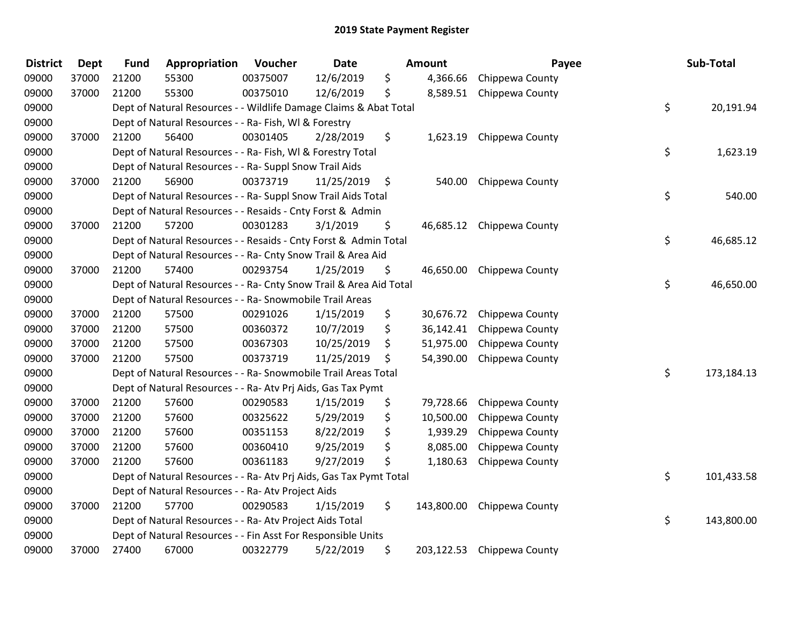| <b>District</b> | <b>Dept</b> | <b>Fund</b> | Appropriation                                                      | Voucher  | <b>Date</b> | Amount           | Payee           | Sub-Total        |
|-----------------|-------------|-------------|--------------------------------------------------------------------|----------|-------------|------------------|-----------------|------------------|
| 09000           | 37000       | 21200       | 55300                                                              | 00375007 | 12/6/2019   | \$<br>4,366.66   | Chippewa County |                  |
| 09000           | 37000       | 21200       | 55300                                                              | 00375010 | 12/6/2019   | \$<br>8,589.51   | Chippewa County |                  |
| 09000           |             |             | Dept of Natural Resources - - Wildlife Damage Claims & Abat Total  |          |             |                  |                 | \$<br>20,191.94  |
| 09000           |             |             | Dept of Natural Resources - - Ra- Fish, WI & Forestry              |          |             |                  |                 |                  |
| 09000           | 37000       | 21200       | 56400                                                              | 00301405 | 2/28/2019   | \$<br>1,623.19   | Chippewa County |                  |
| 09000           |             |             | Dept of Natural Resources - - Ra- Fish, WI & Forestry Total        |          |             |                  |                 | \$<br>1,623.19   |
| 09000           |             |             | Dept of Natural Resources - - Ra- Suppl Snow Trail Aids            |          |             |                  |                 |                  |
| 09000           | 37000       | 21200       | 56900                                                              | 00373719 | 11/25/2019  | \$<br>540.00     | Chippewa County |                  |
| 09000           |             |             | Dept of Natural Resources - - Ra- Suppl Snow Trail Aids Total      |          |             |                  |                 | \$<br>540.00     |
| 09000           |             |             | Dept of Natural Resources - - Resaids - Cnty Forst & Admin         |          |             |                  |                 |                  |
| 09000           | 37000       | 21200       | 57200                                                              | 00301283 | 3/1/2019    | \$<br>46,685.12  | Chippewa County |                  |
| 09000           |             |             | Dept of Natural Resources - - Resaids - Cnty Forst & Admin Total   |          |             |                  |                 | \$<br>46,685.12  |
| 09000           |             |             | Dept of Natural Resources - - Ra- Cnty Snow Trail & Area Aid       |          |             |                  |                 |                  |
| 09000           | 37000       | 21200       | 57400                                                              | 00293754 | 1/25/2019   | \$<br>46,650.00  | Chippewa County |                  |
| 09000           |             |             | Dept of Natural Resources - - Ra- Cnty Snow Trail & Area Aid Total |          |             |                  |                 | \$<br>46,650.00  |
| 09000           |             |             | Dept of Natural Resources - - Ra- Snowmobile Trail Areas           |          |             |                  |                 |                  |
| 09000           | 37000       | 21200       | 57500                                                              | 00291026 | 1/15/2019   | \$<br>30,676.72  | Chippewa County |                  |
| 09000           | 37000       | 21200       | 57500                                                              | 00360372 | 10/7/2019   | \$<br>36,142.41  | Chippewa County |                  |
| 09000           | 37000       | 21200       | 57500                                                              | 00367303 | 10/25/2019  | \$<br>51,975.00  | Chippewa County |                  |
| 09000           | 37000       | 21200       | 57500                                                              | 00373719 | 11/25/2019  | \$<br>54,390.00  | Chippewa County |                  |
| 09000           |             |             | Dept of Natural Resources - - Ra- Snowmobile Trail Areas Total     |          |             |                  |                 | \$<br>173,184.13 |
| 09000           |             |             | Dept of Natural Resources - - Ra- Atv Prj Aids, Gas Tax Pymt       |          |             |                  |                 |                  |
| 09000           | 37000       | 21200       | 57600                                                              | 00290583 | 1/15/2019   | \$<br>79,728.66  | Chippewa County |                  |
| 09000           | 37000       | 21200       | 57600                                                              | 00325622 | 5/29/2019   | \$<br>10,500.00  | Chippewa County |                  |
| 09000           | 37000       | 21200       | 57600                                                              | 00351153 | 8/22/2019   | \$<br>1,939.29   | Chippewa County |                  |
| 09000           | 37000       | 21200       | 57600                                                              | 00360410 | 9/25/2019   | \$<br>8,085.00   | Chippewa County |                  |
| 09000           | 37000       | 21200       | 57600                                                              | 00361183 | 9/27/2019   | \$<br>1,180.63   | Chippewa County |                  |
| 09000           |             |             | Dept of Natural Resources - - Ra- Atv Prj Aids, Gas Tax Pymt Total |          |             |                  |                 | \$<br>101,433.58 |
| 09000           |             |             | Dept of Natural Resources - - Ra- Atv Project Aids                 |          |             |                  |                 |                  |
| 09000           | 37000       | 21200       | 57700                                                              | 00290583 | 1/15/2019   | \$<br>143,800.00 | Chippewa County |                  |
| 09000           |             |             | Dept of Natural Resources - - Ra- Atv Project Aids Total           |          |             |                  |                 | \$<br>143,800.00 |
| 09000           |             |             | Dept of Natural Resources - - Fin Asst For Responsible Units       |          |             |                  |                 |                  |
| 09000           | 37000       | 27400       | 67000                                                              | 00322779 | 5/22/2019   | \$<br>203,122.53 | Chippewa County |                  |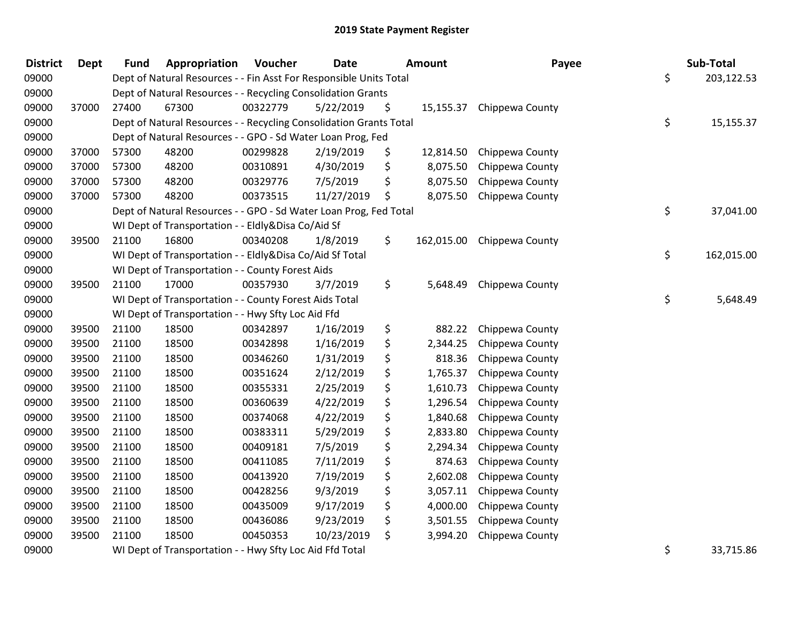| <b>District</b> | <b>Dept</b> | <b>Fund</b> | Appropriation                                                      | Voucher  | <b>Date</b> | <b>Amount</b>   | Payee                      | Sub-Total        |
|-----------------|-------------|-------------|--------------------------------------------------------------------|----------|-------------|-----------------|----------------------------|------------------|
| 09000           |             |             | Dept of Natural Resources - - Fin Asst For Responsible Units Total |          |             |                 |                            | \$<br>203,122.53 |
| 09000           |             |             | Dept of Natural Resources - - Recycling Consolidation Grants       |          |             |                 |                            |                  |
| 09000           | 37000       | 27400       | 67300                                                              | 00322779 | 5/22/2019   | \$              | 15,155.37 Chippewa County  |                  |
| 09000           |             |             | Dept of Natural Resources - - Recycling Consolidation Grants Total |          |             |                 |                            | \$<br>15,155.37  |
| 09000           |             |             | Dept of Natural Resources - - GPO - Sd Water Loan Prog, Fed        |          |             |                 |                            |                  |
| 09000           | 37000       | 57300       | 48200                                                              | 00299828 | 2/19/2019   | \$<br>12,814.50 | Chippewa County            |                  |
| 09000           | 37000       | 57300       | 48200                                                              | 00310891 | 4/30/2019   | \$<br>8,075.50  | Chippewa County            |                  |
| 09000           | 37000       | 57300       | 48200                                                              | 00329776 | 7/5/2019    | \$<br>8,075.50  | Chippewa County            |                  |
| 09000           | 37000       | 57300       | 48200                                                              | 00373515 | 11/27/2019  | \$<br>8,075.50  | Chippewa County            |                  |
| 09000           |             |             | Dept of Natural Resources - - GPO - Sd Water Loan Prog, Fed Total  |          |             |                 |                            | \$<br>37,041.00  |
| 09000           |             |             | WI Dept of Transportation - - Eldly&Disa Co/Aid Sf                 |          |             |                 |                            |                  |
| 09000           | 39500       | 21100       | 16800                                                              | 00340208 | 1/8/2019    | \$              | 162,015.00 Chippewa County |                  |
| 09000           |             |             | WI Dept of Transportation - - Eldly&Disa Co/Aid Sf Total           |          |             |                 |                            | \$<br>162,015.00 |
| 09000           |             |             | WI Dept of Transportation - - County Forest Aids                   |          |             |                 |                            |                  |
| 09000           | 39500       | 21100       | 17000                                                              | 00357930 | 3/7/2019    | \$<br>5,648.49  | Chippewa County            |                  |
| 09000           |             |             | WI Dept of Transportation - - County Forest Aids Total             |          |             |                 |                            | \$<br>5,648.49   |
| 09000           |             |             | WI Dept of Transportation - - Hwy Sfty Loc Aid Ffd                 |          |             |                 |                            |                  |
| 09000           | 39500       | 21100       | 18500                                                              | 00342897 | 1/16/2019   | \$<br>882.22    | Chippewa County            |                  |
| 09000           | 39500       | 21100       | 18500                                                              | 00342898 | 1/16/2019   | \$<br>2,344.25  | Chippewa County            |                  |
| 09000           | 39500       | 21100       | 18500                                                              | 00346260 | 1/31/2019   | \$<br>818.36    | Chippewa County            |                  |
| 09000           | 39500       | 21100       | 18500                                                              | 00351624 | 2/12/2019   | \$<br>1,765.37  | Chippewa County            |                  |
| 09000           | 39500       | 21100       | 18500                                                              | 00355331 | 2/25/2019   | \$<br>1,610.73  | Chippewa County            |                  |
| 09000           | 39500       | 21100       | 18500                                                              | 00360639 | 4/22/2019   | \$<br>1,296.54  | Chippewa County            |                  |
| 09000           | 39500       | 21100       | 18500                                                              | 00374068 | 4/22/2019   | \$<br>1,840.68  | Chippewa County            |                  |
| 09000           | 39500       | 21100       | 18500                                                              | 00383311 | 5/29/2019   | \$<br>2,833.80  | Chippewa County            |                  |
| 09000           | 39500       | 21100       | 18500                                                              | 00409181 | 7/5/2019    | \$<br>2,294.34  | Chippewa County            |                  |
| 09000           | 39500       | 21100       | 18500                                                              | 00411085 | 7/11/2019   | \$<br>874.63    | Chippewa County            |                  |
| 09000           | 39500       | 21100       | 18500                                                              | 00413920 | 7/19/2019   | \$<br>2,602.08  | Chippewa County            |                  |
| 09000           | 39500       | 21100       | 18500                                                              | 00428256 | 9/3/2019    | \$<br>3,057.11  | Chippewa County            |                  |
| 09000           | 39500       | 21100       | 18500                                                              | 00435009 | 9/17/2019   | \$<br>4,000.00  | Chippewa County            |                  |
| 09000           | 39500       | 21100       | 18500                                                              | 00436086 | 9/23/2019   | \$<br>3,501.55  | Chippewa County            |                  |
| 09000           | 39500       | 21100       | 18500                                                              | 00450353 | 10/23/2019  | \$<br>3,994.20  | Chippewa County            |                  |
| 09000           |             |             | WI Dept of Transportation - - Hwy Sfty Loc Aid Ffd Total           |          |             |                 |                            | \$<br>33,715.86  |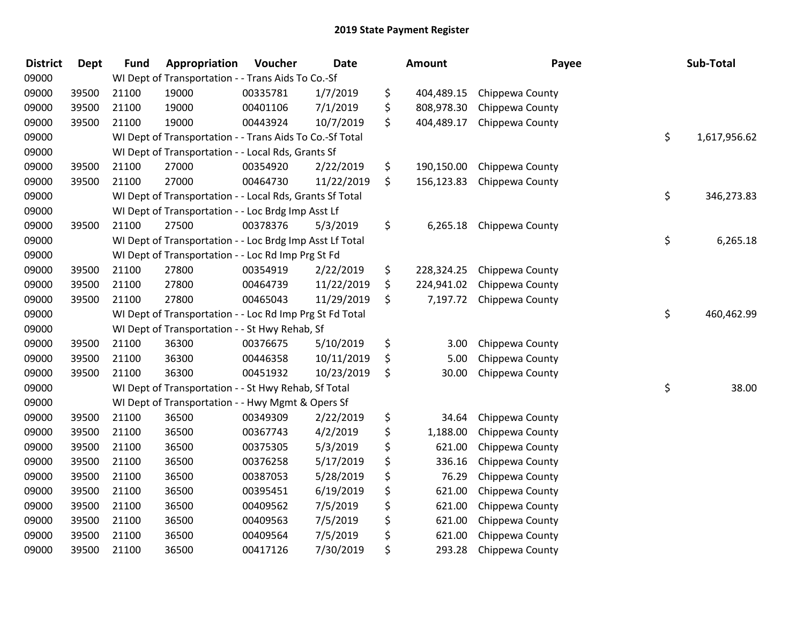| <b>District</b> | <b>Dept</b> | <b>Fund</b> | Appropriation                                            | Voucher  | Date       |     | Amount     | Payee           | Sub-Total          |
|-----------------|-------------|-------------|----------------------------------------------------------|----------|------------|-----|------------|-----------------|--------------------|
| 09000           |             |             | WI Dept of Transportation - - Trans Aids To Co.-Sf       |          |            |     |            |                 |                    |
| 09000           | 39500       | 21100       | 19000                                                    | 00335781 | 1/7/2019   | \$  | 404,489.15 | Chippewa County |                    |
| 09000           | 39500       | 21100       | 19000                                                    | 00401106 | 7/1/2019   | \$  | 808,978.30 | Chippewa County |                    |
| 09000           | 39500       | 21100       | 19000                                                    | 00443924 | 10/7/2019  | \$  | 404,489.17 | Chippewa County |                    |
| 09000           |             |             | WI Dept of Transportation - - Trans Aids To Co.-Sf Total |          |            |     |            |                 | \$<br>1,617,956.62 |
| 09000           |             |             | WI Dept of Transportation - - Local Rds, Grants Sf       |          |            |     |            |                 |                    |
| 09000           | 39500       | 21100       | 27000                                                    | 00354920 | 2/22/2019  | \$  | 190,150.00 | Chippewa County |                    |
| 09000           | 39500       | 21100       | 27000                                                    | 00464730 | 11/22/2019 | \$  | 156,123.83 | Chippewa County |                    |
| 09000           |             |             | WI Dept of Transportation - - Local Rds, Grants Sf Total |          |            |     |            |                 | \$<br>346,273.83   |
| 09000           |             |             | WI Dept of Transportation - - Loc Brdg Imp Asst Lf       |          |            |     |            |                 |                    |
| 09000           | 39500       | 21100       | 27500                                                    | 00378376 | 5/3/2019   | \$. | 6,265.18   | Chippewa County |                    |
| 09000           |             |             | WI Dept of Transportation - - Loc Brdg Imp Asst Lf Total |          |            |     |            |                 | \$<br>6,265.18     |
| 09000           |             |             | WI Dept of Transportation - - Loc Rd Imp Prg St Fd       |          |            |     |            |                 |                    |
| 09000           | 39500       | 21100       | 27800                                                    | 00354919 | 2/22/2019  | \$  | 228,324.25 | Chippewa County |                    |
| 09000           | 39500       | 21100       | 27800                                                    | 00464739 | 11/22/2019 | \$  | 224,941.02 | Chippewa County |                    |
| 09000           | 39500       | 21100       | 27800                                                    | 00465043 | 11/29/2019 | \$  | 7,197.72   | Chippewa County |                    |
| 09000           |             |             | WI Dept of Transportation - - Loc Rd Imp Prg St Fd Total |          |            |     |            |                 | \$<br>460,462.99   |
| 09000           |             |             | WI Dept of Transportation - - St Hwy Rehab, Sf           |          |            |     |            |                 |                    |
| 09000           | 39500       | 21100       | 36300                                                    | 00376675 | 5/10/2019  | \$  | 3.00       | Chippewa County |                    |
| 09000           | 39500       | 21100       | 36300                                                    | 00446358 | 10/11/2019 | \$  | 5.00       | Chippewa County |                    |
| 09000           | 39500       | 21100       | 36300                                                    | 00451932 | 10/23/2019 | \$  | 30.00      | Chippewa County |                    |
| 09000           |             |             | WI Dept of Transportation - - St Hwy Rehab, Sf Total     |          |            |     |            |                 | \$<br>38.00        |
| 09000           |             |             | WI Dept of Transportation - - Hwy Mgmt & Opers Sf        |          |            |     |            |                 |                    |
| 09000           | 39500       | 21100       | 36500                                                    | 00349309 | 2/22/2019  | \$  | 34.64      | Chippewa County |                    |
| 09000           | 39500       | 21100       | 36500                                                    | 00367743 | 4/2/2019   | \$  | 1,188.00   | Chippewa County |                    |
| 09000           | 39500       | 21100       | 36500                                                    | 00375305 | 5/3/2019   | \$  | 621.00     | Chippewa County |                    |
| 09000           | 39500       | 21100       | 36500                                                    | 00376258 | 5/17/2019  | \$  | 336.16     | Chippewa County |                    |
| 09000           | 39500       | 21100       | 36500                                                    | 00387053 | 5/28/2019  | \$  | 76.29      | Chippewa County |                    |
| 09000           | 39500       | 21100       | 36500                                                    | 00395451 | 6/19/2019  | \$  | 621.00     | Chippewa County |                    |
| 09000           | 39500       | 21100       | 36500                                                    | 00409562 | 7/5/2019   | \$  | 621.00     | Chippewa County |                    |
| 09000           | 39500       | 21100       | 36500                                                    | 00409563 | 7/5/2019   | \$  | 621.00     | Chippewa County |                    |
| 09000           | 39500       | 21100       | 36500                                                    | 00409564 | 7/5/2019   | \$  | 621.00     | Chippewa County |                    |
| 09000           | 39500       | 21100       | 36500                                                    | 00417126 | 7/30/2019  | \$  | 293.28     | Chippewa County |                    |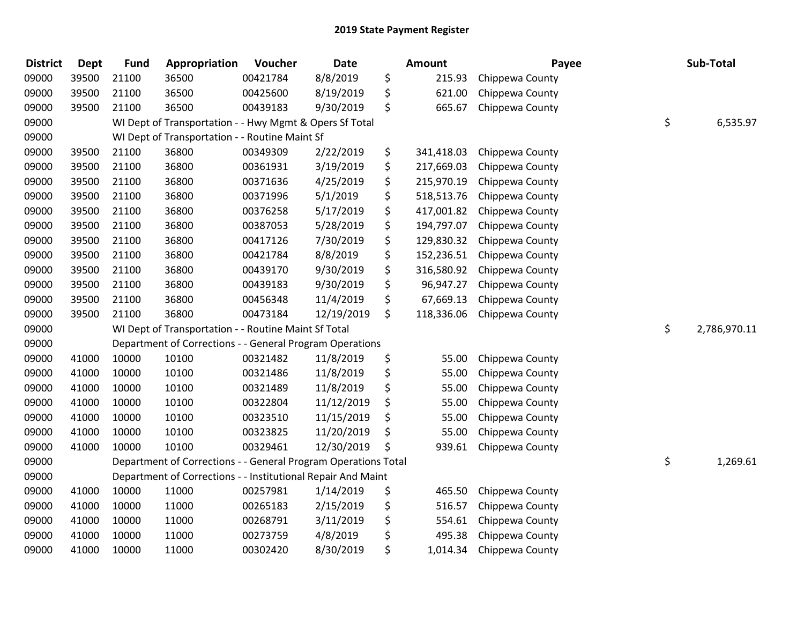| <b>District</b> | <b>Dept</b> | <b>Fund</b> | Appropriation                                                  | Voucher  | <b>Date</b> | <b>Amount</b>    | Payee           | Sub-Total          |
|-----------------|-------------|-------------|----------------------------------------------------------------|----------|-------------|------------------|-----------------|--------------------|
| 09000           | 39500       | 21100       | 36500                                                          | 00421784 | 8/8/2019    | \$<br>215.93     | Chippewa County |                    |
| 09000           | 39500       | 21100       | 36500                                                          | 00425600 | 8/19/2019   | \$<br>621.00     | Chippewa County |                    |
| 09000           | 39500       | 21100       | 36500                                                          | 00439183 | 9/30/2019   | \$<br>665.67     | Chippewa County |                    |
| 09000           |             |             | WI Dept of Transportation - - Hwy Mgmt & Opers Sf Total        |          |             |                  |                 | \$<br>6,535.97     |
| 09000           |             |             | WI Dept of Transportation - - Routine Maint Sf                 |          |             |                  |                 |                    |
| 09000           | 39500       | 21100       | 36800                                                          | 00349309 | 2/22/2019   | \$<br>341,418.03 | Chippewa County |                    |
| 09000           | 39500       | 21100       | 36800                                                          | 00361931 | 3/19/2019   | \$<br>217,669.03 | Chippewa County |                    |
| 09000           | 39500       | 21100       | 36800                                                          | 00371636 | 4/25/2019   | \$<br>215,970.19 | Chippewa County |                    |
| 09000           | 39500       | 21100       | 36800                                                          | 00371996 | 5/1/2019    | \$<br>518,513.76 | Chippewa County |                    |
| 09000           | 39500       | 21100       | 36800                                                          | 00376258 | 5/17/2019   | \$<br>417,001.82 | Chippewa County |                    |
| 09000           | 39500       | 21100       | 36800                                                          | 00387053 | 5/28/2019   | \$<br>194,797.07 | Chippewa County |                    |
| 09000           | 39500       | 21100       | 36800                                                          | 00417126 | 7/30/2019   | \$<br>129,830.32 | Chippewa County |                    |
| 09000           | 39500       | 21100       | 36800                                                          | 00421784 | 8/8/2019    | \$<br>152,236.51 | Chippewa County |                    |
| 09000           | 39500       | 21100       | 36800                                                          | 00439170 | 9/30/2019   | \$<br>316,580.92 | Chippewa County |                    |
| 09000           | 39500       | 21100       | 36800                                                          | 00439183 | 9/30/2019   | \$<br>96,947.27  | Chippewa County |                    |
| 09000           | 39500       | 21100       | 36800                                                          | 00456348 | 11/4/2019   | \$<br>67,669.13  | Chippewa County |                    |
| 09000           | 39500       | 21100       | 36800                                                          | 00473184 | 12/19/2019  | \$<br>118,336.06 | Chippewa County |                    |
| 09000           |             |             | WI Dept of Transportation - - Routine Maint Sf Total           |          |             |                  |                 | \$<br>2,786,970.11 |
| 09000           |             |             | Department of Corrections - - General Program Operations       |          |             |                  |                 |                    |
| 09000           | 41000       | 10000       | 10100                                                          | 00321482 | 11/8/2019   | \$<br>55.00      | Chippewa County |                    |
| 09000           | 41000       | 10000       | 10100                                                          | 00321486 | 11/8/2019   | \$<br>55.00      | Chippewa County |                    |
| 09000           | 41000       | 10000       | 10100                                                          | 00321489 | 11/8/2019   | \$<br>55.00      | Chippewa County |                    |
| 09000           | 41000       | 10000       | 10100                                                          | 00322804 | 11/12/2019  | \$<br>55.00      | Chippewa County |                    |
| 09000           | 41000       | 10000       | 10100                                                          | 00323510 | 11/15/2019  | \$<br>55.00      | Chippewa County |                    |
| 09000           | 41000       | 10000       | 10100                                                          | 00323825 | 11/20/2019  | \$<br>55.00      | Chippewa County |                    |
| 09000           | 41000       | 10000       | 10100                                                          | 00329461 | 12/30/2019  | \$<br>939.61     | Chippewa County |                    |
| 09000           |             |             | Department of Corrections - - General Program Operations Total |          |             |                  |                 | \$<br>1,269.61     |
| 09000           |             |             | Department of Corrections - - Institutional Repair And Maint   |          |             |                  |                 |                    |
| 09000           | 41000       | 10000       | 11000                                                          | 00257981 | 1/14/2019   | \$<br>465.50     | Chippewa County |                    |
| 09000           | 41000       | 10000       | 11000                                                          | 00265183 | 2/15/2019   | \$<br>516.57     | Chippewa County |                    |
| 09000           | 41000       | 10000       | 11000                                                          | 00268791 | 3/11/2019   | \$<br>554.61     | Chippewa County |                    |
| 09000           | 41000       | 10000       | 11000                                                          | 00273759 | 4/8/2019    | \$<br>495.38     | Chippewa County |                    |
| 09000           | 41000       | 10000       | 11000                                                          | 00302420 | 8/30/2019   | \$<br>1,014.34   | Chippewa County |                    |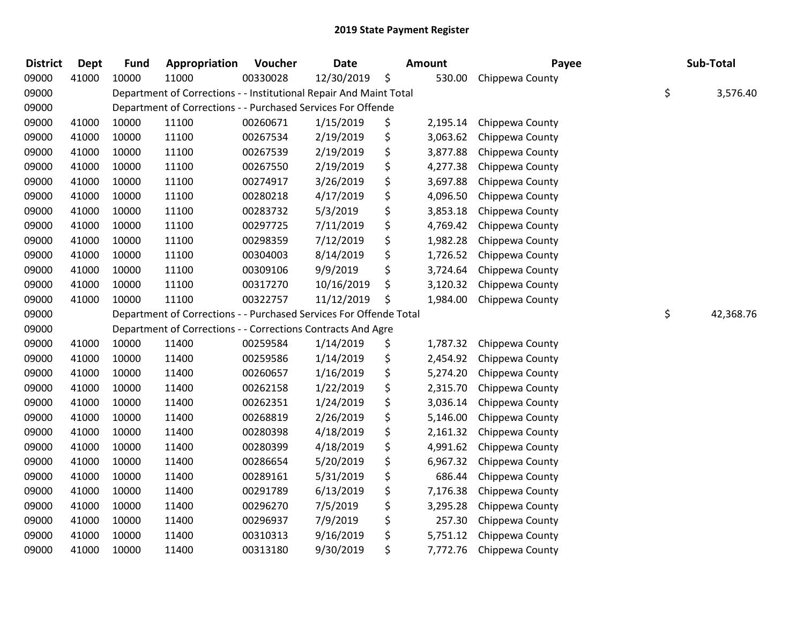| <b>District</b> | <b>Dept</b> | <b>Fund</b> | Appropriation                                                      | Voucher  | <b>Date</b> | Amount         | Payee           | Sub-Total       |
|-----------------|-------------|-------------|--------------------------------------------------------------------|----------|-------------|----------------|-----------------|-----------------|
| 09000           | 41000       | 10000       | 11000                                                              | 00330028 | 12/30/2019  | \$<br>530.00   | Chippewa County |                 |
| 09000           |             |             | Department of Corrections - - Institutional Repair And Maint Total |          |             |                |                 | \$<br>3,576.40  |
| 09000           |             |             | Department of Corrections - - Purchased Services For Offende       |          |             |                |                 |                 |
| 09000           | 41000       | 10000       | 11100                                                              | 00260671 | 1/15/2019   | \$<br>2,195.14 | Chippewa County |                 |
| 09000           | 41000       | 10000       | 11100                                                              | 00267534 | 2/19/2019   | \$<br>3,063.62 | Chippewa County |                 |
| 09000           | 41000       | 10000       | 11100                                                              | 00267539 | 2/19/2019   | \$<br>3,877.88 | Chippewa County |                 |
| 09000           | 41000       | 10000       | 11100                                                              | 00267550 | 2/19/2019   | \$<br>4,277.38 | Chippewa County |                 |
| 09000           | 41000       | 10000       | 11100                                                              | 00274917 | 3/26/2019   | \$<br>3,697.88 | Chippewa County |                 |
| 09000           | 41000       | 10000       | 11100                                                              | 00280218 | 4/17/2019   | \$<br>4,096.50 | Chippewa County |                 |
| 09000           | 41000       | 10000       | 11100                                                              | 00283732 | 5/3/2019    | \$<br>3,853.18 | Chippewa County |                 |
| 09000           | 41000       | 10000       | 11100                                                              | 00297725 | 7/11/2019   | \$<br>4,769.42 | Chippewa County |                 |
| 09000           | 41000       | 10000       | 11100                                                              | 00298359 | 7/12/2019   | \$<br>1,982.28 | Chippewa County |                 |
| 09000           | 41000       | 10000       | 11100                                                              | 00304003 | 8/14/2019   | \$<br>1,726.52 | Chippewa County |                 |
| 09000           | 41000       | 10000       | 11100                                                              | 00309106 | 9/9/2019    | \$<br>3,724.64 | Chippewa County |                 |
| 09000           | 41000       | 10000       | 11100                                                              | 00317270 | 10/16/2019  | \$<br>3,120.32 | Chippewa County |                 |
| 09000           | 41000       | 10000       | 11100                                                              | 00322757 | 11/12/2019  | \$<br>1,984.00 | Chippewa County |                 |
| 09000           |             |             | Department of Corrections - - Purchased Services For Offende Total |          |             |                |                 | \$<br>42,368.76 |
| 09000           |             |             | Department of Corrections - - Corrections Contracts And Agre       |          |             |                |                 |                 |
| 09000           | 41000       | 10000       | 11400                                                              | 00259584 | 1/14/2019   | \$<br>1,787.32 | Chippewa County |                 |
| 09000           | 41000       | 10000       | 11400                                                              | 00259586 | 1/14/2019   | \$<br>2,454.92 | Chippewa County |                 |
| 09000           | 41000       | 10000       | 11400                                                              | 00260657 | 1/16/2019   | \$<br>5,274.20 | Chippewa County |                 |
| 09000           | 41000       | 10000       | 11400                                                              | 00262158 | 1/22/2019   | \$<br>2,315.70 | Chippewa County |                 |
| 09000           | 41000       | 10000       | 11400                                                              | 00262351 | 1/24/2019   | \$<br>3,036.14 | Chippewa County |                 |
| 09000           | 41000       | 10000       | 11400                                                              | 00268819 | 2/26/2019   | \$<br>5,146.00 | Chippewa County |                 |
| 09000           | 41000       | 10000       | 11400                                                              | 00280398 | 4/18/2019   | \$<br>2,161.32 | Chippewa County |                 |
| 09000           | 41000       | 10000       | 11400                                                              | 00280399 | 4/18/2019   | \$<br>4,991.62 | Chippewa County |                 |
| 09000           | 41000       | 10000       | 11400                                                              | 00286654 | 5/20/2019   | \$<br>6,967.32 | Chippewa County |                 |
| 09000           | 41000       | 10000       | 11400                                                              | 00289161 | 5/31/2019   | \$<br>686.44   | Chippewa County |                 |
| 09000           | 41000       | 10000       | 11400                                                              | 00291789 | 6/13/2019   | \$<br>7,176.38 | Chippewa County |                 |
| 09000           | 41000       | 10000       | 11400                                                              | 00296270 | 7/5/2019    | \$<br>3,295.28 | Chippewa County |                 |
| 09000           | 41000       | 10000       | 11400                                                              | 00296937 | 7/9/2019    | \$<br>257.30   | Chippewa County |                 |
| 09000           | 41000       | 10000       | 11400                                                              | 00310313 | 9/16/2019   | \$<br>5,751.12 | Chippewa County |                 |
| 09000           | 41000       | 10000       | 11400                                                              | 00313180 | 9/30/2019   | \$<br>7,772.76 | Chippewa County |                 |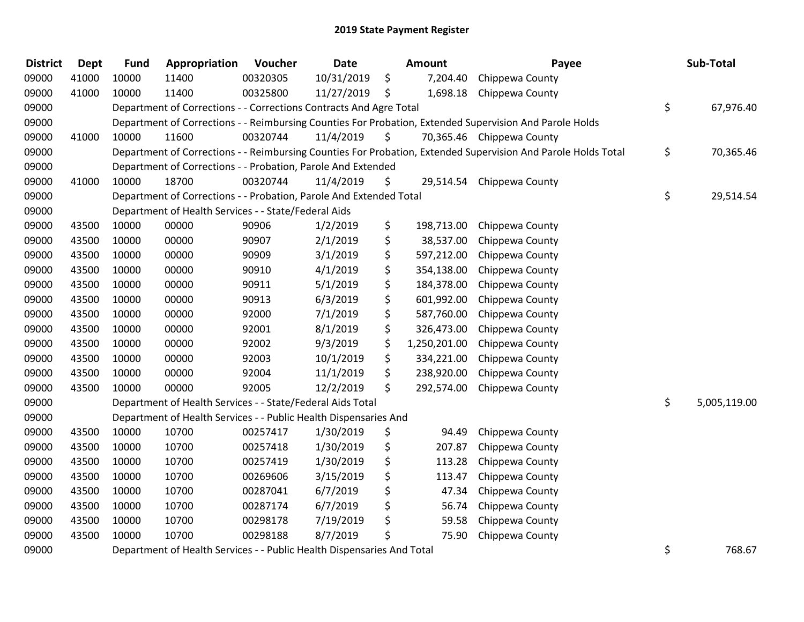| <b>District</b> | <b>Dept</b> | <b>Fund</b> | Appropriation                                                          | Voucher  | <b>Date</b> |    | <b>Amount</b> | Payee                                                                                                         | Sub-Total          |
|-----------------|-------------|-------------|------------------------------------------------------------------------|----------|-------------|----|---------------|---------------------------------------------------------------------------------------------------------------|--------------------|
| 09000           | 41000       | 10000       | 11400                                                                  | 00320305 | 10/31/2019  | \$ | 7,204.40      | Chippewa County                                                                                               |                    |
| 09000           | 41000       | 10000       | 11400                                                                  | 00325800 | 11/27/2019  | \$ | 1,698.18      | Chippewa County                                                                                               |                    |
| 09000           |             |             | Department of Corrections - - Corrections Contracts And Agre Total     |          |             |    |               |                                                                                                               | \$<br>67,976.40    |
| 09000           |             |             |                                                                        |          |             |    |               | Department of Corrections - - Reimbursing Counties For Probation, Extended Supervision And Parole Holds       |                    |
| 09000           | 41000       | 10000       | 11600                                                                  | 00320744 | 11/4/2019   | \$ |               | 70,365.46 Chippewa County                                                                                     |                    |
| 09000           |             |             |                                                                        |          |             |    |               | Department of Corrections - - Reimbursing Counties For Probation, Extended Supervision And Parole Holds Total | \$<br>70,365.46    |
| 09000           |             |             | Department of Corrections - - Probation, Parole And Extended           |          |             |    |               |                                                                                                               |                    |
| 09000           | 41000       | 10000       | 18700                                                                  | 00320744 | 11/4/2019   | \$ | 29,514.54     | Chippewa County                                                                                               |                    |
| 09000           |             |             | Department of Corrections - - Probation, Parole And Extended Total     |          |             |    |               |                                                                                                               | \$<br>29,514.54    |
| 09000           |             |             | Department of Health Services - - State/Federal Aids                   |          |             |    |               |                                                                                                               |                    |
| 09000           | 43500       | 10000       | 00000                                                                  | 90906    | 1/2/2019    | \$ | 198,713.00    | Chippewa County                                                                                               |                    |
| 09000           | 43500       | 10000       | 00000                                                                  | 90907    | 2/1/2019    | \$ | 38,537.00     | Chippewa County                                                                                               |                    |
| 09000           | 43500       | 10000       | 00000                                                                  | 90909    | 3/1/2019    | \$ | 597,212.00    | Chippewa County                                                                                               |                    |
| 09000           | 43500       | 10000       | 00000                                                                  | 90910    | 4/1/2019    | \$ | 354,138.00    | Chippewa County                                                                                               |                    |
| 09000           | 43500       | 10000       | 00000                                                                  | 90911    | 5/1/2019    | \$ | 184,378.00    | Chippewa County                                                                                               |                    |
| 09000           | 43500       | 10000       | 00000                                                                  | 90913    | 6/3/2019    | \$ | 601,992.00    | Chippewa County                                                                                               |                    |
| 09000           | 43500       | 10000       | 00000                                                                  | 92000    | 7/1/2019    | \$ | 587,760.00    | Chippewa County                                                                                               |                    |
| 09000           | 43500       | 10000       | 00000                                                                  | 92001    | 8/1/2019    | \$ | 326,473.00    | Chippewa County                                                                                               |                    |
| 09000           | 43500       | 10000       | 00000                                                                  | 92002    | 9/3/2019    | \$ | 1,250,201.00  | Chippewa County                                                                                               |                    |
| 09000           | 43500       | 10000       | 00000                                                                  | 92003    | 10/1/2019   | \$ | 334,221.00    | Chippewa County                                                                                               |                    |
| 09000           | 43500       | 10000       | 00000                                                                  | 92004    | 11/1/2019   | \$ | 238,920.00    | Chippewa County                                                                                               |                    |
| 09000           | 43500       | 10000       | 00000                                                                  | 92005    | 12/2/2019   | \$ | 292,574.00    | Chippewa County                                                                                               |                    |
| 09000           |             |             | Department of Health Services - - State/Federal Aids Total             |          |             |    |               |                                                                                                               | \$<br>5,005,119.00 |
| 09000           |             |             | Department of Health Services - - Public Health Dispensaries And       |          |             |    |               |                                                                                                               |                    |
| 09000           | 43500       | 10000       | 10700                                                                  | 00257417 | 1/30/2019   | \$ | 94.49         | Chippewa County                                                                                               |                    |
| 09000           | 43500       | 10000       | 10700                                                                  | 00257418 | 1/30/2019   | \$ | 207.87        | Chippewa County                                                                                               |                    |
| 09000           | 43500       | 10000       | 10700                                                                  | 00257419 | 1/30/2019   | \$ | 113.28        | Chippewa County                                                                                               |                    |
| 09000           | 43500       | 10000       | 10700                                                                  | 00269606 | 3/15/2019   | \$ | 113.47        | Chippewa County                                                                                               |                    |
| 09000           | 43500       | 10000       | 10700                                                                  | 00287041 | 6/7/2019    | \$ | 47.34         | Chippewa County                                                                                               |                    |
| 09000           | 43500       | 10000       | 10700                                                                  | 00287174 | 6/7/2019    | \$ | 56.74         | Chippewa County                                                                                               |                    |
| 09000           | 43500       | 10000       | 10700                                                                  | 00298178 | 7/19/2019   | \$ | 59.58         | Chippewa County                                                                                               |                    |
| 09000           | 43500       | 10000       | 10700                                                                  | 00298188 | 8/7/2019    | Ś  | 75.90         | Chippewa County                                                                                               |                    |
| 09000           |             |             | Department of Health Services - - Public Health Dispensaries And Total |          |             |    |               |                                                                                                               | \$<br>768.67       |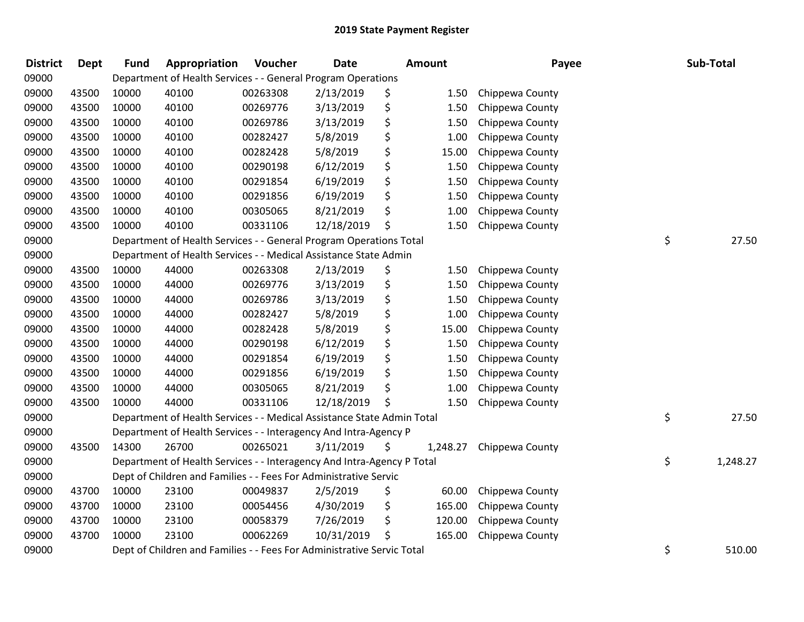| <b>District</b> | Dept  | <b>Fund</b> | Appropriation                                                          | Voucher  | <b>Date</b> | <b>Amount</b>  | Payee           | Sub-Total      |
|-----------------|-------|-------------|------------------------------------------------------------------------|----------|-------------|----------------|-----------------|----------------|
| 09000           |       |             | Department of Health Services - - General Program Operations           |          |             |                |                 |                |
| 09000           | 43500 | 10000       | 40100                                                                  | 00263308 | 2/13/2019   | \$<br>1.50     | Chippewa County |                |
| 09000           | 43500 | 10000       | 40100                                                                  | 00269776 | 3/13/2019   | \$<br>1.50     | Chippewa County |                |
| 09000           | 43500 | 10000       | 40100                                                                  | 00269786 | 3/13/2019   | \$<br>1.50     | Chippewa County |                |
| 09000           | 43500 | 10000       | 40100                                                                  | 00282427 | 5/8/2019    | \$<br>1.00     | Chippewa County |                |
| 09000           | 43500 | 10000       | 40100                                                                  | 00282428 | 5/8/2019    | \$<br>15.00    | Chippewa County |                |
| 09000           | 43500 | 10000       | 40100                                                                  | 00290198 | 6/12/2019   | \$<br>1.50     | Chippewa County |                |
| 09000           | 43500 | 10000       | 40100                                                                  | 00291854 | 6/19/2019   | \$<br>1.50     | Chippewa County |                |
| 09000           | 43500 | 10000       | 40100                                                                  | 00291856 | 6/19/2019   | \$<br>1.50     | Chippewa County |                |
| 09000           | 43500 | 10000       | 40100                                                                  | 00305065 | 8/21/2019   | \$<br>1.00     | Chippewa County |                |
| 09000           | 43500 | 10000       | 40100                                                                  | 00331106 | 12/18/2019  | \$<br>1.50     | Chippewa County |                |
| 09000           |       |             | Department of Health Services - - General Program Operations Total     |          |             |                |                 | \$<br>27.50    |
| 09000           |       |             | Department of Health Services - - Medical Assistance State Admin       |          |             |                |                 |                |
| 09000           | 43500 | 10000       | 44000                                                                  | 00263308 | 2/13/2019   | \$<br>1.50     | Chippewa County |                |
| 09000           | 43500 | 10000       | 44000                                                                  | 00269776 | 3/13/2019   | \$<br>1.50     | Chippewa County |                |
| 09000           | 43500 | 10000       | 44000                                                                  | 00269786 | 3/13/2019   | \$<br>1.50     | Chippewa County |                |
| 09000           | 43500 | 10000       | 44000                                                                  | 00282427 | 5/8/2019    | \$<br>1.00     | Chippewa County |                |
| 09000           | 43500 | 10000       | 44000                                                                  | 00282428 | 5/8/2019    | \$<br>15.00    | Chippewa County |                |
| 09000           | 43500 | 10000       | 44000                                                                  | 00290198 | 6/12/2019   | \$<br>1.50     | Chippewa County |                |
| 09000           | 43500 | 10000       | 44000                                                                  | 00291854 | 6/19/2019   | \$<br>1.50     | Chippewa County |                |
| 09000           | 43500 | 10000       | 44000                                                                  | 00291856 | 6/19/2019   | \$<br>1.50     | Chippewa County |                |
| 09000           | 43500 | 10000       | 44000                                                                  | 00305065 | 8/21/2019   | \$<br>1.00     | Chippewa County |                |
| 09000           | 43500 | 10000       | 44000                                                                  | 00331106 | 12/18/2019  | \$<br>1.50     | Chippewa County |                |
| 09000           |       |             | Department of Health Services - - Medical Assistance State Admin Total |          |             |                |                 | \$<br>27.50    |
| 09000           |       |             | Department of Health Services - - Interagency And Intra-Agency P       |          |             |                |                 |                |
| 09000           | 43500 | 14300       | 26700                                                                  | 00265021 | 3/11/2019   | \$<br>1,248.27 | Chippewa County |                |
| 09000           |       |             | Department of Health Services - - Interagency And Intra-Agency P Total |          |             |                |                 | \$<br>1,248.27 |
| 09000           |       |             | Dept of Children and Families - - Fees For Administrative Servic       |          |             |                |                 |                |
| 09000           | 43700 | 10000       | 23100                                                                  | 00049837 | 2/5/2019    | \$<br>60.00    | Chippewa County |                |
| 09000           | 43700 | 10000       | 23100                                                                  | 00054456 | 4/30/2019   | \$<br>165.00   | Chippewa County |                |
| 09000           | 43700 | 10000       | 23100                                                                  | 00058379 | 7/26/2019   | \$<br>120.00   | Chippewa County |                |
| 09000           | 43700 | 10000       | 23100                                                                  | 00062269 | 10/31/2019  | \$<br>165.00   | Chippewa County |                |
| 09000           |       |             | Dept of Children and Families - - Fees For Administrative Servic Total |          |             |                |                 | \$<br>510.00   |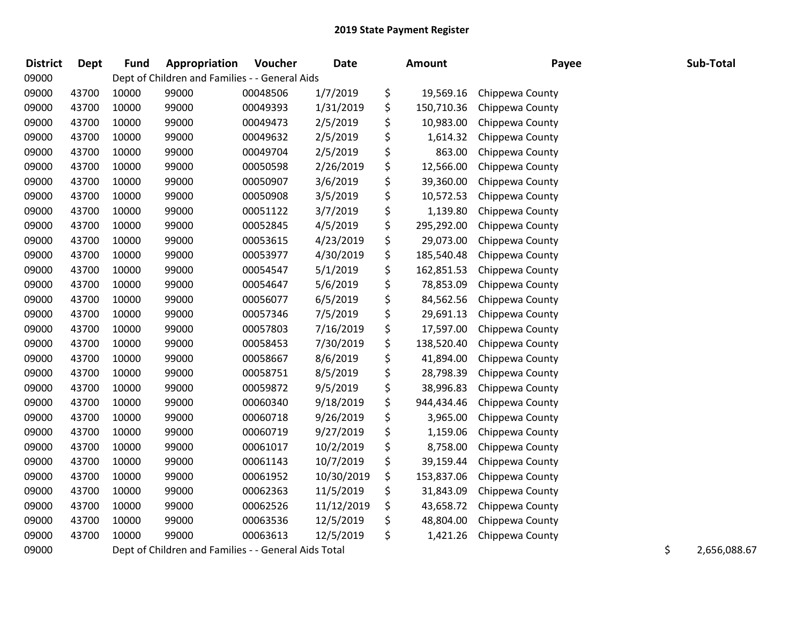| <b>District</b> | <b>Dept</b> | <b>Fund</b> | Appropriation                                        | Voucher  | <b>Date</b> | Amount           | Payee           | Sub-Total          |
|-----------------|-------------|-------------|------------------------------------------------------|----------|-------------|------------------|-----------------|--------------------|
| 09000           |             |             | Dept of Children and Families - - General Aids       |          |             |                  |                 |                    |
| 09000           | 43700       | 10000       | 99000                                                | 00048506 | 1/7/2019    | \$<br>19,569.16  | Chippewa County |                    |
| 09000           | 43700       | 10000       | 99000                                                | 00049393 | 1/31/2019   | \$<br>150,710.36 | Chippewa County |                    |
| 09000           | 43700       | 10000       | 99000                                                | 00049473 | 2/5/2019    | \$<br>10,983.00  | Chippewa County |                    |
| 09000           | 43700       | 10000       | 99000                                                | 00049632 | 2/5/2019    | \$<br>1,614.32   | Chippewa County |                    |
| 09000           | 43700       | 10000       | 99000                                                | 00049704 | 2/5/2019    | \$<br>863.00     | Chippewa County |                    |
| 09000           | 43700       | 10000       | 99000                                                | 00050598 | 2/26/2019   | \$<br>12,566.00  | Chippewa County |                    |
| 09000           | 43700       | 10000       | 99000                                                | 00050907 | 3/6/2019    | \$<br>39,360.00  | Chippewa County |                    |
| 09000           | 43700       | 10000       | 99000                                                | 00050908 | 3/5/2019    | \$<br>10,572.53  | Chippewa County |                    |
| 09000           | 43700       | 10000       | 99000                                                | 00051122 | 3/7/2019    | \$<br>1,139.80   | Chippewa County |                    |
| 09000           | 43700       | 10000       | 99000                                                | 00052845 | 4/5/2019    | \$<br>295,292.00 | Chippewa County |                    |
| 09000           | 43700       | 10000       | 99000                                                | 00053615 | 4/23/2019   | \$<br>29,073.00  | Chippewa County |                    |
| 09000           | 43700       | 10000       | 99000                                                | 00053977 | 4/30/2019   | \$<br>185,540.48 | Chippewa County |                    |
| 09000           | 43700       | 10000       | 99000                                                | 00054547 | 5/1/2019    | \$<br>162,851.53 | Chippewa County |                    |
| 09000           | 43700       | 10000       | 99000                                                | 00054647 | 5/6/2019    | \$<br>78,853.09  | Chippewa County |                    |
| 09000           | 43700       | 10000       | 99000                                                | 00056077 | 6/5/2019    | \$<br>84,562.56  | Chippewa County |                    |
| 09000           | 43700       | 10000       | 99000                                                | 00057346 | 7/5/2019    | \$<br>29,691.13  | Chippewa County |                    |
| 09000           | 43700       | 10000       | 99000                                                | 00057803 | 7/16/2019   | \$<br>17,597.00  | Chippewa County |                    |
| 09000           | 43700       | 10000       | 99000                                                | 00058453 | 7/30/2019   | \$<br>138,520.40 | Chippewa County |                    |
| 09000           | 43700       | 10000       | 99000                                                | 00058667 | 8/6/2019    | \$<br>41,894.00  | Chippewa County |                    |
| 09000           | 43700       | 10000       | 99000                                                | 00058751 | 8/5/2019    | \$<br>28,798.39  | Chippewa County |                    |
| 09000           | 43700       | 10000       | 99000                                                | 00059872 | 9/5/2019    | \$<br>38,996.83  | Chippewa County |                    |
| 09000           | 43700       | 10000       | 99000                                                | 00060340 | 9/18/2019   | \$<br>944,434.46 | Chippewa County |                    |
| 09000           | 43700       | 10000       | 99000                                                | 00060718 | 9/26/2019   | \$<br>3,965.00   | Chippewa County |                    |
| 09000           | 43700       | 10000       | 99000                                                | 00060719 | 9/27/2019   | \$<br>1,159.06   | Chippewa County |                    |
| 09000           | 43700       | 10000       | 99000                                                | 00061017 | 10/2/2019   | \$<br>8,758.00   | Chippewa County |                    |
| 09000           | 43700       | 10000       | 99000                                                | 00061143 | 10/7/2019   | \$<br>39,159.44  | Chippewa County |                    |
| 09000           | 43700       | 10000       | 99000                                                | 00061952 | 10/30/2019  | \$<br>153,837.06 | Chippewa County |                    |
| 09000           | 43700       | 10000       | 99000                                                | 00062363 | 11/5/2019   | \$<br>31,843.09  | Chippewa County |                    |
| 09000           | 43700       | 10000       | 99000                                                | 00062526 | 11/12/2019  | \$<br>43,658.72  | Chippewa County |                    |
| 09000           | 43700       | 10000       | 99000                                                | 00063536 | 12/5/2019   | \$<br>48,804.00  | Chippewa County |                    |
| 09000           | 43700       | 10000       | 99000                                                | 00063613 | 12/5/2019   | \$<br>1,421.26   | Chippewa County |                    |
| 09000           |             |             | Dept of Children and Families - - General Aids Total |          |             |                  |                 | \$<br>2,656,088.67 |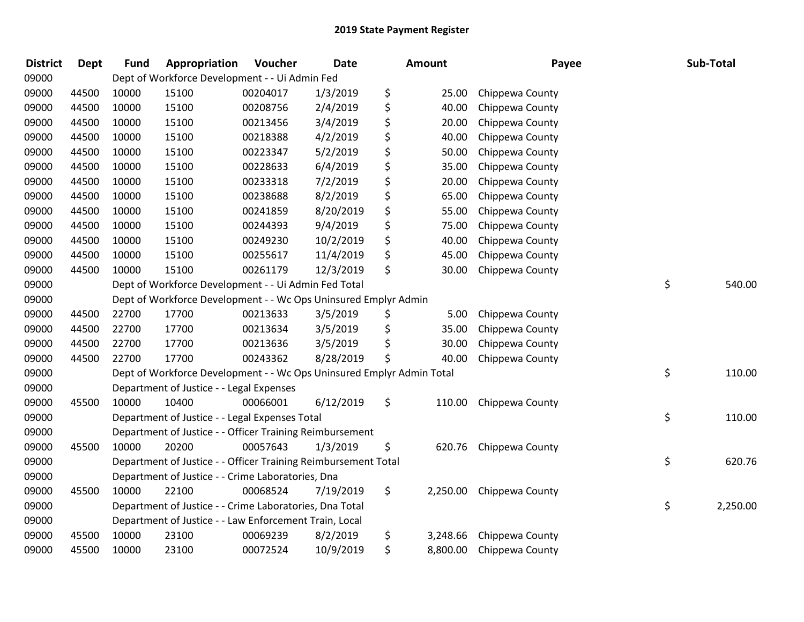| <b>District</b> | <b>Dept</b> | <b>Fund</b> | Appropriation                                                         | Voucher  | <b>Date</b> | Amount         | Payee           | Sub-Total      |
|-----------------|-------------|-------------|-----------------------------------------------------------------------|----------|-------------|----------------|-----------------|----------------|
| 09000           |             |             | Dept of Workforce Development - - Ui Admin Fed                        |          |             |                |                 |                |
| 09000           | 44500       | 10000       | 15100                                                                 | 00204017 | 1/3/2019    | \$<br>25.00    | Chippewa County |                |
| 09000           | 44500       | 10000       | 15100                                                                 | 00208756 | 2/4/2019    | \$<br>40.00    | Chippewa County |                |
| 09000           | 44500       | 10000       | 15100                                                                 | 00213456 | 3/4/2019    | \$<br>20.00    | Chippewa County |                |
| 09000           | 44500       | 10000       | 15100                                                                 | 00218388 | 4/2/2019    | \$<br>40.00    | Chippewa County |                |
| 09000           | 44500       | 10000       | 15100                                                                 | 00223347 | 5/2/2019    | \$<br>50.00    | Chippewa County |                |
| 09000           | 44500       | 10000       | 15100                                                                 | 00228633 | 6/4/2019    | \$<br>35.00    | Chippewa County |                |
| 09000           | 44500       | 10000       | 15100                                                                 | 00233318 | 7/2/2019    | \$<br>20.00    | Chippewa County |                |
| 09000           | 44500       | 10000       | 15100                                                                 | 00238688 | 8/2/2019    | \$<br>65.00    | Chippewa County |                |
| 09000           | 44500       | 10000       | 15100                                                                 | 00241859 | 8/20/2019   | \$<br>55.00    | Chippewa County |                |
| 09000           | 44500       | 10000       | 15100                                                                 | 00244393 | 9/4/2019    | \$<br>75.00    | Chippewa County |                |
| 09000           | 44500       | 10000       | 15100                                                                 | 00249230 | 10/2/2019   | \$<br>40.00    | Chippewa County |                |
| 09000           | 44500       | 10000       | 15100                                                                 | 00255617 | 11/4/2019   | \$<br>45.00    | Chippewa County |                |
| 09000           | 44500       | 10000       | 15100                                                                 | 00261179 | 12/3/2019   | \$<br>30.00    | Chippewa County |                |
| 09000           |             |             | Dept of Workforce Development - - Ui Admin Fed Total                  |          |             |                |                 | \$<br>540.00   |
| 09000           |             |             | Dept of Workforce Development - - Wc Ops Uninsured Emplyr Admin       |          |             |                |                 |                |
| 09000           | 44500       | 22700       | 17700                                                                 | 00213633 | 3/5/2019    | \$<br>5.00     | Chippewa County |                |
| 09000           | 44500       | 22700       | 17700                                                                 | 00213634 | 3/5/2019    | \$<br>35.00    | Chippewa County |                |
| 09000           | 44500       | 22700       | 17700                                                                 | 00213636 | 3/5/2019    | \$<br>30.00    | Chippewa County |                |
| 09000           | 44500       | 22700       | 17700                                                                 | 00243362 | 8/28/2019   | \$<br>40.00    | Chippewa County |                |
| 09000           |             |             | Dept of Workforce Development - - Wc Ops Uninsured Emplyr Admin Total |          |             |                |                 | \$<br>110.00   |
| 09000           |             |             | Department of Justice - - Legal Expenses                              |          |             |                |                 |                |
| 09000           | 45500       | 10000       | 10400                                                                 | 00066001 | 6/12/2019   | \$<br>110.00   | Chippewa County |                |
| 09000           |             |             | Department of Justice - - Legal Expenses Total                        |          |             |                |                 | \$<br>110.00   |
| 09000           |             |             | Department of Justice - - Officer Training Reimbursement              |          |             |                |                 |                |
| 09000           | 45500       | 10000       | 20200                                                                 | 00057643 | 1/3/2019    | \$<br>620.76   | Chippewa County |                |
| 09000           |             |             | Department of Justice - - Officer Training Reimbursement Total        |          |             |                |                 | \$<br>620.76   |
| 09000           |             |             | Department of Justice - - Crime Laboratories, Dna                     |          |             |                |                 |                |
| 09000           | 45500       | 10000       | 22100                                                                 | 00068524 | 7/19/2019   | \$<br>2,250.00 | Chippewa County |                |
| 09000           |             |             | Department of Justice - - Crime Laboratories, Dna Total               |          |             |                |                 | \$<br>2,250.00 |
| 09000           |             |             | Department of Justice - - Law Enforcement Train, Local                |          |             |                |                 |                |
| 09000           | 45500       | 10000       | 23100                                                                 | 00069239 | 8/2/2019    | \$<br>3,248.66 | Chippewa County |                |
| 09000           | 45500       | 10000       | 23100                                                                 | 00072524 | 10/9/2019   | \$<br>8,800.00 | Chippewa County |                |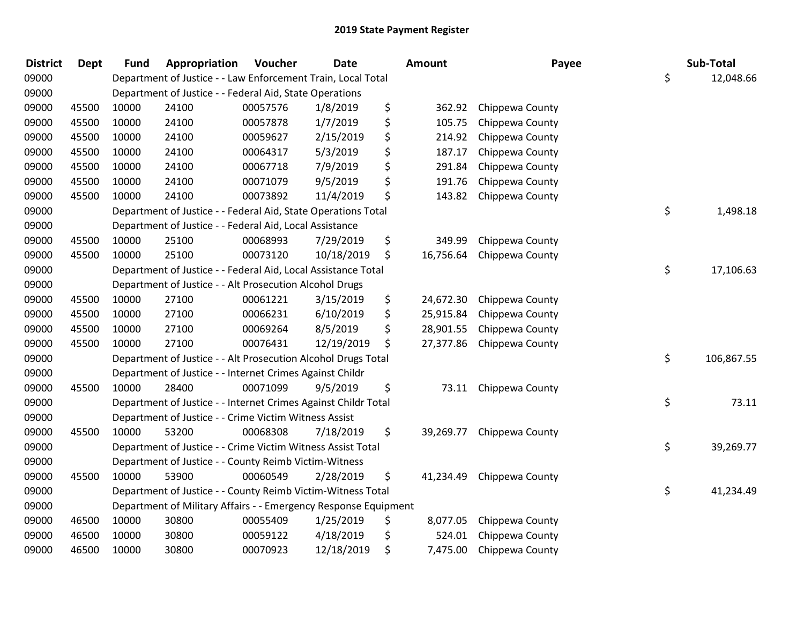| <b>District</b> | Dept  | <b>Fund</b> | Appropriation                                                   | Voucher  | <b>Date</b> | Amount          | Payee                 | Sub-Total        |
|-----------------|-------|-------------|-----------------------------------------------------------------|----------|-------------|-----------------|-----------------------|------------------|
| 09000           |       |             | Department of Justice - - Law Enforcement Train, Local Total    |          |             |                 |                       | \$<br>12,048.66  |
| 09000           |       |             | Department of Justice - - Federal Aid, State Operations         |          |             |                 |                       |                  |
| 09000           | 45500 | 10000       | 24100                                                           | 00057576 | 1/8/2019    | \$<br>362.92    | Chippewa County       |                  |
| 09000           | 45500 | 10000       | 24100                                                           | 00057878 | 1/7/2019    | \$<br>105.75    | Chippewa County       |                  |
| 09000           | 45500 | 10000       | 24100                                                           | 00059627 | 2/15/2019   | \$<br>214.92    | Chippewa County       |                  |
| 09000           | 45500 | 10000       | 24100                                                           | 00064317 | 5/3/2019    | \$<br>187.17    | Chippewa County       |                  |
| 09000           | 45500 | 10000       | 24100                                                           | 00067718 | 7/9/2019    | \$<br>291.84    | Chippewa County       |                  |
| 09000           | 45500 | 10000       | 24100                                                           | 00071079 | 9/5/2019    | \$<br>191.76    | Chippewa County       |                  |
| 09000           | 45500 | 10000       | 24100                                                           | 00073892 | 11/4/2019   | \$<br>143.82    | Chippewa County       |                  |
| 09000           |       |             | Department of Justice - - Federal Aid, State Operations Total   |          |             |                 |                       | \$<br>1,498.18   |
| 09000           |       |             | Department of Justice - - Federal Aid, Local Assistance         |          |             |                 |                       |                  |
| 09000           | 45500 | 10000       | 25100                                                           | 00068993 | 7/29/2019   | \$<br>349.99    | Chippewa County       |                  |
| 09000           | 45500 | 10000       | 25100                                                           | 00073120 | 10/18/2019  | \$<br>16,756.64 | Chippewa County       |                  |
| 09000           |       |             | Department of Justice - - Federal Aid, Local Assistance Total   |          |             |                 |                       | \$<br>17,106.63  |
| 09000           |       |             | Department of Justice - - Alt Prosecution Alcohol Drugs         |          |             |                 |                       |                  |
| 09000           | 45500 | 10000       | 27100                                                           | 00061221 | 3/15/2019   | \$<br>24,672.30 | Chippewa County       |                  |
| 09000           | 45500 | 10000       | 27100                                                           | 00066231 | 6/10/2019   | \$<br>25,915.84 | Chippewa County       |                  |
| 09000           | 45500 | 10000       | 27100                                                           | 00069264 | 8/5/2019    | \$<br>28,901.55 | Chippewa County       |                  |
| 09000           | 45500 | 10000       | 27100                                                           | 00076431 | 12/19/2019  | \$<br>27,377.86 | Chippewa County       |                  |
| 09000           |       |             | Department of Justice - - Alt Prosecution Alcohol Drugs Total   |          |             |                 |                       | \$<br>106,867.55 |
| 09000           |       |             | Department of Justice - - Internet Crimes Against Childr        |          |             |                 |                       |                  |
| 09000           | 45500 | 10000       | 28400                                                           | 00071099 | 9/5/2019    | \$              | 73.11 Chippewa County |                  |
| 09000           |       |             | Department of Justice - - Internet Crimes Against Childr Total  |          |             |                 |                       | \$<br>73.11      |
| 09000           |       |             | Department of Justice - - Crime Victim Witness Assist           |          |             |                 |                       |                  |
| 09000           | 45500 | 10000       | 53200                                                           | 00068308 | 7/18/2019   | \$<br>39,269.77 | Chippewa County       |                  |
| 09000           |       |             | Department of Justice - - Crime Victim Witness Assist Total     |          |             |                 |                       | \$<br>39,269.77  |
| 09000           |       |             | Department of Justice - - County Reimb Victim-Witness           |          |             |                 |                       |                  |
| 09000           | 45500 | 10000       | 53900                                                           | 00060549 | 2/28/2019   | \$<br>41,234.49 | Chippewa County       |                  |
| 09000           |       |             | Department of Justice - - County Reimb Victim-Witness Total     |          |             |                 |                       | \$<br>41,234.49  |
| 09000           |       |             | Department of Military Affairs - - Emergency Response Equipment |          |             |                 |                       |                  |
| 09000           | 46500 | 10000       | 30800                                                           | 00055409 | 1/25/2019   | \$<br>8,077.05  | Chippewa County       |                  |
| 09000           | 46500 | 10000       | 30800                                                           | 00059122 | 4/18/2019   | \$<br>524.01    | Chippewa County       |                  |
| 09000           | 46500 | 10000       | 30800                                                           | 00070923 | 12/18/2019  | \$<br>7,475.00  | Chippewa County       |                  |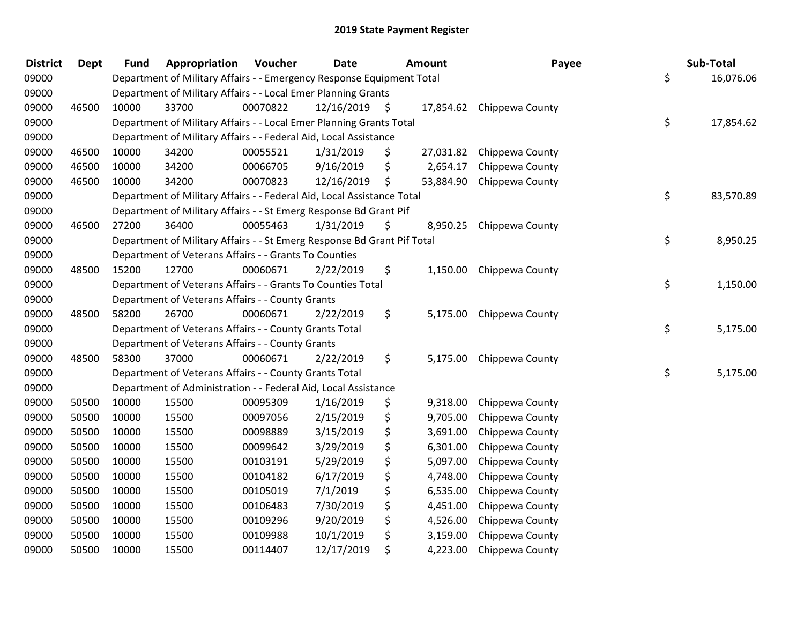| <b>District</b> | <b>Dept</b> | <b>Fund</b> | Appropriation                                                           | Voucher  | <b>Date</b> |      | Amount    | Payee                     | Sub-Total       |
|-----------------|-------------|-------------|-------------------------------------------------------------------------|----------|-------------|------|-----------|---------------------------|-----------------|
| 09000           |             |             | Department of Military Affairs - - Emergency Response Equipment Total   |          |             |      |           |                           | \$<br>16,076.06 |
| 09000           |             |             | Department of Military Affairs - - Local Emer Planning Grants           |          |             |      |           |                           |                 |
| 09000           | 46500       | 10000       | 33700                                                                   | 00070822 | 12/16/2019  | - \$ |           | 17,854.62 Chippewa County |                 |
| 09000           |             |             | Department of Military Affairs - - Local Emer Planning Grants Total     |          |             |      |           |                           | \$<br>17,854.62 |
| 09000           |             |             | Department of Military Affairs - - Federal Aid, Local Assistance        |          |             |      |           |                           |                 |
| 09000           | 46500       | 10000       | 34200                                                                   | 00055521 | 1/31/2019   | \$   | 27,031.82 | Chippewa County           |                 |
| 09000           | 46500       | 10000       | 34200                                                                   | 00066705 | 9/16/2019   | \$   | 2,654.17  | Chippewa County           |                 |
| 09000           | 46500       | 10000       | 34200                                                                   | 00070823 | 12/16/2019  | \$   |           | 53,884.90 Chippewa County |                 |
| 09000           |             |             | Department of Military Affairs - - Federal Aid, Local Assistance Total  |          |             |      |           |                           | \$<br>83,570.89 |
| 09000           |             |             | Department of Military Affairs - - St Emerg Response Bd Grant Pif       |          |             |      |           |                           |                 |
| 09000           | 46500       | 27200       | 36400                                                                   | 00055463 | 1/31/2019   | \$   | 8,950.25  | Chippewa County           |                 |
| 09000           |             |             | Department of Military Affairs - - St Emerg Response Bd Grant Pif Total |          |             |      |           |                           | \$<br>8,950.25  |
| 09000           |             |             | Department of Veterans Affairs - - Grants To Counties                   |          |             |      |           |                           |                 |
| 09000           | 48500       | 15200       | 12700                                                                   | 00060671 | 2/22/2019   | \$   |           | 1,150.00 Chippewa County  |                 |
| 09000           |             |             | Department of Veterans Affairs - - Grants To Counties Total             |          |             |      |           |                           | \$<br>1,150.00  |
| 09000           |             |             | Department of Veterans Affairs - - County Grants                        |          |             |      |           |                           |                 |
| 09000           | 48500       | 58200       | 26700                                                                   | 00060671 | 2/22/2019   | \$   | 5,175.00  | Chippewa County           |                 |
| 09000           |             |             | Department of Veterans Affairs - - County Grants Total                  |          |             |      |           |                           | \$<br>5,175.00  |
| 09000           |             |             | Department of Veterans Affairs - - County Grants                        |          |             |      |           |                           |                 |
| 09000           | 48500       | 58300       | 37000                                                                   | 00060671 | 2/22/2019   | \$   |           | 5,175.00 Chippewa County  |                 |
| 09000           |             |             | Department of Veterans Affairs - - County Grants Total                  |          |             |      |           |                           | \$<br>5,175.00  |
| 09000           |             |             | Department of Administration - - Federal Aid, Local Assistance          |          |             |      |           |                           |                 |
| 09000           | 50500       | 10000       | 15500                                                                   | 00095309 | 1/16/2019   | \$   | 9,318.00  | Chippewa County           |                 |
| 09000           | 50500       | 10000       | 15500                                                                   | 00097056 | 2/15/2019   | \$   | 9,705.00  | Chippewa County           |                 |
| 09000           | 50500       | 10000       | 15500                                                                   | 00098889 | 3/15/2019   | \$   | 3,691.00  | Chippewa County           |                 |
| 09000           | 50500       | 10000       | 15500                                                                   | 00099642 | 3/29/2019   |      | 6,301.00  | Chippewa County           |                 |
| 09000           | 50500       | 10000       | 15500                                                                   | 00103191 | 5/29/2019   | \$   | 5,097.00  | Chippewa County           |                 |
| 09000           | 50500       | 10000       | 15500                                                                   | 00104182 | 6/17/2019   | \$   | 4,748.00  | Chippewa County           |                 |
| 09000           | 50500       | 10000       | 15500                                                                   | 00105019 | 7/1/2019    | \$   | 6,535.00  | Chippewa County           |                 |
| 09000           | 50500       | 10000       | 15500                                                                   | 00106483 | 7/30/2019   | \$   | 4,451.00  | Chippewa County           |                 |
| 09000           | 50500       | 10000       | 15500                                                                   | 00109296 | 9/20/2019   |      | 4,526.00  | Chippewa County           |                 |
| 09000           | 50500       | 10000       | 15500                                                                   | 00109988 | 10/1/2019   | \$   | 3,159.00  | Chippewa County           |                 |
| 09000           | 50500       | 10000       | 15500                                                                   | 00114407 | 12/17/2019  | \$   | 4,223.00  | Chippewa County           |                 |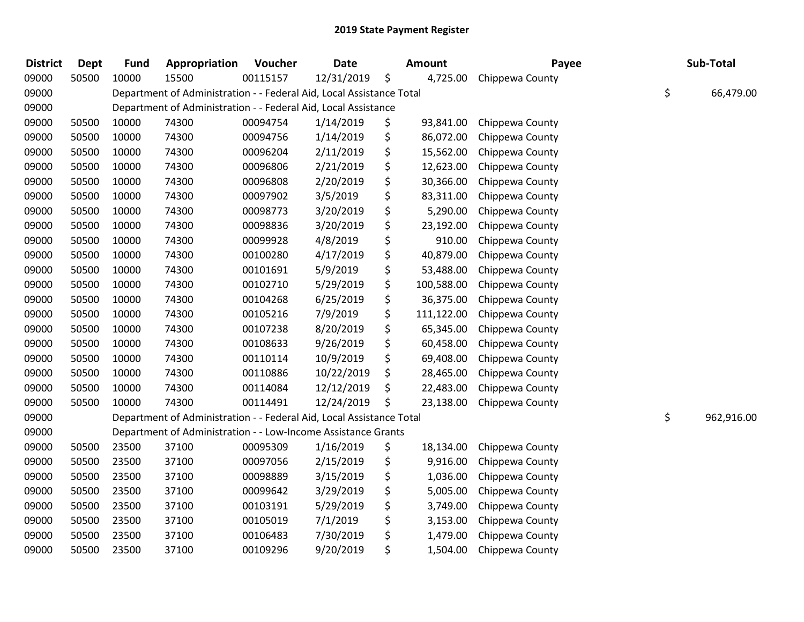| <b>District</b> | Dept  | <b>Fund</b> | Appropriation                                                        | Voucher  | <b>Date</b> | <b>Amount</b>    | Payee           | Sub-Total        |
|-----------------|-------|-------------|----------------------------------------------------------------------|----------|-------------|------------------|-----------------|------------------|
| 09000           | 50500 | 10000       | 15500                                                                | 00115157 | 12/31/2019  | \$<br>4,725.00   | Chippewa County |                  |
| 09000           |       |             | Department of Administration - - Federal Aid, Local Assistance Total |          |             |                  |                 | \$<br>66,479.00  |
| 09000           |       |             | Department of Administration - - Federal Aid, Local Assistance       |          |             |                  |                 |                  |
| 09000           | 50500 | 10000       | 74300                                                                | 00094754 | 1/14/2019   | \$<br>93,841.00  | Chippewa County |                  |
| 09000           | 50500 | 10000       | 74300                                                                | 00094756 | 1/14/2019   | \$<br>86,072.00  | Chippewa County |                  |
| 09000           | 50500 | 10000       | 74300                                                                | 00096204 | 2/11/2019   | \$<br>15,562.00  | Chippewa County |                  |
| 09000           | 50500 | 10000       | 74300                                                                | 00096806 | 2/21/2019   | \$<br>12,623.00  | Chippewa County |                  |
| 09000           | 50500 | 10000       | 74300                                                                | 00096808 | 2/20/2019   | \$<br>30,366.00  | Chippewa County |                  |
| 09000           | 50500 | 10000       | 74300                                                                | 00097902 | 3/5/2019    | \$<br>83,311.00  | Chippewa County |                  |
| 09000           | 50500 | 10000       | 74300                                                                | 00098773 | 3/20/2019   | \$<br>5,290.00   | Chippewa County |                  |
| 09000           | 50500 | 10000       | 74300                                                                | 00098836 | 3/20/2019   | \$<br>23,192.00  | Chippewa County |                  |
| 09000           | 50500 | 10000       | 74300                                                                | 00099928 | 4/8/2019    | \$<br>910.00     | Chippewa County |                  |
| 09000           | 50500 | 10000       | 74300                                                                | 00100280 | 4/17/2019   | \$<br>40,879.00  | Chippewa County |                  |
| 09000           | 50500 | 10000       | 74300                                                                | 00101691 | 5/9/2019    | \$<br>53,488.00  | Chippewa County |                  |
| 09000           | 50500 | 10000       | 74300                                                                | 00102710 | 5/29/2019   | \$<br>100,588.00 | Chippewa County |                  |
| 09000           | 50500 | 10000       | 74300                                                                | 00104268 | 6/25/2019   | \$<br>36,375.00  | Chippewa County |                  |
| 09000           | 50500 | 10000       | 74300                                                                | 00105216 | 7/9/2019    | \$<br>111,122.00 | Chippewa County |                  |
| 09000           | 50500 | 10000       | 74300                                                                | 00107238 | 8/20/2019   | \$<br>65,345.00  | Chippewa County |                  |
| 09000           | 50500 | 10000       | 74300                                                                | 00108633 | 9/26/2019   | \$<br>60,458.00  | Chippewa County |                  |
| 09000           | 50500 | 10000       | 74300                                                                | 00110114 | 10/9/2019   | \$<br>69,408.00  | Chippewa County |                  |
| 09000           | 50500 | 10000       | 74300                                                                | 00110886 | 10/22/2019  | \$<br>28,465.00  | Chippewa County |                  |
| 09000           | 50500 | 10000       | 74300                                                                | 00114084 | 12/12/2019  | \$<br>22,483.00  | Chippewa County |                  |
| 09000           | 50500 | 10000       | 74300                                                                | 00114491 | 12/24/2019  | \$<br>23,138.00  | Chippewa County |                  |
| 09000           |       |             | Department of Administration - - Federal Aid, Local Assistance Total |          |             |                  |                 | \$<br>962,916.00 |
| 09000           |       |             | Department of Administration - - Low-Income Assistance Grants        |          |             |                  |                 |                  |
| 09000           | 50500 | 23500       | 37100                                                                | 00095309 | 1/16/2019   | \$<br>18,134.00  | Chippewa County |                  |
| 09000           | 50500 | 23500       | 37100                                                                | 00097056 | 2/15/2019   | \$<br>9,916.00   | Chippewa County |                  |
| 09000           | 50500 | 23500       | 37100                                                                | 00098889 | 3/15/2019   | \$<br>1,036.00   | Chippewa County |                  |
| 09000           | 50500 | 23500       | 37100                                                                | 00099642 | 3/29/2019   | \$<br>5,005.00   | Chippewa County |                  |
| 09000           | 50500 | 23500       | 37100                                                                | 00103191 | 5/29/2019   | \$<br>3,749.00   | Chippewa County |                  |
| 09000           | 50500 | 23500       | 37100                                                                | 00105019 | 7/1/2019    | \$<br>3,153.00   | Chippewa County |                  |
| 09000           | 50500 | 23500       | 37100                                                                | 00106483 | 7/30/2019   | \$<br>1,479.00   | Chippewa County |                  |
| 09000           | 50500 | 23500       | 37100                                                                | 00109296 | 9/20/2019   | \$<br>1,504.00   | Chippewa County |                  |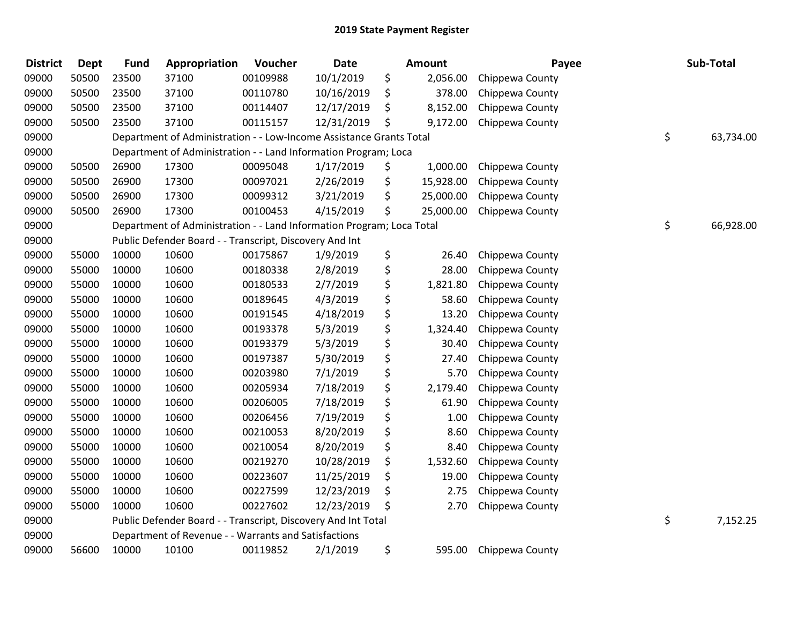| <b>District</b> | <b>Dept</b> | <b>Fund</b> | Appropriation                                                         | Voucher  | <b>Date</b> | <b>Amount</b>   | Payee           | Sub-Total       |
|-----------------|-------------|-------------|-----------------------------------------------------------------------|----------|-------------|-----------------|-----------------|-----------------|
| 09000           | 50500       | 23500       | 37100                                                                 | 00109988 | 10/1/2019   | \$<br>2,056.00  | Chippewa County |                 |
| 09000           | 50500       | 23500       | 37100                                                                 | 00110780 | 10/16/2019  | \$<br>378.00    | Chippewa County |                 |
| 09000           | 50500       | 23500       | 37100                                                                 | 00114407 | 12/17/2019  | \$<br>8,152.00  | Chippewa County |                 |
| 09000           | 50500       | 23500       | 37100                                                                 | 00115157 | 12/31/2019  | \$<br>9,172.00  | Chippewa County |                 |
| 09000           |             |             | Department of Administration - - Low-Income Assistance Grants Total   |          |             |                 |                 | \$<br>63,734.00 |
| 09000           |             |             | Department of Administration - - Land Information Program; Loca       |          |             |                 |                 |                 |
| 09000           | 50500       | 26900       | 17300                                                                 | 00095048 | 1/17/2019   | \$<br>1,000.00  | Chippewa County |                 |
| 09000           | 50500       | 26900       | 17300                                                                 | 00097021 | 2/26/2019   | \$<br>15,928.00 | Chippewa County |                 |
| 09000           | 50500       | 26900       | 17300                                                                 | 00099312 | 3/21/2019   | \$<br>25,000.00 | Chippewa County |                 |
| 09000           | 50500       | 26900       | 17300                                                                 | 00100453 | 4/15/2019   | \$<br>25,000.00 | Chippewa County |                 |
| 09000           |             |             | Department of Administration - - Land Information Program; Loca Total |          |             |                 |                 | \$<br>66,928.00 |
| 09000           |             |             | Public Defender Board - - Transcript, Discovery And Int               |          |             |                 |                 |                 |
| 09000           | 55000       | 10000       | 10600                                                                 | 00175867 | 1/9/2019    | \$<br>26.40     | Chippewa County |                 |
| 09000           | 55000       | 10000       | 10600                                                                 | 00180338 | 2/8/2019    | \$<br>28.00     | Chippewa County |                 |
| 09000           | 55000       | 10000       | 10600                                                                 | 00180533 | 2/7/2019    | \$<br>1,821.80  | Chippewa County |                 |
| 09000           | 55000       | 10000       | 10600                                                                 | 00189645 | 4/3/2019    | \$<br>58.60     | Chippewa County |                 |
| 09000           | 55000       | 10000       | 10600                                                                 | 00191545 | 4/18/2019   | \$<br>13.20     | Chippewa County |                 |
| 09000           | 55000       | 10000       | 10600                                                                 | 00193378 | 5/3/2019    | \$<br>1,324.40  | Chippewa County |                 |
| 09000           | 55000       | 10000       | 10600                                                                 | 00193379 | 5/3/2019    | \$<br>30.40     | Chippewa County |                 |
| 09000           | 55000       | 10000       | 10600                                                                 | 00197387 | 5/30/2019   | \$<br>27.40     | Chippewa County |                 |
| 09000           | 55000       | 10000       | 10600                                                                 | 00203980 | 7/1/2019    | \$<br>5.70      | Chippewa County |                 |
| 09000           | 55000       | 10000       | 10600                                                                 | 00205934 | 7/18/2019   | \$<br>2,179.40  | Chippewa County |                 |
| 09000           | 55000       | 10000       | 10600                                                                 | 00206005 | 7/18/2019   | \$<br>61.90     | Chippewa County |                 |
| 09000           | 55000       | 10000       | 10600                                                                 | 00206456 | 7/19/2019   | \$<br>1.00      | Chippewa County |                 |
| 09000           | 55000       | 10000       | 10600                                                                 | 00210053 | 8/20/2019   | \$<br>8.60      | Chippewa County |                 |
| 09000           | 55000       | 10000       | 10600                                                                 | 00210054 | 8/20/2019   | \$<br>8.40      | Chippewa County |                 |
| 09000           | 55000       | 10000       | 10600                                                                 | 00219270 | 10/28/2019  | \$<br>1,532.60  | Chippewa County |                 |
| 09000           | 55000       | 10000       | 10600                                                                 | 00223607 | 11/25/2019  | \$<br>19.00     | Chippewa County |                 |
| 09000           | 55000       | 10000       | 10600                                                                 | 00227599 | 12/23/2019  | \$<br>2.75      | Chippewa County |                 |
| 09000           | 55000       | 10000       | 10600                                                                 | 00227602 | 12/23/2019  | \$<br>2.70      | Chippewa County |                 |
| 09000           |             |             | Public Defender Board - - Transcript, Discovery And Int Total         |          |             |                 |                 | \$<br>7,152.25  |
| 09000           |             |             | Department of Revenue - - Warrants and Satisfactions                  |          |             |                 |                 |                 |
| 09000           | 56600       | 10000       | 10100                                                                 | 00119852 | 2/1/2019    | \$<br>595.00    | Chippewa County |                 |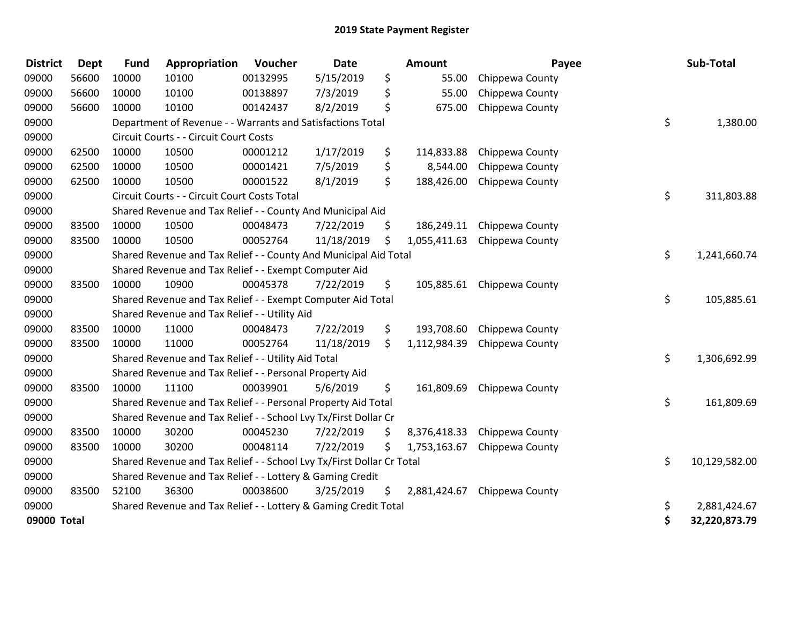| <b>District</b> | <b>Dept</b> | <b>Fund</b> | Appropriation                                                         | Voucher  | <b>Date</b> |     | <b>Amount</b> | Payee                        | Sub-Total           |
|-----------------|-------------|-------------|-----------------------------------------------------------------------|----------|-------------|-----|---------------|------------------------------|---------------------|
| 09000           | 56600       | 10000       | 10100                                                                 | 00132995 | 5/15/2019   | \$  | 55.00         | Chippewa County              |                     |
| 09000           | 56600       | 10000       | 10100                                                                 | 00138897 | 7/3/2019    | \$  | 55.00         | Chippewa County              |                     |
| 09000           | 56600       | 10000       | 10100                                                                 | 00142437 | 8/2/2019    | \$  | 675.00        | Chippewa County              |                     |
| 09000           |             |             | Department of Revenue - - Warrants and Satisfactions Total            |          |             |     |               |                              | \$<br>1,380.00      |
| 09000           |             |             | Circuit Courts - - Circuit Court Costs                                |          |             |     |               |                              |                     |
| 09000           | 62500       | 10000       | 10500                                                                 | 00001212 | 1/17/2019   | \$  | 114,833.88    | Chippewa County              |                     |
| 09000           | 62500       | 10000       | 10500                                                                 | 00001421 | 7/5/2019    | \$  | 8,544.00      | Chippewa County              |                     |
| 09000           | 62500       | 10000       | 10500                                                                 | 00001522 | 8/1/2019    | \$  | 188,426.00    | Chippewa County              |                     |
| 09000           |             |             | Circuit Courts - - Circuit Court Costs Total                          |          |             |     |               |                              | \$<br>311,803.88    |
| 09000           |             |             | Shared Revenue and Tax Relief - - County And Municipal Aid            |          |             |     |               |                              |                     |
| 09000           | 83500       | 10000       | 10500                                                                 | 00048473 | 7/22/2019   | \$  | 186,249.11    | Chippewa County              |                     |
| 09000           | 83500       | 10000       | 10500                                                                 | 00052764 | 11/18/2019  | \$  | 1,055,411.63  | Chippewa County              |                     |
| 09000           |             |             | Shared Revenue and Tax Relief - - County And Municipal Aid Total      |          |             |     |               |                              | \$<br>1,241,660.74  |
| 09000           |             |             | Shared Revenue and Tax Relief - - Exempt Computer Aid                 |          |             |     |               |                              |                     |
| 09000           | 83500       | 10000       | 10900                                                                 | 00045378 | 7/22/2019   | \$  |               | 105,885.61 Chippewa County   |                     |
| 09000           |             |             | Shared Revenue and Tax Relief - - Exempt Computer Aid Total           |          |             |     |               |                              | \$<br>105,885.61    |
| 09000           |             |             | Shared Revenue and Tax Relief - - Utility Aid                         |          |             |     |               |                              |                     |
| 09000           | 83500       | 10000       | 11000                                                                 | 00048473 | 7/22/2019   | \$  | 193,708.60    | Chippewa County              |                     |
| 09000           | 83500       | 10000       | 11000                                                                 | 00052764 | 11/18/2019  | Ŝ.  | 1,112,984.39  | Chippewa County              |                     |
| 09000           |             |             | Shared Revenue and Tax Relief - - Utility Aid Total                   |          |             |     |               |                              | \$<br>1,306,692.99  |
| 09000           |             |             | Shared Revenue and Tax Relief - - Personal Property Aid               |          |             |     |               |                              |                     |
| 09000           | 83500       | 10000       | 11100                                                                 | 00039901 | 5/6/2019    | \$  | 161,809.69    | Chippewa County              |                     |
| 09000           |             |             | Shared Revenue and Tax Relief - - Personal Property Aid Total         |          |             |     |               |                              | \$<br>161,809.69    |
| 09000           |             |             | Shared Revenue and Tax Relief - - School Lvy Tx/First Dollar Cr       |          |             |     |               |                              |                     |
| 09000           | 83500       | 10000       | 30200                                                                 | 00045230 | 7/22/2019   | \$  | 8,376,418.33  | Chippewa County              |                     |
| 09000           | 83500       | 10000       | 30200                                                                 | 00048114 | 7/22/2019   | \$  | 1,753,163.67  | Chippewa County              |                     |
| 09000           |             |             | Shared Revenue and Tax Relief - - School Lvy Tx/First Dollar Cr Total |          |             |     |               |                              | \$<br>10,129,582.00 |
| 09000           |             |             | Shared Revenue and Tax Relief - - Lottery & Gaming Credit             |          |             |     |               |                              |                     |
| 09000           | 83500       | 52100       | 36300                                                                 | 00038600 | 3/25/2019   | \$. |               | 2,881,424.67 Chippewa County |                     |
| 09000           |             |             | Shared Revenue and Tax Relief - - Lottery & Gaming Credit Total       |          |             |     |               |                              | \$<br>2,881,424.67  |
| 09000 Total     |             |             |                                                                       |          |             |     |               |                              | \$<br>32,220,873.79 |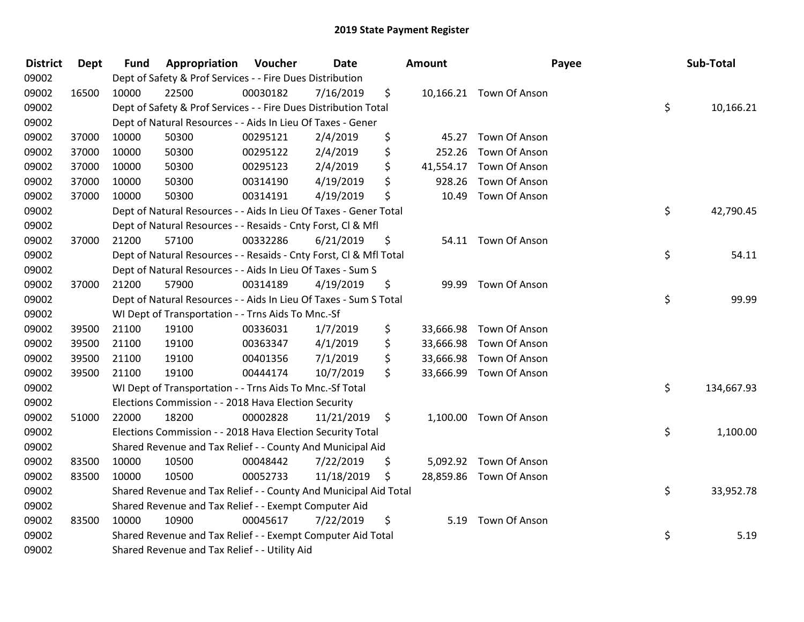| <b>District</b> | <b>Dept</b> | <b>Fund</b> | Appropriation                                                      | Voucher  | Date       | Amount          | Payee                   | Sub-Total        |
|-----------------|-------------|-------------|--------------------------------------------------------------------|----------|------------|-----------------|-------------------------|------------------|
| 09002           |             |             | Dept of Safety & Prof Services - - Fire Dues Distribution          |          |            |                 |                         |                  |
| 09002           | 16500       | 10000       | 22500                                                              | 00030182 | 7/16/2019  | \$              | 10,166.21 Town Of Anson |                  |
| 09002           |             |             | Dept of Safety & Prof Services - - Fire Dues Distribution Total    |          |            |                 |                         | \$<br>10,166.21  |
| 09002           |             |             | Dept of Natural Resources - - Aids In Lieu Of Taxes - Gener        |          |            |                 |                         |                  |
| 09002           | 37000       | 10000       | 50300                                                              | 00295121 | 2/4/2019   | \$<br>45.27     | Town Of Anson           |                  |
| 09002           | 37000       | 10000       | 50300                                                              | 00295122 | 2/4/2019   | \$<br>252.26    | Town Of Anson           |                  |
| 09002           | 37000       | 10000       | 50300                                                              | 00295123 | 2/4/2019   | \$<br>41,554.17 | Town Of Anson           |                  |
| 09002           | 37000       | 10000       | 50300                                                              | 00314190 | 4/19/2019  | \$<br>928.26    | Town Of Anson           |                  |
| 09002           | 37000       | 10000       | 50300                                                              | 00314191 | 4/19/2019  | \$<br>10.49     | Town Of Anson           |                  |
| 09002           |             |             | Dept of Natural Resources - - Aids In Lieu Of Taxes - Gener Total  |          |            |                 |                         | \$<br>42,790.45  |
| 09002           |             |             | Dept of Natural Resources - - Resaids - Cnty Forst, Cl & Mfl       |          |            |                 |                         |                  |
| 09002           | 37000       | 21200       | 57100                                                              | 00332286 | 6/21/2019  | \$              | 54.11 Town Of Anson     |                  |
| 09002           |             |             | Dept of Natural Resources - - Resaids - Cnty Forst, Cl & Mfl Total |          |            |                 |                         | \$<br>54.11      |
| 09002           |             |             | Dept of Natural Resources - - Aids In Lieu Of Taxes - Sum S        |          |            |                 |                         |                  |
| 09002           | 37000       | 21200       | 57900                                                              | 00314189 | 4/19/2019  | \$<br>99.99     | Town Of Anson           |                  |
| 09002           |             |             | Dept of Natural Resources - - Aids In Lieu Of Taxes - Sum S Total  |          |            |                 |                         | \$<br>99.99      |
| 09002           |             |             | WI Dept of Transportation - - Trns Aids To Mnc.-Sf                 |          |            |                 |                         |                  |
| 09002           | 39500       | 21100       | 19100                                                              | 00336031 | 1/7/2019   | \$              | 33,666.98 Town Of Anson |                  |
| 09002           | 39500       | 21100       | 19100                                                              | 00363347 | 4/1/2019   | \$              | 33,666.98 Town Of Anson |                  |
| 09002           | 39500       | 21100       | 19100                                                              | 00401356 | 7/1/2019   | \$              | 33,666.98 Town Of Anson |                  |
| 09002           | 39500       | 21100       | 19100                                                              | 00444174 | 10/7/2019  | \$              | 33,666.99 Town Of Anson |                  |
| 09002           |             |             | WI Dept of Transportation - - Trns Aids To Mnc.-Sf Total           |          |            |                 |                         | \$<br>134,667.93 |
| 09002           |             |             | Elections Commission - - 2018 Hava Election Security               |          |            |                 |                         |                  |
| 09002           | 51000       | 22000       | 18200                                                              | 00002828 | 11/21/2019 | \$              | 1,100.00 Town Of Anson  |                  |
| 09002           |             |             | Elections Commission - - 2018 Hava Election Security Total         |          |            |                 |                         | \$<br>1,100.00   |
| 09002           |             |             | Shared Revenue and Tax Relief - - County And Municipal Aid         |          |            |                 |                         |                  |
| 09002           | 83500       | 10000       | 10500                                                              | 00048442 | 7/22/2019  | \$              | 5,092.92 Town Of Anson  |                  |
| 09002           | 83500       | 10000       | 10500                                                              | 00052733 | 11/18/2019 | \$              | 28,859.86 Town Of Anson |                  |
| 09002           |             |             | Shared Revenue and Tax Relief - - County And Municipal Aid Total   |          |            |                 |                         | \$<br>33,952.78  |
| 09002           |             |             | Shared Revenue and Tax Relief - - Exempt Computer Aid              |          |            |                 |                         |                  |
| 09002           | 83500       | 10000       | 10900                                                              | 00045617 | 7/22/2019  | \$<br>5.19      | Town Of Anson           |                  |
| 09002           |             |             | Shared Revenue and Tax Relief - - Exempt Computer Aid Total        |          |            |                 |                         | \$<br>5.19       |
| 09002           |             |             | Shared Revenue and Tax Relief - - Utility Aid                      |          |            |                 |                         |                  |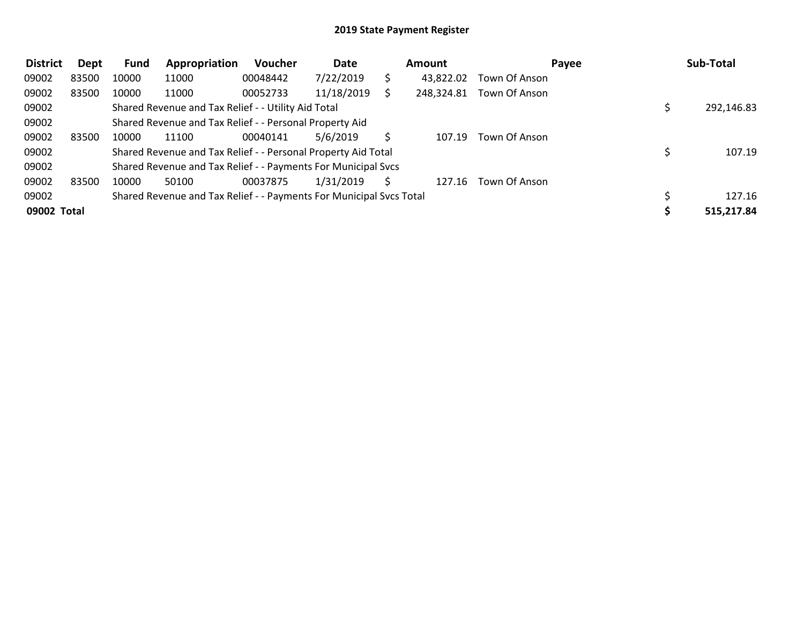| <b>District</b> | Dept  | <b>Fund</b> | Appropriation                                                       | Voucher  | Date       | <b>Amount</b> |               | Payee | Sub-Total  |  |
|-----------------|-------|-------------|---------------------------------------------------------------------|----------|------------|---------------|---------------|-------|------------|--|
| 09002           | 83500 | 10000       | 11000                                                               | 00048442 | 7/22/2019  | 43,822.02     | Town Of Anson |       |            |  |
| 09002           | 83500 | 10000       | 11000                                                               | 00052733 | 11/18/2019 | 248,324.81    | Town Of Anson |       |            |  |
| 09002           |       |             | Shared Revenue and Tax Relief - - Utility Aid Total                 |          |            |               |               |       | 292,146.83 |  |
| 09002           |       |             | Shared Revenue and Tax Relief - - Personal Property Aid             |          |            |               |               |       |            |  |
| 09002           | 83500 | 10000       | 11100                                                               | 00040141 | 5/6/2019   | 107.19        | Town Of Anson |       |            |  |
| 09002           |       |             | Shared Revenue and Tax Relief - - Personal Property Aid Total       |          |            |               |               |       | 107.19     |  |
| 09002           |       |             | Shared Revenue and Tax Relief - - Payments For Municipal Svcs       |          |            |               |               |       |            |  |
| 09002           | 83500 | 10000       | 50100                                                               | 00037875 | 1/31/2019  | 127.16        | Town Of Anson |       |            |  |
| 09002           |       |             | Shared Revenue and Tax Relief - - Payments For Municipal Svcs Total |          |            |               |               |       | 127.16     |  |
| 09002 Total     |       |             |                                                                     |          |            |               |               |       | 515,217.84 |  |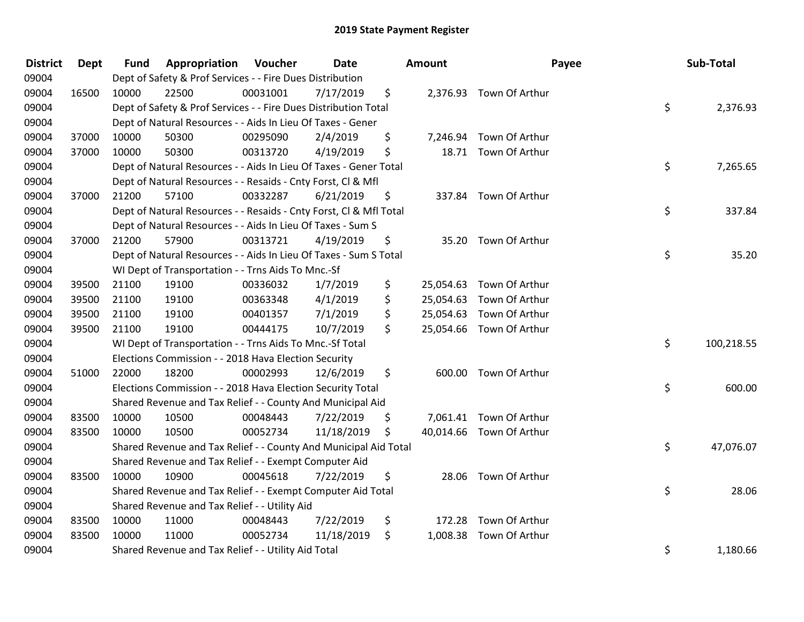| <b>District</b> | <b>Dept</b> | <b>Fund</b> | <b>Appropriation Voucher</b>                                       |          | Date       | Amount          |                          | Payee | Sub-Total  |
|-----------------|-------------|-------------|--------------------------------------------------------------------|----------|------------|-----------------|--------------------------|-------|------------|
| 09004           |             |             | Dept of Safety & Prof Services - - Fire Dues Distribution          |          |            |                 |                          |       |            |
| 09004           | 16500       | 10000       | 22500                                                              | 00031001 | 7/17/2019  | \$              | 2,376.93 Town Of Arthur  |       |            |
| 09004           |             |             | Dept of Safety & Prof Services - - Fire Dues Distribution Total    |          |            |                 |                          | \$    | 2,376.93   |
| 09004           |             |             | Dept of Natural Resources - - Aids In Lieu Of Taxes - Gener        |          |            |                 |                          |       |            |
| 09004           | 37000       | 10000       | 50300                                                              | 00295090 | 2/4/2019   | \$<br>7,246.94  | Town Of Arthur           |       |            |
| 09004           | 37000       | 10000       | 50300                                                              | 00313720 | 4/19/2019  | \$              | 18.71 Town Of Arthur     |       |            |
| 09004           |             |             | Dept of Natural Resources - - Aids In Lieu Of Taxes - Gener Total  |          |            |                 |                          | \$    | 7,265.65   |
| 09004           |             |             | Dept of Natural Resources - - Resaids - Cnty Forst, Cl & Mfl       |          |            |                 |                          |       |            |
| 09004           | 37000       | 21200       | 57100                                                              | 00332287 | 6/21/2019  | \$              | 337.84 Town Of Arthur    |       |            |
| 09004           |             |             | Dept of Natural Resources - - Resaids - Cnty Forst, Cl & Mfl Total |          |            |                 |                          | \$    | 337.84     |
| 09004           |             |             | Dept of Natural Resources - - Aids In Lieu Of Taxes - Sum S        |          |            |                 |                          |       |            |
| 09004           | 37000       | 21200       | 57900                                                              | 00313721 | 4/19/2019  | \$              | 35.20 Town Of Arthur     |       |            |
| 09004           |             |             | Dept of Natural Resources - - Aids In Lieu Of Taxes - Sum S Total  |          |            |                 |                          | \$    | 35.20      |
| 09004           |             |             | WI Dept of Transportation - - Trns Aids To Mnc.-Sf                 |          |            |                 |                          |       |            |
| 09004           | 39500       | 21100       | 19100                                                              | 00336032 | 1/7/2019   | \$<br>25,054.63 | Town Of Arthur           |       |            |
| 09004           | 39500       | 21100       | 19100                                                              | 00363348 | 4/1/2019   | \$<br>25,054.63 | Town Of Arthur           |       |            |
| 09004           | 39500       | 21100       | 19100                                                              | 00401357 | 7/1/2019   | \$              | 25,054.63 Town Of Arthur |       |            |
| 09004           | 39500       | 21100       | 19100                                                              | 00444175 | 10/7/2019  | \$              | 25,054.66 Town Of Arthur |       |            |
| 09004           |             |             | WI Dept of Transportation - - Trns Aids To Mnc.-Sf Total           |          |            |                 |                          | \$    | 100,218.55 |
| 09004           |             |             | Elections Commission - - 2018 Hava Election Security               |          |            |                 |                          |       |            |
| 09004           | 51000       | 22000       | 18200                                                              | 00002993 | 12/6/2019  | \$              | 600.00 Town Of Arthur    |       |            |
| 09004           |             |             | Elections Commission - - 2018 Hava Election Security Total         |          |            |                 |                          | \$    | 600.00     |
| 09004           |             |             | Shared Revenue and Tax Relief - - County And Municipal Aid         |          |            |                 |                          |       |            |
| 09004           | 83500       | 10000       | 10500                                                              | 00048443 | 7/22/2019  | \$              | 7,061.41 Town Of Arthur  |       |            |
| 09004           | 83500       | 10000       | 10500                                                              | 00052734 | 11/18/2019 | \$              | 40,014.66 Town Of Arthur |       |            |
| 09004           |             |             | Shared Revenue and Tax Relief - - County And Municipal Aid Total   |          |            |                 |                          | \$    | 47,076.07  |
| 09004           |             |             | Shared Revenue and Tax Relief - - Exempt Computer Aid              |          |            |                 |                          |       |            |
| 09004           | 83500       | 10000       | 10900                                                              | 00045618 | 7/22/2019  | \$              | 28.06 Town Of Arthur     |       |            |
| 09004           |             |             | Shared Revenue and Tax Relief - - Exempt Computer Aid Total        |          |            |                 |                          | \$    | 28.06      |
| 09004           |             |             | Shared Revenue and Tax Relief - - Utility Aid                      |          |            |                 |                          |       |            |
| 09004           | 83500       | 10000       | 11000                                                              | 00048443 | 7/22/2019  | \$<br>172.28    | Town Of Arthur           |       |            |
| 09004           | 83500       | 10000       | 11000                                                              | 00052734 | 11/18/2019 | \$<br>1,008.38  | Town Of Arthur           |       |            |
| 09004           |             |             | Shared Revenue and Tax Relief - - Utility Aid Total                |          |            |                 |                          | \$    | 1,180.66   |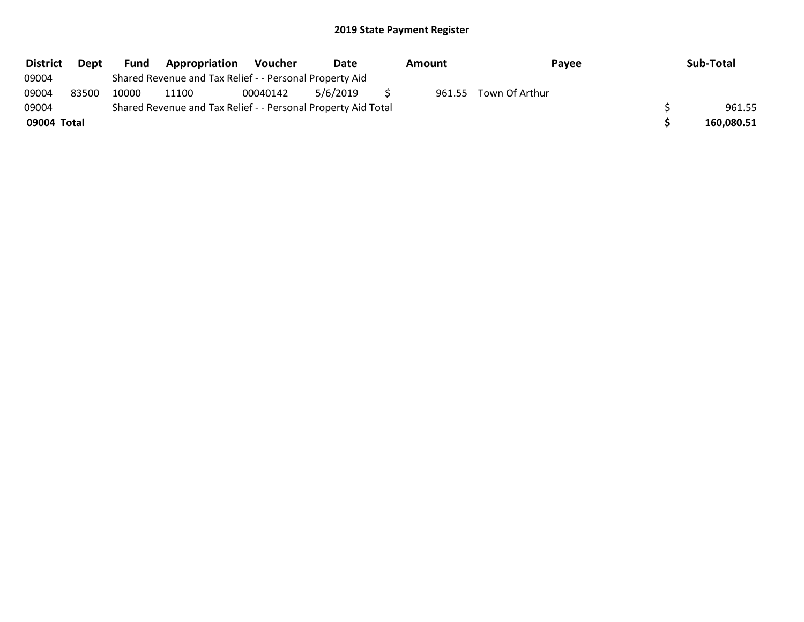| <b>District</b> | Dept  | Fund  | Appropriation                                                 | <b>Voucher</b> | Date     | Amount | Payee                 | Sub-Total  |
|-----------------|-------|-------|---------------------------------------------------------------|----------------|----------|--------|-----------------------|------------|
| 09004           |       |       | Shared Revenue and Tax Relief - - Personal Property Aid       |                |          |        |                       |            |
| 09004           | 83500 | 10000 | 11100                                                         | 00040142       | 5/6/2019 |        | 961.55 Town Of Arthur |            |
| 09004           |       |       | Shared Revenue and Tax Relief - - Personal Property Aid Total |                |          |        |                       | 961.55     |
| 09004 Total     |       |       |                                                               |                |          |        |                       | 160,080.51 |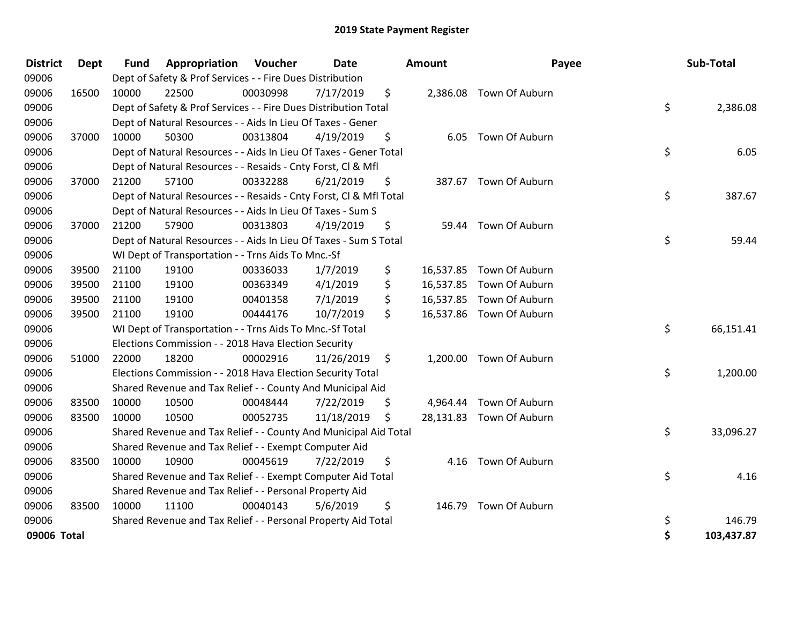| <b>District</b> | <b>Dept</b> | <b>Fund</b> | Appropriation                                                      | Voucher  | <b>Date</b> |         | <b>Amount</b> | Payee                    | Sub-Total        |
|-----------------|-------------|-------------|--------------------------------------------------------------------|----------|-------------|---------|---------------|--------------------------|------------------|
| 09006           |             |             | Dept of Safety & Prof Services - - Fire Dues Distribution          |          |             |         |               |                          |                  |
| 09006           | 16500       | 10000       | 22500                                                              | 00030998 | 7/17/2019   | \$      |               | 2,386.08 Town Of Auburn  |                  |
| 09006           |             |             | Dept of Safety & Prof Services - - Fire Dues Distribution Total    |          |             |         |               |                          | \$<br>2,386.08   |
| 09006           |             |             | Dept of Natural Resources - - Aids In Lieu Of Taxes - Gener        |          |             |         |               |                          |                  |
| 09006           | 37000       | 10000       | 50300                                                              | 00313804 | 4/19/2019   | \$      |               | 6.05 Town Of Auburn      |                  |
| 09006           |             |             | Dept of Natural Resources - - Aids In Lieu Of Taxes - Gener Total  |          |             |         |               |                          | \$<br>6.05       |
| 09006           |             |             | Dept of Natural Resources - - Resaids - Cnty Forst, Cl & Mfl       |          |             |         |               |                          |                  |
| 09006           | 37000       | 21200       | 57100                                                              | 00332288 | 6/21/2019   | \$      |               | 387.67 Town Of Auburn    |                  |
| 09006           |             |             | Dept of Natural Resources - - Resaids - Cnty Forst, CI & Mfl Total |          |             |         |               |                          | \$<br>387.67     |
| 09006           |             |             | Dept of Natural Resources - - Aids In Lieu Of Taxes - Sum S        |          |             |         |               |                          |                  |
| 09006           | 37000       | 21200       | 57900                                                              | 00313803 | 4/19/2019   | \$      | 59.44         | Town Of Auburn           |                  |
| 09006           |             |             | Dept of Natural Resources - - Aids In Lieu Of Taxes - Sum S Total  |          |             |         |               |                          | \$<br>59.44      |
| 09006           |             |             | WI Dept of Transportation - - Trns Aids To Mnc.-Sf                 |          |             |         |               |                          |                  |
| 09006           | 39500       | 21100       | 19100                                                              | 00336033 | 1/7/2019    | \$      | 16,537.85     | Town Of Auburn           |                  |
| 09006           | 39500       | 21100       | 19100                                                              | 00363349 | 4/1/2019    | \$      | 16,537.85     | Town Of Auburn           |                  |
| 09006           | 39500       | 21100       | 19100                                                              | 00401358 | 7/1/2019    | \$      | 16,537.85     | Town Of Auburn           |                  |
| 09006           | 39500       | 21100       | 19100                                                              | 00444176 | 10/7/2019   | \$      |               | 16,537.86 Town Of Auburn |                  |
| 09006           |             |             | WI Dept of Transportation - - Trns Aids To Mnc.-Sf Total           |          |             |         |               |                          | \$<br>66,151.41  |
| 09006           |             |             | Elections Commission - - 2018 Hava Election Security               |          |             |         |               |                          |                  |
| 09006           | 51000       | 22000       | 18200                                                              | 00002916 | 11/26/2019  | $\zeta$ |               | 1,200.00 Town Of Auburn  |                  |
| 09006           |             |             | Elections Commission - - 2018 Hava Election Security Total         |          |             |         |               |                          | \$<br>1,200.00   |
| 09006           |             |             | Shared Revenue and Tax Relief - - County And Municipal Aid         |          |             |         |               |                          |                  |
| 09006           | 83500       | 10000       | 10500                                                              | 00048444 | 7/22/2019   | \$      |               | 4,964.44 Town Of Auburn  |                  |
| 09006           | 83500       | 10000       | 10500                                                              | 00052735 | 11/18/2019  | \$      |               | 28,131.83 Town Of Auburn |                  |
| 09006           |             |             | Shared Revenue and Tax Relief - - County And Municipal Aid Total   |          |             |         |               |                          | \$<br>33,096.27  |
| 09006           |             |             | Shared Revenue and Tax Relief - - Exempt Computer Aid              |          |             |         |               |                          |                  |
| 09006           | 83500       | 10000       | 10900                                                              | 00045619 | 7/22/2019   | \$      |               | 4.16 Town Of Auburn      |                  |
| 09006           |             |             | Shared Revenue and Tax Relief - - Exempt Computer Aid Total        |          |             |         |               |                          | \$<br>4.16       |
| 09006           |             |             | Shared Revenue and Tax Relief - - Personal Property Aid            |          |             |         |               |                          |                  |
| 09006           | 83500       | 10000       | 11100                                                              | 00040143 | 5/6/2019    | \$      | 146.79        | Town Of Auburn           |                  |
| 09006           |             |             | Shared Revenue and Tax Relief - - Personal Property Aid Total      |          |             |         |               |                          | \$<br>146.79     |
| 09006 Total     |             |             |                                                                    |          |             |         |               |                          | \$<br>103,437.87 |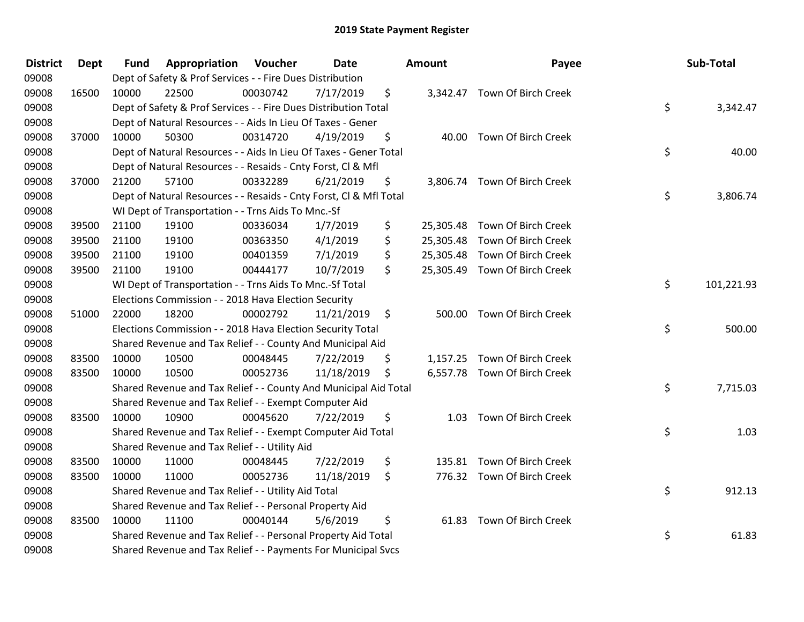| <b>District</b> | <b>Dept</b> | <b>Fund</b> | Appropriation                                                      | Voucher  | Date       |     | Amount | Payee                         | Sub-Total        |
|-----------------|-------------|-------------|--------------------------------------------------------------------|----------|------------|-----|--------|-------------------------------|------------------|
| 09008           |             |             | Dept of Safety & Prof Services - - Fire Dues Distribution          |          |            |     |        |                               |                  |
| 09008           | 16500       | 10000       | 22500                                                              | 00030742 | 7/17/2019  | \$  |        | 3,342.47 Town Of Birch Creek  |                  |
| 09008           |             |             | Dept of Safety & Prof Services - - Fire Dues Distribution Total    |          |            |     |        |                               | \$<br>3,342.47   |
| 09008           |             |             | Dept of Natural Resources - - Aids In Lieu Of Taxes - Gener        |          |            |     |        |                               |                  |
| 09008           | 37000       | 10000       | 50300                                                              | 00314720 | 4/19/2019  | \$  |        | 40.00 Town Of Birch Creek     |                  |
| 09008           |             |             | Dept of Natural Resources - - Aids In Lieu Of Taxes - Gener Total  |          |            |     |        |                               | \$<br>40.00      |
| 09008           |             |             | Dept of Natural Resources - - Resaids - Cnty Forst, Cl & Mfl       |          |            |     |        |                               |                  |
| 09008           | 37000       | 21200       | 57100                                                              | 00332289 | 6/21/2019  | \$  |        | 3,806.74 Town Of Birch Creek  |                  |
| 09008           |             |             | Dept of Natural Resources - - Resaids - Cnty Forst, Cl & Mfl Total |          |            |     |        |                               | \$<br>3,806.74   |
| 09008           |             |             | WI Dept of Transportation - - Trns Aids To Mnc.-Sf                 |          |            |     |        |                               |                  |
| 09008           | 39500       | 21100       | 19100                                                              | 00336034 | 1/7/2019   | \$  |        | 25,305.48 Town Of Birch Creek |                  |
| 09008           | 39500       | 21100       | 19100                                                              | 00363350 | 4/1/2019   | \$  |        | 25,305.48 Town Of Birch Creek |                  |
| 09008           | 39500       | 21100       | 19100                                                              | 00401359 | 7/1/2019   | \$  |        | 25,305.48 Town Of Birch Creek |                  |
| 09008           | 39500       | 21100       | 19100                                                              | 00444177 | 10/7/2019  | \$  |        | 25,305.49 Town Of Birch Creek |                  |
| 09008           |             |             | WI Dept of Transportation - - Trns Aids To Mnc.-Sf Total           |          |            |     |        |                               | \$<br>101,221.93 |
| 09008           |             |             | Elections Commission - - 2018 Hava Election Security               |          |            |     |        |                               |                  |
| 09008           | 51000       | 22000       | 18200                                                              | 00002792 | 11/21/2019 | \$  |        | 500.00 Town Of Birch Creek    |                  |
| 09008           |             |             | Elections Commission - - 2018 Hava Election Security Total         |          |            |     |        |                               | \$<br>500.00     |
| 09008           |             |             | Shared Revenue and Tax Relief - - County And Municipal Aid         |          |            |     |        |                               |                  |
| 09008           | 83500       | 10000       | 10500                                                              | 00048445 | 7/22/2019  | \$  |        | 1,157.25 Town Of Birch Creek  |                  |
| 09008           | 83500       | 10000       | 10500                                                              | 00052736 | 11/18/2019 | \$  |        | 6,557.78 Town Of Birch Creek  |                  |
| 09008           |             |             | Shared Revenue and Tax Relief - - County And Municipal Aid Total   |          |            |     |        |                               | \$<br>7,715.03   |
| 09008           |             |             | Shared Revenue and Tax Relief - - Exempt Computer Aid              |          |            |     |        |                               |                  |
| 09008           | 83500       | 10000       | 10900                                                              | 00045620 | 7/22/2019  | \$. | 1.03   | Town Of Birch Creek           |                  |
| 09008           |             |             | Shared Revenue and Tax Relief - - Exempt Computer Aid Total        |          |            |     |        |                               | \$<br>1.03       |
| 09008           |             |             | Shared Revenue and Tax Relief - - Utility Aid                      |          |            |     |        |                               |                  |
| 09008           | 83500       | 10000       | 11000                                                              | 00048445 | 7/22/2019  | \$  |        | 135.81 Town Of Birch Creek    |                  |
| 09008           | 83500       | 10000       | 11000                                                              | 00052736 | 11/18/2019 | \$  |        | 776.32 Town Of Birch Creek    |                  |
| 09008           |             |             | Shared Revenue and Tax Relief - - Utility Aid Total                |          |            |     |        |                               | \$<br>912.13     |
| 09008           |             |             | Shared Revenue and Tax Relief - - Personal Property Aid            |          |            |     |        |                               |                  |
| 09008           | 83500       | 10000       | 11100                                                              | 00040144 | 5/6/2019   | \$  |        | 61.83 Town Of Birch Creek     |                  |
| 09008           |             |             | Shared Revenue and Tax Relief - - Personal Property Aid Total      |          |            |     |        |                               | \$<br>61.83      |
| 09008           |             |             | Shared Revenue and Tax Relief - - Payments For Municipal Svcs      |          |            |     |        |                               |                  |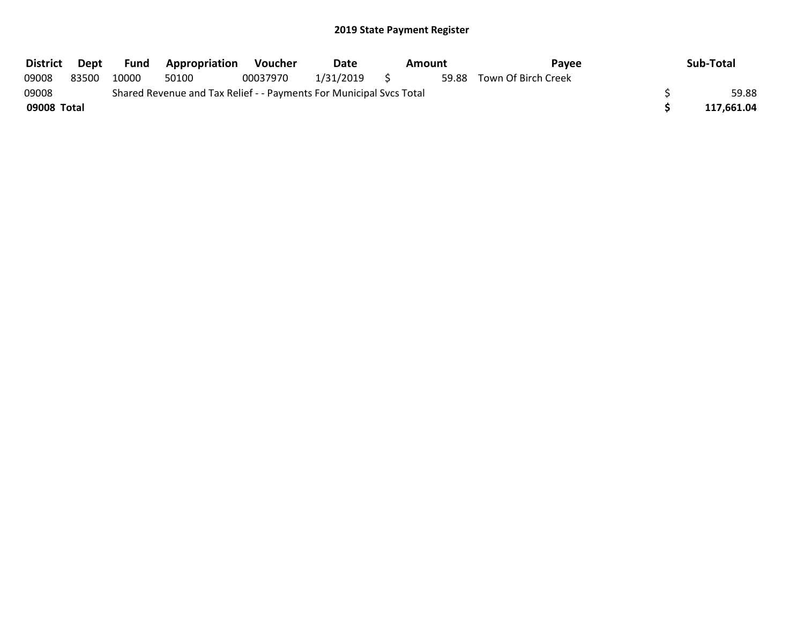| <b>District</b> | Dept  | Fund  | <b>Appropriation</b>                                                | Voucher  | Date      | Amount | Pavee                     | Sub-Total  |
|-----------------|-------|-------|---------------------------------------------------------------------|----------|-----------|--------|---------------------------|------------|
| 09008           | 83500 | 10000 | 50100                                                               | 00037970 | 1/31/2019 |        | 59.88 Town Of Birch Creek |            |
| 09008           |       |       | Shared Revenue and Tax Relief - - Payments For Municipal Svcs Total |          |           |        |                           | 59.88      |
| 09008 Total     |       |       |                                                                     |          |           |        |                           | 117,661.04 |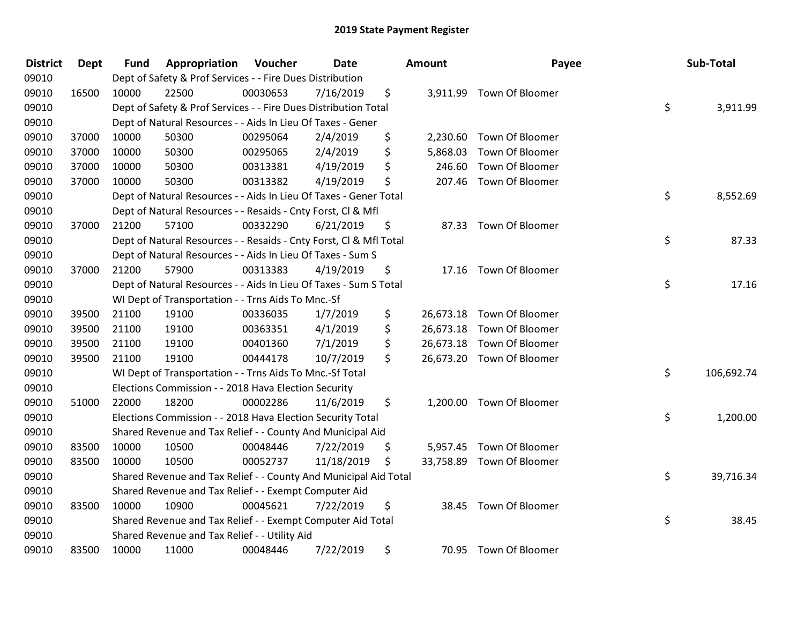| <b>District</b> | <b>Dept</b> | <b>Fund</b> | Appropriation                                                      | Voucher  | Date       | <b>Amount</b>   | Payee                     | Sub-Total        |
|-----------------|-------------|-------------|--------------------------------------------------------------------|----------|------------|-----------------|---------------------------|------------------|
| 09010           |             |             | Dept of Safety & Prof Services - - Fire Dues Distribution          |          |            |                 |                           |                  |
| 09010           | 16500       | 10000       | 22500                                                              | 00030653 | 7/16/2019  | \$              | 3,911.99 Town Of Bloomer  |                  |
| 09010           |             |             | Dept of Safety & Prof Services - - Fire Dues Distribution Total    |          |            |                 |                           | \$<br>3,911.99   |
| 09010           |             |             | Dept of Natural Resources - - Aids In Lieu Of Taxes - Gener        |          |            |                 |                           |                  |
| 09010           | 37000       | 10000       | 50300                                                              | 00295064 | 2/4/2019   | \$<br>2,230.60  | Town Of Bloomer           |                  |
| 09010           | 37000       | 10000       | 50300                                                              | 00295065 | 2/4/2019   | \$<br>5,868.03  | Town Of Bloomer           |                  |
| 09010           | 37000       | 10000       | 50300                                                              | 00313381 | 4/19/2019  | \$<br>246.60    | Town Of Bloomer           |                  |
| 09010           | 37000       | 10000       | 50300                                                              | 00313382 | 4/19/2019  | \$<br>207.46    | Town Of Bloomer           |                  |
| 09010           |             |             | Dept of Natural Resources - - Aids In Lieu Of Taxes - Gener Total  |          |            |                 |                           | \$<br>8,552.69   |
| 09010           |             |             | Dept of Natural Resources - - Resaids - Cnty Forst, Cl & Mfl       |          |            |                 |                           |                  |
| 09010           | 37000       | 21200       | 57100                                                              | 00332290 | 6/21/2019  | \$              | 87.33 Town Of Bloomer     |                  |
| 09010           |             |             | Dept of Natural Resources - - Resaids - Cnty Forst, Cl & Mfl Total |          |            |                 |                           | \$<br>87.33      |
| 09010           |             |             | Dept of Natural Resources - - Aids In Lieu Of Taxes - Sum S        |          |            |                 |                           |                  |
| 09010           | 37000       | 21200       | 57900                                                              | 00313383 | 4/19/2019  | \$              | 17.16 Town Of Bloomer     |                  |
| 09010           |             |             | Dept of Natural Resources - - Aids In Lieu Of Taxes - Sum S Total  |          |            |                 |                           | \$<br>17.16      |
| 09010           |             |             | WI Dept of Transportation - - Trns Aids To Mnc.-Sf                 |          |            |                 |                           |                  |
| 09010           | 39500       | 21100       | 19100                                                              | 00336035 | 1/7/2019   | \$<br>26,673.18 | Town Of Bloomer           |                  |
| 09010           | 39500       | 21100       | 19100                                                              | 00363351 | 4/1/2019   | \$<br>26,673.18 | Town Of Bloomer           |                  |
| 09010           | 39500       | 21100       | 19100                                                              | 00401360 | 7/1/2019   | \$              | 26,673.18 Town Of Bloomer |                  |
| 09010           | 39500       | 21100       | 19100                                                              | 00444178 | 10/7/2019  | \$              | 26,673.20 Town Of Bloomer |                  |
| 09010           |             |             | WI Dept of Transportation - - Trns Aids To Mnc.-Sf Total           |          |            |                 |                           | \$<br>106,692.74 |
| 09010           |             |             | Elections Commission - - 2018 Hava Election Security               |          |            |                 |                           |                  |
| 09010           | 51000       | 22000       | 18200                                                              | 00002286 | 11/6/2019  | \$              | 1,200.00 Town Of Bloomer  |                  |
| 09010           |             |             | Elections Commission - - 2018 Hava Election Security Total         |          |            |                 |                           | \$<br>1,200.00   |
| 09010           |             |             | Shared Revenue and Tax Relief - - County And Municipal Aid         |          |            |                 |                           |                  |
| 09010           | 83500       | 10000       | 10500                                                              | 00048446 | 7/22/2019  | \$<br>5,957.45  | Town Of Bloomer           |                  |
| 09010           | 83500       | 10000       | 10500                                                              | 00052737 | 11/18/2019 | \$              | 33,758.89 Town Of Bloomer |                  |
| 09010           |             |             | Shared Revenue and Tax Relief - - County And Municipal Aid Total   |          |            |                 |                           | \$<br>39,716.34  |
| 09010           |             |             | Shared Revenue and Tax Relief - - Exempt Computer Aid              |          |            |                 |                           |                  |
| 09010           | 83500       | 10000       | 10900                                                              | 00045621 | 7/22/2019  | \$              | 38.45 Town Of Bloomer     |                  |
| 09010           |             |             | Shared Revenue and Tax Relief - - Exempt Computer Aid Total        |          |            |                 |                           | \$<br>38.45      |
| 09010           |             |             | Shared Revenue and Tax Relief - - Utility Aid                      |          |            |                 |                           |                  |
| 09010           | 83500       | 10000       | 11000                                                              | 00048446 | 7/22/2019  | \$              | 70.95 Town Of Bloomer     |                  |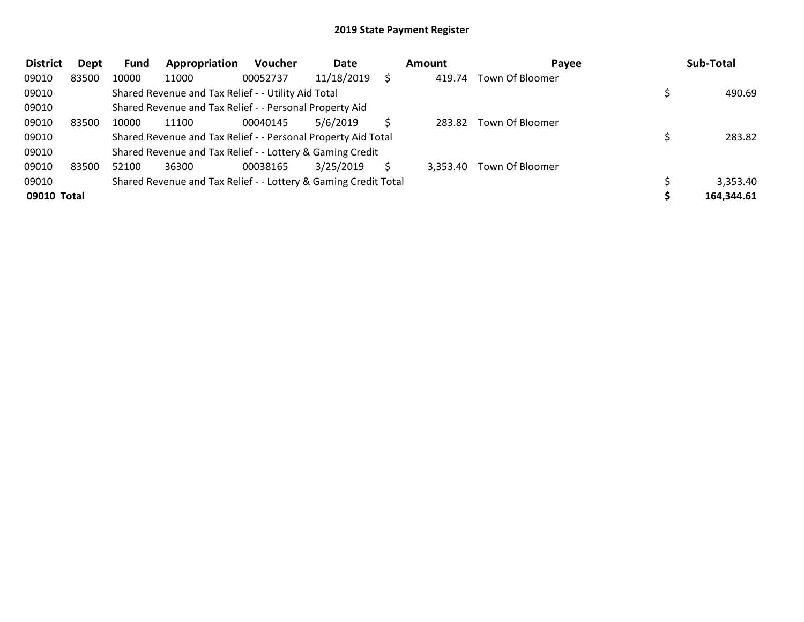| <b>District</b> | Dept  | Fund  | Appropriation                                                   | Voucher  | Date       | <b>Amount</b> | Payee           | Sub-Total  |
|-----------------|-------|-------|-----------------------------------------------------------------|----------|------------|---------------|-----------------|------------|
| 09010           | 83500 | 10000 | 11000                                                           | 00052737 | 11/18/2019 | 419.74        | Town Of Bloomer |            |
| 09010           |       |       | Shared Revenue and Tax Relief - - Utility Aid Total             |          |            |               |                 | 490.69     |
| 09010           |       |       | Shared Revenue and Tax Relief - - Personal Property Aid         |          |            |               |                 |            |
| 09010           | 83500 | 10000 | 11100                                                           | 00040145 | 5/6/2019   | 283.82        | Town Of Bloomer |            |
| 09010           |       |       | Shared Revenue and Tax Relief - - Personal Property Aid Total   |          |            |               |                 | 283.82     |
| 09010           |       |       | Shared Revenue and Tax Relief - - Lottery & Gaming Credit       |          |            |               |                 |            |
| 09010           | 83500 | 52100 | 36300                                                           | 00038165 | 3/25/2019  | 3,353.40      | Town Of Bloomer |            |
| 09010           |       |       | Shared Revenue and Tax Relief - - Lottery & Gaming Credit Total |          |            |               |                 | 3,353.40   |
| 09010 Total     |       |       |                                                                 |          |            |               |                 | 164,344.61 |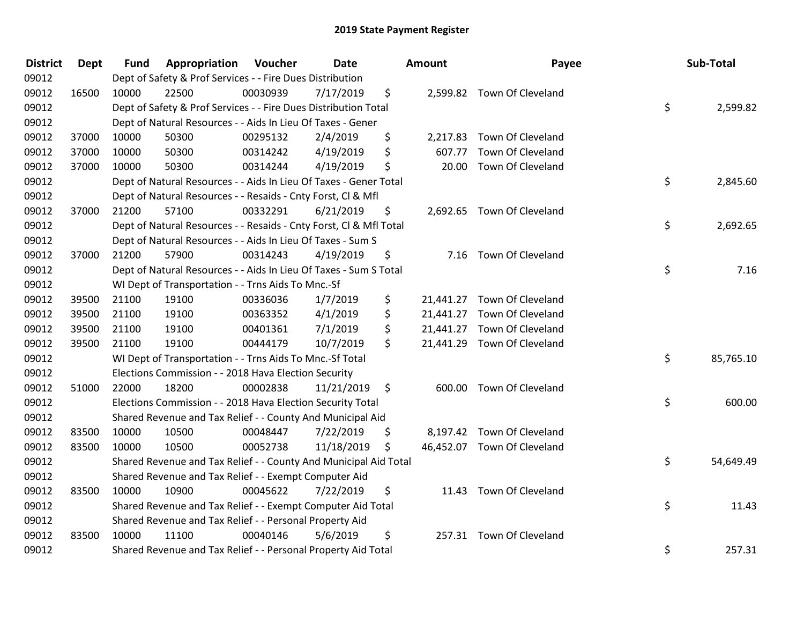| <b>District</b> | <b>Dept</b> | <b>Fund</b> | Appropriation                                                      | Voucher  | Date       |         | <b>Amount</b> | Payee                       | Sub-Total       |
|-----------------|-------------|-------------|--------------------------------------------------------------------|----------|------------|---------|---------------|-----------------------------|-----------------|
| 09012           |             |             | Dept of Safety & Prof Services - - Fire Dues Distribution          |          |            |         |               |                             |                 |
| 09012           | 16500       | 10000       | 22500                                                              | 00030939 | 7/17/2019  | \$      |               | 2,599.82 Town Of Cleveland  |                 |
| 09012           |             |             | Dept of Safety & Prof Services - - Fire Dues Distribution Total    |          |            |         |               |                             | \$<br>2,599.82  |
| 09012           |             |             | Dept of Natural Resources - - Aids In Lieu Of Taxes - Gener        |          |            |         |               |                             |                 |
| 09012           | 37000       | 10000       | 50300                                                              | 00295132 | 2/4/2019   | \$      | 2,217.83      | Town Of Cleveland           |                 |
| 09012           | 37000       | 10000       | 50300                                                              | 00314242 | 4/19/2019  | \$      | 607.77        | Town Of Cleveland           |                 |
| 09012           | 37000       | 10000       | 50300                                                              | 00314244 | 4/19/2019  | \$      | 20.00         | Town Of Cleveland           |                 |
| 09012           |             |             | Dept of Natural Resources - - Aids In Lieu Of Taxes - Gener Total  |          |            |         |               |                             | \$<br>2,845.60  |
| 09012           |             |             | Dept of Natural Resources - - Resaids - Cnty Forst, Cl & Mfl       |          |            |         |               |                             |                 |
| 09012           | 37000       | 21200       | 57100                                                              | 00332291 | 6/21/2019  | \$      |               | 2,692.65 Town Of Cleveland  |                 |
| 09012           |             |             | Dept of Natural Resources - - Resaids - Cnty Forst, CI & Mfl Total |          |            |         |               |                             | \$<br>2,692.65  |
| 09012           |             |             | Dept of Natural Resources - - Aids In Lieu Of Taxes - Sum S        |          |            |         |               |                             |                 |
| 09012           | 37000       | 21200       | 57900                                                              | 00314243 | 4/19/2019  | \$      |               | 7.16 Town Of Cleveland      |                 |
| 09012           |             |             | Dept of Natural Resources - - Aids In Lieu Of Taxes - Sum S Total  |          |            |         |               |                             | \$<br>7.16      |
| 09012           |             |             | WI Dept of Transportation - - Trns Aids To Mnc.-Sf                 |          |            |         |               |                             |                 |
| 09012           | 39500       | 21100       | 19100                                                              | 00336036 | 1/7/2019   | \$      |               | 21,441.27 Town Of Cleveland |                 |
| 09012           | 39500       | 21100       | 19100                                                              | 00363352 | 4/1/2019   | \$      |               | 21,441.27 Town Of Cleveland |                 |
| 09012           | 39500       | 21100       | 19100                                                              | 00401361 | 7/1/2019   | \$      |               | 21,441.27 Town Of Cleveland |                 |
| 09012           | 39500       | 21100       | 19100                                                              | 00444179 | 10/7/2019  | \$      |               | 21,441.29 Town Of Cleveland |                 |
| 09012           |             |             | WI Dept of Transportation - - Trns Aids To Mnc.-Sf Total           |          |            |         |               |                             | \$<br>85,765.10 |
| 09012           |             |             | Elections Commission - - 2018 Hava Election Security               |          |            |         |               |                             |                 |
| 09012           | 51000       | 22000       | 18200                                                              | 00002838 | 11/21/2019 | $\zeta$ |               | 600.00 Town Of Cleveland    |                 |
| 09012           |             |             | Elections Commission - - 2018 Hava Election Security Total         |          |            |         |               |                             | \$<br>600.00    |
| 09012           |             |             | Shared Revenue and Tax Relief - - County And Municipal Aid         |          |            |         |               |                             |                 |
| 09012           | 83500       | 10000       | 10500                                                              | 00048447 | 7/22/2019  | \$      |               | 8,197.42 Town Of Cleveland  |                 |
| 09012           | 83500       | 10000       | 10500                                                              | 00052738 | 11/18/2019 | \$      |               | 46,452.07 Town Of Cleveland |                 |
| 09012           |             |             | Shared Revenue and Tax Relief - - County And Municipal Aid Total   |          |            |         |               |                             | \$<br>54,649.49 |
| 09012           |             |             | Shared Revenue and Tax Relief - - Exempt Computer Aid              |          |            |         |               |                             |                 |
| 09012           | 83500       | 10000       | 10900                                                              | 00045622 | 7/22/2019  | \$      |               | 11.43 Town Of Cleveland     |                 |
| 09012           |             |             | Shared Revenue and Tax Relief - - Exempt Computer Aid Total        |          |            |         |               |                             | \$<br>11.43     |
| 09012           |             |             | Shared Revenue and Tax Relief - - Personal Property Aid            |          |            |         |               |                             |                 |
| 09012           | 83500       | 10000       | 11100                                                              | 00040146 | 5/6/2019   | \$      |               | 257.31 Town Of Cleveland    |                 |
| 09012           |             |             | Shared Revenue and Tax Relief - - Personal Property Aid Total      |          |            |         |               |                             | \$<br>257.31    |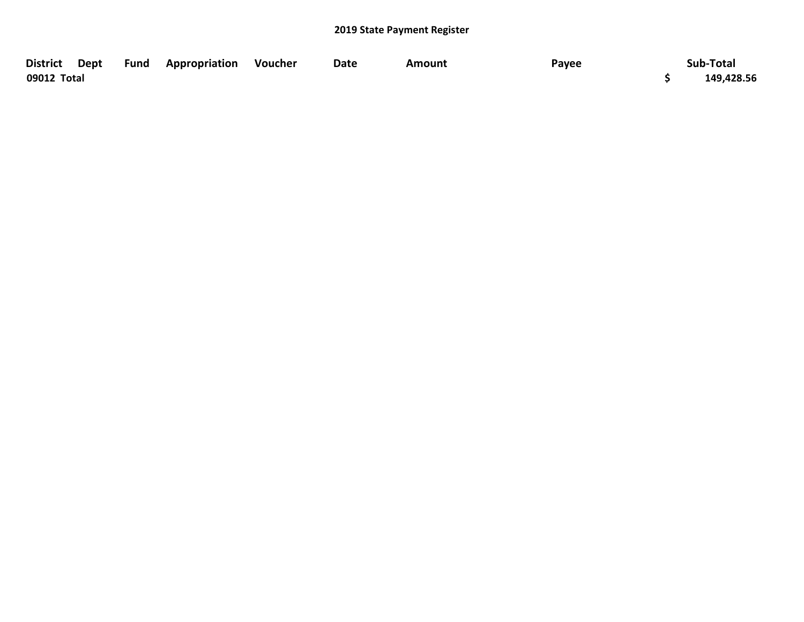| District Dept | <b>Fund Appropriation Voucher</b> | Date | Amount | Payee | Sub-Total  |
|---------------|-----------------------------------|------|--------|-------|------------|
| 09012 Total   |                                   |      |        |       | 149,428.56 |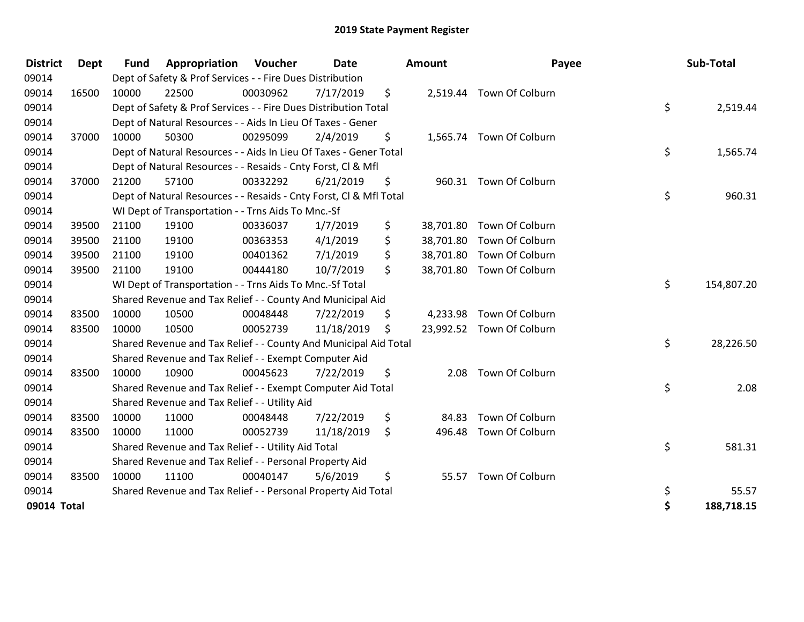| <b>District</b> | <b>Dept</b> | <b>Fund</b> | Appropriation                                                      | Voucher  | <b>Date</b> |     | <b>Amount</b> | Payee                     | Sub-Total        |
|-----------------|-------------|-------------|--------------------------------------------------------------------|----------|-------------|-----|---------------|---------------------------|------------------|
| 09014           |             |             | Dept of Safety & Prof Services - - Fire Dues Distribution          |          |             |     |               |                           |                  |
| 09014           | 16500       | 10000       | 22500                                                              | 00030962 | 7/17/2019   | \$  |               | 2,519.44 Town Of Colburn  |                  |
| 09014           |             |             | Dept of Safety & Prof Services - - Fire Dues Distribution Total    |          |             |     |               |                           | \$<br>2,519.44   |
| 09014           |             |             | Dept of Natural Resources - - Aids In Lieu Of Taxes - Gener        |          |             |     |               |                           |                  |
| 09014           | 37000       | 10000       | 50300                                                              | 00295099 | 2/4/2019    | \$  |               | 1,565.74 Town Of Colburn  |                  |
| 09014           |             |             | Dept of Natural Resources - - Aids In Lieu Of Taxes - Gener Total  |          |             |     |               |                           | \$<br>1,565.74   |
| 09014           |             |             | Dept of Natural Resources - - Resaids - Cnty Forst, Cl & Mfl       |          |             |     |               |                           |                  |
| 09014           | 37000       | 21200       | 57100                                                              | 00332292 | 6/21/2019   | \$  |               | 960.31 Town Of Colburn    |                  |
| 09014           |             |             | Dept of Natural Resources - - Resaids - Cnty Forst, CI & Mfl Total |          |             |     |               |                           | \$<br>960.31     |
| 09014           |             |             | WI Dept of Transportation - - Trns Aids To Mnc.-Sf                 |          |             |     |               |                           |                  |
| 09014           | 39500       | 21100       | 19100                                                              | 00336037 | 1/7/2019    | \$  |               | 38,701.80 Town Of Colburn |                  |
| 09014           | 39500       | 21100       | 19100                                                              | 00363353 | 4/1/2019    | \$  | 38,701.80     | Town Of Colburn           |                  |
| 09014           | 39500       | 21100       | 19100                                                              | 00401362 | 7/1/2019    | \$  |               | 38,701.80 Town Of Colburn |                  |
| 09014           | 39500       | 21100       | 19100                                                              | 00444180 | 10/7/2019   | \$  |               | 38,701.80 Town Of Colburn |                  |
| 09014           |             |             | WI Dept of Transportation - - Trns Aids To Mnc.-Sf Total           |          |             |     |               |                           | \$<br>154,807.20 |
| 09014           |             |             | Shared Revenue and Tax Relief - - County And Municipal Aid         |          |             |     |               |                           |                  |
| 09014           | 83500       | 10000       | 10500                                                              | 00048448 | 7/22/2019   | \$  | 4,233.98      | Town Of Colburn           |                  |
| 09014           | 83500       | 10000       | 10500                                                              | 00052739 | 11/18/2019  | \$. |               | 23,992.52 Town Of Colburn |                  |
| 09014           |             |             | Shared Revenue and Tax Relief - - County And Municipal Aid Total   |          |             |     |               |                           | \$<br>28,226.50  |
| 09014           |             |             | Shared Revenue and Tax Relief - - Exempt Computer Aid              |          |             |     |               |                           |                  |
| 09014           | 83500       | 10000       | 10900                                                              | 00045623 | 7/22/2019   | \$  | 2.08          | Town Of Colburn           |                  |
| 09014           |             |             | Shared Revenue and Tax Relief - - Exempt Computer Aid Total        |          |             |     |               |                           | \$<br>2.08       |
| 09014           |             |             | Shared Revenue and Tax Relief - - Utility Aid                      |          |             |     |               |                           |                  |
| 09014           | 83500       | 10000       | 11000                                                              | 00048448 | 7/22/2019   | \$  | 84.83         | Town Of Colburn           |                  |
| 09014           | 83500       | 10000       | 11000                                                              | 00052739 | 11/18/2019  | \$  | 496.48        | Town Of Colburn           |                  |
| 09014           |             |             | Shared Revenue and Tax Relief - - Utility Aid Total                |          |             |     |               |                           | \$<br>581.31     |
| 09014           |             |             | Shared Revenue and Tax Relief - - Personal Property Aid            |          |             |     |               |                           |                  |
| 09014           | 83500       | 10000       | 11100                                                              | 00040147 | 5/6/2019    | \$  |               | 55.57 Town Of Colburn     |                  |
| 09014           |             |             | Shared Revenue and Tax Relief - - Personal Property Aid Total      |          |             |     |               |                           | \$<br>55.57      |
| 09014 Total     |             |             |                                                                    |          |             |     |               |                           | \$<br>188,718.15 |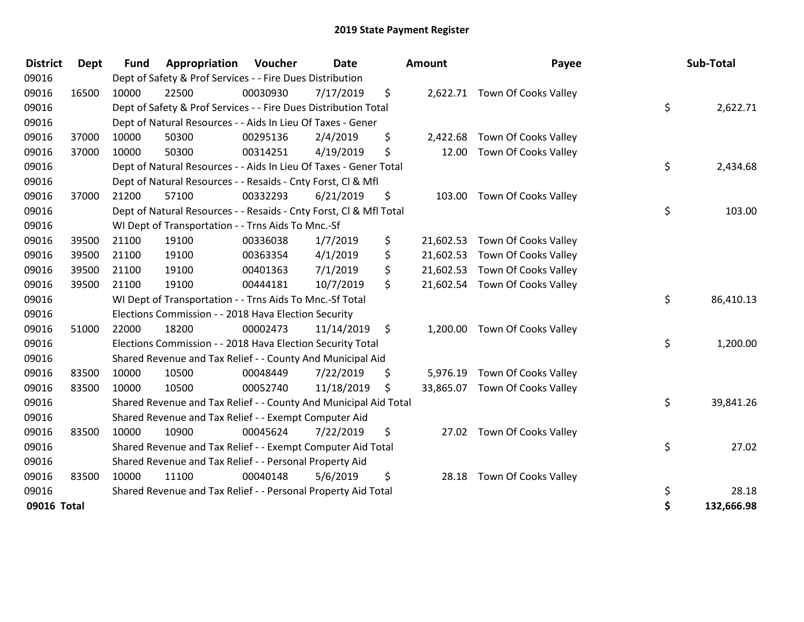| <b>District</b> | <b>Dept</b> | <b>Fund</b> | Appropriation                                                      | Voucher  | <b>Date</b> |     | <b>Amount</b> | Payee                          | Sub-Total        |
|-----------------|-------------|-------------|--------------------------------------------------------------------|----------|-------------|-----|---------------|--------------------------------|------------------|
| 09016           |             |             | Dept of Safety & Prof Services - - Fire Dues Distribution          |          |             |     |               |                                |                  |
| 09016           | 16500       | 10000       | 22500                                                              | 00030930 | 7/17/2019   | \$. |               | 2,622.71 Town Of Cooks Valley  |                  |
| 09016           |             |             | Dept of Safety & Prof Services - - Fire Dues Distribution Total    |          |             |     |               |                                | \$<br>2,622.71   |
| 09016           |             |             | Dept of Natural Resources - - Aids In Lieu Of Taxes - Gener        |          |             |     |               |                                |                  |
| 09016           | 37000       | 10000       | 50300                                                              | 00295136 | 2/4/2019    | \$  | 2,422.68      | Town Of Cooks Valley           |                  |
| 09016           | 37000       | 10000       | 50300                                                              | 00314251 | 4/19/2019   | \$  | 12.00         | Town Of Cooks Valley           |                  |
| 09016           |             |             | Dept of Natural Resources - - Aids In Lieu Of Taxes - Gener Total  |          |             |     |               |                                | \$<br>2,434.68   |
| 09016           |             |             | Dept of Natural Resources - - Resaids - Cnty Forst, Cl & Mfl       |          |             |     |               |                                |                  |
| 09016           | 37000       | 21200       | 57100                                                              | 00332293 | 6/21/2019   | \$  |               | 103.00 Town Of Cooks Valley    |                  |
| 09016           |             |             | Dept of Natural Resources - - Resaids - Cnty Forst, CI & Mfl Total |          |             |     |               |                                | \$<br>103.00     |
| 09016           |             |             | WI Dept of Transportation - - Trns Aids To Mnc.-Sf                 |          |             |     |               |                                |                  |
| 09016           | 39500       | 21100       | 19100                                                              | 00336038 | 1/7/2019    | \$  | 21,602.53     | Town Of Cooks Valley           |                  |
| 09016           | 39500       | 21100       | 19100                                                              | 00363354 | 4/1/2019    | \$  | 21,602.53     | Town Of Cooks Valley           |                  |
| 09016           | 39500       | 21100       | 19100                                                              | 00401363 | 7/1/2019    | \$  | 21,602.53     | Town Of Cooks Valley           |                  |
| 09016           | 39500       | 21100       | 19100                                                              | 00444181 | 10/7/2019   | \$  | 21,602.54     | Town Of Cooks Valley           |                  |
| 09016           |             |             | WI Dept of Transportation - - Trns Aids To Mnc.-Sf Total           |          |             |     |               |                                | \$<br>86,410.13  |
| 09016           |             |             | Elections Commission - - 2018 Hava Election Security               |          |             |     |               |                                |                  |
| 09016           | 51000       | 22000       | 18200                                                              | 00002473 | 11/14/2019  | -\$ |               | 1,200.00 Town Of Cooks Valley  |                  |
| 09016           |             |             | Elections Commission - - 2018 Hava Election Security Total         |          |             |     |               |                                | \$<br>1,200.00   |
| 09016           |             |             | Shared Revenue and Tax Relief - - County And Municipal Aid         |          |             |     |               |                                |                  |
| 09016           | 83500       | 10000       | 10500                                                              | 00048449 | 7/22/2019   | \$. | 5,976.19      | Town Of Cooks Valley           |                  |
| 09016           | 83500       | 10000       | 10500                                                              | 00052740 | 11/18/2019  | \$  |               | 33,865.07 Town Of Cooks Valley |                  |
| 09016           |             |             | Shared Revenue and Tax Relief - - County And Municipal Aid Total   |          |             |     |               |                                | \$<br>39,841.26  |
| 09016           |             |             | Shared Revenue and Tax Relief - - Exempt Computer Aid              |          |             |     |               |                                |                  |
| 09016           | 83500       | 10000       | 10900                                                              | 00045624 | 7/22/2019   | \$  |               | 27.02 Town Of Cooks Valley     |                  |
| 09016           |             |             | Shared Revenue and Tax Relief - - Exempt Computer Aid Total        |          |             |     |               |                                | \$<br>27.02      |
| 09016           |             |             | Shared Revenue and Tax Relief - - Personal Property Aid            |          |             |     |               |                                |                  |
| 09016           | 83500       | 10000       | 11100                                                              | 00040148 | 5/6/2019    | \$  | 28.18         | Town Of Cooks Valley           |                  |
| 09016           |             |             | Shared Revenue and Tax Relief - - Personal Property Aid Total      |          |             |     |               |                                | \$<br>28.18      |
| 09016 Total     |             |             |                                                                    |          |             |     |               |                                | \$<br>132,666.98 |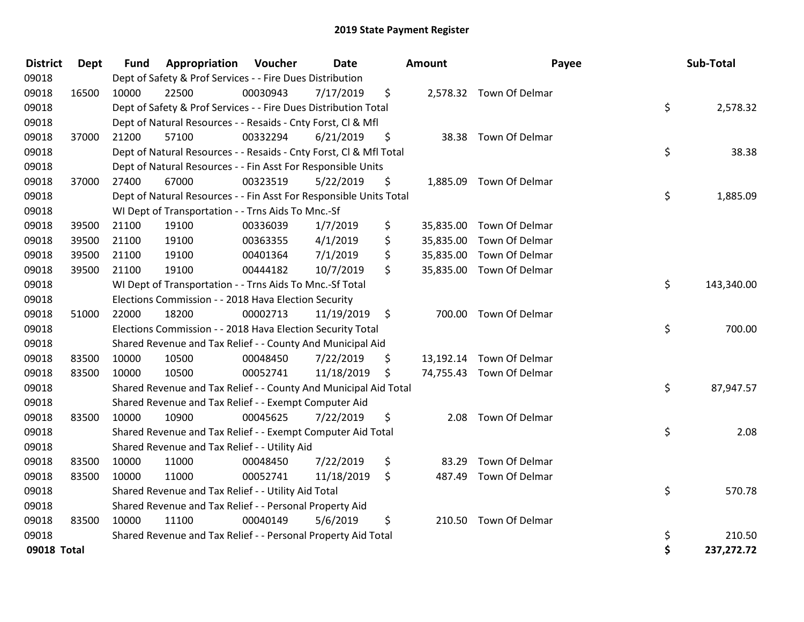| <b>District</b> | Dept  | <b>Fund</b> | <b>Appropriation Voucher</b>                                       |          | <b>Date</b> |     | <b>Amount</b> | Payee                    | Sub-Total        |
|-----------------|-------|-------------|--------------------------------------------------------------------|----------|-------------|-----|---------------|--------------------------|------------------|
| 09018           |       |             | Dept of Safety & Prof Services - - Fire Dues Distribution          |          |             |     |               |                          |                  |
| 09018           | 16500 | 10000       | 22500                                                              | 00030943 | 7/17/2019   | \$  |               | 2,578.32 Town Of Delmar  |                  |
| 09018           |       |             | Dept of Safety & Prof Services - - Fire Dues Distribution Total    |          |             |     |               |                          | \$<br>2,578.32   |
| 09018           |       |             | Dept of Natural Resources - - Resaids - Cnty Forst, Cl & Mfl       |          |             |     |               |                          |                  |
| 09018           | 37000 | 21200       | 57100                                                              | 00332294 | 6/21/2019   | \$  |               | 38.38 Town Of Delmar     |                  |
| 09018           |       |             | Dept of Natural Resources - - Resaids - Cnty Forst, Cl & Mfl Total |          |             |     |               |                          | \$<br>38.38      |
| 09018           |       |             | Dept of Natural Resources - - Fin Asst For Responsible Units       |          |             |     |               |                          |                  |
| 09018           | 37000 | 27400       | 67000                                                              | 00323519 | 5/22/2019   | \$  |               | 1,885.09 Town Of Delmar  |                  |
| 09018           |       |             | Dept of Natural Resources - - Fin Asst For Responsible Units Total |          |             |     |               |                          | \$<br>1,885.09   |
| 09018           |       |             | WI Dept of Transportation - - Trns Aids To Mnc.-Sf                 |          |             |     |               |                          |                  |
| 09018           | 39500 | 21100       | 19100                                                              | 00336039 | 1/7/2019    | \$  | 35,835.00     | Town Of Delmar           |                  |
| 09018           | 39500 | 21100       | 19100                                                              | 00363355 | 4/1/2019    | \$  | 35,835.00     | Town Of Delmar           |                  |
| 09018           | 39500 | 21100       | 19100                                                              | 00401364 | 7/1/2019    | \$  | 35,835.00     | Town Of Delmar           |                  |
| 09018           | 39500 | 21100       | 19100                                                              | 00444182 | 10/7/2019   | \$  | 35,835.00     | Town Of Delmar           |                  |
| 09018           |       |             | WI Dept of Transportation - - Trns Aids To Mnc.-Sf Total           |          |             |     |               |                          | \$<br>143,340.00 |
| 09018           |       |             | Elections Commission - - 2018 Hava Election Security               |          |             |     |               |                          |                  |
| 09018           | 51000 | 22000       | 18200                                                              | 00002713 | 11/19/2019  | -\$ | 700.00        | Town Of Delmar           |                  |
| 09018           |       |             | Elections Commission - - 2018 Hava Election Security Total         |          |             |     |               |                          | \$<br>700.00     |
| 09018           |       |             | Shared Revenue and Tax Relief - - County And Municipal Aid         |          |             |     |               |                          |                  |
| 09018           | 83500 | 10000       | 10500                                                              | 00048450 | 7/22/2019   | \$  |               | 13,192.14 Town Of Delmar |                  |
| 09018           | 83500 | 10000       | 10500                                                              | 00052741 | 11/18/2019  | \$  |               | 74,755.43 Town Of Delmar |                  |
| 09018           |       |             | Shared Revenue and Tax Relief - - County And Municipal Aid Total   |          |             |     |               |                          | \$<br>87,947.57  |
| 09018           |       |             | Shared Revenue and Tax Relief - - Exempt Computer Aid              |          |             |     |               |                          |                  |
| 09018           | 83500 | 10000       | 10900                                                              | 00045625 | 7/22/2019   | \$  | 2.08          | Town Of Delmar           |                  |
| 09018           |       |             | Shared Revenue and Tax Relief - - Exempt Computer Aid Total        |          |             |     |               |                          | \$<br>2.08       |
| 09018           |       |             | Shared Revenue and Tax Relief - - Utility Aid                      |          |             |     |               |                          |                  |
| 09018           | 83500 | 10000       | 11000                                                              | 00048450 | 7/22/2019   | \$  | 83.29         | Town Of Delmar           |                  |
| 09018           | 83500 | 10000       | 11000                                                              | 00052741 | 11/18/2019  | \$  | 487.49        | Town Of Delmar           |                  |
| 09018           |       |             | Shared Revenue and Tax Relief - - Utility Aid Total                |          |             |     |               |                          | \$<br>570.78     |
| 09018           |       |             | Shared Revenue and Tax Relief - - Personal Property Aid            |          |             |     |               |                          |                  |
| 09018           | 83500 | 10000       | 11100                                                              | 00040149 | 5/6/2019    | \$  |               | 210.50 Town Of Delmar    |                  |
| 09018           |       |             | Shared Revenue and Tax Relief - - Personal Property Aid Total      |          |             |     |               |                          | \$<br>210.50     |
| 09018 Total     |       |             |                                                                    |          |             |     |               |                          | \$<br>237,272.72 |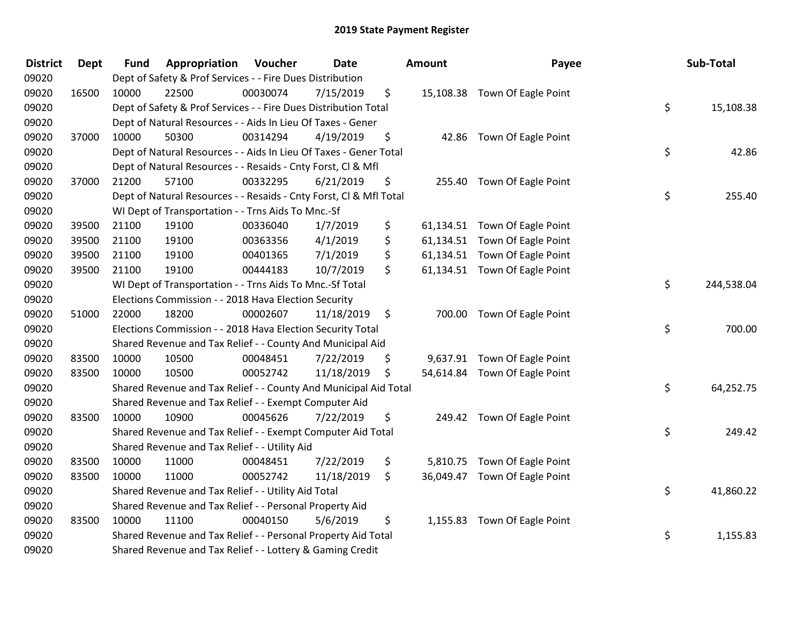| <b>District</b> | <b>Dept</b> | <b>Fund</b> | Appropriation                                                      | Voucher  | Date       |         | <b>Amount</b> | Payee                         | Sub-Total        |
|-----------------|-------------|-------------|--------------------------------------------------------------------|----------|------------|---------|---------------|-------------------------------|------------------|
| 09020           |             |             | Dept of Safety & Prof Services - - Fire Dues Distribution          |          |            |         |               |                               |                  |
| 09020           | 16500       | 10000       | 22500                                                              | 00030074 | 7/15/2019  | \$      |               | 15,108.38 Town Of Eagle Point |                  |
| 09020           |             |             | Dept of Safety & Prof Services - - Fire Dues Distribution Total    |          |            |         |               |                               | \$<br>15,108.38  |
| 09020           |             |             | Dept of Natural Resources - - Aids In Lieu Of Taxes - Gener        |          |            |         |               |                               |                  |
| 09020           | 37000       | 10000       | 50300                                                              | 00314294 | 4/19/2019  | \$      |               | 42.86 Town Of Eagle Point     |                  |
| 09020           |             |             | Dept of Natural Resources - - Aids In Lieu Of Taxes - Gener Total  |          |            |         |               |                               | \$<br>42.86      |
| 09020           |             |             | Dept of Natural Resources - - Resaids - Cnty Forst, Cl & Mfl       |          |            |         |               |                               |                  |
| 09020           | 37000       | 21200       | 57100                                                              | 00332295 | 6/21/2019  | \$      |               | 255.40 Town Of Eagle Point    |                  |
| 09020           |             |             | Dept of Natural Resources - - Resaids - Cnty Forst, Cl & Mfl Total |          |            |         |               |                               | \$<br>255.40     |
| 09020           |             |             | WI Dept of Transportation - - Trns Aids To Mnc.-Sf                 |          |            |         |               |                               |                  |
| 09020           | 39500       | 21100       | 19100                                                              | 00336040 | 1/7/2019   | \$      |               | 61,134.51 Town Of Eagle Point |                  |
| 09020           | 39500       | 21100       | 19100                                                              | 00363356 | 4/1/2019   | \$      |               | 61,134.51 Town Of Eagle Point |                  |
| 09020           | 39500       | 21100       | 19100                                                              | 00401365 | 7/1/2019   | \$      |               | 61,134.51 Town Of Eagle Point |                  |
| 09020           | 39500       | 21100       | 19100                                                              | 00444183 | 10/7/2019  | \$      |               | 61,134.51 Town Of Eagle Point |                  |
| 09020           |             |             | WI Dept of Transportation - - Trns Aids To Mnc.-Sf Total           |          |            |         |               |                               | \$<br>244,538.04 |
| 09020           |             |             | Elections Commission - - 2018 Hava Election Security               |          |            |         |               |                               |                  |
| 09020           | 51000       | 22000       | 18200                                                              | 00002607 | 11/18/2019 | $\zeta$ |               | 700.00 Town Of Eagle Point    |                  |
| 09020           |             |             | Elections Commission - - 2018 Hava Election Security Total         |          |            |         |               |                               | \$<br>700.00     |
| 09020           |             |             | Shared Revenue and Tax Relief - - County And Municipal Aid         |          |            |         |               |                               |                  |
| 09020           | 83500       | 10000       | 10500                                                              | 00048451 | 7/22/2019  | \$      |               | 9,637.91 Town Of Eagle Point  |                  |
| 09020           | 83500       | 10000       | 10500                                                              | 00052742 | 11/18/2019 | \$      |               | 54,614.84 Town Of Eagle Point |                  |
| 09020           |             |             | Shared Revenue and Tax Relief - - County And Municipal Aid Total   |          |            |         |               |                               | \$<br>64,252.75  |
| 09020           |             |             | Shared Revenue and Tax Relief - - Exempt Computer Aid              |          |            |         |               |                               |                  |
| 09020           | 83500       | 10000       | 10900                                                              | 00045626 | 7/22/2019  | \$      |               | 249.42 Town Of Eagle Point    |                  |
| 09020           |             |             | Shared Revenue and Tax Relief - - Exempt Computer Aid Total        |          |            |         |               |                               | \$<br>249.42     |
| 09020           |             |             | Shared Revenue and Tax Relief - - Utility Aid                      |          |            |         |               |                               |                  |
| 09020           | 83500       | 10000       | 11000                                                              | 00048451 | 7/22/2019  | \$      |               | 5,810.75 Town Of Eagle Point  |                  |
| 09020           | 83500       | 10000       | 11000                                                              | 00052742 | 11/18/2019 | \$      |               | 36,049.47 Town Of Eagle Point |                  |
| 09020           |             |             | Shared Revenue and Tax Relief - - Utility Aid Total                |          |            |         |               |                               | \$<br>41,860.22  |
| 09020           |             |             | Shared Revenue and Tax Relief - - Personal Property Aid            |          |            |         |               |                               |                  |
| 09020           | 83500       | 10000       | 11100                                                              | 00040150 | 5/6/2019   | \$      |               | 1,155.83 Town Of Eagle Point  |                  |
| 09020           |             |             | Shared Revenue and Tax Relief - - Personal Property Aid Total      |          |            |         |               |                               | \$<br>1,155.83   |
| 09020           |             |             | Shared Revenue and Tax Relief - - Lottery & Gaming Credit          |          |            |         |               |                               |                  |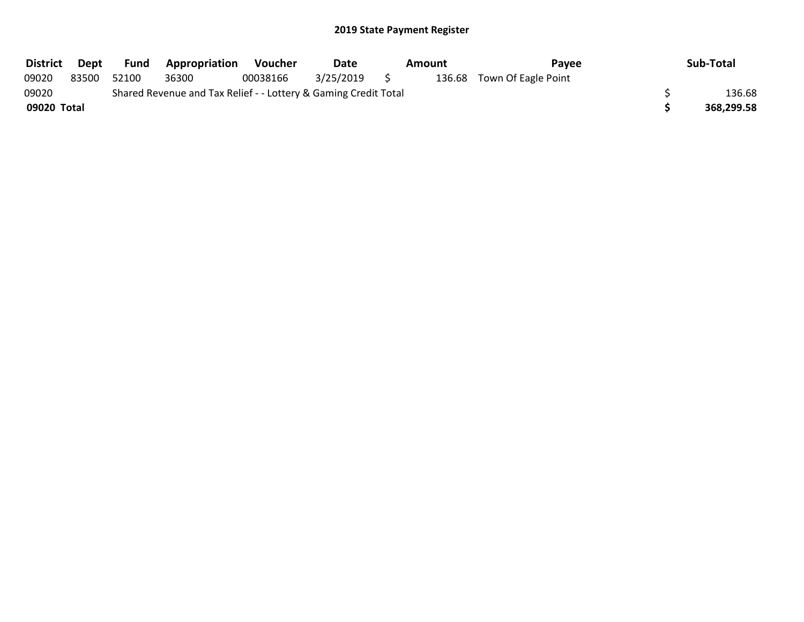| <b>District</b> | Dept  | <b>Fund</b> | <b>Appropriation</b>                                            | <b>Voucher</b> | Date      | Amount |  | Pavee                      | Sub-Total  |
|-----------------|-------|-------------|-----------------------------------------------------------------|----------------|-----------|--------|--|----------------------------|------------|
| 09020           | 83500 | 52100       | 36300                                                           | 00038166       | 3/25/2019 |        |  | 136.68 Town Of Eagle Point |            |
| 09020           |       |             | Shared Revenue and Tax Relief - - Lottery & Gaming Credit Total |                |           |        |  |                            | 136.68     |
| 09020 Total     |       |             |                                                                 |                |           |        |  |                            | 368,299.58 |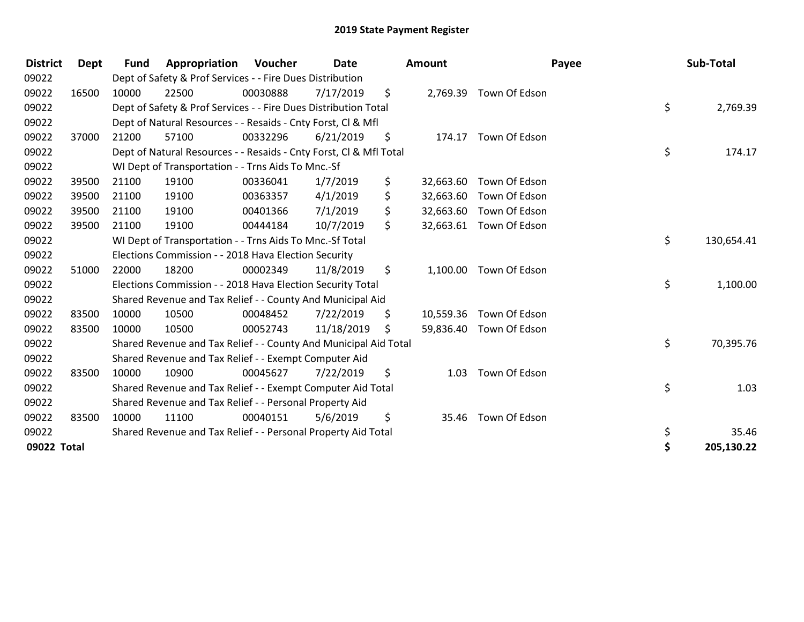| <b>District</b> | <b>Dept</b> | <b>Fund</b> | Appropriation                                                      | Voucher  | Date       | <b>Amount</b>   |                        | Payee | Sub-Total  |
|-----------------|-------------|-------------|--------------------------------------------------------------------|----------|------------|-----------------|------------------------|-------|------------|
| 09022           |             |             | Dept of Safety & Prof Services - - Fire Dues Distribution          |          |            |                 |                        |       |            |
| 09022           | 16500       | 10000       | 22500                                                              | 00030888 | 7/17/2019  | \$              | 2,769.39 Town Of Edson |       |            |
| 09022           |             |             | Dept of Safety & Prof Services - - Fire Dues Distribution Total    |          |            |                 |                        | \$    | 2,769.39   |
| 09022           |             |             | Dept of Natural Resources - - Resaids - Cnty Forst, CI & Mfl       |          |            |                 |                        |       |            |
| 09022           | 37000       | 21200       | 57100                                                              | 00332296 | 6/21/2019  | \$<br>174.17    | Town Of Edson          |       |            |
| 09022           |             |             | Dept of Natural Resources - - Resaids - Cnty Forst, Cl & Mfl Total |          |            |                 |                        | \$    | 174.17     |
| 09022           |             |             | WI Dept of Transportation - - Trns Aids To Mnc.-Sf                 |          |            |                 |                        |       |            |
| 09022           | 39500       | 21100       | 19100                                                              | 00336041 | 1/7/2019   | \$<br>32,663.60 | Town Of Edson          |       |            |
| 09022           | 39500       | 21100       | 19100                                                              | 00363357 | 4/1/2019   | \$<br>32,663.60 | Town Of Edson          |       |            |
| 09022           | 39500       | 21100       | 19100                                                              | 00401366 | 7/1/2019   | \$<br>32,663.60 | Town Of Edson          |       |            |
| 09022           | 39500       | 21100       | 19100                                                              | 00444184 | 10/7/2019  | \$<br>32,663.61 | Town Of Edson          |       |            |
| 09022           |             |             | WI Dept of Transportation - - Trns Aids To Mnc.-Sf Total           |          |            |                 |                        | \$    | 130,654.41 |
| 09022           |             |             | Elections Commission - - 2018 Hava Election Security               |          |            |                 |                        |       |            |
| 09022           | 51000       | 22000       | 18200                                                              | 00002349 | 11/8/2019  | \$<br>1,100.00  | Town Of Edson          |       |            |
| 09022           |             |             | Elections Commission - - 2018 Hava Election Security Total         |          |            |                 |                        | \$    | 1,100.00   |
| 09022           |             |             | Shared Revenue and Tax Relief - - County And Municipal Aid         |          |            |                 |                        |       |            |
| 09022           | 83500       | 10000       | 10500                                                              | 00048452 | 7/22/2019  | \$<br>10,559.36 | Town Of Edson          |       |            |
| 09022           | 83500       | 10000       | 10500                                                              | 00052743 | 11/18/2019 | \$<br>59,836.40 | Town Of Edson          |       |            |
| 09022           |             |             | Shared Revenue and Tax Relief - - County And Municipal Aid Total   |          |            |                 |                        | \$    | 70,395.76  |
| 09022           |             |             | Shared Revenue and Tax Relief - - Exempt Computer Aid              |          |            |                 |                        |       |            |
| 09022           | 83500       | 10000       | 10900                                                              | 00045627 | 7/22/2019  | \$<br>1.03      | Town Of Edson          |       |            |
| 09022           |             |             | Shared Revenue and Tax Relief - - Exempt Computer Aid Total        |          |            |                 |                        | \$    | 1.03       |
| 09022           |             |             | Shared Revenue and Tax Relief - - Personal Property Aid            |          |            |                 |                        |       |            |
| 09022           | 83500       | 10000       | 11100                                                              | 00040151 | 5/6/2019   | \$<br>35.46     | Town Of Edson          |       |            |
| 09022           |             |             | Shared Revenue and Tax Relief - - Personal Property Aid Total      |          |            |                 |                        | \$    | 35.46      |
| 09022 Total     |             |             |                                                                    |          |            |                 |                        | \$    | 205,130.22 |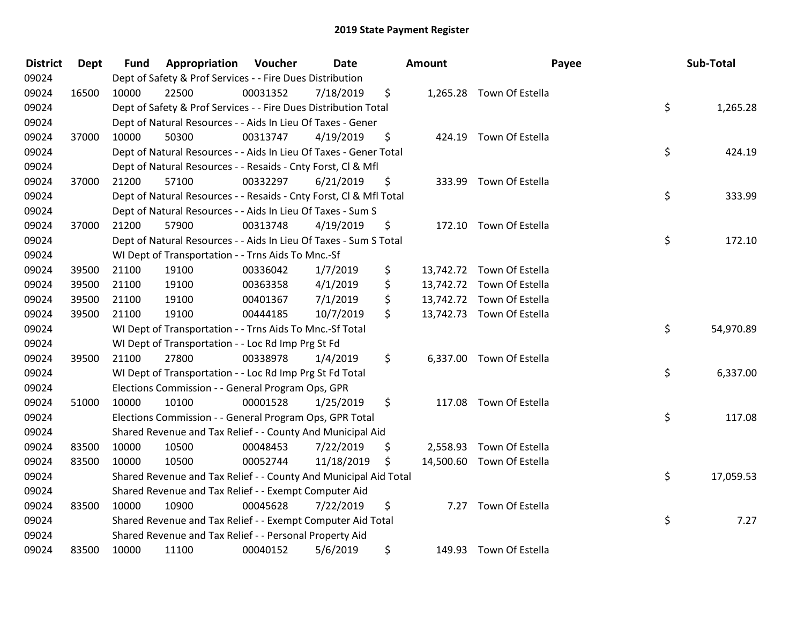| <b>District</b> | <b>Dept</b> | <b>Fund</b> | Appropriation                                                      | Voucher  | Date       |    | <b>Amount</b> |                           | Payee | Sub-Total |  |
|-----------------|-------------|-------------|--------------------------------------------------------------------|----------|------------|----|---------------|---------------------------|-------|-----------|--|
| 09024           |             |             | Dept of Safety & Prof Services - - Fire Dues Distribution          |          |            |    |               |                           |       |           |  |
| 09024           | 16500       | 10000       | 22500                                                              | 00031352 | 7/18/2019  | \$ |               | 1,265.28 Town Of Estella  |       |           |  |
| 09024           |             |             | Dept of Safety & Prof Services - - Fire Dues Distribution Total    |          |            |    |               |                           | \$    | 1,265.28  |  |
| 09024           |             |             | Dept of Natural Resources - - Aids In Lieu Of Taxes - Gener        |          |            |    |               |                           |       |           |  |
| 09024           | 37000       | 10000       | 50300                                                              | 00313747 | 4/19/2019  | \$ |               | 424.19 Town Of Estella    |       |           |  |
| 09024           |             |             | Dept of Natural Resources - - Aids In Lieu Of Taxes - Gener Total  |          |            |    |               |                           | \$    | 424.19    |  |
| 09024           |             |             | Dept of Natural Resources - - Resaids - Cnty Forst, Cl & Mfl       |          |            |    |               |                           |       |           |  |
| 09024           | 37000       | 21200       | 57100                                                              | 00332297 | 6/21/2019  | \$ |               | 333.99 Town Of Estella    |       |           |  |
| 09024           |             |             | Dept of Natural Resources - - Resaids - Cnty Forst, Cl & Mfl Total |          |            |    |               |                           | \$    | 333.99    |  |
| 09024           |             |             | Dept of Natural Resources - - Aids In Lieu Of Taxes - Sum S        |          |            |    |               |                           |       |           |  |
| 09024           | 37000       | 21200       | 57900                                                              | 00313748 | 4/19/2019  | \$ |               | 172.10 Town Of Estella    |       |           |  |
| 09024           |             |             | Dept of Natural Resources - - Aids In Lieu Of Taxes - Sum S Total  |          |            |    |               |                           | \$    | 172.10    |  |
| 09024           |             |             | WI Dept of Transportation - - Trns Aids To Mnc.-Sf                 |          |            |    |               |                           |       |           |  |
| 09024           | 39500       | 21100       | 19100                                                              | 00336042 | 1/7/2019   | \$ |               | 13,742.72 Town Of Estella |       |           |  |
| 09024           | 39500       | 21100       | 19100                                                              | 00363358 | 4/1/2019   | \$ |               | 13,742.72 Town Of Estella |       |           |  |
| 09024           | 39500       | 21100       | 19100                                                              | 00401367 | 7/1/2019   | \$ |               | 13,742.72 Town Of Estella |       |           |  |
| 09024           | 39500       | 21100       | 19100                                                              | 00444185 | 10/7/2019  | \$ |               | 13,742.73 Town Of Estella |       |           |  |
| 09024           |             |             | WI Dept of Transportation - - Trns Aids To Mnc.-Sf Total           |          |            |    |               |                           | \$    | 54,970.89 |  |
| 09024           |             |             | WI Dept of Transportation - - Loc Rd Imp Prg St Fd                 |          |            |    |               |                           |       |           |  |
| 09024           | 39500       | 21100       | 27800                                                              | 00338978 | 1/4/2019   | \$ |               | 6,337.00 Town Of Estella  |       |           |  |
| 09024           |             |             | WI Dept of Transportation - - Loc Rd Imp Prg St Fd Total           |          |            |    |               |                           | \$    | 6,337.00  |  |
| 09024           |             |             | Elections Commission - - General Program Ops, GPR                  |          |            |    |               |                           |       |           |  |
| 09024           | 51000       | 10000       | 10100                                                              | 00001528 | 1/25/2019  | \$ |               | 117.08 Town Of Estella    |       |           |  |
| 09024           |             |             | Elections Commission - - General Program Ops, GPR Total            |          |            |    |               |                           | \$    | 117.08    |  |
| 09024           |             |             | Shared Revenue and Tax Relief - - County And Municipal Aid         |          |            |    |               |                           |       |           |  |
| 09024           | 83500       | 10000       | 10500                                                              | 00048453 | 7/22/2019  | \$ | 2,558.93      | Town Of Estella           |       |           |  |
| 09024           | 83500       | 10000       | 10500                                                              | 00052744 | 11/18/2019 | \$ |               | 14,500.60 Town Of Estella |       |           |  |
| 09024           |             |             | Shared Revenue and Tax Relief - - County And Municipal Aid Total   |          |            |    |               |                           | \$    | 17,059.53 |  |
| 09024           |             |             | Shared Revenue and Tax Relief - - Exempt Computer Aid              |          |            |    |               |                           |       |           |  |
| 09024           | 83500       | 10000       | 10900                                                              | 00045628 | 7/22/2019  | \$ |               | 7.27 Town Of Estella      |       |           |  |
| 09024           |             |             | Shared Revenue and Tax Relief - - Exempt Computer Aid Total        |          |            |    |               |                           | \$    | 7.27      |  |
| 09024           |             |             | Shared Revenue and Tax Relief - - Personal Property Aid            |          |            |    |               |                           |       |           |  |
| 09024           | 83500       | 10000       | 11100                                                              | 00040152 | 5/6/2019   | \$ |               | 149.93 Town Of Estella    |       |           |  |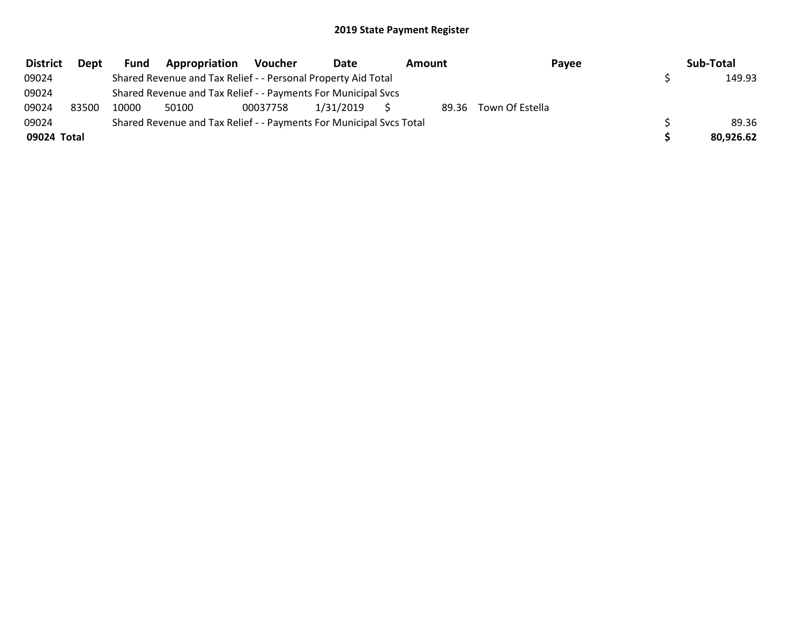| <b>District</b> | <b>Dept</b> | <b>Fund</b> | Appropriation                                                       | Voucher  | Date      | Amount<br>Payee |                 | Sub-Total |  |
|-----------------|-------------|-------------|---------------------------------------------------------------------|----------|-----------|-----------------|-----------------|-----------|--|
| 09024           |             |             | Shared Revenue and Tax Relief - - Personal Property Aid Total       |          |           |                 |                 | 149.93    |  |
| 09024           |             |             | Shared Revenue and Tax Relief - - Payments For Municipal Svcs       |          |           |                 |                 |           |  |
| 09024           | 83500       | 10000       | 50100                                                               | 00037758 | 1/31/2019 | 89.36           | Town Of Estella |           |  |
| 09024           |             |             | Shared Revenue and Tax Relief - - Payments For Municipal Svcs Total |          |           |                 |                 | 89.36     |  |
| 09024 Total     |             |             |                                                                     |          |           |                 |                 | 80.926.62 |  |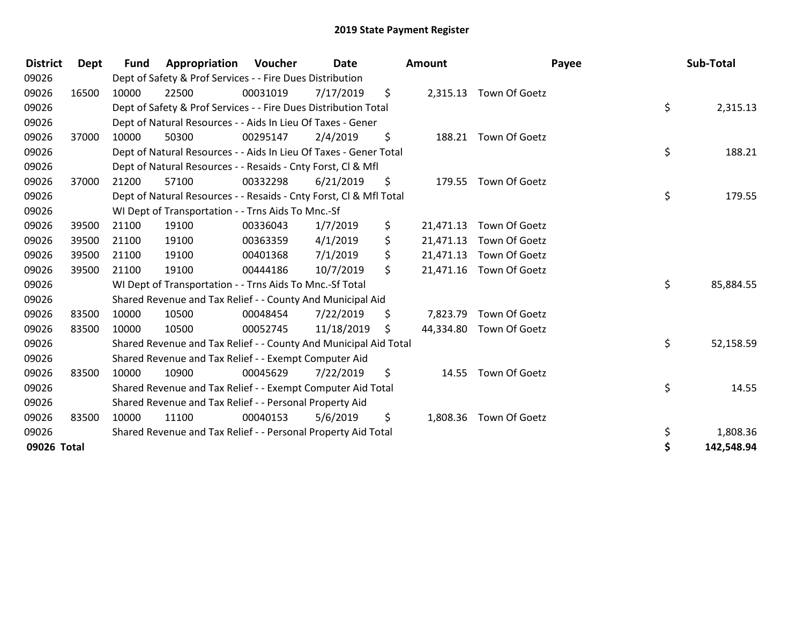| <b>District</b> | Dept  | Fund  | Appropriation                                                      | Voucher  | Date<br><b>Amount</b> |     |           | Payee                   | Sub-Total |            |
|-----------------|-------|-------|--------------------------------------------------------------------|----------|-----------------------|-----|-----------|-------------------------|-----------|------------|
| 09026           |       |       | Dept of Safety & Prof Services - - Fire Dues Distribution          |          |                       |     |           |                         |           |            |
| 09026           | 16500 | 10000 | 22500                                                              | 00031019 | 7/17/2019             | \$  |           | 2,315.13 Town Of Goetz  |           |            |
| 09026           |       |       | Dept of Safety & Prof Services - - Fire Dues Distribution Total    |          |                       |     |           |                         | \$        | 2,315.13   |
| 09026           |       |       | Dept of Natural Resources - - Aids In Lieu Of Taxes - Gener        |          |                       |     |           |                         |           |            |
| 09026           | 37000 | 10000 | 50300                                                              | 00295147 | 2/4/2019              | \$  |           | 188.21 Town Of Goetz    |           |            |
| 09026           |       |       | Dept of Natural Resources - - Aids In Lieu Of Taxes - Gener Total  |          |                       |     |           |                         | \$        | 188.21     |
| 09026           |       |       | Dept of Natural Resources - - Resaids - Cnty Forst, CI & Mfl       |          |                       |     |           |                         |           |            |
| 09026           | 37000 | 21200 | 57100                                                              | 00332298 | 6/21/2019             | \$  |           | 179.55 Town Of Goetz    |           |            |
| 09026           |       |       | Dept of Natural Resources - - Resaids - Cnty Forst, CI & Mfl Total |          |                       |     |           |                         | \$        | 179.55     |
| 09026           |       |       | WI Dept of Transportation - - Trns Aids To Mnc.-Sf                 |          |                       |     |           |                         |           |            |
| 09026           | 39500 | 21100 | 19100                                                              | 00336043 | 1/7/2019              | \$  | 21,471.13 | Town Of Goetz           |           |            |
| 09026           | 39500 | 21100 | 19100                                                              | 00363359 | 4/1/2019              | \$  | 21,471.13 | Town Of Goetz           |           |            |
| 09026           | 39500 | 21100 | 19100                                                              | 00401368 | 7/1/2019              | \$  | 21,471.13 | Town Of Goetz           |           |            |
| 09026           | 39500 | 21100 | 19100                                                              | 00444186 | 10/7/2019             | \$  | 21,471.16 | Town Of Goetz           |           |            |
| 09026           |       |       | WI Dept of Transportation - - Trns Aids To Mnc.-Sf Total           |          |                       |     |           |                         | \$        | 85,884.55  |
| 09026           |       |       | Shared Revenue and Tax Relief - - County And Municipal Aid         |          |                       |     |           |                         |           |            |
| 09026           | 83500 | 10000 | 10500                                                              | 00048454 | 7/22/2019             | \$  | 7,823.79  | Town Of Goetz           |           |            |
| 09026           | 83500 | 10000 | 10500                                                              | 00052745 | 11/18/2019            | \$. |           | 44,334.80 Town Of Goetz |           |            |
| 09026           |       |       | Shared Revenue and Tax Relief - - County And Municipal Aid Total   |          |                       |     |           |                         | \$        | 52,158.59  |
| 09026           |       |       | Shared Revenue and Tax Relief - - Exempt Computer Aid              |          |                       |     |           |                         |           |            |
| 09026           | 83500 | 10000 | 10900                                                              | 00045629 | 7/22/2019             | \$  |           | 14.55 Town Of Goetz     |           |            |
| 09026           |       |       | Shared Revenue and Tax Relief - - Exempt Computer Aid Total        |          |                       |     |           |                         | \$        | 14.55      |
| 09026           |       |       | Shared Revenue and Tax Relief - - Personal Property Aid            |          |                       |     |           |                         |           |            |
| 09026           | 83500 | 10000 | 11100                                                              | 00040153 | 5/6/2019              | \$  |           | 1,808.36 Town Of Goetz  |           |            |
| 09026           |       |       | Shared Revenue and Tax Relief - - Personal Property Aid Total      |          |                       |     |           |                         | \$        | 1,808.36   |
| 09026 Total     |       |       |                                                                    |          |                       |     |           |                         | \$        | 142,548.94 |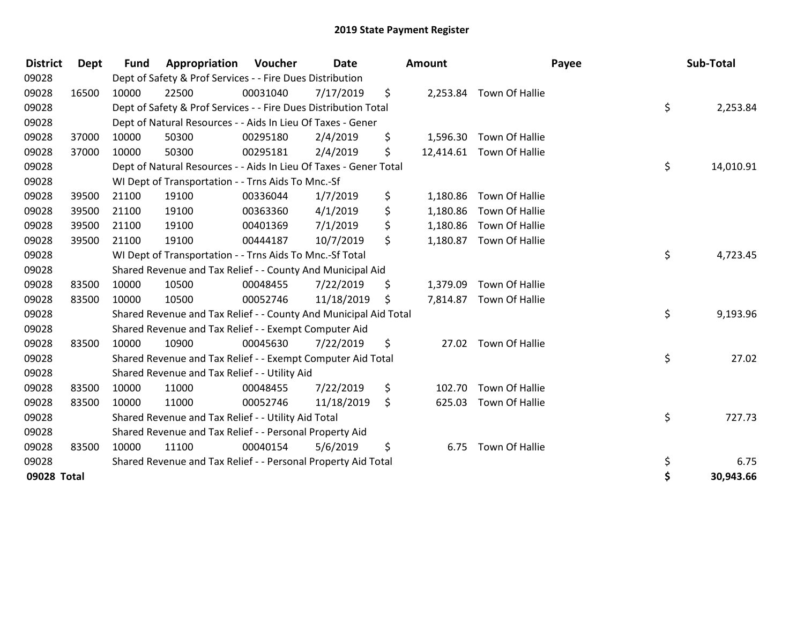| <b>District</b> | <b>Dept</b> | <b>Fund</b> | Appropriation                                                     | Voucher  | <b>Date</b> |    | Amount   |                          | Payee | Sub-Total |           |
|-----------------|-------------|-------------|-------------------------------------------------------------------|----------|-------------|----|----------|--------------------------|-------|-----------|-----------|
| 09028           |             |             | Dept of Safety & Prof Services - - Fire Dues Distribution         |          |             |    |          |                          |       |           |           |
| 09028           | 16500       | 10000       | 22500                                                             | 00031040 | 7/17/2019   | \$ |          | 2,253.84 Town Of Hallie  |       |           |           |
| 09028           |             |             | Dept of Safety & Prof Services - - Fire Dues Distribution Total   |          |             |    |          |                          | \$    |           | 2,253.84  |
| 09028           |             |             | Dept of Natural Resources - - Aids In Lieu Of Taxes - Gener       |          |             |    |          |                          |       |           |           |
| 09028           | 37000       | 10000       | 50300                                                             | 00295180 | 2/4/2019    | \$ | 1,596.30 | Town Of Hallie           |       |           |           |
| 09028           | 37000       | 10000       | 50300                                                             | 00295181 | 2/4/2019    | \$ |          | 12,414.61 Town Of Hallie |       |           |           |
| 09028           |             |             | Dept of Natural Resources - - Aids In Lieu Of Taxes - Gener Total |          |             |    |          |                          | \$    |           | 14,010.91 |
| 09028           |             |             | WI Dept of Transportation - - Trns Aids To Mnc.-Sf                |          |             |    |          |                          |       |           |           |
| 09028           | 39500       | 21100       | 19100                                                             | 00336044 | 1/7/2019    | \$ | 1,180.86 | Town Of Hallie           |       |           |           |
| 09028           | 39500       | 21100       | 19100                                                             | 00363360 | 4/1/2019    | \$ | 1,180.86 | Town Of Hallie           |       |           |           |
| 09028           | 39500       | 21100       | 19100                                                             | 00401369 | 7/1/2019    | \$ | 1,180.86 | Town Of Hallie           |       |           |           |
| 09028           | 39500       | 21100       | 19100                                                             | 00444187 | 10/7/2019   | \$ | 1,180.87 | Town Of Hallie           |       |           |           |
| 09028           |             |             | WI Dept of Transportation - - Trns Aids To Mnc.-Sf Total          |          |             |    |          |                          | \$    |           | 4,723.45  |
| 09028           |             |             | Shared Revenue and Tax Relief - - County And Municipal Aid        |          |             |    |          |                          |       |           |           |
| 09028           | 83500       | 10000       | 10500                                                             | 00048455 | 7/22/2019   | \$ | 1,379.09 | Town Of Hallie           |       |           |           |
| 09028           | 83500       | 10000       | 10500                                                             | 00052746 | 11/18/2019  | S. | 7,814.87 | Town Of Hallie           |       |           |           |
| 09028           |             |             | Shared Revenue and Tax Relief - - County And Municipal Aid Total  |          |             |    |          |                          | \$    |           | 9,193.96  |
| 09028           |             |             | Shared Revenue and Tax Relief - - Exempt Computer Aid             |          |             |    |          |                          |       |           |           |
| 09028           | 83500       | 10000       | 10900                                                             | 00045630 | 7/22/2019   | \$ | 27.02    | Town Of Hallie           |       |           |           |
| 09028           |             |             | Shared Revenue and Tax Relief - - Exempt Computer Aid Total       |          |             |    |          |                          | \$    |           | 27.02     |
| 09028           |             |             | Shared Revenue and Tax Relief - - Utility Aid                     |          |             |    |          |                          |       |           |           |
| 09028           | 83500       | 10000       | 11000                                                             | 00048455 | 7/22/2019   | \$ | 102.70   | Town Of Hallie           |       |           |           |
| 09028           | 83500       | 10000       | 11000                                                             | 00052746 | 11/18/2019  | \$ | 625.03   | Town Of Hallie           |       |           |           |
| 09028           |             |             | Shared Revenue and Tax Relief - - Utility Aid Total               |          |             |    |          |                          | \$    |           | 727.73    |
| 09028           |             |             | Shared Revenue and Tax Relief - - Personal Property Aid           |          |             |    |          |                          |       |           |           |
| 09028           | 83500       | 10000       | 11100                                                             | 00040154 | 5/6/2019    | \$ | 6.75     | Town Of Hallie           |       |           |           |
| 09028           |             |             | Shared Revenue and Tax Relief - - Personal Property Aid Total     |          |             |    |          |                          | \$    |           | 6.75      |
| 09028 Total     |             |             |                                                                   |          |             |    |          |                          | \$    |           | 30,943.66 |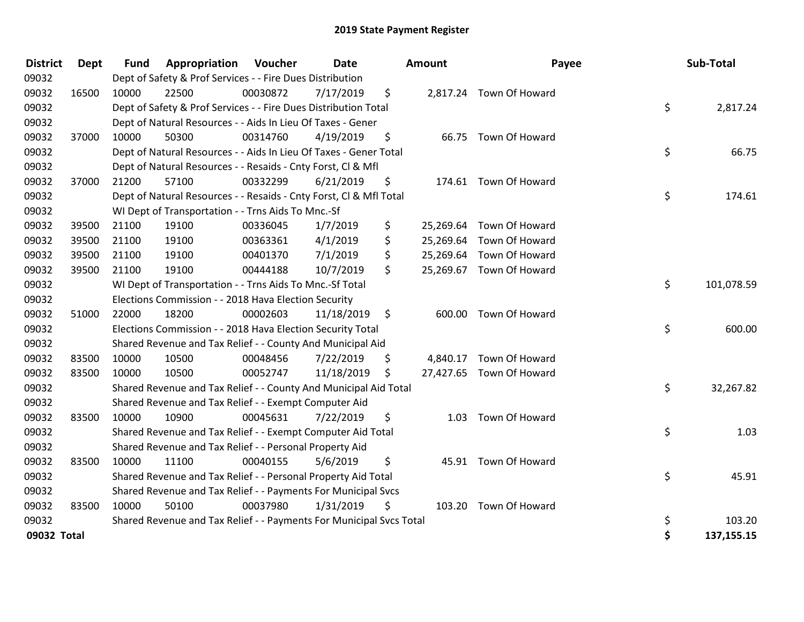| <b>District</b> | <b>Dept</b> | <b>Fund</b> | Appropriation                                                       | Voucher  | <b>Date</b> |                    | <b>Amount</b> | Payee                    | Sub-Total        |
|-----------------|-------------|-------------|---------------------------------------------------------------------|----------|-------------|--------------------|---------------|--------------------------|------------------|
| 09032           |             |             | Dept of Safety & Prof Services - - Fire Dues Distribution           |          |             |                    |               |                          |                  |
| 09032           | 16500       | 10000       | 22500                                                               | 00030872 | 7/17/2019   | \$                 |               | 2,817.24 Town Of Howard  |                  |
| 09032           |             |             | Dept of Safety & Prof Services - - Fire Dues Distribution Total     |          |             |                    |               |                          | \$<br>2,817.24   |
| 09032           |             |             | Dept of Natural Resources - - Aids In Lieu Of Taxes - Gener         |          |             |                    |               |                          |                  |
| 09032           | 37000       | 10000       | 50300                                                               | 00314760 | 4/19/2019   | \$                 |               | 66.75 Town Of Howard     |                  |
| 09032           |             |             | Dept of Natural Resources - - Aids In Lieu Of Taxes - Gener Total   |          |             |                    |               |                          | \$<br>66.75      |
| 09032           |             |             | Dept of Natural Resources - - Resaids - Cnty Forst, Cl & Mfl        |          |             |                    |               |                          |                  |
| 09032           | 37000       | 21200       | 57100                                                               | 00332299 | 6/21/2019   | \$                 |               | 174.61 Town Of Howard    |                  |
| 09032           |             |             | Dept of Natural Resources - - Resaids - Cnty Forst, Cl & Mfl Total  |          |             |                    |               |                          | \$<br>174.61     |
| 09032           |             |             | WI Dept of Transportation - - Trns Aids To Mnc.-Sf                  |          |             |                    |               |                          |                  |
| 09032           | 39500       | 21100       | 19100                                                               | 00336045 | 1/7/2019    | \$                 | 25,269.64     | Town Of Howard           |                  |
| 09032           | 39500       | 21100       | 19100                                                               | 00363361 | 4/1/2019    | \$                 | 25,269.64     | Town Of Howard           |                  |
| 09032           | 39500       | 21100       | 19100                                                               | 00401370 | 7/1/2019    | \$                 |               | 25,269.64 Town Of Howard |                  |
| 09032           | 39500       | 21100       | 19100                                                               | 00444188 | 10/7/2019   | \$                 |               | 25,269.67 Town Of Howard |                  |
| 09032           |             |             | WI Dept of Transportation - - Trns Aids To Mnc.-Sf Total            |          |             |                    |               |                          | \$<br>101,078.59 |
| 09032           |             |             | Elections Commission - - 2018 Hava Election Security                |          |             |                    |               |                          |                  |
| 09032           | 51000       | 22000       | 18200                                                               | 00002603 | 11/18/2019  | $\ddot{\varsigma}$ |               | 600.00 Town Of Howard    |                  |
| 09032           |             |             | Elections Commission - - 2018 Hava Election Security Total          |          |             |                    |               |                          | \$<br>600.00     |
| 09032           |             |             | Shared Revenue and Tax Relief - - County And Municipal Aid          |          |             |                    |               |                          |                  |
| 09032           | 83500       | 10000       | 10500                                                               | 00048456 | 7/22/2019   | \$                 |               | 4,840.17 Town Of Howard  |                  |
| 09032           | 83500       | 10000       | 10500                                                               | 00052747 | 11/18/2019  | \$.                |               | 27,427.65 Town Of Howard |                  |
| 09032           |             |             | Shared Revenue and Tax Relief - - County And Municipal Aid Total    |          |             |                    |               |                          | \$<br>32,267.82  |
| 09032           |             |             | Shared Revenue and Tax Relief - - Exempt Computer Aid               |          |             |                    |               |                          |                  |
| 09032           | 83500       | 10000       | 10900                                                               | 00045631 | 7/22/2019   | \$                 | 1.03          | Town Of Howard           |                  |
| 09032           |             |             | Shared Revenue and Tax Relief - - Exempt Computer Aid Total         |          |             |                    |               |                          | \$<br>1.03       |
| 09032           |             |             | Shared Revenue and Tax Relief - - Personal Property Aid             |          |             |                    |               |                          |                  |
| 09032           | 83500       | 10000       | 11100                                                               | 00040155 | 5/6/2019    | \$                 |               | 45.91 Town Of Howard     |                  |
| 09032           |             |             | Shared Revenue and Tax Relief - - Personal Property Aid Total       |          |             |                    |               |                          | \$<br>45.91      |
| 09032           |             |             | Shared Revenue and Tax Relief - - Payments For Municipal Svcs       |          |             |                    |               |                          |                  |
| 09032           | 83500       | 10000       | 50100                                                               | 00037980 | 1/31/2019   | \$                 |               | 103.20 Town Of Howard    |                  |
| 09032           |             |             | Shared Revenue and Tax Relief - - Payments For Municipal Svcs Total |          |             |                    |               |                          | \$<br>103.20     |
| 09032 Total     |             |             |                                                                     |          |             |                    |               |                          | \$<br>137,155.15 |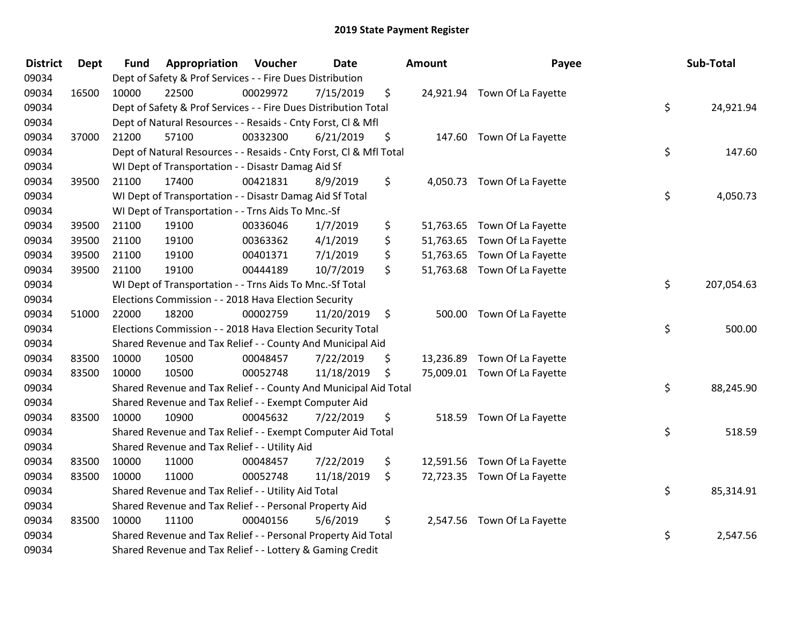| <b>District</b> | <b>Dept</b> | <b>Fund</b> | Appropriation                                                      | Voucher  | <b>Date</b> | Amount          | Payee                        | Sub-Total        |
|-----------------|-------------|-------------|--------------------------------------------------------------------|----------|-------------|-----------------|------------------------------|------------------|
| 09034           |             |             | Dept of Safety & Prof Services - - Fire Dues Distribution          |          |             |                 |                              |                  |
| 09034           | 16500       | 10000       | 22500                                                              | 00029972 | 7/15/2019   | \$              | 24,921.94 Town Of La Fayette |                  |
| 09034           |             |             | Dept of Safety & Prof Services - - Fire Dues Distribution Total    |          |             |                 |                              | \$<br>24,921.94  |
| 09034           |             |             | Dept of Natural Resources - - Resaids - Cnty Forst, Cl & Mfl       |          |             |                 |                              |                  |
| 09034           | 37000       | 21200       | 57100                                                              | 00332300 | 6/21/2019   | \$              | 147.60 Town Of La Fayette    |                  |
| 09034           |             |             | Dept of Natural Resources - - Resaids - Cnty Forst, CI & Mfl Total |          |             |                 |                              | \$<br>147.60     |
| 09034           |             |             | WI Dept of Transportation - - Disastr Damag Aid Sf                 |          |             |                 |                              |                  |
| 09034           | 39500       | 21100       | 17400                                                              | 00421831 | 8/9/2019    | \$              | 4,050.73 Town Of La Fayette  |                  |
| 09034           |             |             | WI Dept of Transportation - - Disastr Damag Aid Sf Total           |          |             |                 |                              | \$<br>4,050.73   |
| 09034           |             |             | WI Dept of Transportation - - Trns Aids To Mnc.-Sf                 |          |             |                 |                              |                  |
| 09034           | 39500       | 21100       | 19100                                                              | 00336046 | 1/7/2019    | \$              | 51,763.65 Town Of La Fayette |                  |
| 09034           | 39500       | 21100       | 19100                                                              | 00363362 | 4/1/2019    | \$<br>51,763.65 | Town Of La Fayette           |                  |
| 09034           | 39500       | 21100       | 19100                                                              | 00401371 | 7/1/2019    | \$              | 51,763.65 Town Of La Fayette |                  |
| 09034           | 39500       | 21100       | 19100                                                              | 00444189 | 10/7/2019   | \$              | 51,763.68 Town Of La Fayette |                  |
| 09034           |             |             | WI Dept of Transportation - - Trns Aids To Mnc.-Sf Total           |          |             |                 |                              | \$<br>207,054.63 |
| 09034           |             |             | Elections Commission - - 2018 Hava Election Security               |          |             |                 |                              |                  |
| 09034           | 51000       | 22000       | 18200                                                              | 00002759 | 11/20/2019  | \$              | 500.00 Town Of La Fayette    |                  |
| 09034           |             |             | Elections Commission - - 2018 Hava Election Security Total         |          |             |                 |                              | \$<br>500.00     |
| 09034           |             |             | Shared Revenue and Tax Relief - - County And Municipal Aid         |          |             |                 |                              |                  |
| 09034           | 83500       | 10000       | 10500                                                              | 00048457 | 7/22/2019   | \$<br>13,236.89 | Town Of La Fayette           |                  |
| 09034           | 83500       | 10000       | 10500                                                              | 00052748 | 11/18/2019  | \$              | 75,009.01 Town Of La Fayette |                  |
| 09034           |             |             | Shared Revenue and Tax Relief - - County And Municipal Aid Total   |          |             |                 |                              | \$<br>88,245.90  |
| 09034           |             |             | Shared Revenue and Tax Relief - - Exempt Computer Aid              |          |             |                 |                              |                  |
| 09034           | 83500       | 10000       | 10900                                                              | 00045632 | 7/22/2019   | \$<br>518.59    | Town Of La Fayette           |                  |
| 09034           |             |             | Shared Revenue and Tax Relief - - Exempt Computer Aid Total        |          |             |                 |                              | \$<br>518.59     |
| 09034           |             |             | Shared Revenue and Tax Relief - - Utility Aid                      |          |             |                 |                              |                  |
| 09034           | 83500       | 10000       | 11000                                                              | 00048457 | 7/22/2019   | \$              | 12,591.56 Town Of La Fayette |                  |
| 09034           | 83500       | 10000       | 11000                                                              | 00052748 | 11/18/2019  | \$              | 72,723.35 Town Of La Fayette |                  |
| 09034           |             |             | Shared Revenue and Tax Relief - - Utility Aid Total                |          |             |                 |                              | \$<br>85,314.91  |
| 09034           |             |             | Shared Revenue and Tax Relief - - Personal Property Aid            |          |             |                 |                              |                  |
| 09034           | 83500       | 10000       | 11100                                                              | 00040156 | 5/6/2019    | \$              | 2,547.56 Town Of La Fayette  |                  |
| 09034           |             |             | Shared Revenue and Tax Relief - - Personal Property Aid Total      |          |             |                 |                              | \$<br>2,547.56   |
| 09034           |             |             | Shared Revenue and Tax Relief - - Lottery & Gaming Credit          |          |             |                 |                              |                  |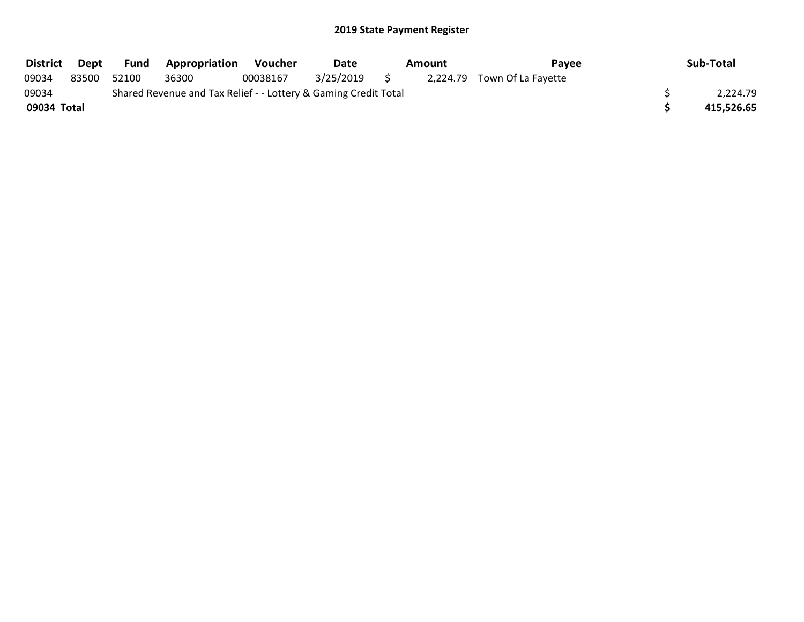| <b>District</b> | Dept  | <b>Fund</b> | <b>Appropriation</b>                                            | Voucher  | Date      | Amount | <b>Pavee</b>                | Sub-Total  |
|-----------------|-------|-------------|-----------------------------------------------------------------|----------|-----------|--------|-----------------------------|------------|
| 09034           | 83500 | 52100       | 36300                                                           | 00038167 | 3/25/2019 |        | 2,224.79 Town Of La Fayette |            |
| 09034           |       |             | Shared Revenue and Tax Relief - - Lottery & Gaming Credit Total |          |           |        |                             | 2,224.79   |
| 09034 Total     |       |             |                                                                 |          |           |        |                             | 415,526.65 |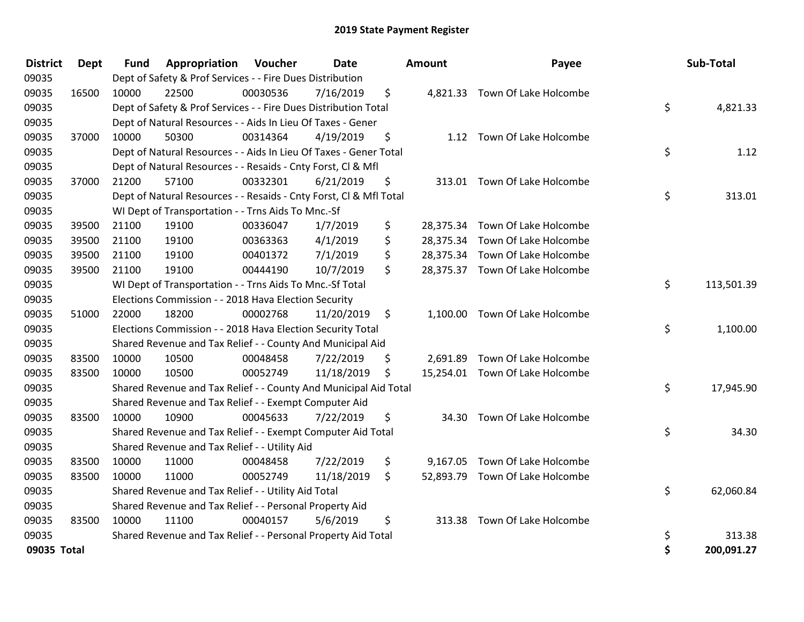| <b>District</b> | Dept  | Fund  | Appropriation                                                      | Voucher  | Date       | Amount          | Payee                           | Sub-Total        |
|-----------------|-------|-------|--------------------------------------------------------------------|----------|------------|-----------------|---------------------------------|------------------|
| 09035           |       |       | Dept of Safety & Prof Services - - Fire Dues Distribution          |          |            |                 |                                 |                  |
| 09035           | 16500 | 10000 | 22500                                                              | 00030536 | 7/16/2019  | \$              | 4,821.33 Town Of Lake Holcombe  |                  |
| 09035           |       |       | Dept of Safety & Prof Services - - Fire Dues Distribution Total    |          |            |                 |                                 | \$<br>4,821.33   |
| 09035           |       |       | Dept of Natural Resources - - Aids In Lieu Of Taxes - Gener        |          |            |                 |                                 |                  |
| 09035           | 37000 | 10000 | 50300                                                              | 00314364 | 4/19/2019  | \$              | 1.12 Town Of Lake Holcombe      |                  |
| 09035           |       |       | Dept of Natural Resources - - Aids In Lieu Of Taxes - Gener Total  |          |            |                 |                                 | \$<br>1.12       |
| 09035           |       |       | Dept of Natural Resources - - Resaids - Cnty Forst, Cl & Mfl       |          |            |                 |                                 |                  |
| 09035           | 37000 | 21200 | 57100                                                              | 00332301 | 6/21/2019  | \$              | 313.01 Town Of Lake Holcombe    |                  |
| 09035           |       |       | Dept of Natural Resources - - Resaids - Cnty Forst, Cl & Mfl Total |          |            |                 |                                 | \$<br>313.01     |
| 09035           |       |       | WI Dept of Transportation - - Trns Aids To Mnc.-Sf                 |          |            |                 |                                 |                  |
| 09035           | 39500 | 21100 | 19100                                                              | 00336047 | 1/7/2019   | \$              | 28,375.34 Town Of Lake Holcombe |                  |
| 09035           | 39500 | 21100 | 19100                                                              | 00363363 | 4/1/2019   | \$<br>28,375.34 | Town Of Lake Holcombe           |                  |
| 09035           | 39500 | 21100 | 19100                                                              | 00401372 | 7/1/2019   | \$              | 28,375.34 Town Of Lake Holcombe |                  |
| 09035           | 39500 | 21100 | 19100                                                              | 00444190 | 10/7/2019  | \$              | 28,375.37 Town Of Lake Holcombe |                  |
| 09035           |       |       | WI Dept of Transportation - - Trns Aids To Mnc.-Sf Total           |          |            |                 |                                 | \$<br>113,501.39 |
| 09035           |       |       | Elections Commission - - 2018 Hava Election Security               |          |            |                 |                                 |                  |
| 09035           | 51000 | 22000 | 18200                                                              | 00002768 | 11/20/2019 | \$              | 1,100.00 Town Of Lake Holcombe  |                  |
| 09035           |       |       | Elections Commission - - 2018 Hava Election Security Total         |          |            |                 |                                 | \$<br>1,100.00   |
| 09035           |       |       | Shared Revenue and Tax Relief - - County And Municipal Aid         |          |            |                 |                                 |                  |
| 09035           | 83500 | 10000 | 10500                                                              | 00048458 | 7/22/2019  | \$<br>2,691.89  | Town Of Lake Holcombe           |                  |
| 09035           | 83500 | 10000 | 10500                                                              | 00052749 | 11/18/2019 | \$              | 15,254.01 Town Of Lake Holcombe |                  |
| 09035           |       |       | Shared Revenue and Tax Relief - - County And Municipal Aid Total   |          |            |                 |                                 | \$<br>17,945.90  |
| 09035           |       |       | Shared Revenue and Tax Relief - - Exempt Computer Aid              |          |            |                 |                                 |                  |
| 09035           | 83500 | 10000 | 10900                                                              | 00045633 | 7/22/2019  | \$<br>34.30     | Town Of Lake Holcombe           |                  |
| 09035           |       |       | Shared Revenue and Tax Relief - - Exempt Computer Aid Total        |          |            |                 |                                 | \$<br>34.30      |
| 09035           |       |       | Shared Revenue and Tax Relief - - Utility Aid                      |          |            |                 |                                 |                  |
| 09035           | 83500 | 10000 | 11000                                                              | 00048458 | 7/22/2019  | \$<br>9,167.05  | Town Of Lake Holcombe           |                  |
| 09035           | 83500 | 10000 | 11000                                                              | 00052749 | 11/18/2019 | \$              | 52,893.79 Town Of Lake Holcombe |                  |
| 09035           |       |       | Shared Revenue and Tax Relief - - Utility Aid Total                |          |            |                 |                                 | \$<br>62,060.84  |
| 09035           |       |       | Shared Revenue and Tax Relief - - Personal Property Aid            |          |            |                 |                                 |                  |
| 09035           | 83500 | 10000 | 11100                                                              | 00040157 | 5/6/2019   | \$<br>313.38    | Town Of Lake Holcombe           |                  |
| 09035           |       |       | Shared Revenue and Tax Relief - - Personal Property Aid Total      |          |            |                 |                                 | \$<br>313.38     |
| 09035 Total     |       |       |                                                                    |          |            |                 |                                 | \$<br>200,091.27 |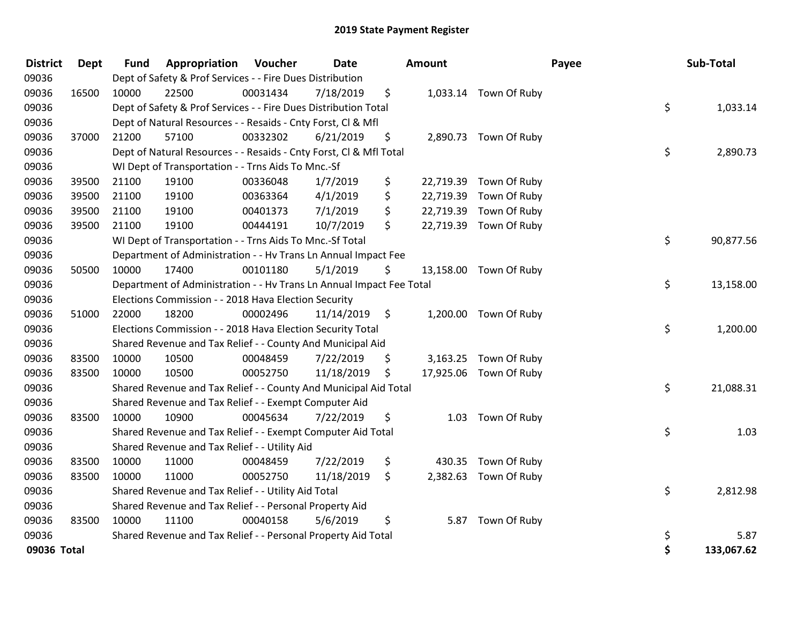| <b>District</b> | Dept  | <b>Fund</b> | Appropriation                                                        | Voucher  | Date       | Amount          |                        | Payee | Sub-Total  |
|-----------------|-------|-------------|----------------------------------------------------------------------|----------|------------|-----------------|------------------------|-------|------------|
| 09036           |       |             | Dept of Safety & Prof Services - - Fire Dues Distribution            |          |            |                 |                        |       |            |
| 09036           | 16500 | 10000       | 22500                                                                | 00031434 | 7/18/2019  | \$              | 1,033.14 Town Of Ruby  |       |            |
| 09036           |       |             | Dept of Safety & Prof Services - - Fire Dues Distribution Total      |          |            |                 |                        | \$    | 1,033.14   |
| 09036           |       |             | Dept of Natural Resources - - Resaids - Cnty Forst, Cl & Mfl         |          |            |                 |                        |       |            |
| 09036           | 37000 | 21200       | 57100                                                                | 00332302 | 6/21/2019  | \$              | 2,890.73 Town Of Ruby  |       |            |
| 09036           |       |             | Dept of Natural Resources - - Resaids - Cnty Forst, Cl & Mfl Total   |          |            |                 |                        | \$    | 2,890.73   |
| 09036           |       |             | WI Dept of Transportation - - Trns Aids To Mnc.-Sf                   |          |            |                 |                        |       |            |
| 09036           | 39500 | 21100       | 19100                                                                | 00336048 | 1/7/2019   | \$<br>22,719.39 | Town Of Ruby           |       |            |
| 09036           | 39500 | 21100       | 19100                                                                | 00363364 | 4/1/2019   | \$<br>22,719.39 | Town Of Ruby           |       |            |
| 09036           | 39500 | 21100       | 19100                                                                | 00401373 | 7/1/2019   | \$<br>22,719.39 | Town Of Ruby           |       |            |
| 09036           | 39500 | 21100       | 19100                                                                | 00444191 | 10/7/2019  | \$              | 22,719.39 Town Of Ruby |       |            |
| 09036           |       |             | WI Dept of Transportation - - Trns Aids To Mnc .- Sf Total           |          |            |                 |                        | \$    | 90,877.56  |
| 09036           |       |             | Department of Administration - - Hv Trans Ln Annual Impact Fee       |          |            |                 |                        |       |            |
| 09036           | 50500 | 10000       | 17400                                                                | 00101180 | 5/1/2019   | \$              | 13,158.00 Town Of Ruby |       |            |
| 09036           |       |             | Department of Administration - - Hv Trans Ln Annual Impact Fee Total |          |            |                 |                        | \$    | 13,158.00  |
| 09036           |       |             | Elections Commission - - 2018 Hava Election Security                 |          |            |                 |                        |       |            |
| 09036           | 51000 | 22000       | 18200                                                                | 00002496 | 11/14/2019 | \$              | 1,200.00 Town Of Ruby  |       |            |
| 09036           |       |             | Elections Commission - - 2018 Hava Election Security Total           |          |            |                 |                        | \$    | 1,200.00   |
| 09036           |       |             | Shared Revenue and Tax Relief - - County And Municipal Aid           |          |            |                 |                        |       |            |
| 09036           | 83500 | 10000       | 10500                                                                | 00048459 | 7/22/2019  | \$              | 3,163.25 Town Of Ruby  |       |            |
| 09036           | 83500 | 10000       | 10500                                                                | 00052750 | 11/18/2019 | \$              | 17,925.06 Town Of Ruby |       |            |
| 09036           |       |             | Shared Revenue and Tax Relief - - County And Municipal Aid Total     |          |            |                 |                        | \$    | 21,088.31  |
| 09036           |       |             | Shared Revenue and Tax Relief - - Exempt Computer Aid                |          |            |                 |                        |       |            |
| 09036           | 83500 | 10000       | 10900                                                                | 00045634 | 7/22/2019  | \$              | 1.03 Town Of Ruby      |       |            |
| 09036           |       |             | Shared Revenue and Tax Relief - - Exempt Computer Aid Total          |          |            |                 |                        | \$    | 1.03       |
| 09036           |       |             | Shared Revenue and Tax Relief - - Utility Aid                        |          |            |                 |                        |       |            |
| 09036           | 83500 | 10000       | 11000                                                                | 00048459 | 7/22/2019  | \$<br>430.35    | Town Of Ruby           |       |            |
| 09036           | 83500 | 10000       | 11000                                                                | 00052750 | 11/18/2019 | \$              | 2,382.63 Town Of Ruby  |       |            |
| 09036           |       |             | Shared Revenue and Tax Relief - - Utility Aid Total                  |          |            |                 |                        | \$    | 2,812.98   |
| 09036           |       |             | Shared Revenue and Tax Relief - - Personal Property Aid              |          |            |                 |                        |       |            |
| 09036           | 83500 | 10000       | 11100                                                                | 00040158 | 5/6/2019   | \$<br>5.87      | Town Of Ruby           |       |            |
| 09036           |       |             | Shared Revenue and Tax Relief - - Personal Property Aid Total        |          |            |                 |                        | \$    | 5.87       |
| 09036 Total     |       |             |                                                                      |          |            |                 |                        | \$    | 133,067.62 |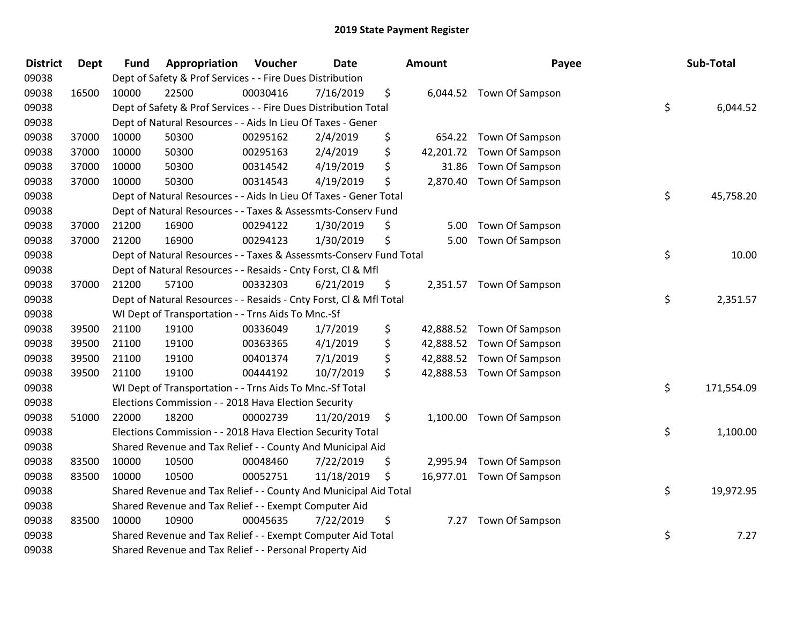| <b>District</b> | <b>Dept</b> | <b>Fund</b> | Appropriation                                                      | Voucher  | Date       | Amount         | Payee                     | Sub-Total        |
|-----------------|-------------|-------------|--------------------------------------------------------------------|----------|------------|----------------|---------------------------|------------------|
| 09038           |             |             | Dept of Safety & Prof Services - - Fire Dues Distribution          |          |            |                |                           |                  |
| 09038           | 16500       | 10000       | 22500                                                              | 00030416 | 7/16/2019  | \$             | 6,044.52 Town Of Sampson  |                  |
| 09038           |             |             | Dept of Safety & Prof Services - - Fire Dues Distribution Total    |          |            |                |                           | \$<br>6,044.52   |
| 09038           |             |             | Dept of Natural Resources - - Aids In Lieu Of Taxes - Gener        |          |            |                |                           |                  |
| 09038           | 37000       | 10000       | 50300                                                              | 00295162 | 2/4/2019   | \$<br>654.22   | Town Of Sampson           |                  |
| 09038           | 37000       | 10000       | 50300                                                              | 00295163 | 2/4/2019   | \$             | 42,201.72 Town Of Sampson |                  |
| 09038           | 37000       | 10000       | 50300                                                              | 00314542 | 4/19/2019  | \$<br>31.86    | Town Of Sampson           |                  |
| 09038           | 37000       | 10000       | 50300                                                              | 00314543 | 4/19/2019  | \$             | 2,870.40 Town Of Sampson  |                  |
| 09038           |             |             | Dept of Natural Resources - - Aids In Lieu Of Taxes - Gener Total  |          |            |                |                           | \$<br>45,758.20  |
| 09038           |             |             | Dept of Natural Resources - - Taxes & Assessmts-Conserv Fund       |          |            |                |                           |                  |
| 09038           | 37000       | 21200       | 16900                                                              | 00294122 | 1/30/2019  | \$<br>5.00     | Town Of Sampson           |                  |
| 09038           | 37000       | 21200       | 16900                                                              | 00294123 | 1/30/2019  | \$<br>5.00     | Town Of Sampson           |                  |
| 09038           |             |             | Dept of Natural Resources - - Taxes & Assessmts-Conserv Fund Total |          |            |                |                           | \$<br>10.00      |
| 09038           |             |             | Dept of Natural Resources - - Resaids - Cnty Forst, Cl & Mfl       |          |            |                |                           |                  |
| 09038           | 37000       | 21200       | 57100                                                              | 00332303 | 6/21/2019  | \$             | 2,351.57 Town Of Sampson  |                  |
| 09038           |             |             | Dept of Natural Resources - - Resaids - Cnty Forst, Cl & Mfl Total |          |            |                |                           | \$<br>2,351.57   |
| 09038           |             |             | WI Dept of Transportation - - Trns Aids To Mnc.-Sf                 |          |            |                |                           |                  |
| 09038           | 39500       | 21100       | 19100                                                              | 00336049 | 1/7/2019   | \$             | 42,888.52 Town Of Sampson |                  |
| 09038           | 39500       | 21100       | 19100                                                              | 00363365 | 4/1/2019   | \$             | 42,888.52 Town Of Sampson |                  |
| 09038           | 39500       | 21100       | 19100                                                              | 00401374 | 7/1/2019   | \$             | 42,888.52 Town Of Sampson |                  |
| 09038           | 39500       | 21100       | 19100                                                              | 00444192 | 10/7/2019  | \$             | 42,888.53 Town Of Sampson |                  |
| 09038           |             |             | WI Dept of Transportation - - Trns Aids To Mnc.-Sf Total           |          |            |                |                           | \$<br>171,554.09 |
| 09038           |             |             | Elections Commission - - 2018 Hava Election Security               |          |            |                |                           |                  |
| 09038           | 51000       | 22000       | 18200                                                              | 00002739 | 11/20/2019 | \$<br>1,100.00 | Town Of Sampson           |                  |
| 09038           |             |             | Elections Commission - - 2018 Hava Election Security Total         |          |            |                |                           | \$<br>1,100.00   |
| 09038           |             |             | Shared Revenue and Tax Relief - - County And Municipal Aid         |          |            |                |                           |                  |
| 09038           | 83500       | 10000       | 10500                                                              | 00048460 | 7/22/2019  | \$             | 2,995.94 Town Of Sampson  |                  |
| 09038           | 83500       | 10000       | 10500                                                              | 00052751 | 11/18/2019 | \$             | 16,977.01 Town Of Sampson |                  |
| 09038           |             |             | Shared Revenue and Tax Relief - - County And Municipal Aid Total   |          |            |                |                           | \$<br>19,972.95  |
| 09038           |             |             | Shared Revenue and Tax Relief - - Exempt Computer Aid              |          |            |                |                           |                  |
| 09038           | 83500       | 10000       | 10900                                                              | 00045635 | 7/22/2019  | \$<br>7.27     | Town Of Sampson           |                  |
| 09038           |             |             | Shared Revenue and Tax Relief - - Exempt Computer Aid Total        |          |            |                |                           | \$<br>7.27       |
| 09038           |             |             | Shared Revenue and Tax Relief - - Personal Property Aid            |          |            |                |                           |                  |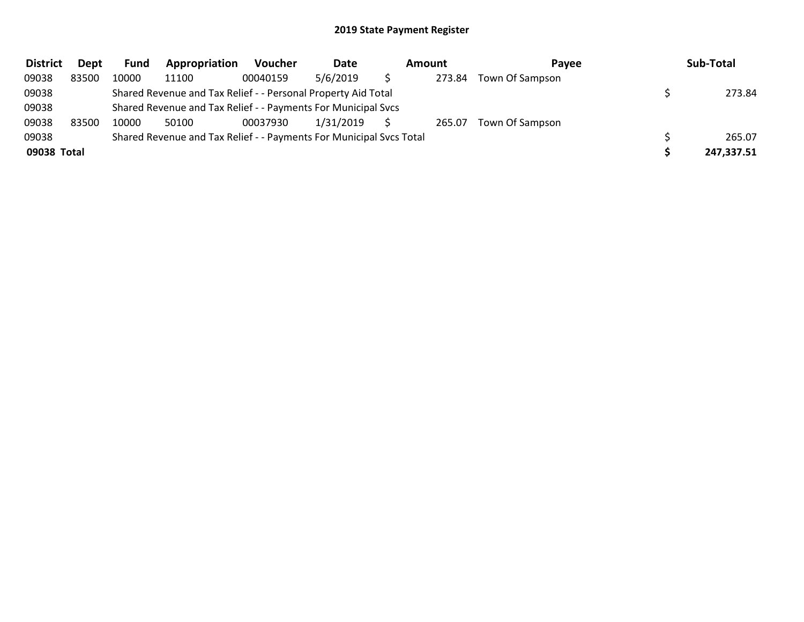| <b>District</b> | Dept  | <b>Fund</b> | Appropriation                                                       | <b>Voucher</b> | Date      | Amount |        | Pavee           | Sub-Total  |
|-----------------|-------|-------------|---------------------------------------------------------------------|----------------|-----------|--------|--------|-----------------|------------|
| 09038           | 83500 | 10000       | 11100                                                               | 00040159       | 5/6/2019  |        | 273.84 | Town Of Sampson |            |
| 09038           |       |             | Shared Revenue and Tax Relief - - Personal Property Aid Total       |                |           |        |        |                 | 273.84     |
| 09038           |       |             | Shared Revenue and Tax Relief - - Payments For Municipal Svcs       |                |           |        |        |                 |            |
| 09038           | 83500 | 10000       | 50100                                                               | 00037930       | 1/31/2019 |        | 265.07 | Town Of Sampson |            |
| 09038           |       |             | Shared Revenue and Tax Relief - - Payments For Municipal Svcs Total |                |           |        |        |                 | 265.07     |
| 09038 Total     |       |             |                                                                     |                |           |        |        |                 | 247,337.51 |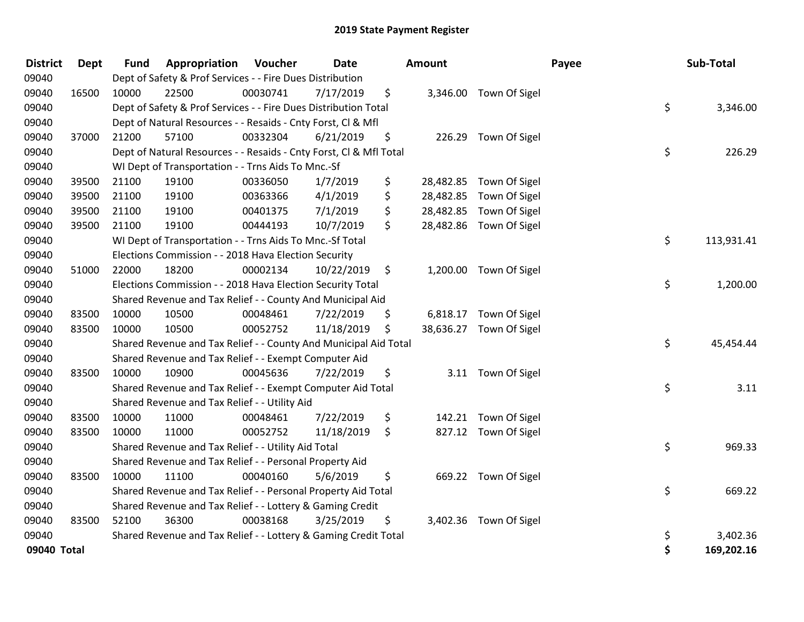| <b>District</b> | <b>Dept</b> | <b>Fund</b> | Appropriation                                                      | Voucher  | <b>Date</b> | <b>Amount</b>   |                         | Payee | Sub-Total  |
|-----------------|-------------|-------------|--------------------------------------------------------------------|----------|-------------|-----------------|-------------------------|-------|------------|
| 09040           |             |             | Dept of Safety & Prof Services - - Fire Dues Distribution          |          |             |                 |                         |       |            |
| 09040           | 16500       | 10000       | 22500                                                              | 00030741 | 7/17/2019   | \$              | 3,346.00 Town Of Sigel  |       |            |
| 09040           |             |             | Dept of Safety & Prof Services - - Fire Dues Distribution Total    |          |             |                 |                         | \$    | 3,346.00   |
| 09040           |             |             | Dept of Natural Resources - - Resaids - Cnty Forst, Cl & Mfl       |          |             |                 |                         |       |            |
| 09040           | 37000       | 21200       | 57100                                                              | 00332304 | 6/21/2019   | \$<br>226.29    | Town Of Sigel           |       |            |
| 09040           |             |             | Dept of Natural Resources - - Resaids - Cnty Forst, Cl & Mfl Total |          |             |                 |                         | \$    | 226.29     |
| 09040           |             |             | WI Dept of Transportation - - Trns Aids To Mnc.-Sf                 |          |             |                 |                         |       |            |
| 09040           | 39500       | 21100       | 19100                                                              | 00336050 | 1/7/2019    | \$<br>28,482.85 | Town Of Sigel           |       |            |
| 09040           | 39500       | 21100       | 19100                                                              | 00363366 | 4/1/2019    | \$<br>28,482.85 | Town Of Sigel           |       |            |
| 09040           | 39500       | 21100       | 19100                                                              | 00401375 | 7/1/2019    | \$<br>28,482.85 | Town Of Sigel           |       |            |
| 09040           | 39500       | 21100       | 19100                                                              | 00444193 | 10/7/2019   | \$<br>28,482.86 | Town Of Sigel           |       |            |
| 09040           |             |             | WI Dept of Transportation - - Trns Aids To Mnc.-Sf Total           |          |             |                 |                         | \$    | 113,931.41 |
| 09040           |             |             | Elections Commission - - 2018 Hava Election Security               |          |             |                 |                         |       |            |
| 09040           | 51000       | 22000       | 18200                                                              | 00002134 | 10/22/2019  | \$              | 1,200.00 Town Of Sigel  |       |            |
| 09040           |             |             | Elections Commission - - 2018 Hava Election Security Total         |          |             |                 |                         | \$    | 1,200.00   |
| 09040           |             |             | Shared Revenue and Tax Relief - - County And Municipal Aid         |          |             |                 |                         |       |            |
| 09040           | 83500       | 10000       | 10500                                                              | 00048461 | 7/22/2019   | \$              | 6,818.17 Town Of Sigel  |       |            |
| 09040           | 83500       | 10000       | 10500                                                              | 00052752 | 11/18/2019  | \$              | 38,636.27 Town Of Sigel |       |            |
| 09040           |             |             | Shared Revenue and Tax Relief - - County And Municipal Aid Total   |          |             |                 |                         | \$    | 45,454.44  |
| 09040           |             |             | Shared Revenue and Tax Relief - - Exempt Computer Aid              |          |             |                 |                         |       |            |
| 09040           | 83500       | 10000       | 10900                                                              | 00045636 | 7/22/2019   | \$              | 3.11 Town Of Sigel      |       |            |
| 09040           |             |             | Shared Revenue and Tax Relief - - Exempt Computer Aid Total        |          |             |                 |                         | \$    | 3.11       |
| 09040           |             |             | Shared Revenue and Tax Relief - - Utility Aid                      |          |             |                 |                         |       |            |
| 09040           | 83500       | 10000       | 11000                                                              | 00048461 | 7/22/2019   | \$<br>142.21    | Town Of Sigel           |       |            |
| 09040           | 83500       | 10000       | 11000                                                              | 00052752 | 11/18/2019  | \$              | 827.12 Town Of Sigel    |       |            |
| 09040           |             |             | Shared Revenue and Tax Relief - - Utility Aid Total                |          |             |                 |                         | \$    | 969.33     |
| 09040           |             |             | Shared Revenue and Tax Relief - - Personal Property Aid            |          |             |                 |                         |       |            |
| 09040           | 83500       | 10000       | 11100                                                              | 00040160 | 5/6/2019    | \$              | 669.22 Town Of Sigel    |       |            |
| 09040           |             |             | Shared Revenue and Tax Relief - - Personal Property Aid Total      |          |             |                 |                         | \$    | 669.22     |
| 09040           |             |             | Shared Revenue and Tax Relief - - Lottery & Gaming Credit          |          |             |                 |                         |       |            |
| 09040           | 83500       | 52100       | 36300                                                              | 00038168 | 3/25/2019   | \$              | 3,402.36 Town Of Sigel  |       |            |
| 09040           |             |             | Shared Revenue and Tax Relief - - Lottery & Gaming Credit Total    |          |             |                 |                         | \$    | 3,402.36   |
| 09040 Total     |             |             |                                                                    |          |             |                 |                         | \$    | 169,202.16 |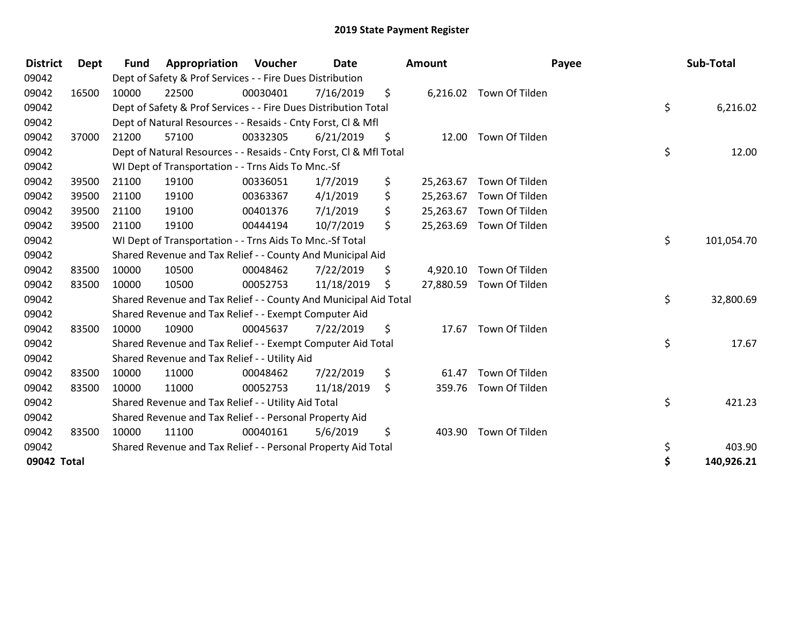| <b>District</b> | Dept  | <b>Fund</b> | Appropriation                                                      | Voucher  | <b>Date</b> | <b>Amount</b>   | Payee                    | Sub-Total        |
|-----------------|-------|-------------|--------------------------------------------------------------------|----------|-------------|-----------------|--------------------------|------------------|
| 09042           |       |             | Dept of Safety & Prof Services - - Fire Dues Distribution          |          |             |                 |                          |                  |
| 09042           | 16500 | 10000       | 22500                                                              | 00030401 | 7/16/2019   | \$              | 6,216.02 Town Of Tilden  |                  |
| 09042           |       |             | Dept of Safety & Prof Services - - Fire Dues Distribution Total    |          |             |                 |                          | \$<br>6,216.02   |
| 09042           |       |             | Dept of Natural Resources - - Resaids - Cnty Forst, CI & Mfl       |          |             |                 |                          |                  |
| 09042           | 37000 | 21200       | 57100                                                              | 00332305 | 6/21/2019   | \$<br>12.00     | Town Of Tilden           |                  |
| 09042           |       |             | Dept of Natural Resources - - Resaids - Cnty Forst, CI & Mfl Total |          |             |                 |                          | \$<br>12.00      |
| 09042           |       |             | WI Dept of Transportation - - Trns Aids To Mnc.-Sf                 |          |             |                 |                          |                  |
| 09042           | 39500 | 21100       | 19100                                                              | 00336051 | 1/7/2019    | \$<br>25,263.67 | Town Of Tilden           |                  |
| 09042           | 39500 | 21100       | 19100                                                              | 00363367 | 4/1/2019    | \$<br>25,263.67 | Town Of Tilden           |                  |
| 09042           | 39500 | 21100       | 19100                                                              | 00401376 | 7/1/2019    | \$<br>25,263.67 | Town Of Tilden           |                  |
| 09042           | 39500 | 21100       | 19100                                                              | 00444194 | 10/7/2019   | \$<br>25,263.69 | Town Of Tilden           |                  |
| 09042           |       |             | WI Dept of Transportation - - Trns Aids To Mnc.-Sf Total           |          |             |                 |                          | \$<br>101,054.70 |
| 09042           |       |             | Shared Revenue and Tax Relief - - County And Municipal Aid         |          |             |                 |                          |                  |
| 09042           | 83500 | 10000       | 10500                                                              | 00048462 | 7/22/2019   | \$<br>4,920.10  | Town Of Tilden           |                  |
| 09042           | 83500 | 10000       | 10500                                                              | 00052753 | 11/18/2019  | \$              | 27,880.59 Town Of Tilden |                  |
| 09042           |       |             | Shared Revenue and Tax Relief - - County And Municipal Aid Total   |          |             |                 |                          | \$<br>32,800.69  |
| 09042           |       |             | Shared Revenue and Tax Relief - - Exempt Computer Aid              |          |             |                 |                          |                  |
| 09042           | 83500 | 10000       | 10900                                                              | 00045637 | 7/22/2019   | \$              | 17.67 Town Of Tilden     |                  |
| 09042           |       |             | Shared Revenue and Tax Relief - - Exempt Computer Aid Total        |          |             |                 |                          | \$<br>17.67      |
| 09042           |       |             | Shared Revenue and Tax Relief - - Utility Aid                      |          |             |                 |                          |                  |
| 09042           | 83500 | 10000       | 11000                                                              | 00048462 | 7/22/2019   | \$<br>61.47     | Town Of Tilden           |                  |
| 09042           | 83500 | 10000       | 11000                                                              | 00052753 | 11/18/2019  | \$<br>359.76    | Town Of Tilden           |                  |
| 09042           |       |             | Shared Revenue and Tax Relief - - Utility Aid Total                |          |             |                 |                          | \$<br>421.23     |
| 09042           |       |             | Shared Revenue and Tax Relief - - Personal Property Aid            |          |             |                 |                          |                  |
| 09042           | 83500 | 10000       | 11100                                                              | 00040161 | 5/6/2019    | \$              | 403.90 Town Of Tilden    |                  |
| 09042           |       |             | Shared Revenue and Tax Relief - - Personal Property Aid Total      |          |             |                 |                          | \$<br>403.90     |
| 09042 Total     |       |             |                                                                    |          |             |                 |                          | \$<br>140,926.21 |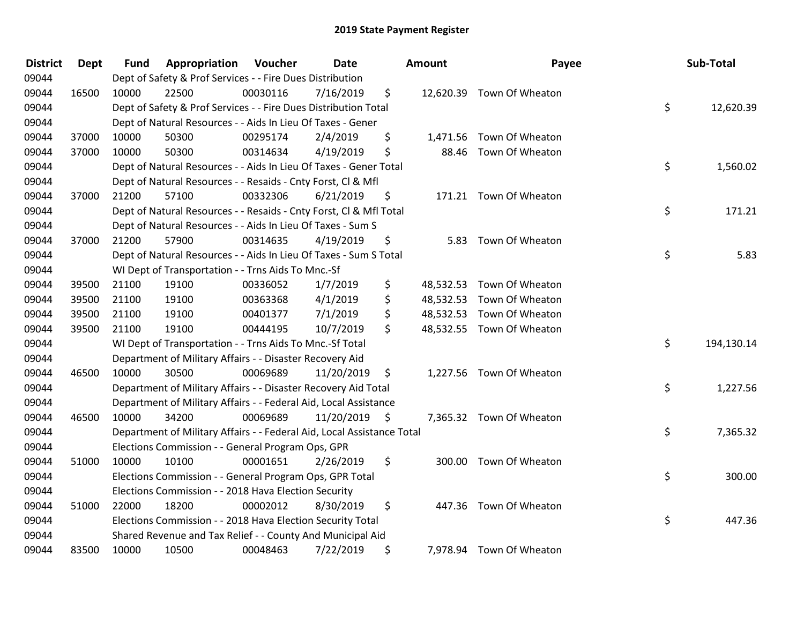| <b>District</b> | <b>Dept</b> | <b>Fund</b> | Appropriation                                                          | Voucher  | Date       |      | <b>Amount</b> | Payee                     | Sub-Total        |
|-----------------|-------------|-------------|------------------------------------------------------------------------|----------|------------|------|---------------|---------------------------|------------------|
| 09044           |             |             | Dept of Safety & Prof Services - - Fire Dues Distribution              |          |            |      |               |                           |                  |
| 09044           | 16500       | 10000       | 22500                                                                  | 00030116 | 7/16/2019  | \$   |               | 12,620.39 Town Of Wheaton |                  |
| 09044           |             |             | Dept of Safety & Prof Services - - Fire Dues Distribution Total        |          |            |      |               |                           | \$<br>12,620.39  |
| 09044           |             |             | Dept of Natural Resources - - Aids In Lieu Of Taxes - Gener            |          |            |      |               |                           |                  |
| 09044           | 37000       | 10000       | 50300                                                                  | 00295174 | 2/4/2019   | \$   | 1,471.56      | Town Of Wheaton           |                  |
| 09044           | 37000       | 10000       | 50300                                                                  | 00314634 | 4/19/2019  | \$   |               | 88.46 Town Of Wheaton     |                  |
| 09044           |             |             | Dept of Natural Resources - - Aids In Lieu Of Taxes - Gener Total      |          |            |      |               |                           | \$<br>1,560.02   |
| 09044           |             |             | Dept of Natural Resources - - Resaids - Cnty Forst, Cl & Mfl           |          |            |      |               |                           |                  |
| 09044           | 37000       | 21200       | 57100                                                                  | 00332306 | 6/21/2019  | \$   |               | 171.21 Town Of Wheaton    |                  |
| 09044           |             |             | Dept of Natural Resources - - Resaids - Cnty Forst, Cl & Mfl Total     |          |            |      |               |                           | \$<br>171.21     |
| 09044           |             |             | Dept of Natural Resources - - Aids In Lieu Of Taxes - Sum S            |          |            |      |               |                           |                  |
| 09044           | 37000       | 21200       | 57900                                                                  | 00314635 | 4/19/2019  | \$   |               | 5.83 Town Of Wheaton      |                  |
| 09044           |             |             | Dept of Natural Resources - - Aids In Lieu Of Taxes - Sum S Total      |          |            |      |               |                           | \$<br>5.83       |
| 09044           |             |             | WI Dept of Transportation - - Trns Aids To Mnc.-Sf                     |          |            |      |               |                           |                  |
| 09044           | 39500       | 21100       | 19100                                                                  | 00336052 | 1/7/2019   | \$   | 48,532.53     | Town Of Wheaton           |                  |
| 09044           | 39500       | 21100       | 19100                                                                  | 00363368 | 4/1/2019   | \$   | 48,532.53     | Town Of Wheaton           |                  |
| 09044           | 39500       | 21100       | 19100                                                                  | 00401377 | 7/1/2019   | \$   | 48,532.53     | Town Of Wheaton           |                  |
| 09044           | 39500       | 21100       | 19100                                                                  | 00444195 | 10/7/2019  | \$   |               | 48,532.55 Town Of Wheaton |                  |
| 09044           |             |             | WI Dept of Transportation - - Trns Aids To Mnc.-Sf Total               |          |            |      |               |                           | \$<br>194,130.14 |
| 09044           |             |             | Department of Military Affairs - - Disaster Recovery Aid               |          |            |      |               |                           |                  |
| 09044           | 46500       | 10000       | 30500                                                                  | 00069689 | 11/20/2019 | \$   |               | 1,227.56 Town Of Wheaton  |                  |
| 09044           |             |             | Department of Military Affairs - - Disaster Recovery Aid Total         |          |            |      |               |                           | \$<br>1,227.56   |
| 09044           |             |             | Department of Military Affairs - - Federal Aid, Local Assistance       |          |            |      |               |                           |                  |
| 09044           | 46500       | 10000       | 34200                                                                  | 00069689 | 11/20/2019 | - \$ |               | 7,365.32 Town Of Wheaton  |                  |
| 09044           |             |             | Department of Military Affairs - - Federal Aid, Local Assistance Total |          |            |      |               |                           | \$<br>7,365.32   |
| 09044           |             |             | Elections Commission - - General Program Ops, GPR                      |          |            |      |               |                           |                  |
| 09044           | 51000       | 10000       | 10100                                                                  | 00001651 | 2/26/2019  | \$   |               | 300.00 Town Of Wheaton    |                  |
| 09044           |             |             | Elections Commission - - General Program Ops, GPR Total                |          |            |      |               |                           | \$<br>300.00     |
| 09044           |             |             | Elections Commission - - 2018 Hava Election Security                   |          |            |      |               |                           |                  |
| 09044           | 51000       | 22000       | 18200                                                                  | 00002012 | 8/30/2019  | \$   |               | 447.36 Town Of Wheaton    |                  |
| 09044           |             |             | Elections Commission - - 2018 Hava Election Security Total             |          |            |      |               |                           | \$<br>447.36     |
| 09044           |             |             | Shared Revenue and Tax Relief - - County And Municipal Aid             |          |            |      |               |                           |                  |
| 09044           | 83500       | 10000       | 10500                                                                  | 00048463 | 7/22/2019  | \$   |               | 7,978.94 Town Of Wheaton  |                  |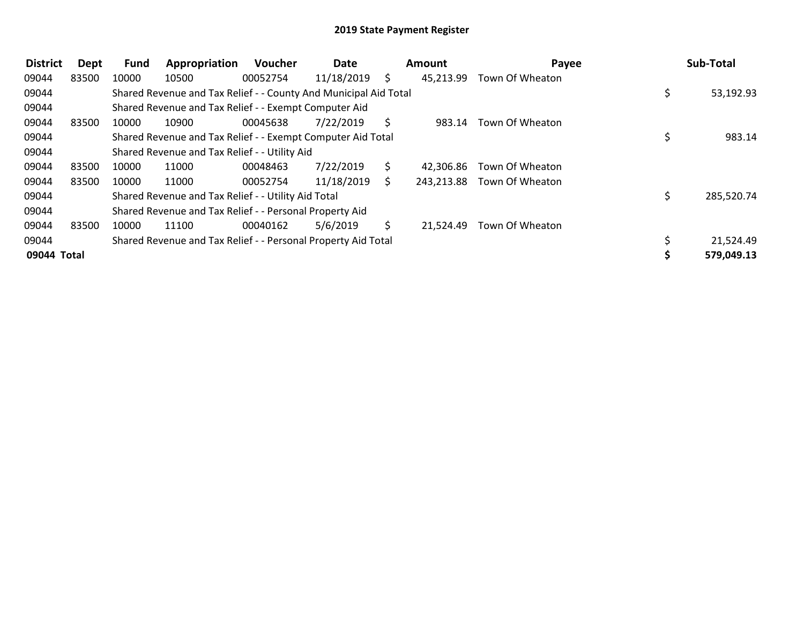| <b>District</b> | Dept  | <b>Fund</b> | Appropriation                                                    | Voucher  | Date       |    | Amount     | Payee           | Sub-Total  |
|-----------------|-------|-------------|------------------------------------------------------------------|----------|------------|----|------------|-----------------|------------|
| 09044           | 83500 | 10000       | 10500                                                            | 00052754 | 11/18/2019 | S. | 45,213.99  | Town Of Wheaton |            |
| 09044           |       |             | Shared Revenue and Tax Relief - - County And Municipal Aid Total |          |            |    |            |                 | 53,192.93  |
| 09044           |       |             | Shared Revenue and Tax Relief - - Exempt Computer Aid            |          |            |    |            |                 |            |
| 09044           | 83500 | 10000       | 10900                                                            | 00045638 | 7/22/2019  | S. | 983.14     | Town Of Wheaton |            |
| 09044           |       |             | Shared Revenue and Tax Relief - - Exempt Computer Aid Total      |          |            |    |            |                 | 983.14     |
| 09044           |       |             | Shared Revenue and Tax Relief - - Utility Aid                    |          |            |    |            |                 |            |
| 09044           | 83500 | 10000       | 11000                                                            | 00048463 | 7/22/2019  | S. | 42.306.86  | Town Of Wheaton |            |
| 09044           | 83500 | 10000       | 11000                                                            | 00052754 | 11/18/2019 | S. | 243,213.88 | Town Of Wheaton |            |
| 09044           |       |             | Shared Revenue and Tax Relief - - Utility Aid Total              |          |            |    |            |                 | 285,520.74 |
| 09044           |       |             | Shared Revenue and Tax Relief - - Personal Property Aid          |          |            |    |            |                 |            |
| 09044           | 83500 | 10000       | 11100                                                            | 00040162 | 5/6/2019   | Ś. | 21,524.49  | Town Of Wheaton |            |
| 09044           |       |             | Shared Revenue and Tax Relief - - Personal Property Aid Total    |          |            |    |            |                 | 21,524.49  |
| 09044 Total     |       |             |                                                                  |          |            |    |            |                 | 579,049.13 |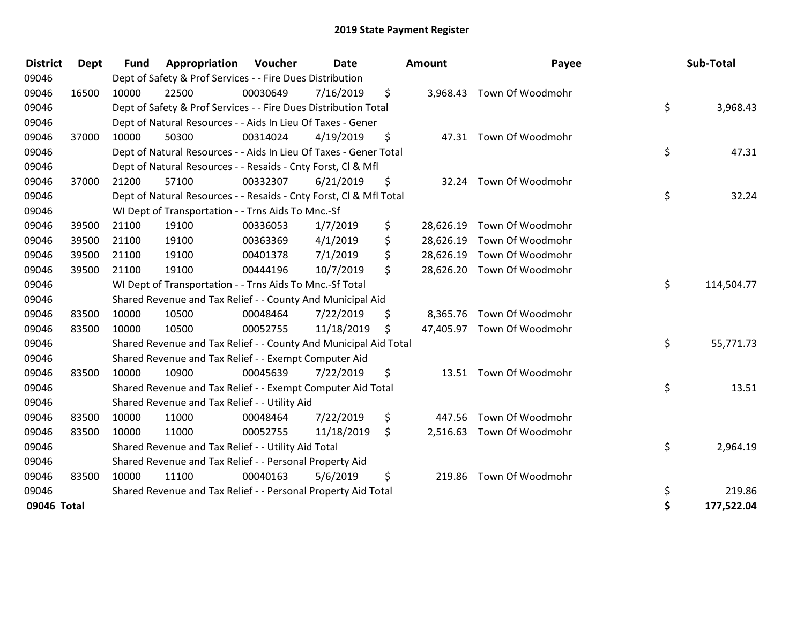| <b>District</b> | <b>Dept</b> | <b>Fund</b> | Appropriation                                                      | Voucher  | <b>Date</b> |     | Amount    | Payee                      | Sub-Total        |
|-----------------|-------------|-------------|--------------------------------------------------------------------|----------|-------------|-----|-----------|----------------------------|------------------|
| 09046           |             |             | Dept of Safety & Prof Services - - Fire Dues Distribution          |          |             |     |           |                            |                  |
| 09046           | 16500       | 10000       | 22500                                                              | 00030649 | 7/16/2019   | \$. | 3,968.43  | Town Of Woodmohr           |                  |
| 09046           |             |             | Dept of Safety & Prof Services - - Fire Dues Distribution Total    |          |             |     |           |                            | \$<br>3,968.43   |
| 09046           |             |             | Dept of Natural Resources - - Aids In Lieu Of Taxes - Gener        |          |             |     |           |                            |                  |
| 09046           | 37000       | 10000       | 50300                                                              | 00314024 | 4/19/2019   | \$  |           | 47.31 Town Of Woodmohr     |                  |
| 09046           |             |             | Dept of Natural Resources - - Aids In Lieu Of Taxes - Gener Total  |          |             |     |           |                            | \$<br>47.31      |
| 09046           |             |             | Dept of Natural Resources - - Resaids - Cnty Forst, CI & Mfl       |          |             |     |           |                            |                  |
| 09046           | 37000       | 21200       | 57100                                                              | 00332307 | 6/21/2019   | \$  | 32.24     | Town Of Woodmohr           |                  |
| 09046           |             |             | Dept of Natural Resources - - Resaids - Cnty Forst, Cl & Mfl Total |          |             |     |           |                            | \$<br>32.24      |
| 09046           |             |             | WI Dept of Transportation - - Trns Aids To Mnc.-Sf                 |          |             |     |           |                            |                  |
| 09046           | 39500       | 21100       | 19100                                                              | 00336053 | 1/7/2019    | \$  | 28,626.19 | Town Of Woodmohr           |                  |
| 09046           | 39500       | 21100       | 19100                                                              | 00363369 | 4/1/2019    | \$  | 28,626.19 | Town Of Woodmohr           |                  |
| 09046           | 39500       | 21100       | 19100                                                              | 00401378 | 7/1/2019    | \$  | 28,626.19 | Town Of Woodmohr           |                  |
| 09046           | 39500       | 21100       | 19100                                                              | 00444196 | 10/7/2019   | \$  | 28,626.20 | Town Of Woodmohr           |                  |
| 09046           |             |             | WI Dept of Transportation - - Trns Aids To Mnc.-Sf Total           |          |             |     |           |                            | \$<br>114,504.77 |
| 09046           |             |             | Shared Revenue and Tax Relief - - County And Municipal Aid         |          |             |     |           |                            |                  |
| 09046           | 83500       | 10000       | 10500                                                              | 00048464 | 7/22/2019   | \$  | 8,365.76  | Town Of Woodmohr           |                  |
| 09046           | 83500       | 10000       | 10500                                                              | 00052755 | 11/18/2019  | \$  |           | 47,405.97 Town Of Woodmohr |                  |
| 09046           |             |             | Shared Revenue and Tax Relief - - County And Municipal Aid Total   |          |             |     |           |                            | \$<br>55,771.73  |
| 09046           |             |             | Shared Revenue and Tax Relief - - Exempt Computer Aid              |          |             |     |           |                            |                  |
| 09046           | 83500       | 10000       | 10900                                                              | 00045639 | 7/22/2019   | \$  |           | 13.51 Town Of Woodmohr     |                  |
| 09046           |             |             | Shared Revenue and Tax Relief - - Exempt Computer Aid Total        |          |             |     |           |                            | \$<br>13.51      |
| 09046           |             |             | Shared Revenue and Tax Relief - - Utility Aid                      |          |             |     |           |                            |                  |
| 09046           | 83500       | 10000       | 11000                                                              | 00048464 | 7/22/2019   | \$  | 447.56    | Town Of Woodmohr           |                  |
| 09046           | 83500       | 10000       | 11000                                                              | 00052755 | 11/18/2019  | \$  | 2,516.63  | Town Of Woodmohr           |                  |
| 09046           |             |             | Shared Revenue and Tax Relief - - Utility Aid Total                |          |             |     |           |                            | \$<br>2,964.19   |
| 09046           |             |             | Shared Revenue and Tax Relief - - Personal Property Aid            |          |             |     |           |                            |                  |
| 09046           | 83500       | 10000       | 11100                                                              | 00040163 | 5/6/2019    | \$  | 219.86    | Town Of Woodmohr           |                  |
| 09046           |             |             | Shared Revenue and Tax Relief - - Personal Property Aid Total      |          |             |     |           |                            | \$<br>219.86     |
| 09046 Total     |             |             |                                                                    |          |             |     |           |                            | \$<br>177,522.04 |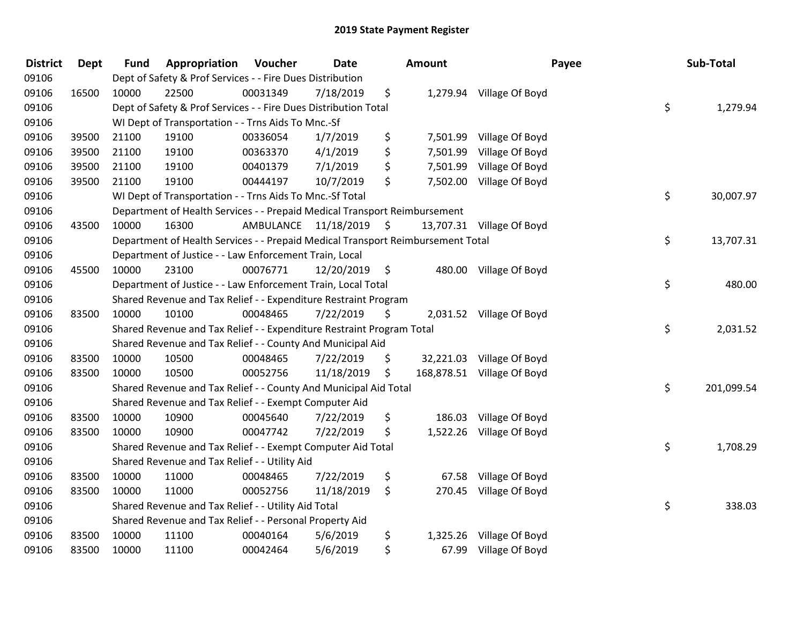| <b>District</b> | <b>Dept</b> | <b>Fund</b> | Appropriation                                                                   | Voucher              | Date       |     | Amount   |                            | Payee | Sub-Total  |
|-----------------|-------------|-------------|---------------------------------------------------------------------------------|----------------------|------------|-----|----------|----------------------------|-------|------------|
| 09106           |             |             | Dept of Safety & Prof Services - - Fire Dues Distribution                       |                      |            |     |          |                            |       |            |
| 09106           | 16500       | 10000       | 22500                                                                           | 00031349             | 7/18/2019  | \$  |          | 1,279.94 Village Of Boyd   |       |            |
| 09106           |             |             | Dept of Safety & Prof Services - - Fire Dues Distribution Total                 |                      |            |     |          |                            | \$    | 1,279.94   |
| 09106           |             |             | WI Dept of Transportation - - Trns Aids To Mnc.-Sf                              |                      |            |     |          |                            |       |            |
| 09106           | 39500       | 21100       | 19100                                                                           | 00336054             | 1/7/2019   | \$  | 7,501.99 | Village Of Boyd            |       |            |
| 09106           | 39500       | 21100       | 19100                                                                           | 00363370             | 4/1/2019   | \$  | 7,501.99 | Village Of Boyd            |       |            |
| 09106           | 39500       | 21100       | 19100                                                                           | 00401379             | 7/1/2019   | \$  | 7,501.99 | Village Of Boyd            |       |            |
| 09106           | 39500       | 21100       | 19100                                                                           | 00444197             | 10/7/2019  | \$  |          | 7,502.00 Village Of Boyd   |       |            |
| 09106           |             |             | WI Dept of Transportation - - Trns Aids To Mnc.-Sf Total                        |                      |            |     |          |                            | \$    | 30,007.97  |
| 09106           |             |             | Department of Health Services - - Prepaid Medical Transport Reimbursement       |                      |            |     |          |                            |       |            |
| 09106           | 43500       | 10000       | 16300                                                                           | AMBULANCE 11/18/2019 |            | \$. |          | 13,707.31 Village Of Boyd  |       |            |
| 09106           |             |             | Department of Health Services - - Prepaid Medical Transport Reimbursement Total |                      |            |     |          |                            | \$    | 13,707.31  |
| 09106           |             |             | Department of Justice - - Law Enforcement Train, Local                          |                      |            |     |          |                            |       |            |
| 09106           | 45500       | 10000       | 23100                                                                           | 00076771             | 12/20/2019 | \$  |          | 480.00 Village Of Boyd     |       |            |
| 09106           |             |             | Department of Justice - - Law Enforcement Train, Local Total                    |                      |            |     |          |                            | \$    | 480.00     |
| 09106           |             |             | Shared Revenue and Tax Relief - - Expenditure Restraint Program                 |                      |            |     |          |                            |       |            |
| 09106           | 83500       | 10000       | 10100                                                                           | 00048465             | 7/22/2019  | \$  |          | 2,031.52 Village Of Boyd   |       |            |
| 09106           |             |             | Shared Revenue and Tax Relief - - Expenditure Restraint Program Total           |                      |            |     |          |                            | \$    | 2,031.52   |
| 09106           |             |             | Shared Revenue and Tax Relief - - County And Municipal Aid                      |                      |            |     |          |                            |       |            |
| 09106           | 83500       | 10000       | 10500                                                                           | 00048465             | 7/22/2019  | \$  |          | 32,221.03 Village Of Boyd  |       |            |
| 09106           | 83500       | 10000       | 10500                                                                           | 00052756             | 11/18/2019 | \$  |          | 168,878.51 Village Of Boyd |       |            |
| 09106           |             |             | Shared Revenue and Tax Relief - - County And Municipal Aid Total                |                      |            |     |          |                            | \$    | 201,099.54 |
| 09106           |             |             | Shared Revenue and Tax Relief - - Exempt Computer Aid                           |                      |            |     |          |                            |       |            |
| 09106           | 83500       | 10000       | 10900                                                                           | 00045640             | 7/22/2019  | \$  | 186.03   | Village Of Boyd            |       |            |
| 09106           | 83500       | 10000       | 10900                                                                           | 00047742             | 7/22/2019  | \$  |          | 1,522.26 Village Of Boyd   |       |            |
| 09106           |             |             | Shared Revenue and Tax Relief - - Exempt Computer Aid Total                     |                      |            |     |          |                            | \$    | 1,708.29   |
| 09106           |             |             | Shared Revenue and Tax Relief - - Utility Aid                                   |                      |            |     |          |                            |       |            |
| 09106           | 83500       | 10000       | 11000                                                                           | 00048465             | 7/22/2019  | \$  | 67.58    | Village Of Boyd            |       |            |
| 09106           | 83500       | 10000       | 11000                                                                           | 00052756             | 11/18/2019 | \$  |          | 270.45 Village Of Boyd     |       |            |
| 09106           |             |             | Shared Revenue and Tax Relief - - Utility Aid Total                             |                      |            |     |          |                            | \$    | 338.03     |
| 09106           |             |             | Shared Revenue and Tax Relief - - Personal Property Aid                         |                      |            |     |          |                            |       |            |
| 09106           | 83500       | 10000       | 11100                                                                           | 00040164             | 5/6/2019   | \$  | 1,325.26 | Village Of Boyd            |       |            |
| 09106           | 83500       | 10000       | 11100                                                                           | 00042464             | 5/6/2019   | \$  |          | 67.99 Village Of Boyd      |       |            |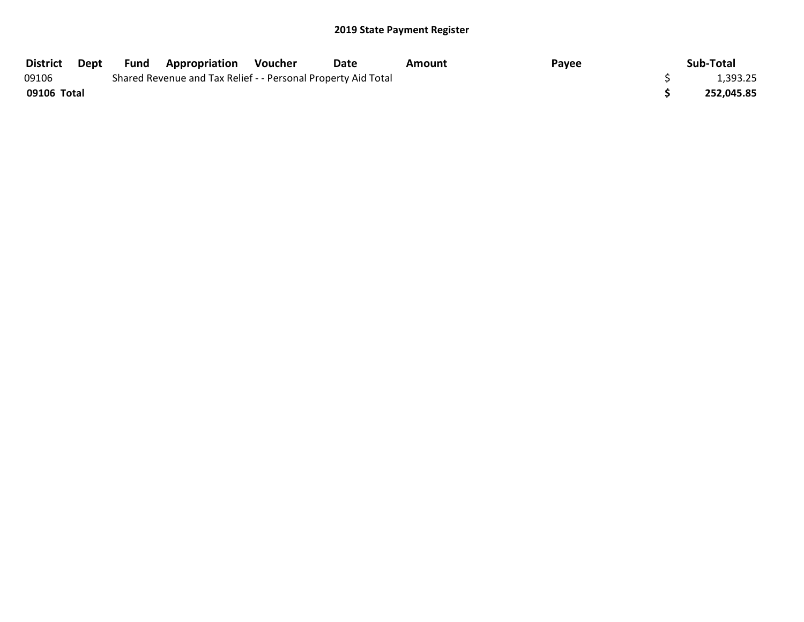| District    | Dept | Fund | <b>Appropriation</b>                                          | Voucher | <b>Date</b> | Amount | Payee | Sub-Total  |
|-------------|------|------|---------------------------------------------------------------|---------|-------------|--------|-------|------------|
| 09106       |      |      | Shared Revenue and Tax Relief - - Personal Property Aid Total |         |             |        |       | 1,393.25   |
| 09106 Total |      |      |                                                               |         |             |        |       | 252,045.85 |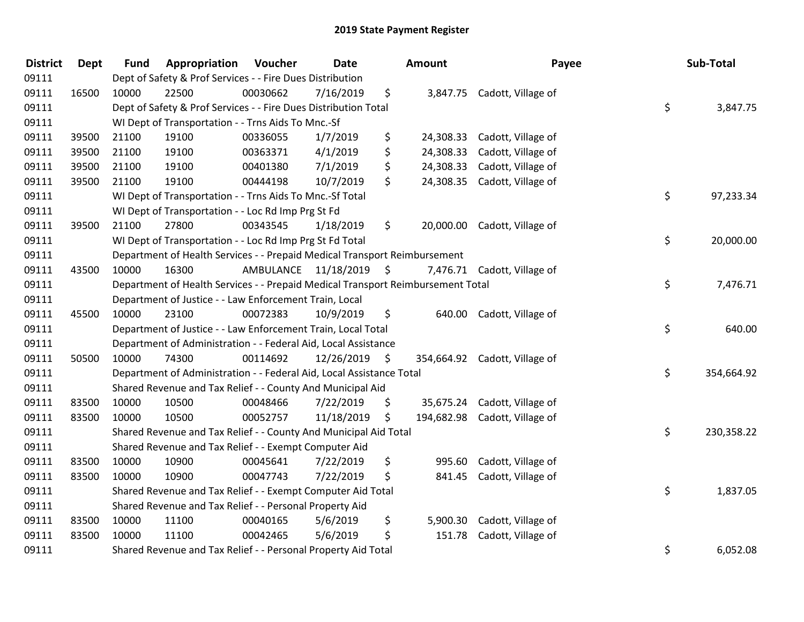| <b>District</b> | Dept  | <b>Fund</b> | Appropriation                                                                   | Voucher   | <b>Date</b> |      | <b>Amount</b> | Payee                         | Sub-Total        |
|-----------------|-------|-------------|---------------------------------------------------------------------------------|-----------|-------------|------|---------------|-------------------------------|------------------|
| 09111           |       |             | Dept of Safety & Prof Services - - Fire Dues Distribution                       |           |             |      |               |                               |                  |
| 09111           | 16500 | 10000       | 22500                                                                           | 00030662  | 7/16/2019   | \$   |               | 3,847.75 Cadott, Village of   |                  |
| 09111           |       |             | Dept of Safety & Prof Services - - Fire Dues Distribution Total                 |           |             |      |               |                               | \$<br>3,847.75   |
| 09111           |       |             | WI Dept of Transportation - - Trns Aids To Mnc.-Sf                              |           |             |      |               |                               |                  |
| 09111           | 39500 | 21100       | 19100                                                                           | 00336055  | 1/7/2019    | \$   | 24,308.33     | Cadott, Village of            |                  |
| 09111           | 39500 | 21100       | 19100                                                                           | 00363371  | 4/1/2019    | \$   | 24,308.33     | Cadott, Village of            |                  |
| 09111           | 39500 | 21100       | 19100                                                                           | 00401380  | 7/1/2019    | \$   | 24,308.33     | Cadott, Village of            |                  |
| 09111           | 39500 | 21100       | 19100                                                                           | 00444198  | 10/7/2019   | \$   |               | 24,308.35 Cadott, Village of  |                  |
| 09111           |       |             | WI Dept of Transportation - - Trns Aids To Mnc.-Sf Total                        |           |             |      |               |                               | \$<br>97,233.34  |
| 09111           |       |             | WI Dept of Transportation - - Loc Rd Imp Prg St Fd                              |           |             |      |               |                               |                  |
| 09111           | 39500 | 21100       | 27800                                                                           | 00343545  | 1/18/2019   | \$   |               | 20,000.00 Cadott, Village of  |                  |
| 09111           |       |             | WI Dept of Transportation - - Loc Rd Imp Prg St Fd Total                        |           |             |      |               |                               | \$<br>20,000.00  |
| 09111           |       |             | Department of Health Services - - Prepaid Medical Transport Reimbursement       |           |             |      |               |                               |                  |
| 09111           | 43500 | 10000       | 16300                                                                           | AMBULANCE | 11/18/2019  | - \$ |               | 7,476.71 Cadott, Village of   |                  |
| 09111           |       |             | Department of Health Services - - Prepaid Medical Transport Reimbursement Total |           |             |      |               |                               | \$<br>7,476.71   |
| 09111           |       |             | Department of Justice - - Law Enforcement Train, Local                          |           |             |      |               |                               |                  |
| 09111           | 45500 | 10000       | 23100                                                                           | 00072383  | 10/9/2019   | \$   | 640.00        | Cadott, Village of            |                  |
| 09111           |       |             | Department of Justice - - Law Enforcement Train, Local Total                    |           |             |      |               |                               | \$<br>640.00     |
| 09111           |       |             | Department of Administration - - Federal Aid, Local Assistance                  |           |             |      |               |                               |                  |
| 09111           | 50500 | 10000       | 74300                                                                           | 00114692  | 12/26/2019  | S.   |               | 354,664.92 Cadott, Village of |                  |
| 09111           |       |             | Department of Administration - - Federal Aid, Local Assistance Total            |           |             |      |               |                               | \$<br>354,664.92 |
| 09111           |       |             | Shared Revenue and Tax Relief - - County And Municipal Aid                      |           |             |      |               |                               |                  |
| 09111           | 83500 | 10000       | 10500                                                                           | 00048466  | 7/22/2019   | \$   |               | 35,675.24 Cadott, Village of  |                  |
| 09111           | 83500 | 10000       | 10500                                                                           | 00052757  | 11/18/2019  | \$   |               | 194,682.98 Cadott, Village of |                  |
| 09111           |       |             | Shared Revenue and Tax Relief - - County And Municipal Aid Total                |           |             |      |               |                               | \$<br>230,358.22 |
| 09111           |       |             | Shared Revenue and Tax Relief - - Exempt Computer Aid                           |           |             |      |               |                               |                  |
| 09111           | 83500 | 10000       | 10900                                                                           | 00045641  | 7/22/2019   | \$   | 995.60        | Cadott, Village of            |                  |
| 09111           | 83500 | 10000       | 10900                                                                           | 00047743  | 7/22/2019   | \$   | 841.45        | Cadott, Village of            |                  |
| 09111           |       |             | Shared Revenue and Tax Relief - - Exempt Computer Aid Total                     |           |             |      |               |                               | \$<br>1,837.05   |
| 09111           |       |             | Shared Revenue and Tax Relief - - Personal Property Aid                         |           |             |      |               |                               |                  |
| 09111           | 83500 | 10000       | 11100                                                                           | 00040165  | 5/6/2019    | \$   | 5,900.30      | Cadott, Village of            |                  |
| 09111           | 83500 | 10000       | 11100                                                                           | 00042465  | 5/6/2019    | \$   | 151.78        | Cadott, Village of            |                  |
| 09111           |       |             | Shared Revenue and Tax Relief - - Personal Property Aid Total                   |           |             |      |               |                               | \$<br>6,052.08   |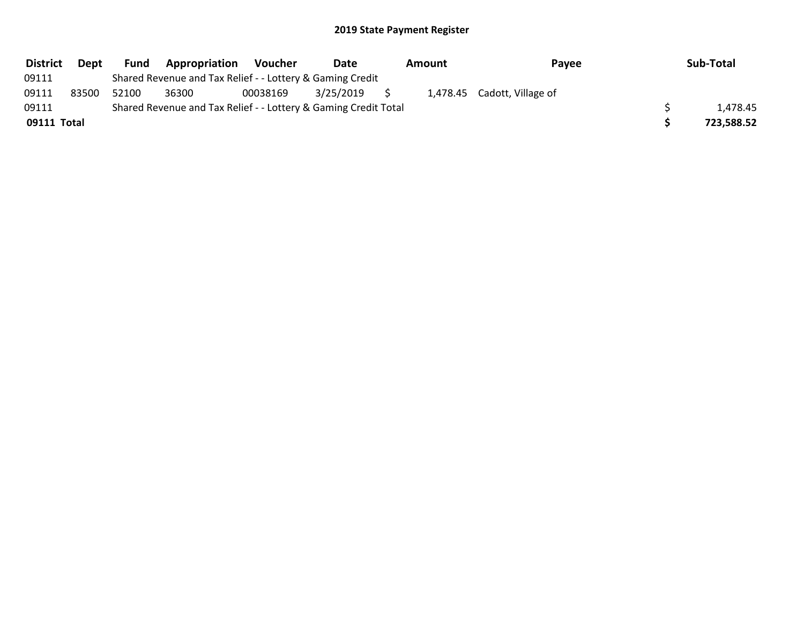| <b>District</b> | <b>Dept</b> | <b>Fund</b> | Appropriation                                                   | Voucher  | Date      | Amount | Payee                       | Sub-Total  |
|-----------------|-------------|-------------|-----------------------------------------------------------------|----------|-----------|--------|-----------------------------|------------|
| 09111           |             |             | Shared Revenue and Tax Relief - - Lottery & Gaming Credit       |          |           |        |                             |            |
| 09111           | 83500       | 52100       | 36300                                                           | 00038169 | 3/25/2019 |        | 1,478.45 Cadott, Village of |            |
| 09111           |             |             | Shared Revenue and Tax Relief - - Lottery & Gaming Credit Total |          |           |        |                             | 1.478.45   |
| 09111 Total     |             |             |                                                                 |          |           |        |                             | 723,588.52 |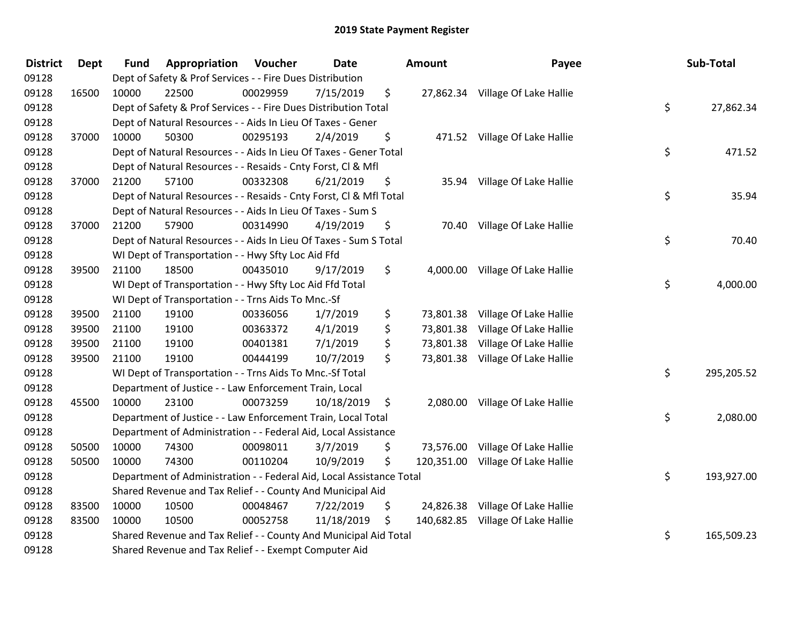| <b>District</b> | <b>Dept</b> | <b>Fund</b> | Appropriation                                                        | Voucher  | <b>Date</b> | <b>Amount</b>   | Payee                             | Sub-Total        |
|-----------------|-------------|-------------|----------------------------------------------------------------------|----------|-------------|-----------------|-----------------------------------|------------------|
| 09128           |             |             | Dept of Safety & Prof Services - - Fire Dues Distribution            |          |             |                 |                                   |                  |
| 09128           | 16500       | 10000       | 22500                                                                | 00029959 | 7/15/2019   | \$              | 27,862.34 Village Of Lake Hallie  |                  |
| 09128           |             |             | Dept of Safety & Prof Services - - Fire Dues Distribution Total      |          |             |                 |                                   | \$<br>27,862.34  |
| 09128           |             |             | Dept of Natural Resources - - Aids In Lieu Of Taxes - Gener          |          |             |                 |                                   |                  |
| 09128           | 37000       | 10000       | 50300                                                                | 00295193 | 2/4/2019    | \$              | 471.52 Village Of Lake Hallie     |                  |
| 09128           |             |             | Dept of Natural Resources - - Aids In Lieu Of Taxes - Gener Total    |          |             |                 |                                   | \$<br>471.52     |
| 09128           |             |             | Dept of Natural Resources - - Resaids - Cnty Forst, Cl & Mfl         |          |             |                 |                                   |                  |
| 09128           | 37000       | 21200       | 57100                                                                | 00332308 | 6/21/2019   | \$              | 35.94 Village Of Lake Hallie      |                  |
| 09128           |             |             | Dept of Natural Resources - - Resaids - Cnty Forst, Cl & Mfl Total   |          |             |                 |                                   | \$<br>35.94      |
| 09128           |             |             | Dept of Natural Resources - - Aids In Lieu Of Taxes - Sum S          |          |             |                 |                                   |                  |
| 09128           | 37000       | 21200       | 57900                                                                | 00314990 | 4/19/2019   | \$              | 70.40 Village Of Lake Hallie      |                  |
| 09128           |             |             | Dept of Natural Resources - - Aids In Lieu Of Taxes - Sum S Total    |          |             |                 |                                   | \$<br>70.40      |
| 09128           |             |             | WI Dept of Transportation - - Hwy Sfty Loc Aid Ffd                   |          |             |                 |                                   |                  |
| 09128           | 39500       | 21100       | 18500                                                                | 00435010 | 9/17/2019   | \$              | 4,000.00 Village Of Lake Hallie   |                  |
| 09128           |             |             | WI Dept of Transportation - - Hwy Sfty Loc Aid Ffd Total             |          |             |                 |                                   | \$<br>4,000.00   |
| 09128           |             |             | WI Dept of Transportation - - Trns Aids To Mnc.-Sf                   |          |             |                 |                                   |                  |
| 09128           | 39500       | 21100       | 19100                                                                | 00336056 | 1/7/2019    | \$              | 73,801.38 Village Of Lake Hallie  |                  |
| 09128           | 39500       | 21100       | 19100                                                                | 00363372 | 4/1/2019    | \$<br>73,801.38 | Village Of Lake Hallie            |                  |
| 09128           | 39500       | 21100       | 19100                                                                | 00401381 | 7/1/2019    | \$<br>73,801.38 | Village Of Lake Hallie            |                  |
| 09128           | 39500       | 21100       | 19100                                                                | 00444199 | 10/7/2019   | \$              | 73,801.38 Village Of Lake Hallie  |                  |
| 09128           |             |             | WI Dept of Transportation - - Trns Aids To Mnc.-Sf Total             |          |             |                 |                                   | \$<br>295,205.52 |
| 09128           |             |             | Department of Justice - - Law Enforcement Train, Local               |          |             |                 |                                   |                  |
| 09128           | 45500       | 10000       | 23100                                                                | 00073259 | 10/18/2019  | \$              | 2,080.00 Village Of Lake Hallie   |                  |
| 09128           |             |             | Department of Justice - - Law Enforcement Train, Local Total         |          |             |                 |                                   | \$<br>2,080.00   |
| 09128           |             |             | Department of Administration - - Federal Aid, Local Assistance       |          |             |                 |                                   |                  |
| 09128           | 50500       | 10000       | 74300                                                                | 00098011 | 3/7/2019    | \$              | 73,576.00 Village Of Lake Hallie  |                  |
| 09128           | 50500       | 10000       | 74300                                                                | 00110204 | 10/9/2019   | \$              | 120,351.00 Village Of Lake Hallie |                  |
| 09128           |             |             | Department of Administration - - Federal Aid, Local Assistance Total |          |             |                 |                                   | \$<br>193,927.00 |
| 09128           |             |             | Shared Revenue and Tax Relief - - County And Municipal Aid           |          |             |                 |                                   |                  |
| 09128           | 83500       | 10000       | 10500                                                                | 00048467 | 7/22/2019   | \$              | 24,826.38 Village Of Lake Hallie  |                  |
| 09128           | 83500       | 10000       | 10500                                                                | 00052758 | 11/18/2019  | \$              | 140,682.85 Village Of Lake Hallie |                  |
| 09128           |             |             | Shared Revenue and Tax Relief - - County And Municipal Aid Total     |          |             |                 |                                   | \$<br>165,509.23 |
| 09128           |             |             | Shared Revenue and Tax Relief - - Exempt Computer Aid                |          |             |                 |                                   |                  |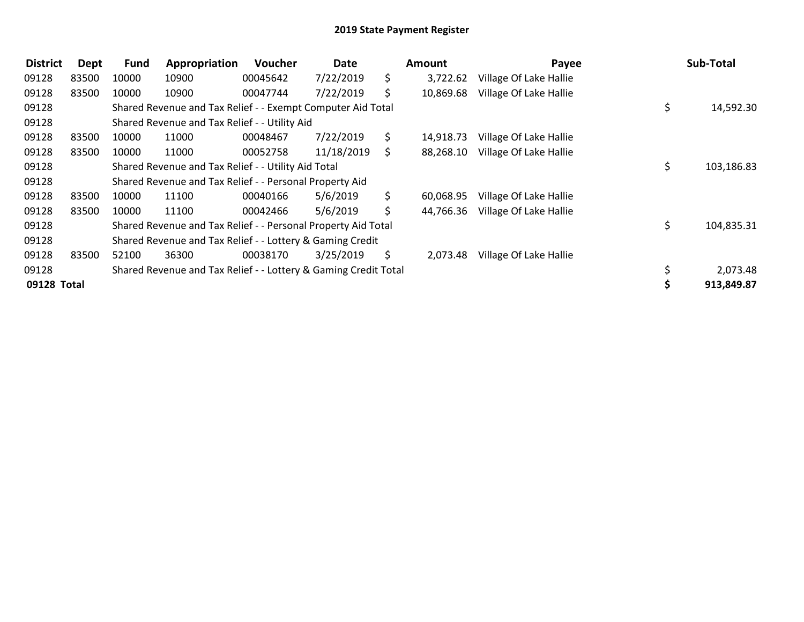| <b>District</b> | <b>Dept</b> | Fund  | Appropriation                                                   | <b>Voucher</b> | Date       |     | <b>Amount</b> | Payee                  | Sub-Total        |
|-----------------|-------------|-------|-----------------------------------------------------------------|----------------|------------|-----|---------------|------------------------|------------------|
| 09128           | 83500       | 10000 | 10900                                                           | 00045642       | 7/22/2019  | \$. | 3,722.62      | Village Of Lake Hallie |                  |
| 09128           | 83500       | 10000 | 10900                                                           | 00047744       | 7/22/2019  | S.  | 10,869.68     | Village Of Lake Hallie |                  |
| 09128           |             |       | Shared Revenue and Tax Relief - - Exempt Computer Aid Total     |                |            |     |               |                        | \$<br>14,592.30  |
| 09128           |             |       | Shared Revenue and Tax Relief - - Utility Aid                   |                |            |     |               |                        |                  |
| 09128           | 83500       | 10000 | 11000                                                           | 00048467       | 7/22/2019  | \$. | 14,918.73     | Village Of Lake Hallie |                  |
| 09128           | 83500       | 10000 | 11000                                                           | 00052758       | 11/18/2019 | S.  | 88,268.10     | Village Of Lake Hallie |                  |
| 09128           |             |       | Shared Revenue and Tax Relief - - Utility Aid Total             |                |            |     |               |                        | \$<br>103,186.83 |
| 09128           |             |       | Shared Revenue and Tax Relief - - Personal Property Aid         |                |            |     |               |                        |                  |
| 09128           | 83500       | 10000 | 11100                                                           | 00040166       | 5/6/2019   | \$. | 60,068.95     | Village Of Lake Hallie |                  |
| 09128           | 83500       | 10000 | 11100                                                           | 00042466       | 5/6/2019   | \$  | 44,766.36     | Village Of Lake Hallie |                  |
| 09128           |             |       | Shared Revenue and Tax Relief - - Personal Property Aid Total   |                |            |     |               |                        | \$<br>104,835.31 |
| 09128           |             |       | Shared Revenue and Tax Relief - - Lottery & Gaming Credit       |                |            |     |               |                        |                  |
| 09128           | 83500       | 52100 | 36300                                                           | 00038170       | 3/25/2019  | \$  | 2,073.48      | Village Of Lake Hallie |                  |
| 09128           |             |       | Shared Revenue and Tax Relief - - Lottery & Gaming Credit Total |                |            |     |               |                        | 2,073.48         |
| 09128 Total     |             |       |                                                                 |                |            |     |               |                        | 913,849.87       |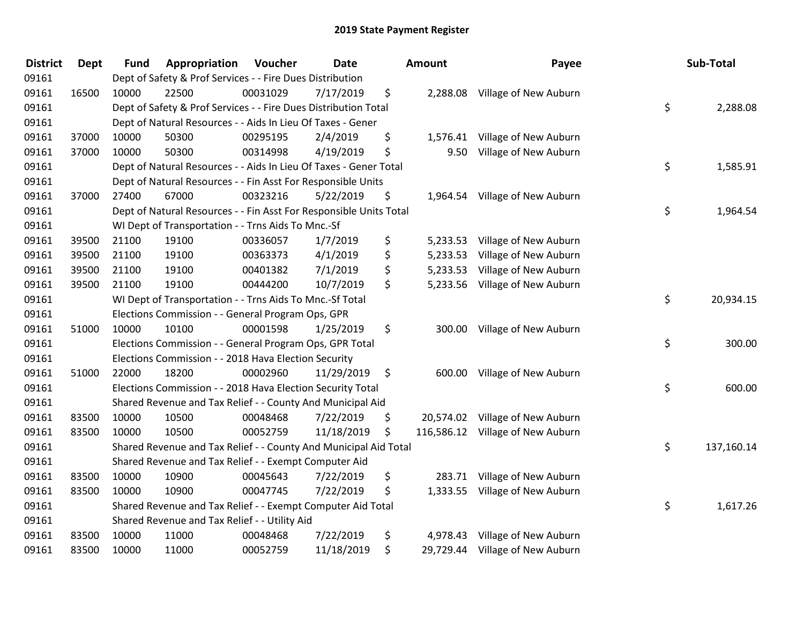| <b>District</b> | <b>Dept</b> | <b>Fund</b> | Appropriation                                                      | Voucher  | <b>Date</b> | Amount         | Payee                            | Sub-Total        |
|-----------------|-------------|-------------|--------------------------------------------------------------------|----------|-------------|----------------|----------------------------------|------------------|
| 09161           |             |             | Dept of Safety & Prof Services - - Fire Dues Distribution          |          |             |                |                                  |                  |
| 09161           | 16500       | 10000       | 22500                                                              | 00031029 | 7/17/2019   | \$             | 2,288.08 Village of New Auburn   |                  |
| 09161           |             |             | Dept of Safety & Prof Services - - Fire Dues Distribution Total    |          |             |                |                                  | \$<br>2,288.08   |
| 09161           |             |             | Dept of Natural Resources - - Aids In Lieu Of Taxes - Gener        |          |             |                |                                  |                  |
| 09161           | 37000       | 10000       | 50300                                                              | 00295195 | 2/4/2019    | \$<br>1,576.41 | Village of New Auburn            |                  |
| 09161           | 37000       | 10000       | 50300                                                              | 00314998 | 4/19/2019   | \$<br>9.50     | Village of New Auburn            |                  |
| 09161           |             |             | Dept of Natural Resources - - Aids In Lieu Of Taxes - Gener Total  |          |             |                |                                  | \$<br>1,585.91   |
| 09161           |             |             | Dept of Natural Resources - - Fin Asst For Responsible Units       |          |             |                |                                  |                  |
| 09161           | 37000       | 27400       | 67000                                                              | 00323216 | 5/22/2019   | \$             | 1,964.54 Village of New Auburn   |                  |
| 09161           |             |             | Dept of Natural Resources - - Fin Asst For Responsible Units Total |          |             |                |                                  | \$<br>1,964.54   |
| 09161           |             |             | WI Dept of Transportation - - Trns Aids To Mnc.-Sf                 |          |             |                |                                  |                  |
| 09161           | 39500       | 21100       | 19100                                                              | 00336057 | 1/7/2019    | \$             | 5,233.53 Village of New Auburn   |                  |
| 09161           | 39500       | 21100       | 19100                                                              | 00363373 | 4/1/2019    | \$<br>5,233.53 | Village of New Auburn            |                  |
| 09161           | 39500       | 21100       | 19100                                                              | 00401382 | 7/1/2019    | \$<br>5,233.53 | Village of New Auburn            |                  |
| 09161           | 39500       | 21100       | 19100                                                              | 00444200 | 10/7/2019   | \$             | 5,233.56 Village of New Auburn   |                  |
| 09161           |             |             | WI Dept of Transportation - - Trns Aids To Mnc.-Sf Total           |          |             |                |                                  | \$<br>20,934.15  |
| 09161           |             |             | Elections Commission - - General Program Ops, GPR                  |          |             |                |                                  |                  |
| 09161           | 51000       | 10000       | 10100                                                              | 00001598 | 1/25/2019   | \$             | 300.00 Village of New Auburn     |                  |
| 09161           |             |             | Elections Commission - - General Program Ops, GPR Total            |          |             |                |                                  | \$<br>300.00     |
| 09161           |             |             | Elections Commission - - 2018 Hava Election Security               |          |             |                |                                  |                  |
| 09161           | 51000       | 22000       | 18200                                                              | 00002960 | 11/29/2019  | \$             | 600.00 Village of New Auburn     |                  |
| 09161           |             |             | Elections Commission - - 2018 Hava Election Security Total         |          |             |                |                                  | \$<br>600.00     |
| 09161           |             |             | Shared Revenue and Tax Relief - - County And Municipal Aid         |          |             |                |                                  |                  |
| 09161           | 83500       | 10000       | 10500                                                              | 00048468 | 7/22/2019   | \$             | 20,574.02 Village of New Auburn  |                  |
| 09161           | 83500       | 10000       | 10500                                                              | 00052759 | 11/18/2019  | \$             | 116,586.12 Village of New Auburn |                  |
| 09161           |             |             | Shared Revenue and Tax Relief - - County And Municipal Aid Total   |          |             |                |                                  | \$<br>137,160.14 |
| 09161           |             |             | Shared Revenue and Tax Relief - - Exempt Computer Aid              |          |             |                |                                  |                  |
| 09161           | 83500       | 10000       | 10900                                                              | 00045643 | 7/22/2019   | \$<br>283.71   | Village of New Auburn            |                  |
| 09161           | 83500       | 10000       | 10900                                                              | 00047745 | 7/22/2019   | \$<br>1,333.55 | Village of New Auburn            |                  |
| 09161           |             |             | Shared Revenue and Tax Relief - - Exempt Computer Aid Total        |          |             |                |                                  | \$<br>1,617.26   |
| 09161           |             |             | Shared Revenue and Tax Relief - - Utility Aid                      |          |             |                |                                  |                  |
| 09161           | 83500       | 10000       | 11000                                                              | 00048468 | 7/22/2019   | \$<br>4,978.43 | Village of New Auburn            |                  |
| 09161           | 83500       | 10000       | 11000                                                              | 00052759 | 11/18/2019  | \$             | 29,729.44 Village of New Auburn  |                  |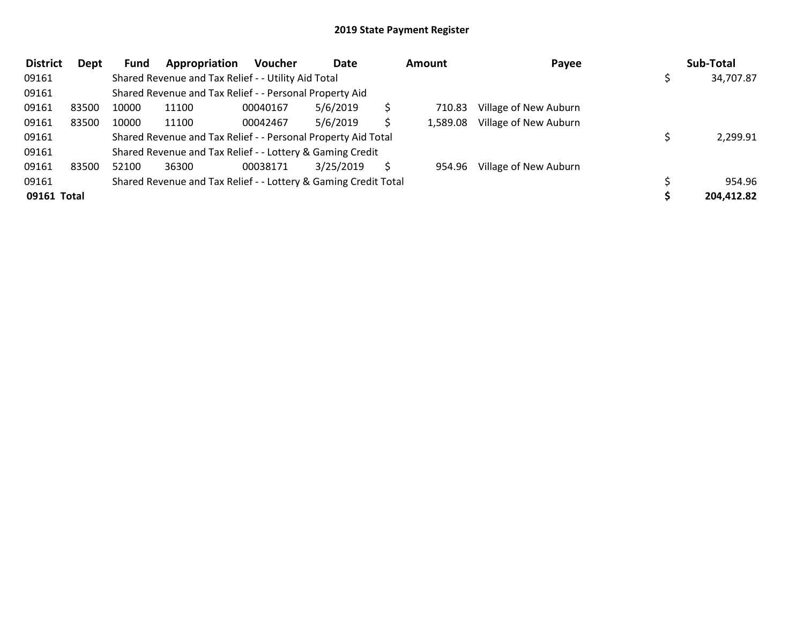| <b>District</b> | Dept  | <b>Fund</b> | Appropriation                                                   | Voucher  | Date      | <b>Amount</b> | Payee                 | Sub-Total  |
|-----------------|-------|-------------|-----------------------------------------------------------------|----------|-----------|---------------|-----------------------|------------|
| 09161           |       |             | Shared Revenue and Tax Relief - - Utility Aid Total             |          |           |               |                       | 34,707.87  |
| 09161           |       |             | Shared Revenue and Tax Relief - - Personal Property Aid         |          |           |               |                       |            |
| 09161           | 83500 | 10000       | 11100                                                           | 00040167 | 5/6/2019  | 710.83        | Village of New Auburn |            |
| 09161           | 83500 | 10000       | 11100                                                           | 00042467 | 5/6/2019  | 1,589.08      | Village of New Auburn |            |
| 09161           |       |             | Shared Revenue and Tax Relief - - Personal Property Aid Total   |          |           |               |                       | 2,299.91   |
| 09161           |       |             | Shared Revenue and Tax Relief - - Lottery & Gaming Credit       |          |           |               |                       |            |
| 09161           | 83500 | 52100       | 36300                                                           | 00038171 | 3/25/2019 | 954.96        | Village of New Auburn |            |
| 09161           |       |             | Shared Revenue and Tax Relief - - Lottery & Gaming Credit Total |          |           |               |                       | 954.96     |
| 09161 Total     |       |             |                                                                 |          |           |               |                       | 204,412.82 |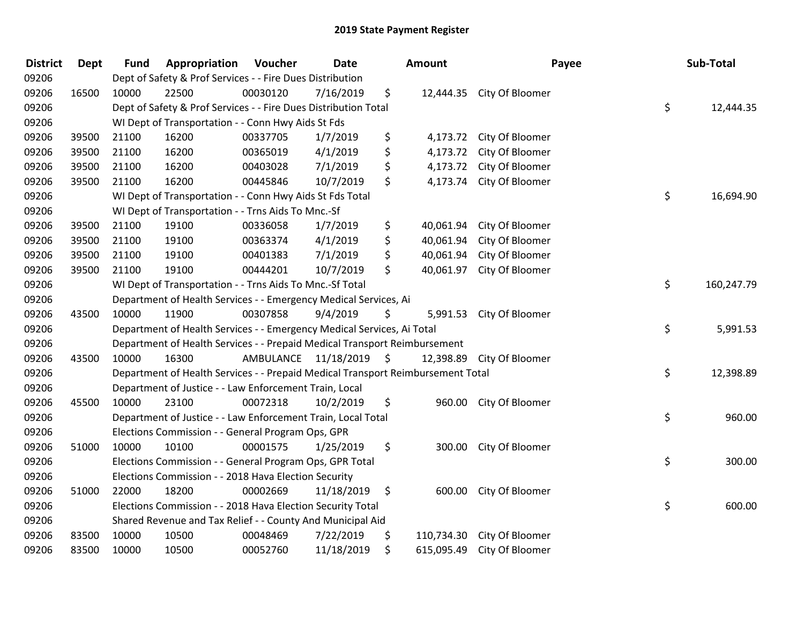| <b>District</b> | <b>Dept</b> | <b>Fund</b> | Appropriation                                                                   | Voucher   | Date       |      | <b>Amount</b> |                           | Payee | Sub-Total  |
|-----------------|-------------|-------------|---------------------------------------------------------------------------------|-----------|------------|------|---------------|---------------------------|-------|------------|
| 09206           |             |             | Dept of Safety & Prof Services - - Fire Dues Distribution                       |           |            |      |               |                           |       |            |
| 09206           | 16500       | 10000       | 22500                                                                           | 00030120  | 7/16/2019  | \$   |               | 12,444.35 City Of Bloomer |       |            |
| 09206           |             |             | Dept of Safety & Prof Services - - Fire Dues Distribution Total                 |           |            |      |               |                           | \$    | 12,444.35  |
| 09206           |             |             | WI Dept of Transportation - - Conn Hwy Aids St Fds                              |           |            |      |               |                           |       |            |
| 09206           | 39500       | 21100       | 16200                                                                           | 00337705  | 1/7/2019   | \$   | 4,173.72      | City Of Bloomer           |       |            |
| 09206           | 39500       | 21100       | 16200                                                                           | 00365019  | 4/1/2019   | \$   | 4,173.72      | City Of Bloomer           |       |            |
| 09206           | 39500       | 21100       | 16200                                                                           | 00403028  | 7/1/2019   | \$   | 4,173.72      | City Of Bloomer           |       |            |
| 09206           | 39500       | 21100       | 16200                                                                           | 00445846  | 10/7/2019  | \$   |               | 4,173.74 City Of Bloomer  |       |            |
| 09206           |             |             | WI Dept of Transportation - - Conn Hwy Aids St Fds Total                        |           |            |      |               |                           | \$    | 16,694.90  |
| 09206           |             |             | WI Dept of Transportation - - Trns Aids To Mnc.-Sf                              |           |            |      |               |                           |       |            |
| 09206           | 39500       | 21100       | 19100                                                                           | 00336058  | 1/7/2019   | \$   | 40,061.94     | City Of Bloomer           |       |            |
| 09206           | 39500       | 21100       | 19100                                                                           | 00363374  | 4/1/2019   | \$   | 40,061.94     | City Of Bloomer           |       |            |
| 09206           | 39500       | 21100       | 19100                                                                           | 00401383  | 7/1/2019   | \$   | 40,061.94     | City Of Bloomer           |       |            |
| 09206           | 39500       | 21100       | 19100                                                                           | 00444201  | 10/7/2019  | \$   | 40,061.97     | City Of Bloomer           |       |            |
| 09206           |             |             | WI Dept of Transportation - - Trns Aids To Mnc.-Sf Total                        |           |            |      |               |                           | \$    | 160,247.79 |
| 09206           |             |             | Department of Health Services - - Emergency Medical Services, Ai                |           |            |      |               |                           |       |            |
| 09206           | 43500       | 10000       | 11900                                                                           | 00307858  | 9/4/2019   | \$   |               | 5,991.53 City Of Bloomer  |       |            |
| 09206           |             |             | Department of Health Services - - Emergency Medical Services, Ai Total          |           |            |      |               |                           | \$    | 5,991.53   |
| 09206           |             |             | Department of Health Services - - Prepaid Medical Transport Reimbursement       |           |            |      |               |                           |       |            |
| 09206           | 43500       | 10000       | 16300                                                                           | AMBULANCE | 11/18/2019 | - \$ | 12,398.89     | City Of Bloomer           |       |            |
| 09206           |             |             | Department of Health Services - - Prepaid Medical Transport Reimbursement Total |           |            |      |               |                           | \$    | 12,398.89  |
| 09206           |             |             | Department of Justice - - Law Enforcement Train, Local                          |           |            |      |               |                           |       |            |
| 09206           | 45500       | 10000       | 23100                                                                           | 00072318  | 10/2/2019  | \$   | 960.00        | City Of Bloomer           |       |            |
| 09206           |             |             | Department of Justice - - Law Enforcement Train, Local Total                    |           |            |      |               |                           | \$    | 960.00     |
| 09206           |             |             | Elections Commission - - General Program Ops, GPR                               |           |            |      |               |                           |       |            |
| 09206           | 51000       | 10000       | 10100                                                                           | 00001575  | 1/25/2019  | \$   | 300.00        | City Of Bloomer           |       |            |
| 09206           |             |             | Elections Commission - - General Program Ops, GPR Total                         |           |            |      |               |                           | \$    | 300.00     |
| 09206           |             |             | Elections Commission - - 2018 Hava Election Security                            |           |            |      |               |                           |       |            |
| 09206           | 51000       | 22000       | 18200                                                                           | 00002669  | 11/18/2019 | \$   | 600.00        | City Of Bloomer           |       |            |
| 09206           |             |             | Elections Commission - - 2018 Hava Election Security Total                      |           |            |      |               |                           | \$    | 600.00     |
| 09206           |             |             | Shared Revenue and Tax Relief - - County And Municipal Aid                      |           |            |      |               |                           |       |            |
| 09206           | 83500       | 10000       | 10500                                                                           | 00048469  | 7/22/2019  | \$   | 110,734.30    | City Of Bloomer           |       |            |
| 09206           | 83500       | 10000       | 10500                                                                           | 00052760  | 11/18/2019 | \$   | 615,095.49    | City Of Bloomer           |       |            |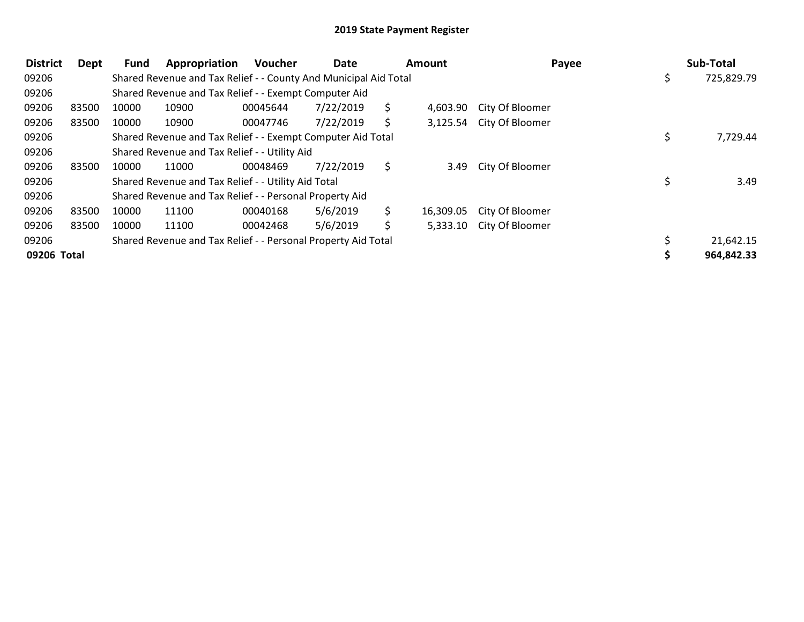| <b>District</b> | Dept  | <b>Fund</b> | Appropriation                                                    | <b>Voucher</b> | Date      |     | <b>Amount</b> |                          | Payee | Sub-Total  |
|-----------------|-------|-------------|------------------------------------------------------------------|----------------|-----------|-----|---------------|--------------------------|-------|------------|
| 09206           |       |             | Shared Revenue and Tax Relief - - County And Municipal Aid Total |                |           |     |               |                          | \$    | 725,829.79 |
| 09206           |       |             | Shared Revenue and Tax Relief - - Exempt Computer Aid            |                |           |     |               |                          |       |            |
| 09206           | 83500 | 10000       | 10900                                                            | 00045644       | 7/22/2019 | S.  | 4,603.90      | City Of Bloomer          |       |            |
| 09206           | 83500 | 10000       | 10900                                                            | 00047746       | 7/22/2019 |     |               | 3,125.54 City Of Bloomer |       |            |
| 09206           |       |             | Shared Revenue and Tax Relief - - Exempt Computer Aid Total      |                |           |     |               |                          |       | 7,729.44   |
| 09206           |       |             | Shared Revenue and Tax Relief - - Utility Aid                    |                |           |     |               |                          |       |            |
| 09206           | 83500 | 10000       | 11000                                                            | 00048469       | 7/22/2019 | \$. | 3.49          | City Of Bloomer          |       |            |
| 09206           |       |             | Shared Revenue and Tax Relief - - Utility Aid Total              |                |           |     |               |                          |       | 3.49       |
| 09206           |       |             | Shared Revenue and Tax Relief - - Personal Property Aid          |                |           |     |               |                          |       |            |
| 09206           | 83500 | 10000       | 11100                                                            | 00040168       | 5/6/2019  | S.  | 16,309.05     | City Of Bloomer          |       |            |
| 09206           | 83500 | 10000       | 11100                                                            | 00042468       | 5/6/2019  | Ś.  | 5,333.10      | City Of Bloomer          |       |            |
| 09206           |       |             | Shared Revenue and Tax Relief - - Personal Property Aid Total    |                |           |     |               |                          |       | 21,642.15  |
| 09206 Total     |       |             |                                                                  |                |           |     |               |                          |       | 964,842.33 |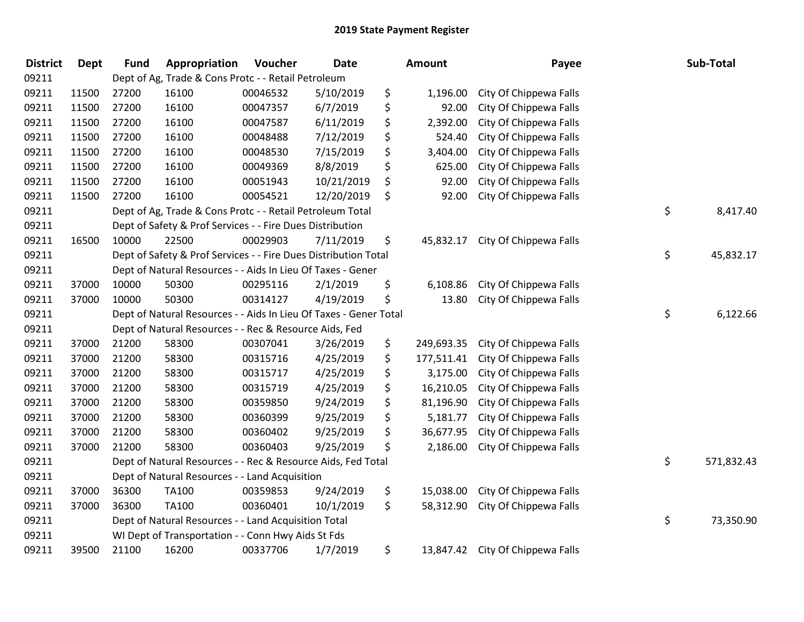| <b>District</b> | <b>Dept</b> | <b>Fund</b> | Appropriation                                                     | Voucher  | <b>Date</b> | <b>Amount</b>    | Payee                  | Sub-Total        |
|-----------------|-------------|-------------|-------------------------------------------------------------------|----------|-------------|------------------|------------------------|------------------|
| 09211           |             |             | Dept of Ag, Trade & Cons Protc - - Retail Petroleum               |          |             |                  |                        |                  |
| 09211           | 11500       | 27200       | 16100                                                             | 00046532 | 5/10/2019   | \$<br>1,196.00   | City Of Chippewa Falls |                  |
| 09211           | 11500       | 27200       | 16100                                                             | 00047357 | 6/7/2019    | \$<br>92.00      | City Of Chippewa Falls |                  |
| 09211           | 11500       | 27200       | 16100                                                             | 00047587 | 6/11/2019   | \$<br>2,392.00   | City Of Chippewa Falls |                  |
| 09211           | 11500       | 27200       | 16100                                                             | 00048488 | 7/12/2019   | \$<br>524.40     | City Of Chippewa Falls |                  |
| 09211           | 11500       | 27200       | 16100                                                             | 00048530 | 7/15/2019   | \$<br>3,404.00   | City Of Chippewa Falls |                  |
| 09211           | 11500       | 27200       | 16100                                                             | 00049369 | 8/8/2019    | \$<br>625.00     | City Of Chippewa Falls |                  |
| 09211           | 11500       | 27200       | 16100                                                             | 00051943 | 10/21/2019  | \$<br>92.00      | City Of Chippewa Falls |                  |
| 09211           | 11500       | 27200       | 16100                                                             | 00054521 | 12/20/2019  | \$<br>92.00      | City Of Chippewa Falls |                  |
| 09211           |             |             | Dept of Ag, Trade & Cons Protc - - Retail Petroleum Total         |          |             |                  |                        | \$<br>8,417.40   |
| 09211           |             |             | Dept of Safety & Prof Services - - Fire Dues Distribution         |          |             |                  |                        |                  |
| 09211           | 16500       | 10000       | 22500                                                             | 00029903 | 7/11/2019   | \$<br>45,832.17  | City Of Chippewa Falls |                  |
| 09211           |             |             | Dept of Safety & Prof Services - - Fire Dues Distribution Total   |          |             |                  |                        | \$<br>45,832.17  |
| 09211           |             |             | Dept of Natural Resources - - Aids In Lieu Of Taxes - Gener       |          |             |                  |                        |                  |
| 09211           | 37000       | 10000       | 50300                                                             | 00295116 | 2/1/2019    | \$<br>6,108.86   | City Of Chippewa Falls |                  |
| 09211           | 37000       | 10000       | 50300                                                             | 00314127 | 4/19/2019   | \$<br>13.80      | City Of Chippewa Falls |                  |
| 09211           |             |             | Dept of Natural Resources - - Aids In Lieu Of Taxes - Gener Total |          |             |                  |                        | \$<br>6,122.66   |
| 09211           |             |             | Dept of Natural Resources - - Rec & Resource Aids, Fed            |          |             |                  |                        |                  |
| 09211           | 37000       | 21200       | 58300                                                             | 00307041 | 3/26/2019   | \$<br>249,693.35 | City Of Chippewa Falls |                  |
| 09211           | 37000       | 21200       | 58300                                                             | 00315716 | 4/25/2019   | \$<br>177,511.41 | City Of Chippewa Falls |                  |
| 09211           | 37000       | 21200       | 58300                                                             | 00315717 | 4/25/2019   | \$<br>3,175.00   | City Of Chippewa Falls |                  |
| 09211           | 37000       | 21200       | 58300                                                             | 00315719 | 4/25/2019   | \$<br>16,210.05  | City Of Chippewa Falls |                  |
| 09211           | 37000       | 21200       | 58300                                                             | 00359850 | 9/24/2019   | \$<br>81,196.90  | City Of Chippewa Falls |                  |
| 09211           | 37000       | 21200       | 58300                                                             | 00360399 | 9/25/2019   | \$<br>5,181.77   | City Of Chippewa Falls |                  |
| 09211           | 37000       | 21200       | 58300                                                             | 00360402 | 9/25/2019   | \$<br>36,677.95  | City Of Chippewa Falls |                  |
| 09211           | 37000       | 21200       | 58300                                                             | 00360403 | 9/25/2019   | \$<br>2,186.00   | City Of Chippewa Falls |                  |
| 09211           |             |             | Dept of Natural Resources - - Rec & Resource Aids, Fed Total      |          |             |                  |                        | \$<br>571,832.43 |
| 09211           |             |             | Dept of Natural Resources - - Land Acquisition                    |          |             |                  |                        |                  |
| 09211           | 37000       | 36300       | TA100                                                             | 00359853 | 9/24/2019   | \$<br>15,038.00  | City Of Chippewa Falls |                  |
| 09211           | 37000       | 36300       | TA100                                                             | 00360401 | 10/1/2019   | \$<br>58,312.90  | City Of Chippewa Falls |                  |
| 09211           |             |             | Dept of Natural Resources - - Land Acquisition Total              |          |             |                  |                        | \$<br>73,350.90  |
| 09211           |             |             | WI Dept of Transportation - - Conn Hwy Aids St Fds                |          |             |                  |                        |                  |
| 09211           | 39500       | 21100       | 16200                                                             | 00337706 | 1/7/2019    | \$<br>13,847.42  | City Of Chippewa Falls |                  |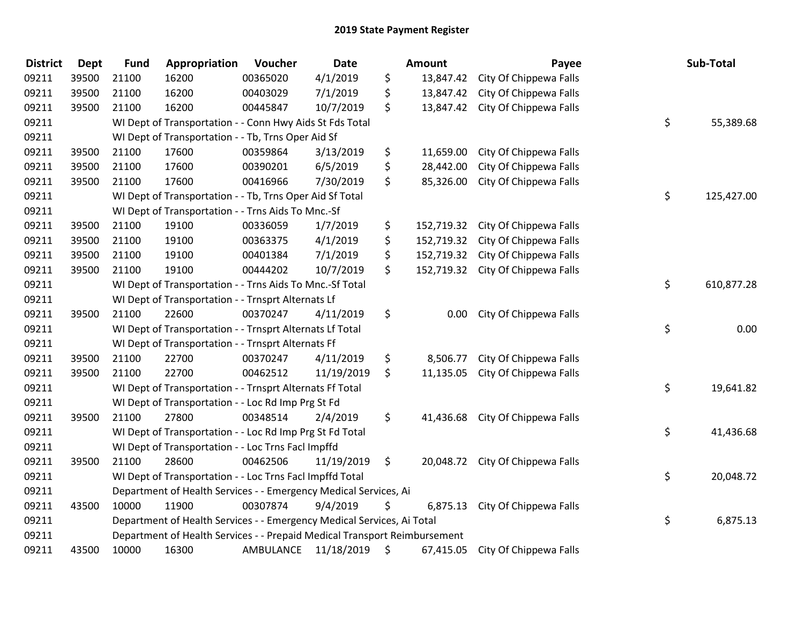| <b>District</b> | Dept  | <b>Fund</b> | Appropriation                                                             | Voucher   | <b>Date</b> | <b>Amount</b>    | Payee                             | Sub-Total        |
|-----------------|-------|-------------|---------------------------------------------------------------------------|-----------|-------------|------------------|-----------------------------------|------------------|
| 09211           | 39500 | 21100       | 16200                                                                     | 00365020  | 4/1/2019    | \$<br>13,847.42  | City Of Chippewa Falls            |                  |
| 09211           | 39500 | 21100       | 16200                                                                     | 00403029  | 7/1/2019    | \$<br>13,847.42  | City Of Chippewa Falls            |                  |
| 09211           | 39500 | 21100       | 16200                                                                     | 00445847  | 10/7/2019   | \$               | 13,847.42 City Of Chippewa Falls  |                  |
| 09211           |       |             | WI Dept of Transportation - - Conn Hwy Aids St Fds Total                  |           |             |                  |                                   | \$<br>55,389.68  |
| 09211           |       |             | WI Dept of Transportation - - Tb, Trns Oper Aid Sf                        |           |             |                  |                                   |                  |
| 09211           | 39500 | 21100       | 17600                                                                     | 00359864  | 3/13/2019   | \$<br>11,659.00  | City Of Chippewa Falls            |                  |
| 09211           | 39500 | 21100       | 17600                                                                     | 00390201  | 6/5/2019    | \$<br>28,442.00  | City Of Chippewa Falls            |                  |
| 09211           | 39500 | 21100       | 17600                                                                     | 00416966  | 7/30/2019   | \$<br>85,326.00  | City Of Chippewa Falls            |                  |
| 09211           |       |             | WI Dept of Transportation - - Tb, Trns Oper Aid Sf Total                  |           |             |                  |                                   | \$<br>125,427.00 |
| 09211           |       |             | WI Dept of Transportation - - Trns Aids To Mnc.-Sf                        |           |             |                  |                                   |                  |
| 09211           | 39500 | 21100       | 19100                                                                     | 00336059  | 1/7/2019    | \$<br>152,719.32 | City Of Chippewa Falls            |                  |
| 09211           | 39500 | 21100       | 19100                                                                     | 00363375  | 4/1/2019    | \$               | 152,719.32 City Of Chippewa Falls |                  |
| 09211           | 39500 | 21100       | 19100                                                                     | 00401384  | 7/1/2019    | \$               | 152,719.32 City Of Chippewa Falls |                  |
| 09211           | 39500 | 21100       | 19100                                                                     | 00444202  | 10/7/2019   | \$<br>152,719.32 | City Of Chippewa Falls            |                  |
| 09211           |       |             | WI Dept of Transportation - - Trns Aids To Mnc.-Sf Total                  |           |             |                  |                                   | \$<br>610,877.28 |
| 09211           |       |             | WI Dept of Transportation - - Trnsprt Alternats Lf                        |           |             |                  |                                   |                  |
| 09211           | 39500 | 21100       | 22600                                                                     | 00370247  | 4/11/2019   | \$<br>0.00       | City Of Chippewa Falls            |                  |
| 09211           |       |             | WI Dept of Transportation - - Trnsprt Alternats Lf Total                  |           |             |                  |                                   | \$<br>0.00       |
| 09211           |       |             | WI Dept of Transportation - - Trnsprt Alternats Ff                        |           |             |                  |                                   |                  |
| 09211           | 39500 | 21100       | 22700                                                                     | 00370247  | 4/11/2019   | \$<br>8,506.77   | City Of Chippewa Falls            |                  |
| 09211           | 39500 | 21100       | 22700                                                                     | 00462512  | 11/19/2019  | \$<br>11,135.05  | City Of Chippewa Falls            |                  |
| 09211           |       |             | WI Dept of Transportation - - Trnsprt Alternats Ff Total                  |           |             |                  |                                   | \$<br>19,641.82  |
| 09211           |       |             | WI Dept of Transportation - - Loc Rd Imp Prg St Fd                        |           |             |                  |                                   |                  |
| 09211           | 39500 | 21100       | 27800                                                                     | 00348514  | 2/4/2019    | \$               | 41,436.68 City Of Chippewa Falls  |                  |
| 09211           |       |             | WI Dept of Transportation - - Loc Rd Imp Prg St Fd Total                  |           |             |                  |                                   | \$<br>41,436.68  |
| 09211           |       |             | WI Dept of Transportation - - Loc Trns Facl Impffd                        |           |             |                  |                                   |                  |
| 09211           | 39500 | 21100       | 28600                                                                     | 00462506  | 11/19/2019  | \$               | 20,048.72 City Of Chippewa Falls  |                  |
| 09211           |       |             | WI Dept of Transportation - - Loc Trns Facl Impffd Total                  |           |             |                  |                                   | \$<br>20,048.72  |
| 09211           |       |             | Department of Health Services - - Emergency Medical Services, Ai          |           |             |                  |                                   |                  |
| 09211           | 43500 | 10000       | 11900                                                                     | 00307874  | 9/4/2019    | \$<br>6,875.13   | City Of Chippewa Falls            |                  |
| 09211           |       |             | Department of Health Services - - Emergency Medical Services, Ai Total    |           |             |                  |                                   | \$<br>6,875.13   |
| 09211           |       |             | Department of Health Services - - Prepaid Medical Transport Reimbursement |           |             |                  |                                   |                  |
| 09211           | 43500 | 10000       | 16300                                                                     | AMBULANCE | 11/18/2019  | \$<br>67,415.05  | City Of Chippewa Falls            |                  |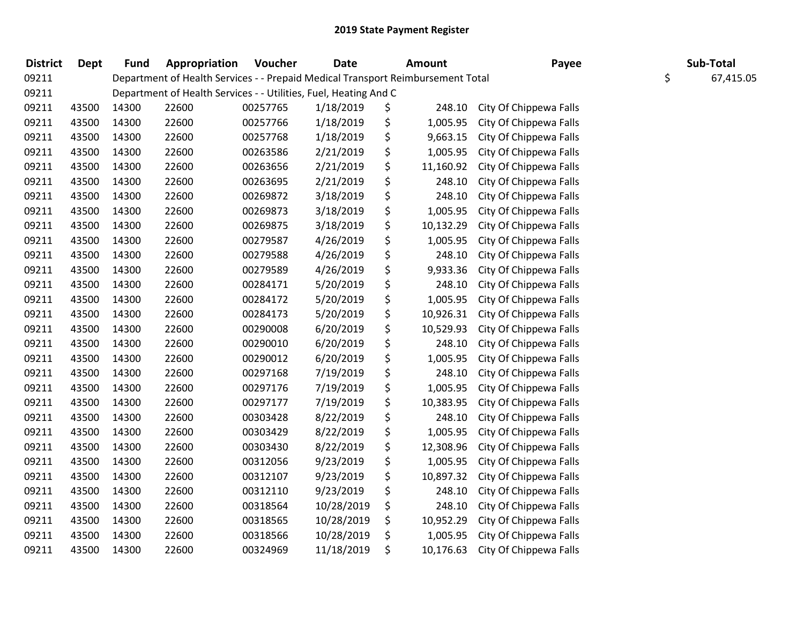| <b>District</b> | <b>Dept</b> | <b>Fund</b> | Appropriation                                                                   | Voucher  | <b>Date</b> | <b>Amount</b>   | Payee                  | Sub-Total       |
|-----------------|-------------|-------------|---------------------------------------------------------------------------------|----------|-------------|-----------------|------------------------|-----------------|
| 09211           |             |             | Department of Health Services - - Prepaid Medical Transport Reimbursement Total |          |             |                 |                        | \$<br>67,415.05 |
| 09211           |             |             | Department of Health Services - - Utilities, Fuel, Heating And C                |          |             |                 |                        |                 |
| 09211           | 43500       | 14300       | 22600                                                                           | 00257765 | 1/18/2019   | \$<br>248.10    | City Of Chippewa Falls |                 |
| 09211           | 43500       | 14300       | 22600                                                                           | 00257766 | 1/18/2019   | \$<br>1,005.95  | City Of Chippewa Falls |                 |
| 09211           | 43500       | 14300       | 22600                                                                           | 00257768 | 1/18/2019   | \$<br>9,663.15  | City Of Chippewa Falls |                 |
| 09211           | 43500       | 14300       | 22600                                                                           | 00263586 | 2/21/2019   | \$<br>1,005.95  | City Of Chippewa Falls |                 |
| 09211           | 43500       | 14300       | 22600                                                                           | 00263656 | 2/21/2019   | \$<br>11,160.92 | City Of Chippewa Falls |                 |
| 09211           | 43500       | 14300       | 22600                                                                           | 00263695 | 2/21/2019   | \$<br>248.10    | City Of Chippewa Falls |                 |
| 09211           | 43500       | 14300       | 22600                                                                           | 00269872 | 3/18/2019   | \$<br>248.10    | City Of Chippewa Falls |                 |
| 09211           | 43500       | 14300       | 22600                                                                           | 00269873 | 3/18/2019   | \$<br>1,005.95  | City Of Chippewa Falls |                 |
| 09211           | 43500       | 14300       | 22600                                                                           | 00269875 | 3/18/2019   | \$<br>10,132.29 | City Of Chippewa Falls |                 |
| 09211           | 43500       | 14300       | 22600                                                                           | 00279587 | 4/26/2019   | \$<br>1,005.95  | City Of Chippewa Falls |                 |
| 09211           | 43500       | 14300       | 22600                                                                           | 00279588 | 4/26/2019   | \$<br>248.10    | City Of Chippewa Falls |                 |
| 09211           | 43500       | 14300       | 22600                                                                           | 00279589 | 4/26/2019   | \$<br>9,933.36  | City Of Chippewa Falls |                 |
| 09211           | 43500       | 14300       | 22600                                                                           | 00284171 | 5/20/2019   | \$<br>248.10    | City Of Chippewa Falls |                 |
| 09211           | 43500       | 14300       | 22600                                                                           | 00284172 | 5/20/2019   | \$<br>1,005.95  | City Of Chippewa Falls |                 |
| 09211           | 43500       | 14300       | 22600                                                                           | 00284173 | 5/20/2019   | \$<br>10,926.31 | City Of Chippewa Falls |                 |
| 09211           | 43500       | 14300       | 22600                                                                           | 00290008 | 6/20/2019   | \$<br>10,529.93 | City Of Chippewa Falls |                 |
| 09211           | 43500       | 14300       | 22600                                                                           | 00290010 | 6/20/2019   | \$<br>248.10    | City Of Chippewa Falls |                 |
| 09211           | 43500       | 14300       | 22600                                                                           | 00290012 | 6/20/2019   | \$<br>1,005.95  | City Of Chippewa Falls |                 |
| 09211           | 43500       | 14300       | 22600                                                                           | 00297168 | 7/19/2019   | \$<br>248.10    | City Of Chippewa Falls |                 |
| 09211           | 43500       | 14300       | 22600                                                                           | 00297176 | 7/19/2019   | \$<br>1,005.95  | City Of Chippewa Falls |                 |
| 09211           | 43500       | 14300       | 22600                                                                           | 00297177 | 7/19/2019   | \$<br>10,383.95 | City Of Chippewa Falls |                 |
| 09211           | 43500       | 14300       | 22600                                                                           | 00303428 | 8/22/2019   | \$<br>248.10    | City Of Chippewa Falls |                 |
| 09211           | 43500       | 14300       | 22600                                                                           | 00303429 | 8/22/2019   | \$<br>1,005.95  | City Of Chippewa Falls |                 |
| 09211           | 43500       | 14300       | 22600                                                                           | 00303430 | 8/22/2019   | \$<br>12,308.96 | City Of Chippewa Falls |                 |
| 09211           | 43500       | 14300       | 22600                                                                           | 00312056 | 9/23/2019   | \$<br>1,005.95  | City Of Chippewa Falls |                 |
| 09211           | 43500       | 14300       | 22600                                                                           | 00312107 | 9/23/2019   | \$<br>10,897.32 | City Of Chippewa Falls |                 |
| 09211           | 43500       | 14300       | 22600                                                                           | 00312110 | 9/23/2019   | \$<br>248.10    | City Of Chippewa Falls |                 |
| 09211           | 43500       | 14300       | 22600                                                                           | 00318564 | 10/28/2019  | \$<br>248.10    | City Of Chippewa Falls |                 |
| 09211           | 43500       | 14300       | 22600                                                                           | 00318565 | 10/28/2019  | \$<br>10,952.29 | City Of Chippewa Falls |                 |
| 09211           | 43500       | 14300       | 22600                                                                           | 00318566 | 10/28/2019  | \$<br>1,005.95  | City Of Chippewa Falls |                 |
| 09211           | 43500       | 14300       | 22600                                                                           | 00324969 | 11/18/2019  | \$<br>10,176.63 | City Of Chippewa Falls |                 |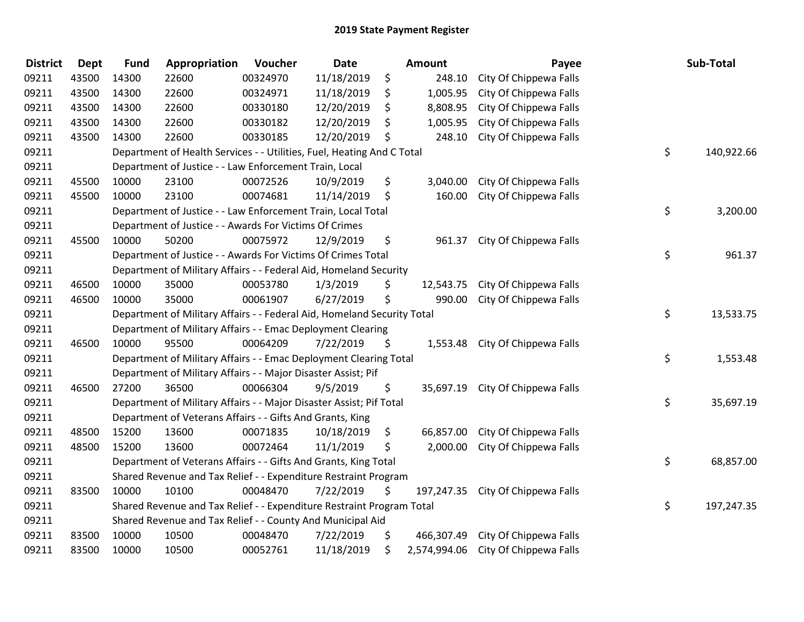| <b>District</b> | <b>Dept</b> | <b>Fund</b> | Appropriation                                                           | Voucher  | Date       |    | <b>Amount</b> | Payee                            | Sub-Total        |
|-----------------|-------------|-------------|-------------------------------------------------------------------------|----------|------------|----|---------------|----------------------------------|------------------|
| 09211           | 43500       | 14300       | 22600                                                                   | 00324970 | 11/18/2019 | \$ | 248.10        | City Of Chippewa Falls           |                  |
| 09211           | 43500       | 14300       | 22600                                                                   | 00324971 | 11/18/2019 | \$ | 1,005.95      | City Of Chippewa Falls           |                  |
| 09211           | 43500       | 14300       | 22600                                                                   | 00330180 | 12/20/2019 | \$ | 8,808.95      | City Of Chippewa Falls           |                  |
| 09211           | 43500       | 14300       | 22600                                                                   | 00330182 | 12/20/2019 | \$ | 1,005.95      | City Of Chippewa Falls           |                  |
| 09211           | 43500       | 14300       | 22600                                                                   | 00330185 | 12/20/2019 | \$ | 248.10        | City Of Chippewa Falls           |                  |
| 09211           |             |             | Department of Health Services - - Utilities, Fuel, Heating And C Total  |          |            |    |               |                                  | \$<br>140,922.66 |
| 09211           |             |             | Department of Justice - - Law Enforcement Train, Local                  |          |            |    |               |                                  |                  |
| 09211           | 45500       | 10000       | 23100                                                                   | 00072526 | 10/9/2019  | \$ | 3,040.00      | City Of Chippewa Falls           |                  |
| 09211           | 45500       | 10000       | 23100                                                                   | 00074681 | 11/14/2019 | \$ | 160.00        | City Of Chippewa Falls           |                  |
| 09211           |             |             | Department of Justice - - Law Enforcement Train, Local Total            |          |            |    |               |                                  | \$<br>3,200.00   |
| 09211           |             |             | Department of Justice - - Awards For Victims Of Crimes                  |          |            |    |               |                                  |                  |
| 09211           | 45500       | 10000       | 50200                                                                   | 00075972 | 12/9/2019  | \$ | 961.37        | City Of Chippewa Falls           |                  |
| 09211           |             |             | Department of Justice - - Awards For Victims Of Crimes Total            |          |            |    |               |                                  | \$<br>961.37     |
| 09211           |             |             | Department of Military Affairs - - Federal Aid, Homeland Security       |          |            |    |               |                                  |                  |
| 09211           | 46500       | 10000       | 35000                                                                   | 00053780 | 1/3/2019   | \$ | 12,543.75     | City Of Chippewa Falls           |                  |
| 09211           | 46500       | 10000       | 35000                                                                   | 00061907 | 6/27/2019  | \$ | 990.00        | City Of Chippewa Falls           |                  |
| 09211           |             |             | Department of Military Affairs - - Federal Aid, Homeland Security Total |          |            |    |               |                                  | \$<br>13,533.75  |
| 09211           |             |             | Department of Military Affairs - - Emac Deployment Clearing             |          |            |    |               |                                  |                  |
| 09211           | 46500       | 10000       | 95500                                                                   | 00064209 | 7/22/2019  | Ŝ. | 1,553.48      | City Of Chippewa Falls           |                  |
| 09211           |             |             | Department of Military Affairs - - Emac Deployment Clearing Total       |          |            |    |               |                                  | \$<br>1,553.48   |
| 09211           |             |             | Department of Military Affairs - - Major Disaster Assist; Pif           |          |            |    |               |                                  |                  |
| 09211           | 46500       | 27200       | 36500                                                                   | 00066304 | 9/5/2019   | \$ |               | 35,697.19 City Of Chippewa Falls |                  |
| 09211           |             |             | Department of Military Affairs - - Major Disaster Assist; Pif Total     |          |            |    |               |                                  | \$<br>35,697.19  |
| 09211           |             |             | Department of Veterans Affairs - - Gifts And Grants, King               |          |            |    |               |                                  |                  |
| 09211           | 48500       | 15200       | 13600                                                                   | 00071835 | 10/18/2019 | \$ | 66,857.00     | City Of Chippewa Falls           |                  |
| 09211           | 48500       | 15200       | 13600                                                                   | 00072464 | 11/1/2019  | \$ | 2,000.00      | City Of Chippewa Falls           |                  |
| 09211           |             |             | Department of Veterans Affairs - - Gifts And Grants, King Total         |          |            |    |               |                                  | \$<br>68,857.00  |
| 09211           |             |             | Shared Revenue and Tax Relief - - Expenditure Restraint Program         |          |            |    |               |                                  |                  |
| 09211           | 83500       | 10000       | 10100                                                                   | 00048470 | 7/22/2019  | \$ | 197,247.35    | City Of Chippewa Falls           |                  |
| 09211           |             |             | Shared Revenue and Tax Relief - - Expenditure Restraint Program Total   |          |            |    |               |                                  | \$<br>197,247.35 |
| 09211           |             |             | Shared Revenue and Tax Relief - - County And Municipal Aid              |          |            |    |               |                                  |                  |
| 09211           | 83500       | 10000       | 10500                                                                   | 00048470 | 7/22/2019  | \$ | 466,307.49    | City Of Chippewa Falls           |                  |
| 09211           | 83500       | 10000       | 10500                                                                   | 00052761 | 11/18/2019 | \$ | 2,574,994.06  | City Of Chippewa Falls           |                  |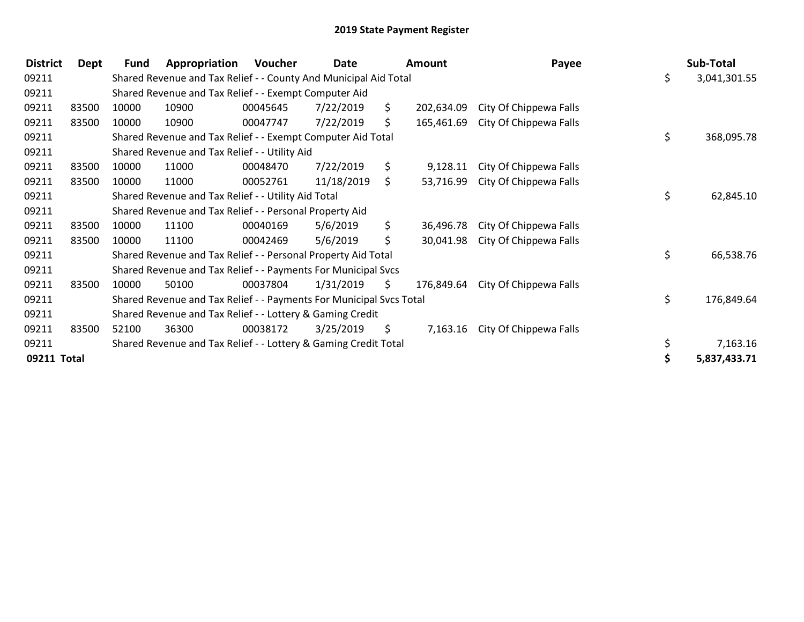| <b>District</b> | Dept  | <b>Fund</b> | Appropriation                                                       | Voucher  | Date       |     | <b>Amount</b> |                        | Payee | Sub-Total          |
|-----------------|-------|-------------|---------------------------------------------------------------------|----------|------------|-----|---------------|------------------------|-------|--------------------|
| 09211           |       |             | Shared Revenue and Tax Relief - - County And Municipal Aid Total    |          |            |     |               |                        |       | \$<br>3,041,301.55 |
| 09211           |       |             | Shared Revenue and Tax Relief - - Exempt Computer Aid               |          |            |     |               |                        |       |                    |
| 09211           | 83500 | 10000       | 10900                                                               | 00045645 | 7/22/2019  | \$. | 202,634.09    | City Of Chippewa Falls |       |                    |
| 09211           | 83500 | 10000       | 10900                                                               | 00047747 | 7/22/2019  | \$. | 165,461.69    | City Of Chippewa Falls |       |                    |
| 09211           |       |             | Shared Revenue and Tax Relief - - Exempt Computer Aid Total         |          |            |     |               |                        |       | \$<br>368,095.78   |
| 09211           |       |             | Shared Revenue and Tax Relief - - Utility Aid                       |          |            |     |               |                        |       |                    |
| 09211           | 83500 | 10000       | 11000                                                               | 00048470 | 7/22/2019  | S.  | 9,128.11      | City Of Chippewa Falls |       |                    |
| 09211           | 83500 | 10000       | 11000                                                               | 00052761 | 11/18/2019 | \$. | 53,716.99     | City Of Chippewa Falls |       |                    |
| 09211           |       |             | Shared Revenue and Tax Relief - - Utility Aid Total                 |          |            |     |               |                        |       | \$<br>62,845.10    |
| 09211           |       |             | Shared Revenue and Tax Relief - - Personal Property Aid             |          |            |     |               |                        |       |                    |
| 09211           | 83500 | 10000       | 11100                                                               | 00040169 | 5/6/2019   | \$. | 36,496.78     | City Of Chippewa Falls |       |                    |
| 09211           | 83500 | 10000       | 11100                                                               | 00042469 | 5/6/2019   | \$  | 30,041.98     | City Of Chippewa Falls |       |                    |
| 09211           |       |             | Shared Revenue and Tax Relief - - Personal Property Aid Total       |          |            |     |               |                        |       | \$<br>66,538.76    |
| 09211           |       |             | Shared Revenue and Tax Relief - - Payments For Municipal Svcs       |          |            |     |               |                        |       |                    |
| 09211           | 83500 | 10000       | 50100                                                               | 00037804 | 1/31/2019  | \$  | 176,849.64    | City Of Chippewa Falls |       |                    |
| 09211           |       |             | Shared Revenue and Tax Relief - - Payments For Municipal Svcs Total |          |            |     |               |                        |       | \$<br>176,849.64   |
| 09211           |       |             | Shared Revenue and Tax Relief - - Lottery & Gaming Credit           |          |            |     |               |                        |       |                    |
| 09211           | 83500 | 52100       | 36300                                                               | 00038172 | 3/25/2019  | \$  | 7,163.16      | City Of Chippewa Falls |       |                    |
| 09211           |       |             | Shared Revenue and Tax Relief - - Lottery & Gaming Credit Total     |          |            |     |               |                        |       | 7,163.16           |
| 09211 Total     |       |             |                                                                     |          |            |     |               |                        |       | 5,837,433.71       |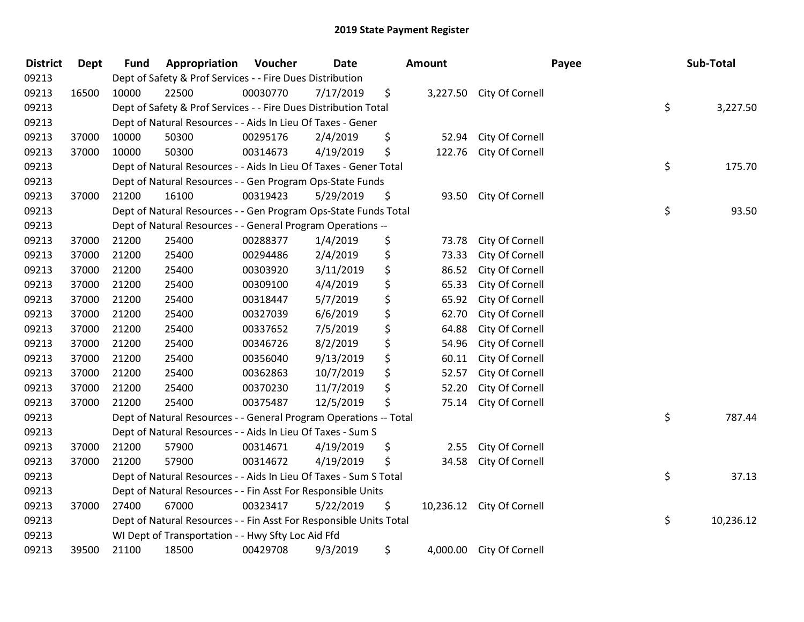| <b>District</b> | <b>Dept</b> | <b>Fund</b> | Appropriation                                                      | Voucher  | Date      | <b>Amount</b> |                           | Payee | Sub-Total |           |
|-----------------|-------------|-------------|--------------------------------------------------------------------|----------|-----------|---------------|---------------------------|-------|-----------|-----------|
| 09213           |             |             | Dept of Safety & Prof Services - - Fire Dues Distribution          |          |           |               |                           |       |           |           |
| 09213           | 16500       | 10000       | 22500                                                              | 00030770 | 7/17/2019 | \$            | 3,227.50 City Of Cornell  |       |           |           |
| 09213           |             |             | Dept of Safety & Prof Services - - Fire Dues Distribution Total    |          |           |               |                           | \$    |           | 3,227.50  |
| 09213           |             |             | Dept of Natural Resources - - Aids In Lieu Of Taxes - Gener        |          |           |               |                           |       |           |           |
| 09213           | 37000       | 10000       | 50300                                                              | 00295176 | 2/4/2019  | \$<br>52.94   | City Of Cornell           |       |           |           |
| 09213           | 37000       | 10000       | 50300                                                              | 00314673 | 4/19/2019 | \$<br>122.76  | City Of Cornell           |       |           |           |
| 09213           |             |             | Dept of Natural Resources - - Aids In Lieu Of Taxes - Gener Total  |          |           |               |                           | \$    |           | 175.70    |
| 09213           |             |             | Dept of Natural Resources - - Gen Program Ops-State Funds          |          |           |               |                           |       |           |           |
| 09213           | 37000       | 21200       | 16100                                                              | 00319423 | 5/29/2019 | \$<br>93.50   | City Of Cornell           |       |           |           |
| 09213           |             |             | Dept of Natural Resources - - Gen Program Ops-State Funds Total    |          |           |               |                           | \$    |           | 93.50     |
| 09213           |             |             | Dept of Natural Resources - - General Program Operations --        |          |           |               |                           |       |           |           |
| 09213           | 37000       | 21200       | 25400                                                              | 00288377 | 1/4/2019  | \$<br>73.78   | City Of Cornell           |       |           |           |
| 09213           | 37000       | 21200       | 25400                                                              | 00294486 | 2/4/2019  | \$<br>73.33   | City Of Cornell           |       |           |           |
| 09213           | 37000       | 21200       | 25400                                                              | 00303920 | 3/11/2019 | \$<br>86.52   | City Of Cornell           |       |           |           |
| 09213           | 37000       | 21200       | 25400                                                              | 00309100 | 4/4/2019  | \$<br>65.33   | City Of Cornell           |       |           |           |
| 09213           | 37000       | 21200       | 25400                                                              | 00318447 | 5/7/2019  | \$<br>65.92   | City Of Cornell           |       |           |           |
| 09213           | 37000       | 21200       | 25400                                                              | 00327039 | 6/6/2019  | \$<br>62.70   | City Of Cornell           |       |           |           |
| 09213           | 37000       | 21200       | 25400                                                              | 00337652 | 7/5/2019  | \$<br>64.88   | City Of Cornell           |       |           |           |
| 09213           | 37000       | 21200       | 25400                                                              | 00346726 | 8/2/2019  | \$<br>54.96   | City Of Cornell           |       |           |           |
| 09213           | 37000       | 21200       | 25400                                                              | 00356040 | 9/13/2019 | \$<br>60.11   | City Of Cornell           |       |           |           |
| 09213           | 37000       | 21200       | 25400                                                              | 00362863 | 10/7/2019 | \$<br>52.57   | City Of Cornell           |       |           |           |
| 09213           | 37000       | 21200       | 25400                                                              | 00370230 | 11/7/2019 | \$<br>52.20   | City Of Cornell           |       |           |           |
| 09213           | 37000       | 21200       | 25400                                                              | 00375487 | 12/5/2019 | \$<br>75.14   | City Of Cornell           |       |           |           |
| 09213           |             |             | Dept of Natural Resources - - General Program Operations -- Total  |          |           |               |                           | \$    |           | 787.44    |
| 09213           |             |             | Dept of Natural Resources - - Aids In Lieu Of Taxes - Sum S        |          |           |               |                           |       |           |           |
| 09213           | 37000       | 21200       | 57900                                                              | 00314671 | 4/19/2019 | \$<br>2.55    | City Of Cornell           |       |           |           |
| 09213           | 37000       | 21200       | 57900                                                              | 00314672 | 4/19/2019 | \$<br>34.58   | City Of Cornell           |       |           |           |
| 09213           |             |             | Dept of Natural Resources - - Aids In Lieu Of Taxes - Sum S Total  |          |           |               |                           | \$    |           | 37.13     |
| 09213           |             |             | Dept of Natural Resources - - Fin Asst For Responsible Units       |          |           |               |                           |       |           |           |
| 09213           | 37000       | 27400       | 67000                                                              | 00323417 | 5/22/2019 | \$            | 10,236.12 City Of Cornell |       |           |           |
| 09213           |             |             | Dept of Natural Resources - - Fin Asst For Responsible Units Total |          |           |               |                           | \$    |           | 10,236.12 |
| 09213           |             |             | WI Dept of Transportation - - Hwy Sfty Loc Aid Ffd                 |          |           |               |                           |       |           |           |
| 09213           | 39500       | 21100       | 18500                                                              | 00429708 | 9/3/2019  | \$            | 4,000.00 City Of Cornell  |       |           |           |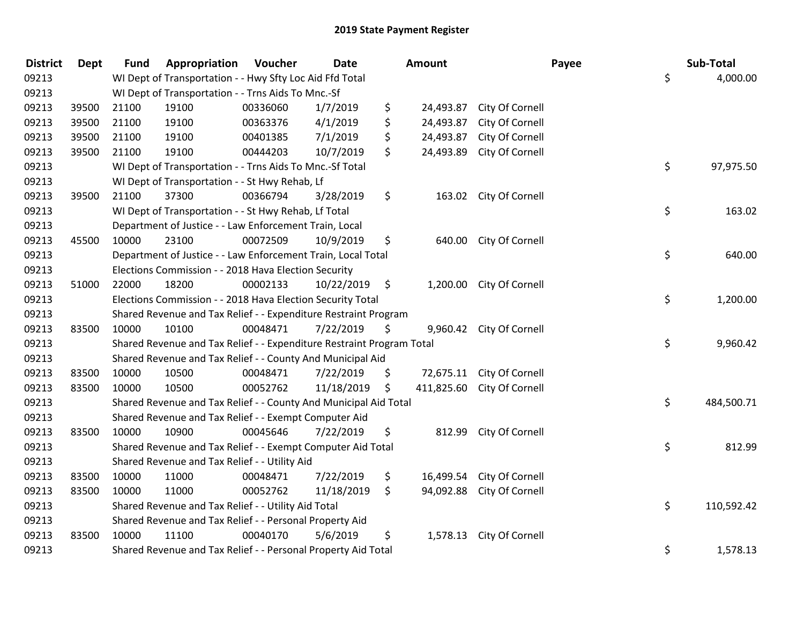| <b>District</b> | <b>Dept</b> | <b>Fund</b> | Appropriation                                                         | Voucher  | <b>Date</b> |      | <b>Amount</b> |                           | Payee | Sub-Total  |
|-----------------|-------------|-------------|-----------------------------------------------------------------------|----------|-------------|------|---------------|---------------------------|-------|------------|
| 09213           |             |             | WI Dept of Transportation - - Hwy Sfty Loc Aid Ffd Total              |          |             |      |               |                           | \$    | 4,000.00   |
| 09213           |             |             | WI Dept of Transportation - - Trns Aids To Mnc.-Sf                    |          |             |      |               |                           |       |            |
| 09213           | 39500       | 21100       | 19100                                                                 | 00336060 | 1/7/2019    | \$   | 24,493.87     | City Of Cornell           |       |            |
| 09213           | 39500       | 21100       | 19100                                                                 | 00363376 | 4/1/2019    | \$   | 24,493.87     | City Of Cornell           |       |            |
| 09213           | 39500       | 21100       | 19100                                                                 | 00401385 | 7/1/2019    | \$   | 24,493.87     | City Of Cornell           |       |            |
| 09213           | 39500       | 21100       | 19100                                                                 | 00444203 | 10/7/2019   | \$   | 24,493.89     | City Of Cornell           |       |            |
| 09213           |             |             | WI Dept of Transportation - - Trns Aids To Mnc.-Sf Total              |          |             |      |               |                           | \$    | 97,975.50  |
| 09213           |             |             | WI Dept of Transportation - - St Hwy Rehab, Lf                        |          |             |      |               |                           |       |            |
| 09213           | 39500       | 21100       | 37300                                                                 | 00366794 | 3/28/2019   | \$   |               | 163.02 City Of Cornell    |       |            |
| 09213           |             |             | WI Dept of Transportation - - St Hwy Rehab, Lf Total                  |          |             |      |               |                           | \$    | 163.02     |
| 09213           |             |             | Department of Justice - - Law Enforcement Train, Local                |          |             |      |               |                           |       |            |
| 09213           | 45500       | 10000       | 23100                                                                 | 00072509 | 10/9/2019   | \$   | 640.00        | City Of Cornell           |       |            |
| 09213           |             |             | Department of Justice - - Law Enforcement Train, Local Total          |          |             |      |               |                           | \$    | 640.00     |
| 09213           |             |             | Elections Commission - - 2018 Hava Election Security                  |          |             |      |               |                           |       |            |
| 09213           | 51000       | 22000       | 18200                                                                 | 00002133 | 10/22/2019  | - \$ | 1,200.00      | City Of Cornell           |       |            |
| 09213           |             |             | Elections Commission - - 2018 Hava Election Security Total            |          |             |      |               |                           | \$    | 1,200.00   |
| 09213           |             |             | Shared Revenue and Tax Relief - - Expenditure Restraint Program       |          |             |      |               |                           |       |            |
| 09213           | 83500       | 10000       | 10100                                                                 | 00048471 | 7/22/2019   | \$   |               | 9,960.42 City Of Cornell  |       |            |
| 09213           |             |             | Shared Revenue and Tax Relief - - Expenditure Restraint Program Total |          |             |      |               |                           | \$    | 9,960.42   |
| 09213           |             |             | Shared Revenue and Tax Relief - - County And Municipal Aid            |          |             |      |               |                           |       |            |
| 09213           | 83500       | 10000       | 10500                                                                 | 00048471 | 7/22/2019   | \$   |               | 72,675.11 City Of Cornell |       |            |
| 09213           | 83500       | 10000       | 10500                                                                 | 00052762 | 11/18/2019  | \$   | 411,825.60    | City Of Cornell           |       |            |
| 09213           |             |             | Shared Revenue and Tax Relief - - County And Municipal Aid Total      |          |             |      |               |                           | \$    | 484,500.71 |
| 09213           |             |             | Shared Revenue and Tax Relief - - Exempt Computer Aid                 |          |             |      |               |                           |       |            |
| 09213           | 83500       | 10000       | 10900                                                                 | 00045646 | 7/22/2019   | \$   | 812.99        | City Of Cornell           |       |            |
| 09213           |             |             | Shared Revenue and Tax Relief - - Exempt Computer Aid Total           |          |             |      |               |                           | \$    | 812.99     |
| 09213           |             |             | Shared Revenue and Tax Relief - - Utility Aid                         |          |             |      |               |                           |       |            |
| 09213           | 83500       | 10000       | 11000                                                                 | 00048471 | 7/22/2019   | \$   |               | 16,499.54 City Of Cornell |       |            |
| 09213           | 83500       | 10000       | 11000                                                                 | 00052762 | 11/18/2019  | \$   | 94,092.88     | City Of Cornell           |       |            |
| 09213           |             |             | Shared Revenue and Tax Relief - - Utility Aid Total                   |          |             |      |               |                           | \$    | 110,592.42 |
| 09213           |             |             | Shared Revenue and Tax Relief - - Personal Property Aid               |          |             |      |               |                           |       |            |
| 09213           | 83500       | 10000       | 11100                                                                 | 00040170 | 5/6/2019    | \$   | 1,578.13      | City Of Cornell           |       |            |
| 09213           |             |             | Shared Revenue and Tax Relief - - Personal Property Aid Total         |          |             |      |               |                           | \$    | 1,578.13   |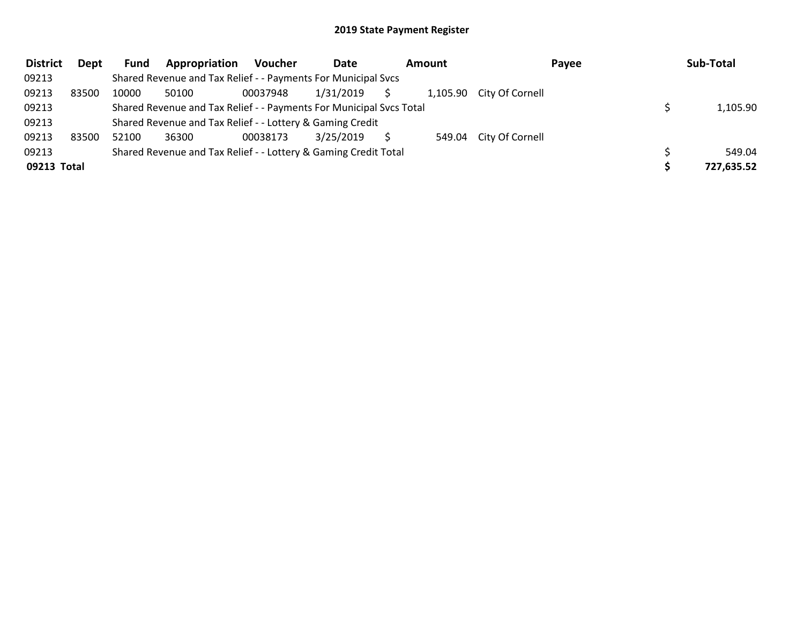| <b>District</b> | Dept  | Fund  | Appropriation                                                       | <b>Voucher</b> | Date      | Amount | Payee                    | Sub-Total  |
|-----------------|-------|-------|---------------------------------------------------------------------|----------------|-----------|--------|--------------------------|------------|
| 09213           |       |       | Shared Revenue and Tax Relief - - Payments For Municipal Svcs       |                |           |        |                          |            |
| 09213           | 83500 | 10000 | 50100                                                               | 00037948       | 1/31/2019 |        | 1,105.90 City Of Cornell |            |
| 09213           |       |       | Shared Revenue and Tax Relief - - Payments For Municipal Svcs Total |                |           |        |                          | 1,105.90   |
| 09213           |       |       | Shared Revenue and Tax Relief - - Lottery & Gaming Credit           |                |           |        |                          |            |
| 09213           | 83500 | 52100 | 36300                                                               | 00038173       | 3/25/2019 |        | 549.04 City Of Cornell   |            |
| 09213           |       |       | Shared Revenue and Tax Relief - - Lottery & Gaming Credit Total     |                |           |        |                          | 549.04     |
| 09213 Total     |       |       |                                                                     |                |           |        |                          | 727,635.52 |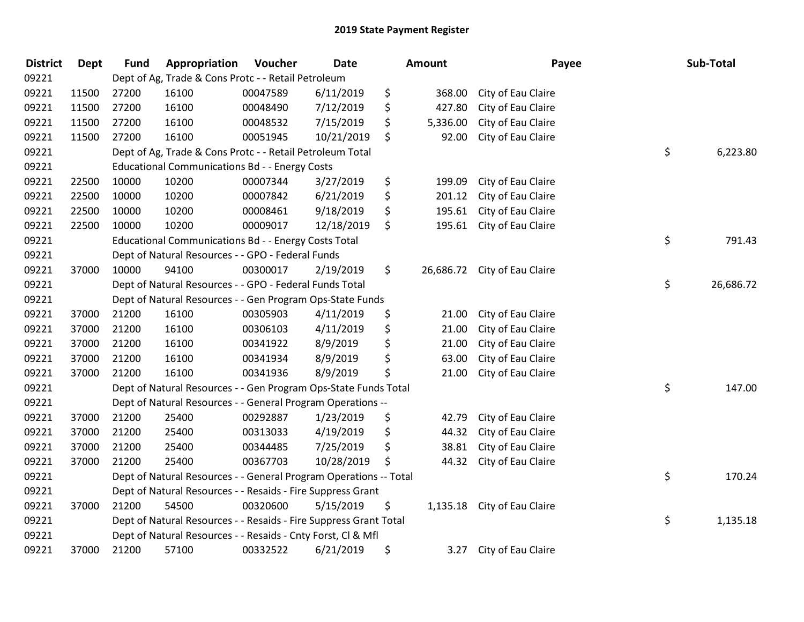| <b>District</b> | <b>Dept</b> | <b>Fund</b> | Appropriation                                                     | Voucher  | Date       | <b>Amount</b>   | Payee              | Sub-Total       |
|-----------------|-------------|-------------|-------------------------------------------------------------------|----------|------------|-----------------|--------------------|-----------------|
| 09221           |             |             | Dept of Ag, Trade & Cons Protc - - Retail Petroleum               |          |            |                 |                    |                 |
| 09221           | 11500       | 27200       | 16100                                                             | 00047589 | 6/11/2019  | \$<br>368.00    | City of Eau Claire |                 |
| 09221           | 11500       | 27200       | 16100                                                             | 00048490 | 7/12/2019  | \$<br>427.80    | City of Eau Claire |                 |
| 09221           | 11500       | 27200       | 16100                                                             | 00048532 | 7/15/2019  | \$<br>5,336.00  | City of Eau Claire |                 |
| 09221           | 11500       | 27200       | 16100                                                             | 00051945 | 10/21/2019 | \$<br>92.00     | City of Eau Claire |                 |
| 09221           |             |             | Dept of Ag, Trade & Cons Protc - - Retail Petroleum Total         |          |            |                 |                    | \$<br>6,223.80  |
| 09221           |             |             | <b>Educational Communications Bd - - Energy Costs</b>             |          |            |                 |                    |                 |
| 09221           | 22500       | 10000       | 10200                                                             | 00007344 | 3/27/2019  | \$<br>199.09    | City of Eau Claire |                 |
| 09221           | 22500       | 10000       | 10200                                                             | 00007842 | 6/21/2019  | \$<br>201.12    | City of Eau Claire |                 |
| 09221           | 22500       | 10000       | 10200                                                             | 00008461 | 9/18/2019  | \$<br>195.61    | City of Eau Claire |                 |
| 09221           | 22500       | 10000       | 10200                                                             | 00009017 | 12/18/2019 | \$<br>195.61    | City of Eau Claire |                 |
| 09221           |             |             | Educational Communications Bd - - Energy Costs Total              |          |            |                 |                    | \$<br>791.43    |
| 09221           |             |             | Dept of Natural Resources - - GPO - Federal Funds                 |          |            |                 |                    |                 |
| 09221           | 37000       | 10000       | 94100                                                             | 00300017 | 2/19/2019  | \$<br>26,686.72 | City of Eau Claire |                 |
| 09221           |             |             | Dept of Natural Resources - - GPO - Federal Funds Total           |          |            |                 |                    | \$<br>26,686.72 |
| 09221           |             |             | Dept of Natural Resources - - Gen Program Ops-State Funds         |          |            |                 |                    |                 |
| 09221           | 37000       | 21200       | 16100                                                             | 00305903 | 4/11/2019  | \$<br>21.00     | City of Eau Claire |                 |
| 09221           | 37000       | 21200       | 16100                                                             | 00306103 | 4/11/2019  | \$<br>21.00     | City of Eau Claire |                 |
| 09221           | 37000       | 21200       | 16100                                                             | 00341922 | 8/9/2019   | \$<br>21.00     | City of Eau Claire |                 |
| 09221           | 37000       | 21200       | 16100                                                             | 00341934 | 8/9/2019   | \$<br>63.00     | City of Eau Claire |                 |
| 09221           | 37000       | 21200       | 16100                                                             | 00341936 | 8/9/2019   | \$<br>21.00     | City of Eau Claire |                 |
| 09221           |             |             | Dept of Natural Resources - - Gen Program Ops-State Funds Total   |          |            |                 |                    | \$<br>147.00    |
| 09221           |             |             | Dept of Natural Resources - - General Program Operations --       |          |            |                 |                    |                 |
| 09221           | 37000       | 21200       | 25400                                                             | 00292887 | 1/23/2019  | \$<br>42.79     | City of Eau Claire |                 |
| 09221           | 37000       | 21200       | 25400                                                             | 00313033 | 4/19/2019  | \$<br>44.32     | City of Eau Claire |                 |
| 09221           | 37000       | 21200       | 25400                                                             | 00344485 | 7/25/2019  | \$<br>38.81     | City of Eau Claire |                 |
| 09221           | 37000       | 21200       | 25400                                                             | 00367703 | 10/28/2019 | \$<br>44.32     | City of Eau Claire |                 |
| 09221           |             |             | Dept of Natural Resources - - General Program Operations -- Total |          |            |                 |                    | \$<br>170.24    |
| 09221           |             |             | Dept of Natural Resources - - Resaids - Fire Suppress Grant       |          |            |                 |                    |                 |
| 09221           | 37000       | 21200       | 54500                                                             | 00320600 | 5/15/2019  | \$<br>1,135.18  | City of Eau Claire |                 |
| 09221           |             |             | Dept of Natural Resources - - Resaids - Fire Suppress Grant Total |          |            |                 |                    | \$<br>1,135.18  |
| 09221           |             |             | Dept of Natural Resources - - Resaids - Cnty Forst, Cl & Mfl      |          |            |                 |                    |                 |
| 09221           | 37000       | 21200       | 57100                                                             | 00332522 | 6/21/2019  | \$<br>3.27      | City of Eau Claire |                 |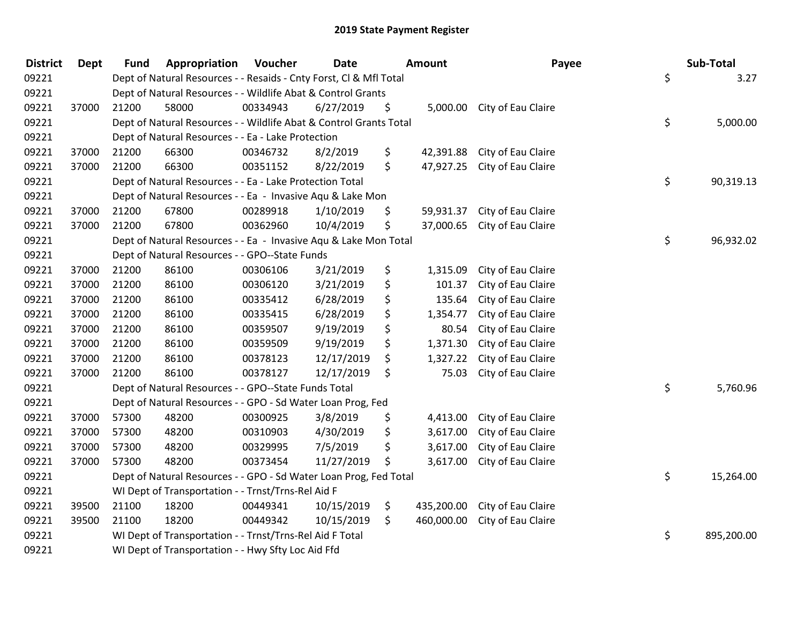| <b>District</b> | <b>Dept</b> | <b>Fund</b> | Appropriation                                                      | Voucher  | <b>Date</b> | <b>Amount</b>    | Payee                        | Sub-Total        |
|-----------------|-------------|-------------|--------------------------------------------------------------------|----------|-------------|------------------|------------------------------|------------------|
| 09221           |             |             | Dept of Natural Resources - - Resaids - Cnty Forst, Cl & Mfl Total |          |             |                  |                              | \$<br>3.27       |
| 09221           |             |             | Dept of Natural Resources - - Wildlife Abat & Control Grants       |          |             |                  |                              |                  |
| 09221           | 37000       | 21200       | 58000                                                              | 00334943 | 6/27/2019   | \$               | 5,000.00 City of Eau Claire  |                  |
| 09221           |             |             | Dept of Natural Resources - - Wildlife Abat & Control Grants Total |          |             |                  |                              | \$<br>5,000.00   |
| 09221           |             |             | Dept of Natural Resources - - Ea - Lake Protection                 |          |             |                  |                              |                  |
| 09221           | 37000       | 21200       | 66300                                                              | 00346732 | 8/2/2019    | \$<br>42,391.88  | City of Eau Claire           |                  |
| 09221           | 37000       | 21200       | 66300                                                              | 00351152 | 8/22/2019   | \$<br>47,927.25  | City of Eau Claire           |                  |
| 09221           |             |             | Dept of Natural Resources - - Ea - Lake Protection Total           |          |             |                  |                              | \$<br>90,319.13  |
| 09221           |             |             | Dept of Natural Resources - - Ea - Invasive Aqu & Lake Mon         |          |             |                  |                              |                  |
| 09221           | 37000       | 21200       | 67800                                                              | 00289918 | 1/10/2019   | \$<br>59,931.37  | City of Eau Claire           |                  |
| 09221           | 37000       | 21200       | 67800                                                              | 00362960 | 10/4/2019   | \$               | 37,000.65 City of Eau Claire |                  |
| 09221           |             |             | Dept of Natural Resources - - Ea - Invasive Aqu & Lake Mon Total   |          |             |                  |                              | \$<br>96,932.02  |
| 09221           |             |             | Dept of Natural Resources - - GPO--State Funds                     |          |             |                  |                              |                  |
| 09221           | 37000       | 21200       | 86100                                                              | 00306106 | 3/21/2019   | \$<br>1,315.09   | City of Eau Claire           |                  |
| 09221           | 37000       | 21200       | 86100                                                              | 00306120 | 3/21/2019   | \$<br>101.37     | City of Eau Claire           |                  |
| 09221           | 37000       | 21200       | 86100                                                              | 00335412 | 6/28/2019   | \$<br>135.64     | City of Eau Claire           |                  |
| 09221           | 37000       | 21200       | 86100                                                              | 00335415 | 6/28/2019   | \$<br>1,354.77   | City of Eau Claire           |                  |
| 09221           | 37000       | 21200       | 86100                                                              | 00359507 | 9/19/2019   | \$<br>80.54      | City of Eau Claire           |                  |
| 09221           | 37000       | 21200       | 86100                                                              | 00359509 | 9/19/2019   | \$<br>1,371.30   | City of Eau Claire           |                  |
| 09221           | 37000       | 21200       | 86100                                                              | 00378123 | 12/17/2019  | \$<br>1,327.22   | City of Eau Claire           |                  |
| 09221           | 37000       | 21200       | 86100                                                              | 00378127 | 12/17/2019  | \$<br>75.03      | City of Eau Claire           |                  |
| 09221           |             |             | Dept of Natural Resources - - GPO--State Funds Total               |          |             |                  |                              | \$<br>5,760.96   |
| 09221           |             |             | Dept of Natural Resources - - GPO - Sd Water Loan Prog, Fed        |          |             |                  |                              |                  |
| 09221           | 37000       | 57300       | 48200                                                              | 00300925 | 3/8/2019    | \$<br>4,413.00   | City of Eau Claire           |                  |
| 09221           | 37000       | 57300       | 48200                                                              | 00310903 | 4/30/2019   | \$<br>3,617.00   | City of Eau Claire           |                  |
| 09221           | 37000       | 57300       | 48200                                                              | 00329995 | 7/5/2019    | \$<br>3,617.00   | City of Eau Claire           |                  |
| 09221           | 37000       | 57300       | 48200                                                              | 00373454 | 11/27/2019  | \$<br>3,617.00   | City of Eau Claire           |                  |
| 09221           |             |             | Dept of Natural Resources - - GPO - Sd Water Loan Prog, Fed Total  |          |             |                  |                              | \$<br>15,264.00  |
| 09221           |             |             | WI Dept of Transportation - - Trnst/Trns-Rel Aid F                 |          |             |                  |                              |                  |
| 09221           | 39500       | 21100       | 18200                                                              | 00449341 | 10/15/2019  | \$<br>435,200.00 | City of Eau Claire           |                  |
| 09221           | 39500       | 21100       | 18200                                                              | 00449342 | 10/15/2019  | \$<br>460,000.00 | City of Eau Claire           |                  |
| 09221           |             |             | WI Dept of Transportation - - Trnst/Trns-Rel Aid F Total           |          |             |                  |                              | \$<br>895,200.00 |
| 09221           |             |             | WI Dept of Transportation - - Hwy Sfty Loc Aid Ffd                 |          |             |                  |                              |                  |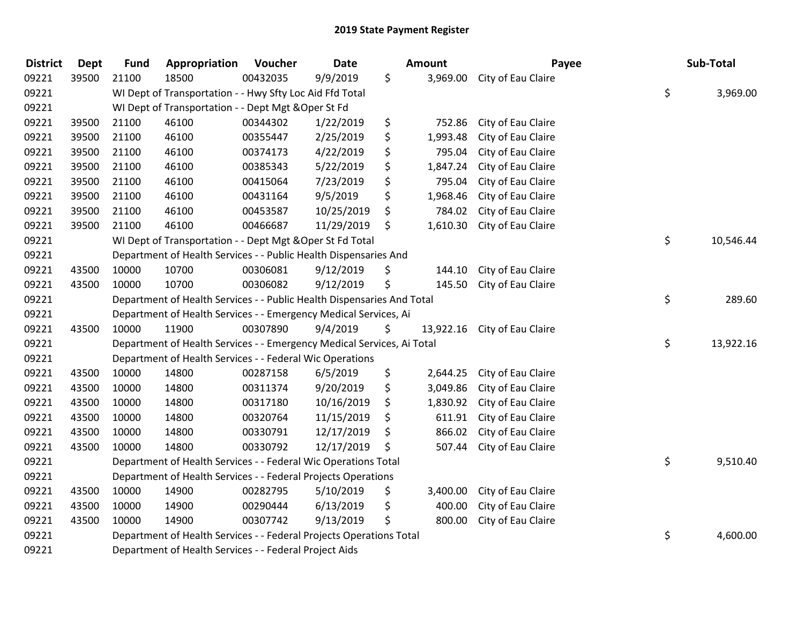| <b>District</b> | Dept  | <b>Fund</b> | Appropriation                                                          | Voucher  | <b>Date</b> | <b>Amount</b>   | Payee              | Sub-Total       |
|-----------------|-------|-------------|------------------------------------------------------------------------|----------|-------------|-----------------|--------------------|-----------------|
| 09221           | 39500 | 21100       | 18500                                                                  | 00432035 | 9/9/2019    | \$<br>3,969.00  | City of Eau Claire |                 |
| 09221           |       |             | WI Dept of Transportation - - Hwy Sfty Loc Aid Ffd Total               |          |             |                 |                    | \$<br>3,969.00  |
| 09221           |       |             | WI Dept of Transportation - - Dept Mgt & Oper St Fd                    |          |             |                 |                    |                 |
| 09221           | 39500 | 21100       | 46100                                                                  | 00344302 | 1/22/2019   | \$<br>752.86    | City of Eau Claire |                 |
| 09221           | 39500 | 21100       | 46100                                                                  | 00355447 | 2/25/2019   | \$<br>1,993.48  | City of Eau Claire |                 |
| 09221           | 39500 | 21100       | 46100                                                                  | 00374173 | 4/22/2019   | \$<br>795.04    | City of Eau Claire |                 |
| 09221           | 39500 | 21100       | 46100                                                                  | 00385343 | 5/22/2019   | \$<br>1,847.24  | City of Eau Claire |                 |
| 09221           | 39500 | 21100       | 46100                                                                  | 00415064 | 7/23/2019   | \$<br>795.04    | City of Eau Claire |                 |
| 09221           | 39500 | 21100       | 46100                                                                  | 00431164 | 9/5/2019    | \$<br>1,968.46  | City of Eau Claire |                 |
| 09221           | 39500 | 21100       | 46100                                                                  | 00453587 | 10/25/2019  | \$<br>784.02    | City of Eau Claire |                 |
| 09221           | 39500 | 21100       | 46100                                                                  | 00466687 | 11/29/2019  | \$<br>1,610.30  | City of Eau Claire |                 |
| 09221           |       |             | WI Dept of Transportation - - Dept Mgt & Oper St Fd Total              |          |             |                 |                    | \$<br>10,546.44 |
| 09221           |       |             | Department of Health Services - - Public Health Dispensaries And       |          |             |                 |                    |                 |
| 09221           | 43500 | 10000       | 10700                                                                  | 00306081 | 9/12/2019   | \$<br>144.10    | City of Eau Claire |                 |
| 09221           | 43500 | 10000       | 10700                                                                  | 00306082 | 9/12/2019   | \$<br>145.50    | City of Eau Claire |                 |
| 09221           |       |             | Department of Health Services - - Public Health Dispensaries And Total |          |             |                 |                    | \$<br>289.60    |
| 09221           |       |             | Department of Health Services - - Emergency Medical Services, Ai       |          |             |                 |                    |                 |
| 09221           | 43500 | 10000       | 11900                                                                  | 00307890 | 9/4/2019    | \$<br>13,922.16 | City of Eau Claire |                 |
| 09221           |       |             | Department of Health Services - - Emergency Medical Services, Ai Total |          |             |                 |                    | \$<br>13,922.16 |
| 09221           |       |             | Department of Health Services - - Federal Wic Operations               |          |             |                 |                    |                 |
| 09221           | 43500 | 10000       | 14800                                                                  | 00287158 | 6/5/2019    | \$<br>2,644.25  | City of Eau Claire |                 |
| 09221           | 43500 | 10000       | 14800                                                                  | 00311374 | 9/20/2019   | \$<br>3,049.86  | City of Eau Claire |                 |
| 09221           | 43500 | 10000       | 14800                                                                  | 00317180 | 10/16/2019  | \$<br>1,830.92  | City of Eau Claire |                 |
| 09221           | 43500 | 10000       | 14800                                                                  | 00320764 | 11/15/2019  | \$<br>611.91    | City of Eau Claire |                 |
| 09221           | 43500 | 10000       | 14800                                                                  | 00330791 | 12/17/2019  | \$<br>866.02    | City of Eau Claire |                 |
| 09221           | 43500 | 10000       | 14800                                                                  | 00330792 | 12/17/2019  | \$<br>507.44    | City of Eau Claire |                 |
| 09221           |       |             | Department of Health Services - - Federal Wic Operations Total         |          |             |                 |                    | \$<br>9,510.40  |
| 09221           |       |             | Department of Health Services - - Federal Projects Operations          |          |             |                 |                    |                 |
| 09221           | 43500 | 10000       | 14900                                                                  | 00282795 | 5/10/2019   | \$<br>3,400.00  | City of Eau Claire |                 |
| 09221           | 43500 | 10000       | 14900                                                                  | 00290444 | 6/13/2019   | \$<br>400.00    | City of Eau Claire |                 |
| 09221           | 43500 | 10000       | 14900                                                                  | 00307742 | 9/13/2019   | \$<br>800.00    | City of Eau Claire |                 |
| 09221           |       |             | Department of Health Services - - Federal Projects Operations Total    |          |             |                 |                    | \$<br>4,600.00  |
| 09221           |       |             | Department of Health Services - - Federal Project Aids                 |          |             |                 |                    |                 |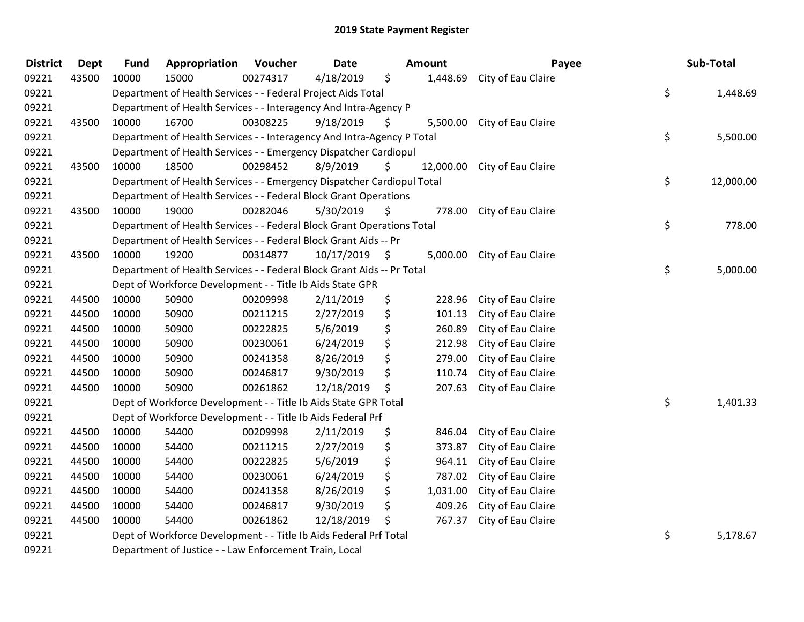| <b>District</b> | <b>Dept</b> | Fund  | Appropriation                                                          | Voucher  | <b>Date</b> |      | <b>Amount</b> | Payee                       | Sub-Total       |
|-----------------|-------------|-------|------------------------------------------------------------------------|----------|-------------|------|---------------|-----------------------------|-----------------|
| 09221           | 43500       | 10000 | 15000                                                                  | 00274317 | 4/18/2019   | \$   | 1,448.69      | City of Eau Claire          |                 |
| 09221           |             |       | Department of Health Services - - Federal Project Aids Total           |          |             |      |               |                             | \$<br>1,448.69  |
| 09221           |             |       | Department of Health Services - - Interagency And Intra-Agency P       |          |             |      |               |                             |                 |
| 09221           | 43500       | 10000 | 16700                                                                  | 00308225 | 9/18/2019   | \$   |               | 5,500.00 City of Eau Claire |                 |
| 09221           |             |       | Department of Health Services - - Interagency And Intra-Agency P Total |          |             |      |               |                             | \$<br>5,500.00  |
| 09221           |             |       | Department of Health Services - - Emergency Dispatcher Cardiopul       |          |             |      |               |                             |                 |
| 09221           | 43500       | 10000 | 18500                                                                  | 00298452 | 8/9/2019    | \$   | 12,000.00     | City of Eau Claire          |                 |
| 09221           |             |       | Department of Health Services - - Emergency Dispatcher Cardiopul Total |          |             |      |               |                             | \$<br>12,000.00 |
| 09221           |             |       | Department of Health Services - - Federal Block Grant Operations       |          |             |      |               |                             |                 |
| 09221           | 43500       | 10000 | 19000                                                                  | 00282046 | 5/30/2019   | \$   | 778.00        | City of Eau Claire          |                 |
| 09221           |             |       | Department of Health Services - - Federal Block Grant Operations Total |          |             |      |               |                             | \$<br>778.00    |
| 09221           |             |       | Department of Health Services - - Federal Block Grant Aids -- Pr       |          |             |      |               |                             |                 |
| 09221           | 43500       | 10000 | 19200                                                                  | 00314877 | 10/17/2019  | - \$ |               | 5,000.00 City of Eau Claire |                 |
| 09221           |             |       | Department of Health Services - - Federal Block Grant Aids -- Pr Total |          |             |      |               |                             | \$<br>5,000.00  |
| 09221           |             |       | Dept of Workforce Development - - Title Ib Aids State GPR              |          |             |      |               |                             |                 |
| 09221           | 44500       | 10000 | 50900                                                                  | 00209998 | 2/11/2019   | \$   | 228.96        | City of Eau Claire          |                 |
| 09221           | 44500       | 10000 | 50900                                                                  | 00211215 | 2/27/2019   | \$   | 101.13        | City of Eau Claire          |                 |
| 09221           | 44500       | 10000 | 50900                                                                  | 00222825 | 5/6/2019    | \$   | 260.89        | City of Eau Claire          |                 |
| 09221           | 44500       | 10000 | 50900                                                                  | 00230061 | 6/24/2019   | \$   | 212.98        | City of Eau Claire          |                 |
| 09221           | 44500       | 10000 | 50900                                                                  | 00241358 | 8/26/2019   |      | 279.00        | City of Eau Claire          |                 |
| 09221           | 44500       | 10000 | 50900                                                                  | 00246817 | 9/30/2019   | \$   | 110.74        | City of Eau Claire          |                 |
| 09221           | 44500       | 10000 | 50900                                                                  | 00261862 | 12/18/2019  | \$   | 207.63        | City of Eau Claire          |                 |
| 09221           |             |       | Dept of Workforce Development - - Title Ib Aids State GPR Total        |          |             |      |               |                             | \$<br>1,401.33  |
| 09221           |             |       | Dept of Workforce Development - - Title Ib Aids Federal Prf            |          |             |      |               |                             |                 |
| 09221           | 44500       | 10000 | 54400                                                                  | 00209998 | 2/11/2019   | \$   | 846.04        | City of Eau Claire          |                 |
| 09221           | 44500       | 10000 | 54400                                                                  | 00211215 | 2/27/2019   | \$   | 373.87        | City of Eau Claire          |                 |
| 09221           | 44500       | 10000 | 54400                                                                  | 00222825 | 5/6/2019    | \$   | 964.11        | City of Eau Claire          |                 |
| 09221           | 44500       | 10000 | 54400                                                                  | 00230061 | 6/24/2019   | \$   | 787.02        | City of Eau Claire          |                 |
| 09221           | 44500       | 10000 | 54400                                                                  | 00241358 | 8/26/2019   | \$   | 1,031.00      | City of Eau Claire          |                 |
| 09221           | 44500       | 10000 | 54400                                                                  | 00246817 | 9/30/2019   | \$   | 409.26        | City of Eau Claire          |                 |
| 09221           | 44500       | 10000 | 54400                                                                  | 00261862 | 12/18/2019  | \$   | 767.37        | City of Eau Claire          |                 |
| 09221           |             |       | Dept of Workforce Development - - Title Ib Aids Federal Prf Total      |          |             |      |               |                             | \$<br>5,178.67  |
| 09221           |             |       | Department of Justice - - Law Enforcement Train, Local                 |          |             |      |               |                             |                 |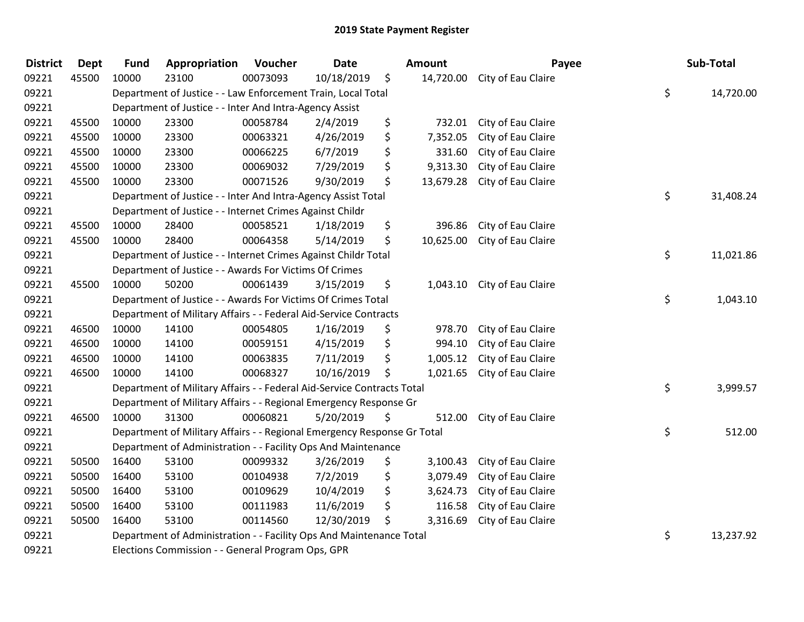| <b>District</b> | Dept  | <b>Fund</b> | Appropriation                                                           | Voucher  | <b>Date</b> | <b>Amount</b>   | Payee                        | Sub-Total       |
|-----------------|-------|-------------|-------------------------------------------------------------------------|----------|-------------|-----------------|------------------------------|-----------------|
| 09221           | 45500 | 10000       | 23100                                                                   | 00073093 | 10/18/2019  | \$              | 14,720.00 City of Eau Claire |                 |
| 09221           |       |             | Department of Justice - - Law Enforcement Train, Local Total            |          |             |                 |                              | \$<br>14,720.00 |
| 09221           |       |             | Department of Justice - - Inter And Intra-Agency Assist                 |          |             |                 |                              |                 |
| 09221           | 45500 | 10000       | 23300                                                                   | 00058784 | 2/4/2019    | \$<br>732.01    | City of Eau Claire           |                 |
| 09221           | 45500 | 10000       | 23300                                                                   | 00063321 | 4/26/2019   | \$<br>7,352.05  | City of Eau Claire           |                 |
| 09221           | 45500 | 10000       | 23300                                                                   | 00066225 | 6/7/2019    | \$<br>331.60    | City of Eau Claire           |                 |
| 09221           | 45500 | 10000       | 23300                                                                   | 00069032 | 7/29/2019   | \$<br>9,313.30  | City of Eau Claire           |                 |
| 09221           | 45500 | 10000       | 23300                                                                   | 00071526 | 9/30/2019   | \$<br>13,679.28 | City of Eau Claire           |                 |
| 09221           |       |             | Department of Justice - - Inter And Intra-Agency Assist Total           |          |             |                 |                              | \$<br>31,408.24 |
| 09221           |       |             | Department of Justice - - Internet Crimes Against Childr                |          |             |                 |                              |                 |
| 09221           | 45500 | 10000       | 28400                                                                   | 00058521 | 1/18/2019   | \$<br>396.86    | City of Eau Claire           |                 |
| 09221           | 45500 | 10000       | 28400                                                                   | 00064358 | 5/14/2019   | \$<br>10,625.00 | City of Eau Claire           |                 |
| 09221           |       |             | Department of Justice - - Internet Crimes Against Childr Total          |          |             |                 |                              | \$<br>11,021.86 |
| 09221           |       |             | Department of Justice - - Awards For Victims Of Crimes                  |          |             |                 |                              |                 |
| 09221           | 45500 | 10000       | 50200                                                                   | 00061439 | 3/15/2019   | \$<br>1,043.10  | City of Eau Claire           |                 |
| 09221           |       |             | Department of Justice - - Awards For Victims Of Crimes Total            |          |             |                 |                              | \$<br>1,043.10  |
| 09221           |       |             | Department of Military Affairs - - Federal Aid-Service Contracts        |          |             |                 |                              |                 |
| 09221           | 46500 | 10000       | 14100                                                                   | 00054805 | 1/16/2019   | \$<br>978.70    | City of Eau Claire           |                 |
| 09221           | 46500 | 10000       | 14100                                                                   | 00059151 | 4/15/2019   | \$<br>994.10    | City of Eau Claire           |                 |
| 09221           | 46500 | 10000       | 14100                                                                   | 00063835 | 7/11/2019   | \$<br>1,005.12  | City of Eau Claire           |                 |
| 09221           | 46500 | 10000       | 14100                                                                   | 00068327 | 10/16/2019  | \$<br>1,021.65  | City of Eau Claire           |                 |
| 09221           |       |             | Department of Military Affairs - - Federal Aid-Service Contracts Total  |          |             |                 |                              | \$<br>3,999.57  |
| 09221           |       |             | Department of Military Affairs - - Regional Emergency Response Gr       |          |             |                 |                              |                 |
| 09221           | 46500 | 10000       | 31300                                                                   | 00060821 | 5/20/2019   | \$<br>512.00    | City of Eau Claire           |                 |
| 09221           |       |             | Department of Military Affairs - - Regional Emergency Response Gr Total |          |             |                 |                              | \$<br>512.00    |
| 09221           |       |             | Department of Administration - - Facility Ops And Maintenance           |          |             |                 |                              |                 |
| 09221           | 50500 | 16400       | 53100                                                                   | 00099332 | 3/26/2019   | \$<br>3,100.43  | City of Eau Claire           |                 |
| 09221           | 50500 | 16400       | 53100                                                                   | 00104938 | 7/2/2019    | \$<br>3,079.49  | City of Eau Claire           |                 |
| 09221           | 50500 | 16400       | 53100                                                                   | 00109629 | 10/4/2019   | \$<br>3,624.73  | City of Eau Claire           |                 |
| 09221           | 50500 | 16400       | 53100                                                                   | 00111983 | 11/6/2019   | \$<br>116.58    | City of Eau Claire           |                 |
| 09221           | 50500 | 16400       | 53100                                                                   | 00114560 | 12/30/2019  | \$<br>3,316.69  | City of Eau Claire           |                 |
| 09221           |       |             | Department of Administration - - Facility Ops And Maintenance Total     |          |             |                 |                              | \$<br>13,237.92 |
| 09221           |       |             | Elections Commission - - General Program Ops, GPR                       |          |             |                 |                              |                 |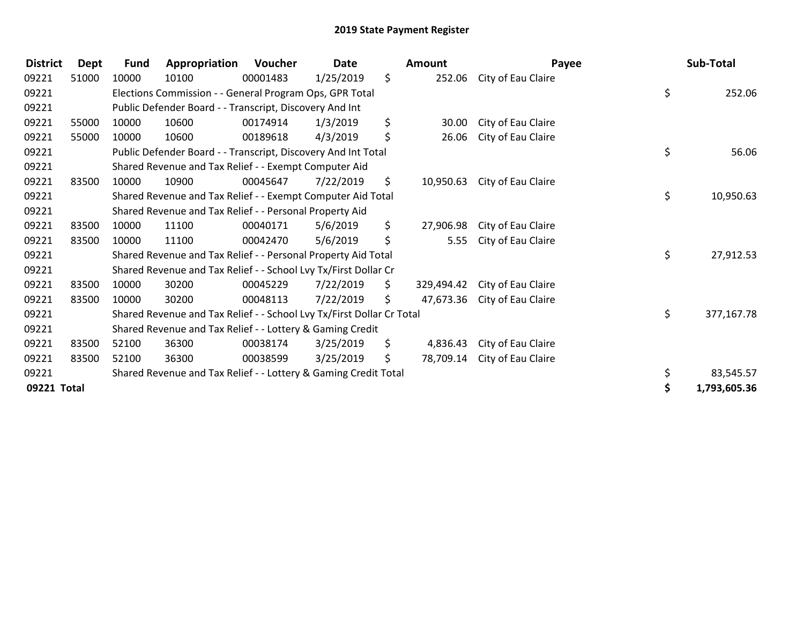## 2019 State Payment Register

| <b>District</b> | <b>Dept</b> | <b>Fund</b>                                                           | Appropriation                                                   | Voucher  | Date      | <b>Amount</b> |            | Payee              |  |    | Sub-Total    |  |
|-----------------|-------------|-----------------------------------------------------------------------|-----------------------------------------------------------------|----------|-----------|---------------|------------|--------------------|--|----|--------------|--|
| 09221           | 51000       | 10000                                                                 | 10100                                                           | 00001483 | 1/25/2019 | \$            | 252.06     | City of Eau Claire |  |    |              |  |
| 09221           |             | Elections Commission - - General Program Ops, GPR Total               |                                                                 |          |           |               |            |                    |  |    | 252.06       |  |
| 09221           |             | Public Defender Board - - Transcript, Discovery And Int               |                                                                 |          |           |               |            |                    |  |    |              |  |
| 09221           | 55000       | 10000                                                                 | 10600                                                           | 00174914 | 1/3/2019  | \$            | 30.00      | City of Eau Claire |  |    |              |  |
| 09221           | 55000       | 10000                                                                 | 10600                                                           | 00189618 | 4/3/2019  | \$            | 26.06      | City of Eau Claire |  |    |              |  |
| 09221           |             | Public Defender Board - - Transcript, Discovery And Int Total         |                                                                 |          |           |               |            |                    |  |    | 56.06        |  |
| 09221           |             | Shared Revenue and Tax Relief - - Exempt Computer Aid                 |                                                                 |          |           |               |            |                    |  |    |              |  |
| 09221           | 83500       | 10000                                                                 | 10900                                                           | 00045647 | 7/22/2019 | \$            | 10,950.63  | City of Eau Claire |  |    |              |  |
| 09221           |             | Shared Revenue and Tax Relief - - Exempt Computer Aid Total           |                                                                 |          |           |               |            |                    |  |    | 10,950.63    |  |
| 09221           |             |                                                                       | Shared Revenue and Tax Relief - - Personal Property Aid         |          |           |               |            |                    |  |    |              |  |
| 09221           | 83500       | 10000                                                                 | 11100                                                           | 00040171 | 5/6/2019  | \$            | 27,906.98  | City of Eau Claire |  |    |              |  |
| 09221           | 83500       | 10000                                                                 | 11100                                                           | 00042470 | 5/6/2019  | \$            | 5.55       | City of Eau Claire |  |    |              |  |
| 09221           |             | Shared Revenue and Tax Relief - - Personal Property Aid Total         |                                                                 |          |           |               |            |                    |  | \$ | 27,912.53    |  |
| 09221           |             | Shared Revenue and Tax Relief - - School Lvy Tx/First Dollar Cr       |                                                                 |          |           |               |            |                    |  |    |              |  |
| 09221           | 83500       | 10000                                                                 | 30200                                                           | 00045229 | 7/22/2019 | S.            | 329.494.42 | City of Eau Claire |  |    |              |  |
| 09221           | 83500       | 10000                                                                 | 30200                                                           | 00048113 | 7/22/2019 | \$            | 47,673.36  | City of Eau Claire |  |    |              |  |
| 09221           |             | Shared Revenue and Tax Relief - - School Lvy Tx/First Dollar Cr Total |                                                                 |          |           |               |            |                    |  | \$ | 377,167.78   |  |
| 09221           |             | Shared Revenue and Tax Relief - - Lottery & Gaming Credit             |                                                                 |          |           |               |            |                    |  |    |              |  |
| 09221           | 83500       | 52100                                                                 | 36300                                                           | 00038174 | 3/25/2019 | \$.           | 4,836.43   | City of Eau Claire |  |    |              |  |
| 09221           | 83500       | 52100                                                                 | 36300                                                           | 00038599 | 3/25/2019 | \$.           | 78,709.14  | City of Eau Claire |  |    |              |  |
| 09221           |             |                                                                       | Shared Revenue and Tax Relief - - Lottery & Gaming Credit Total |          |           |               |            |                    |  | \$ | 83,545.57    |  |
| 09221 Total     |             |                                                                       |                                                                 |          |           |               |            |                    |  | \$ | 1,793,605.36 |  |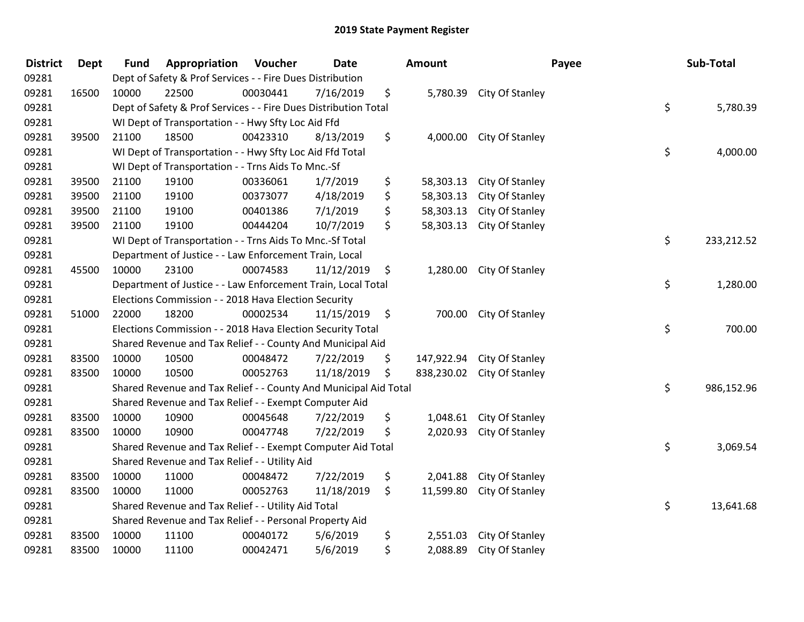## 2019 State Payment Register

| <b>District</b> | <b>Dept</b> | <b>Fund</b>                                                           | Appropriation                                              | Voucher  | <b>Date</b> |    | <b>Amount</b> |                          | Payee | Sub-Total  |
|-----------------|-------------|-----------------------------------------------------------------------|------------------------------------------------------------|----------|-------------|----|---------------|--------------------------|-------|------------|
| 09281           |             | Dept of Safety & Prof Services - - Fire Dues Distribution             |                                                            |          |             |    |               |                          |       |            |
| 09281           | 16500       | 10000                                                                 | 22500                                                      | 00030441 | 7/16/2019   | \$ |               | 5,780.39 City Of Stanley |       |            |
| 09281           |             | \$<br>Dept of Safety & Prof Services - - Fire Dues Distribution Total |                                                            |          |             |    |               |                          |       |            |
| 09281           |             | WI Dept of Transportation - - Hwy Sfty Loc Aid Ffd                    |                                                            |          |             |    |               |                          |       |            |
| 09281           | 39500       | 21100                                                                 | 18500                                                      | 00423310 | 8/13/2019   | \$ | 4,000.00      | City Of Stanley          |       |            |
| 09281           |             |                                                                       | WI Dept of Transportation - - Hwy Sfty Loc Aid Ffd Total   |          |             |    |               |                          | \$    | 4,000.00   |
| 09281           |             |                                                                       | WI Dept of Transportation - - Trns Aids To Mnc.-Sf         |          |             |    |               |                          |       |            |
| 09281           | 39500       | 21100                                                                 | 19100                                                      | 00336061 | 1/7/2019    | \$ | 58,303.13     | City Of Stanley          |       |            |
| 09281           | 39500       | 21100                                                                 | 19100                                                      | 00373077 | 4/18/2019   | \$ | 58,303.13     | City Of Stanley          |       |            |
| 09281           | 39500       | 21100                                                                 | 19100                                                      | 00401386 | 7/1/2019    | \$ | 58,303.13     | City Of Stanley          |       |            |
| 09281           | 39500       | 21100                                                                 | 19100                                                      | 00444204 | 10/7/2019   | \$ | 58,303.13     | City Of Stanley          |       |            |
| 09281           |             |                                                                       | WI Dept of Transportation - - Trns Aids To Mnc.-Sf Total   |          |             |    |               |                          | \$    | 233,212.52 |
| 09281           |             |                                                                       | Department of Justice - - Law Enforcement Train, Local     |          |             |    |               |                          |       |            |
| 09281           | 45500       | 10000                                                                 | 23100                                                      | 00074583 | 11/12/2019  | \$ | 1,280.00      | City Of Stanley          |       |            |
| 09281           |             | Department of Justice - - Law Enforcement Train, Local Total          |                                                            |          |             |    |               |                          |       | 1,280.00   |
| 09281           |             |                                                                       | Elections Commission - - 2018 Hava Election Security       |          |             |    |               |                          |       |            |
| 09281           | 51000       | 22000                                                                 | 18200                                                      | 00002534 | 11/15/2019  | \$ | 700.00        | City Of Stanley          |       |            |
| 09281           |             | Elections Commission - - 2018 Hava Election Security Total            |                                                            |          |             |    |               |                          |       | 700.00     |
| 09281           |             |                                                                       | Shared Revenue and Tax Relief - - County And Municipal Aid |          |             |    |               |                          |       |            |
| 09281           | 83500       | 10000                                                                 | 10500                                                      | 00048472 | 7/22/2019   | \$ | 147,922.94    | City Of Stanley          |       |            |
| 09281           | 83500       | 10000                                                                 | 10500                                                      | 00052763 | 11/18/2019  | \$ | 838,230.02    | City Of Stanley          |       |            |
| 09281           |             | Shared Revenue and Tax Relief - - County And Municipal Aid Total      |                                                            |          |             |    |               |                          |       | 986,152.96 |
| 09281           |             | Shared Revenue and Tax Relief - - Exempt Computer Aid                 |                                                            |          |             |    |               |                          |       |            |
| 09281           | 83500       | 10000                                                                 | 10900                                                      | 00045648 | 7/22/2019   | \$ | 1,048.61      | City Of Stanley          |       |            |
| 09281           | 83500       | 10000                                                                 | 10900                                                      | 00047748 | 7/22/2019   | \$ | 2,020.93      | City Of Stanley          |       |            |
| 09281           |             | Shared Revenue and Tax Relief - - Exempt Computer Aid Total           |                                                            |          |             |    |               |                          | \$    | 3,069.54   |
| 09281           |             | Shared Revenue and Tax Relief - - Utility Aid                         |                                                            |          |             |    |               |                          |       |            |
| 09281           | 83500       | 10000                                                                 | 11000                                                      | 00048472 | 7/22/2019   | \$ | 2,041.88      | City Of Stanley          |       |            |
| 09281           | 83500       | 10000                                                                 | 11000                                                      | 00052763 | 11/18/2019  | \$ | 11,599.80     | City Of Stanley          |       |            |
| 09281           |             | Shared Revenue and Tax Relief - - Utility Aid Total                   |                                                            |          |             |    |               |                          |       | 13,641.68  |
| 09281           |             | Shared Revenue and Tax Relief - - Personal Property Aid               |                                                            |          |             |    |               |                          |       |            |
| 09281           | 83500       | 10000                                                                 | 11100                                                      | 00040172 | 5/6/2019    | \$ | 2,551.03      | City Of Stanley          |       |            |
| 09281           | 83500       | 10000                                                                 | 11100                                                      | 00042471 | 5/6/2019    | \$ | 2,088.89      | City Of Stanley          |       |            |